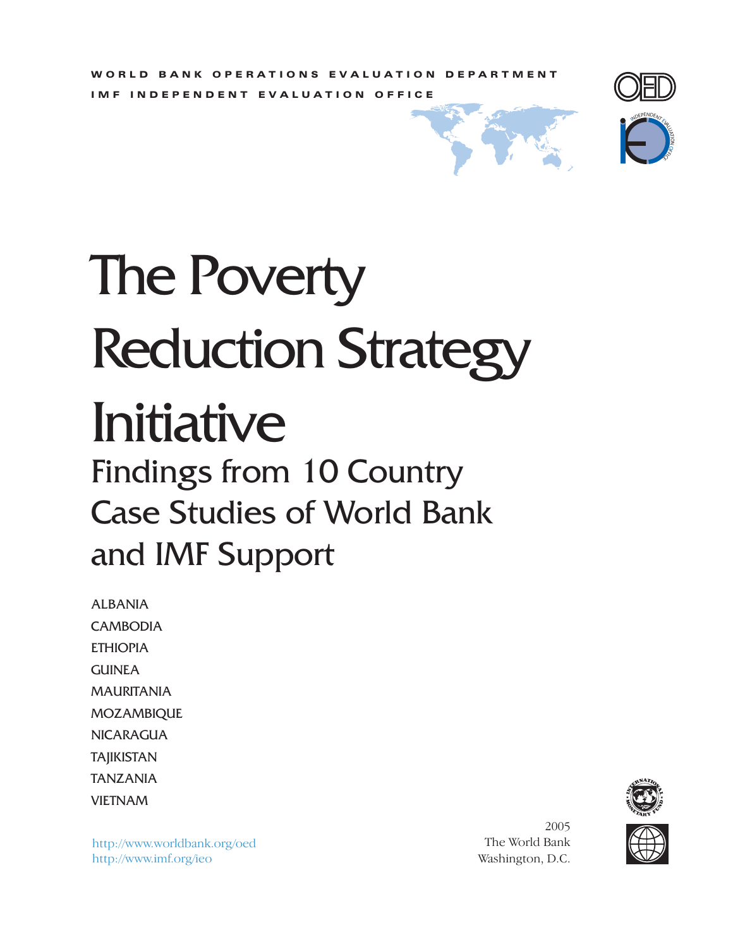WORLD BANK OPERATIONS EVALUATION DEPARTMENT IMF INDEPENDENT EVALUATION OFFICE



# The Poverty Reduction Strategy Initiative Findings from 10 Country Case Studies of World Bank

and IMF Support

ALBANIA **CAMBODIA** ETHIOPIA **GUINEA** MAURITANIA MOZAMBIQUE **NICARAGUA** TAJIKISTAN TANZANIA VIETNAM

> 2005 The World Bank Washington, D.C.



http://www.worldbank.org/oed http://www.imf.org/ieo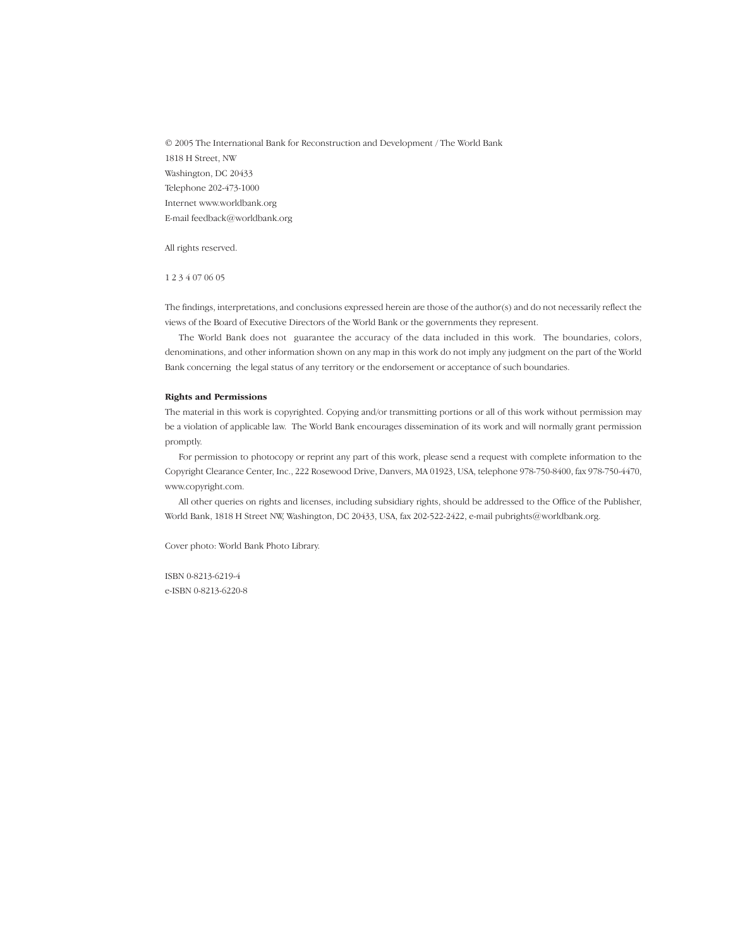© 2005 The International Bank for Reconstruction and Development / The World Bank 1818 H Street, NW Washington, DC 20433 Telephone 202-473-1000 Internet www.worldbank.org E-mail feedback@worldbank.org

All rights reserved.

1 2 3 4 07 06 05

The findings, interpretations, and conclusions expressed herein are those of the author(s) and do not necessarily reflect the views of the Board of Executive Directors of the World Bank or the governments they represent.

The World Bank does not guarantee the accuracy of the data included in this work. The boundaries, colors, denominations, and other information shown on any map in this work do not imply any judgment on the part of the World Bank concerning the legal status of any territory or the endorsement or acceptance of such boundaries.

#### **Rights and Permissions**

The material in this work is copyrighted. Copying and/or transmitting portions or all of this work without permission may be a violation of applicable law. The World Bank encourages dissemination of its work and will normally grant permission promptly.

For permission to photocopy or reprint any part of this work, please send a request with complete information to the Copyright Clearance Center, Inc., 222 Rosewood Drive, Danvers, MA 01923, USA, telephone 978-750-8400, fax 978-750-4470, www.copyright.com.

All other queries on rights and licenses, including subsidiary rights, should be addressed to the Office of the Publisher, World Bank, 1818 H Street NW, Washington, DC 20433, USA, fax 202-522-2422, e-mail pubrights@worldbank.org.

Cover photo: World Bank Photo Library.

ISBN 0-8213-6219-4 e-ISBN 0-8213-6220-8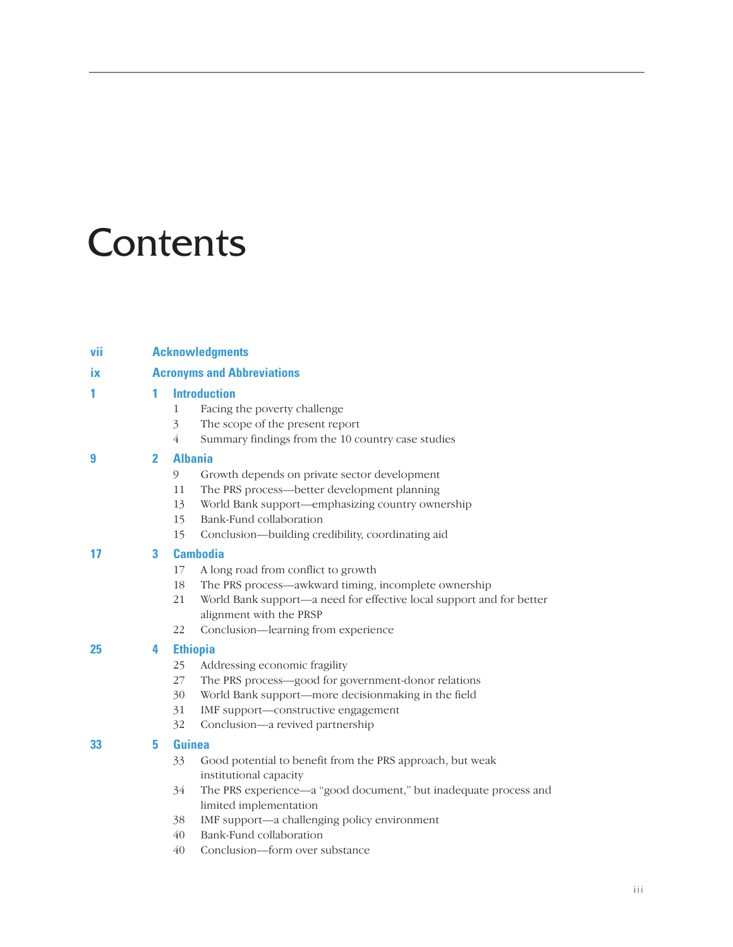## **Contents**

| vii |                | <b>Acknowledgments</b>                                                                                                                                                                                                                                                                                                                        |  |  |  |  |  |  |
|-----|----------------|-----------------------------------------------------------------------------------------------------------------------------------------------------------------------------------------------------------------------------------------------------------------------------------------------------------------------------------------------|--|--|--|--|--|--|
| ix  |                | <b>Acronyms and Abbreviations</b>                                                                                                                                                                                                                                                                                                             |  |  |  |  |  |  |
| 1   | 1              | <b>Introduction</b><br>Facing the poverty challenge<br>$\mathbf{1}$<br>$\mathfrak{Z}$<br>The scope of the present report<br>$\overline{4}$<br>Summary findings from the 10 country case studies                                                                                                                                               |  |  |  |  |  |  |
| 9   | $\overline{2}$ | <b>Albania</b><br>9<br>Growth depends on private sector development<br>The PRS process-better development planning<br>11<br>13<br>World Bank support-emphasizing country ownership<br>Bank-Fund collaboration<br>15<br>Conclusion-building credibility, coordinating aid<br>15                                                                |  |  |  |  |  |  |
| 17  | 3              | <b>Cambodia</b><br>A long road from conflict to growth<br>17<br>The PRS process-awkward timing, incomplete ownership<br>18<br>21<br>World Bank support—a need for effective local support and for better<br>alignment with the PRSP<br>22<br>Conclusion-learning from experience                                                              |  |  |  |  |  |  |
| 25  | 4              | <b>Ethiopia</b><br>25<br>Addressing economic fragility<br>27<br>The PRS process-good for government-donor relations<br>30<br>World Bank support-more decisionmaking in the field<br>IMF support—constructive engagement<br>31<br>32<br>Conclusion-a revived partnership                                                                       |  |  |  |  |  |  |
| 33  | 5              | <b>Guinea</b><br>33<br>Good potential to benefit from the PRS approach, but weak<br>institutional capacity<br>The PRS experience—a "good document," but inadequate process and<br>34<br>limited implementation<br>IMF support—a challenging policy environment<br>38<br>40<br>Bank-Fund collaboration<br>40<br>Conclusion-form over substance |  |  |  |  |  |  |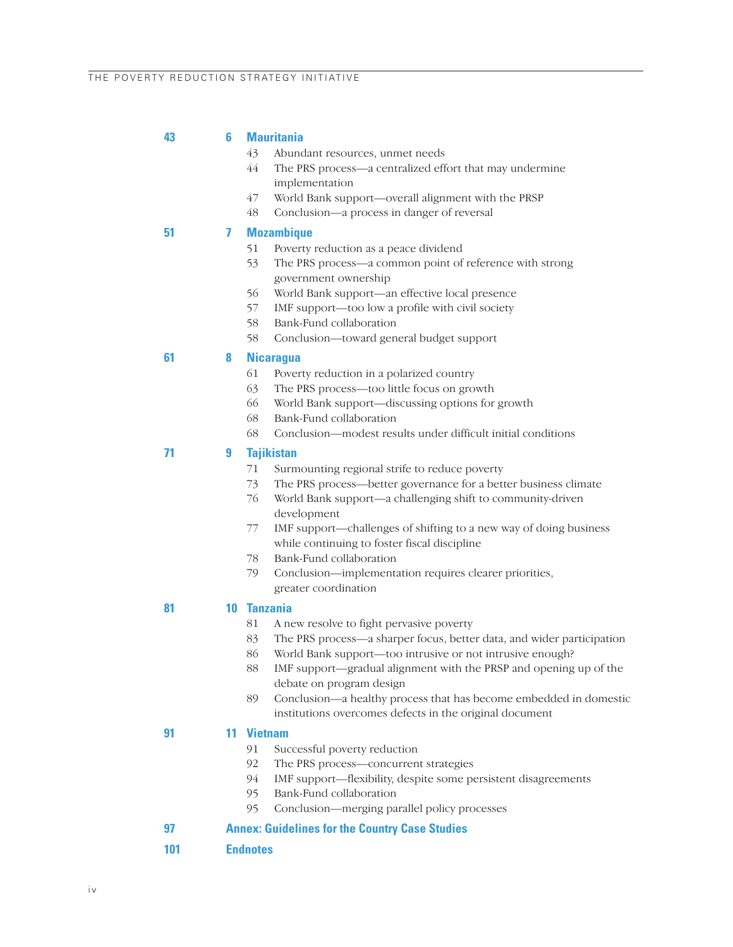#### **43 6 Mauritania**

- 43 Abundant resources, unmet needs
- 44 The PRS process—a centralized effort that may undermine implementation
- 47 World Bank support—overall alignment with the PRSP
- 48 Conclusion—a process in danger of reversal

#### **51 7 Mozambique**

- 51 Poverty reduction as a peace dividend
- 53 The PRS process—a common point of reference with strong government ownership
- 56 World Bank support—an effective local presence
- 57 IMF support—too low a profile with civil society
- 58 Bank-Fund collaboration
- 58 Conclusion—toward general budget support

#### **61 8 Nicaragua**

- 61 Poverty reduction in a polarized country
- 63 The PRS process—too little focus on growth
- 66 World Bank support—discussing options for growth
- 68 Bank-Fund collaboration
- 68 Conclusion—modest results under difficult initial conditions

#### **71 9 Tajikistan**

- 71 Surmounting regional strife to reduce poverty
- 73 The PRS process—better governance for a better business climate
- 76 World Bank support—a challenging shift to community-driven development
- 77 IMF support—challenges of shifting to a new way of doing business while continuing to foster fiscal discipline
- 78 Bank-Fund collaboration
- 79 Conclusion—implementation requires clearer priorities, greater coordination

#### **81 10 Tanzania**

- 81 A new resolve to fight pervasive poverty
- 83 The PRS process—a sharper focus, better data, and wider participation
- 86 World Bank support—too intrusive or not intrusive enough?
- 88 IMF support—gradual alignment with the PRSP and opening up of the debate on program design
- 89 Conclusion—a healthy process that has become embedded in domestic institutions overcomes defects in the original document

#### **91 11 Vietnam**

- 91 Successful poverty reduction
- 92 The PRS process—concurrent strategies
- 94 IMF support—flexibility, despite some persistent disagreements
- 95 Bank-Fund collaboration
- 95 Conclusion—merging parallel policy processes

#### **97 Annex: Guidelines for the Country Case Studies**

**101 Endnotes**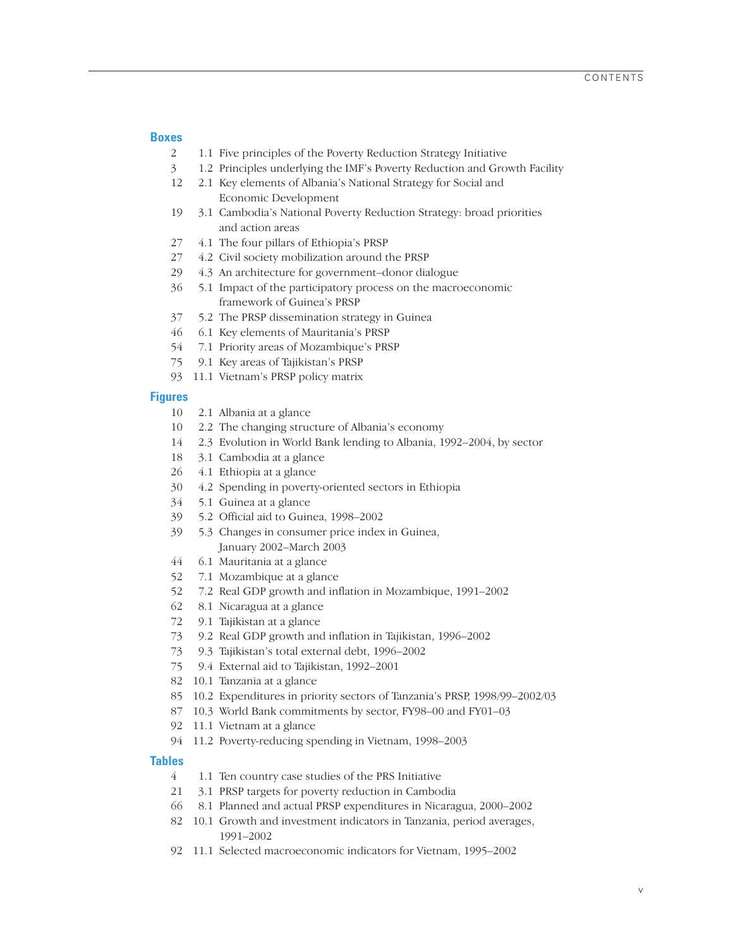#### **Boxes**

- 2 1.1 Five principles of the Poverty Reduction Strategy Initiative
- 3 1.2 Principles underlying the IMF's Poverty Reduction and Growth Facility
- 12 2.1 Key elements of Albania's National Strategy for Social and Economic Development
- 19 3.1 Cambodia's National Poverty Reduction Strategy: broad priorities and action areas
- 27 4.1 The four pillars of Ethiopia's PRSP
- 27 4.2 Civil society mobilization around the PRSP
- 29 4.3 An architecture for government–donor dialogue
- 36 5.1 Impact of the participatory process on the macroeconomic framework of Guinea's PRSP
- 37 5.2 The PRSP dissemination strategy in Guinea
- 46 6.1 Key elements of Mauritania's PRSP
- 54 7.1 Priority areas of Mozambique's PRSP
- 75 9.1 Key areas of Tajikistan's PRSP
- 93 11.1 Vietnam's PRSP policy matrix

#### **Figures**

- 10 2.1 Albania at a glance
- 10 2.2 The changing structure of Albania's economy
- 14 2.3 Evolution in World Bank lending to Albania, 1992–2004, by sector
- 18 3.1 Cambodia at a glance
- 26 4.1 Ethiopia at a glance
- 30 4.2 Spending in poverty-oriented sectors in Ethiopia
- 34 5.1 Guinea at a glance
- 39 5.2 Official aid to Guinea, 1998–2002
- 39 5.3 Changes in consumer price index in Guinea, January 2002–March 2003
- 44 6.1 Mauritania at a glance
- 52 7.1 Mozambique at a glance
- 52 7.2 Real GDP growth and inflation in Mozambique, 1991–2002
- 62 8.1 Nicaragua at a glance
- 72 9.1 Tajikistan at a glance
- 73 9.2 Real GDP growth and inflation in Tajikistan, 1996–2002
- 73 9.3 Tajikistan's total external debt, 1996–2002
- 75 9.4 External aid to Tajikistan, 1992–2001
- 82 10.1 Tanzania at a glance
- 85 10.2 Expenditures in priority sectors of Tanzania's PRSP, 1998/99–2002/03
- 87 10.3 World Bank commitments by sector, FY98–00 and FY01–03
- 92 11.1 Vietnam at a glance
- 94 11.2 Poverty-reducing spending in Vietnam, 1998–2003

#### **Tables**

- 4 1.1 Ten country case studies of the PRS Initiative
- 21 3.1 PRSP targets for poverty reduction in Cambodia
- 66 8.1 Planned and actual PRSP expenditures in Nicaragua, 2000–2002
- 82 10.1 Growth and investment indicators in Tanzania, period averages, 1991–2002
- 92 11.1 Selected macroeconomic indicators for Vietnam, 1995–2002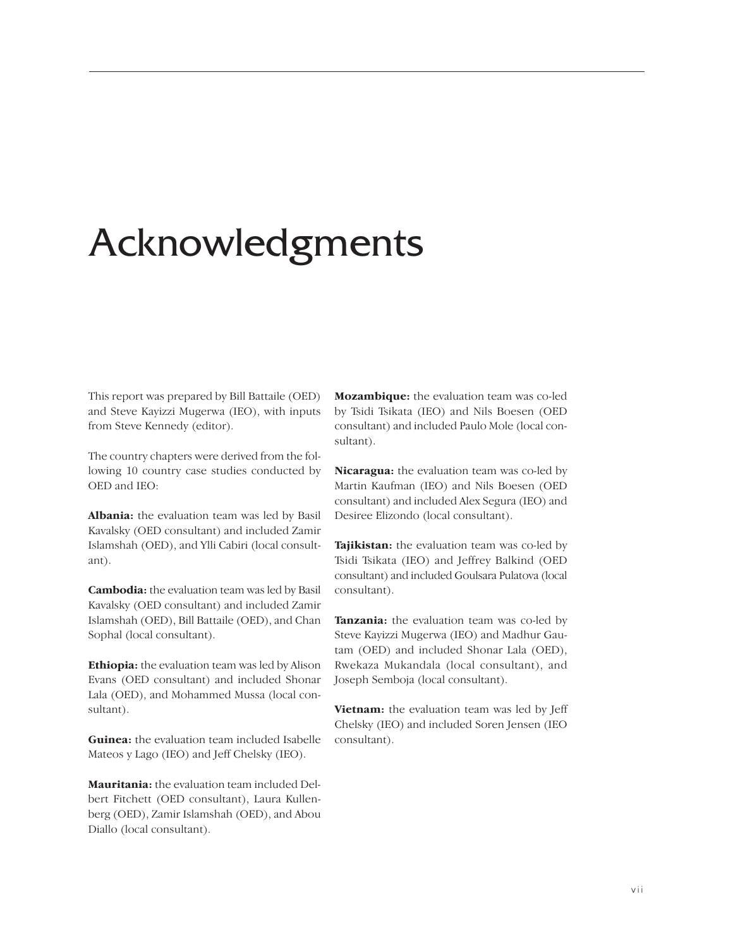### Acknowledgments

This report was prepared by Bill Battaile (OED) and Steve Kayizzi Mugerwa (IEO), with inputs from Steve Kennedy (editor).

The country chapters were derived from the following 10 country case studies conducted by OED and IEO:

**Albania:** the evaluation team was led by Basil Kavalsky (OED consultant) and included Zamir Islamshah (OED), and Ylli Cabiri (local consultant).

**Cambodia:** the evaluation team was led by Basil Kavalsky (OED consultant) and included Zamir Islamshah (OED), Bill Battaile (OED), and Chan Sophal (local consultant).

**Ethiopia:** the evaluation team was led by Alison Evans (OED consultant) and included Shonar Lala (OED), and Mohammed Mussa (local consultant).

**Guinea:** the evaluation team included Isabelle Mateos y Lago (IEO) and Jeff Chelsky (IEO).

**Mauritania:** the evaluation team included Delbert Fitchett (OED consultant), Laura Kullenberg (OED), Zamir Islamshah (OED), and Abou Diallo (local consultant).

**Mozambique:** the evaluation team was co-led by Tsidi Tsikata (IEO) and Nils Boesen (OED consultant) and included Paulo Mole (local consultant).

**Nicaragua:** the evaluation team was co-led by Martin Kaufman (IEO) and Nils Boesen (OED consultant) and included Alex Segura (IEO) and Desiree Elizondo (local consultant).

**Tajikistan:** the evaluation team was co-led by Tsidi Tsikata (IEO) and Jeffrey Balkind (OED consultant) and included Goulsara Pulatova (local consultant).

**Tanzania:** the evaluation team was co-led by Steve Kayizzi Mugerwa (IEO) and Madhur Gautam (OED) and included Shonar Lala (OED), Rwekaza Mukandala (local consultant), and Joseph Semboja (local consultant).

**Vietnam:** the evaluation team was led by Jeff Chelsky (IEO) and included Soren Jensen (IEO consultant).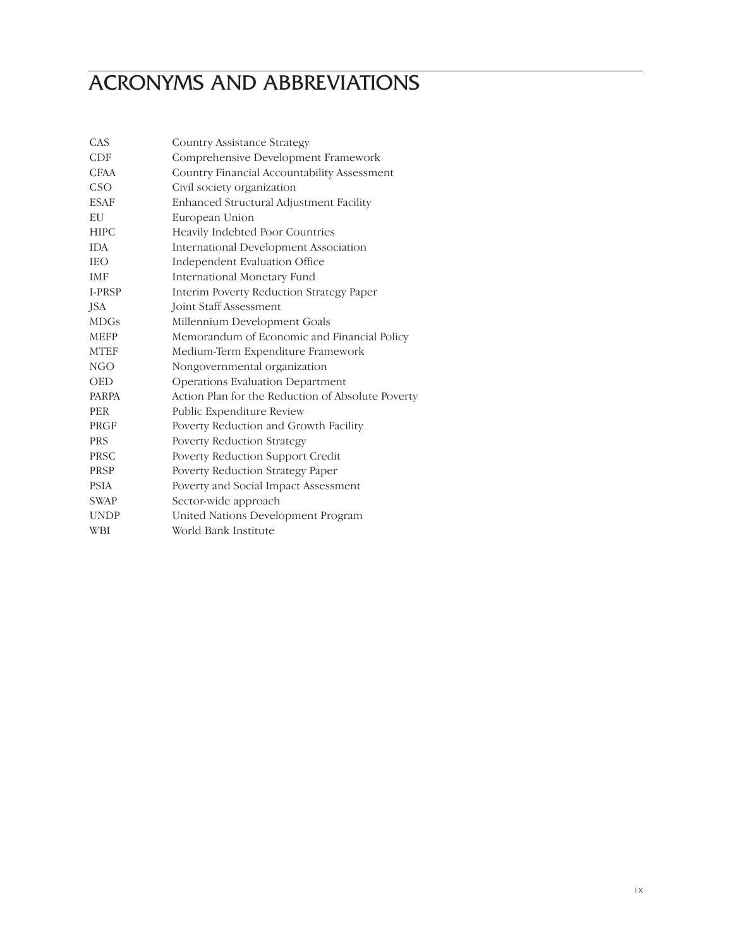### ACRONYMS AND ABBREVIATIONS

| CAS          | Country Assistance Strategy                       |
|--------------|---------------------------------------------------|
| CDF          | Comprehensive Development Framework               |
| <b>CFAA</b>  | Country Financial Accountability Assessment       |
| CSO          | Civil society organization                        |
| <b>ESAF</b>  | Enhanced Structural Adjustment Facility           |
| EU           | European Union                                    |
| <b>HIPC</b>  | Heavily Indebted Poor Countries                   |
| <b>IDA</b>   | <b>International Development Association</b>      |
| <b>IEO</b>   | Independent Evaluation Office                     |
| <b>IMF</b>   | International Monetary Fund                       |
| I-PRSP       | Interim Poverty Reduction Strategy Paper          |
| <b>JSA</b>   | Joint Staff Assessment                            |
| <b>MDGs</b>  | Millennium Development Goals                      |
| <b>MEFP</b>  | Memorandum of Economic and Financial Policy       |
| <b>MTEF</b>  | Medium-Term Expenditure Framework                 |
| NGO          | Nongovernmental organization                      |
| <b>OED</b>   | <b>Operations Evaluation Department</b>           |
| <b>PARPA</b> | Action Plan for the Reduction of Absolute Poverty |
| <b>PER</b>   | Public Expenditure Review                         |
| PRGF         | Poverty Reduction and Growth Facility             |
| <b>PRS</b>   | Poverty Reduction Strategy                        |
| <b>PRSC</b>  | Poverty Reduction Support Credit                  |
| PRSP         | Poverty Reduction Strategy Paper                  |
| <b>PSIA</b>  | Poverty and Social Impact Assessment              |
| <b>SWAP</b>  | Sector-wide approach                              |
| <b>UNDP</b>  | United Nations Development Program                |
| <b>WBI</b>   | World Bank Institute                              |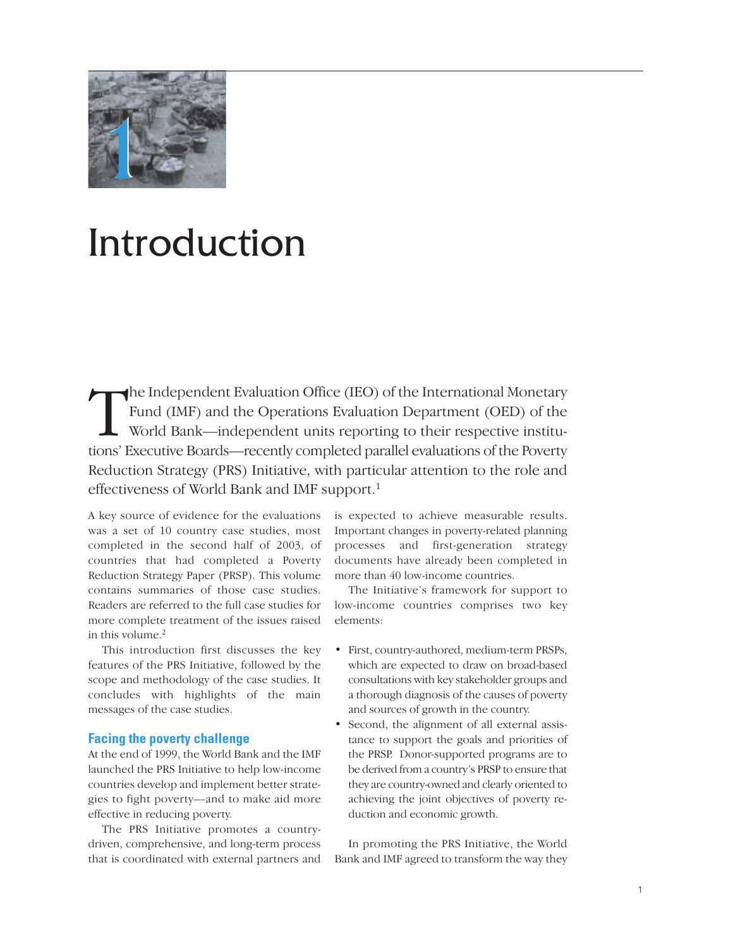

### Introduction

The Independent Evaluation Office (IEO) of the International Monetary<br>Fund (IMF) and the Operations Evaluation Department (OED) of the<br>World Bank—independent units reporting to their respective institu-<br>tions' Executive Bo Fund (IMF) and the Operations Evaluation Department (OED) of the World Bank—independent units reporting to their respective institutions' Executive Boards—recently completed parallel evaluations of the Poverty Reduction Strategy (PRS) Initiative, with particular attention to the role and effectiveness of World Bank and IMF support.<sup>1</sup>

A key source of evidence for the evaluations was a set of 10 country case studies, most completed in the second half of 2003, of countries that had completed a Poverty Reduction Strategy Paper (PRSP). This volume contains summaries of those case studies. Readers are referred to the full case studies for more complete treatment of the issues raised in this volume. $2$ 

This introduction first discusses the key features of the PRS Initiative, followed by the scope and methodology of the case studies. It concludes with highlights of the main messages of the case studies.

#### **Facing the poverty challenge**

At the end of 1999, the World Bank and the IMF launched the PRS Initiative to help low-income countries develop and implement better strategies to fight poverty—and to make aid more effective in reducing poverty.

The PRS Initiative promotes a countrydriven, comprehensive, and long-term process that is coordinated with external partners and is expected to achieve measurable results. Important changes in poverty-related planning processes and first-generation strategy documents have already been completed in more than 40 low-income countries.

The Initiative's framework for support to low-income countries comprises two key elements:

- First, country-authored, medium-term PRSPs, which are expected to draw on broad-based consultations with key stakeholder groups and a thorough diagnosis of the causes of poverty and sources of growth in the country.
- Second, the alignment of all external assistance to support the goals and priorities of the PRSP. Donor-supported programs are to be derived from a country's PRSP to ensure that they are country-owned and clearly oriented to achieving the joint objectives of poverty reduction and economic growth.

In promoting the PRS Initiative, the World Bank and IMF agreed to transform the way they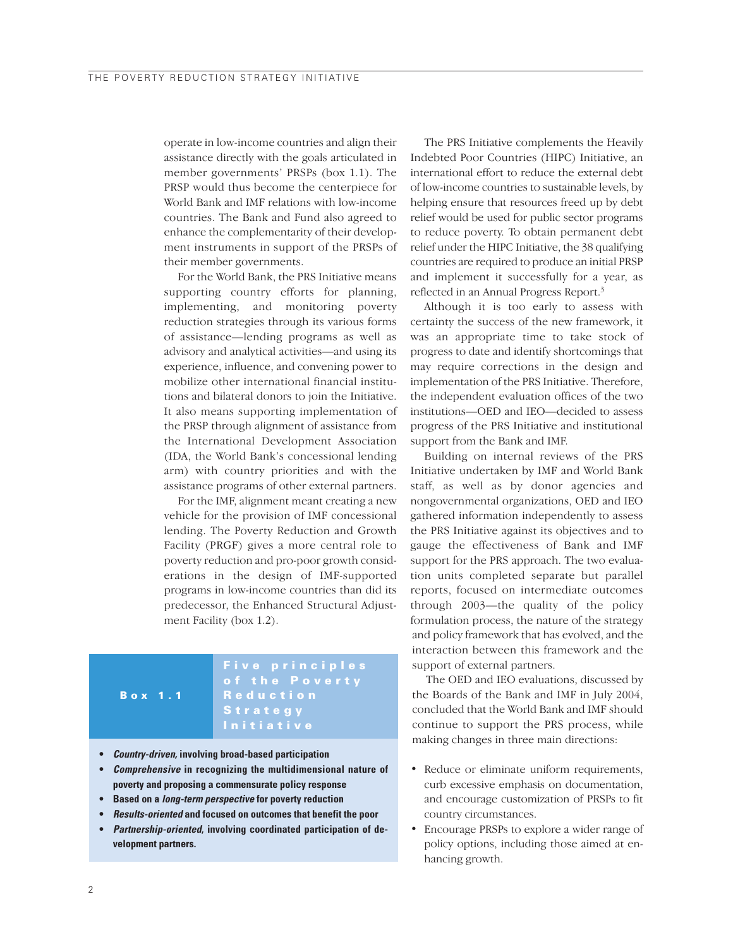operate in low-income countries and align their assistance directly with the goals articulated in member governments' PRSPs (box 1.1). The PRSP would thus become the centerpiece for World Bank and IMF relations with low-income countries. The Bank and Fund also agreed to enhance the complementarity of their development instruments in support of the PRSPs of their member governments.

For the World Bank, the PRS Initiative means supporting country efforts for planning, implementing, and monitoring poverty reduction strategies through its various forms of assistance—lending programs as well as advisory and analytical activities—and using its experience, influence, and convening power to mobilize other international financial institutions and bilateral donors to join the Initiative. It also means supporting implementation of the PRSP through alignment of assistance from the International Development Association (IDA, the World Bank's concessional lending arm) with country priorities and with the assistance programs of other external partners.

For the IMF, alignment meant creating a new vehicle for the provision of IMF concessional lending. The Poverty Reduction and Growth Facility (PRGF) gives a more central role to poverty reduction and pro-poor growth considerations in the design of IMF-supported programs in low-income countries than did its predecessor, the Enhanced Structural Adjustment Facility (box 1.2).

#### **Box 1.1**

**Five principles Reduction Strategy**

- **•** *Country-driven,* **involving broad-based participation**
- **•** *Comprehensive* **in recognizing the multidimensional nature of poverty and proposing a commensurate policy response**
- **Based on a** *long-term perspective* **for poverty reduction**
- **•** *Results-oriented* **and focused on outcomes that benefit the poor**
- **•** *Partnership-oriented***, involving coordinated participation of development partners.**

The PRS Initiative complements the Heavily Indebted Poor Countries (HIPC) Initiative, an international effort to reduce the external debt of low-income countries to sustainable levels, by helping ensure that resources freed up by debt relief would be used for public sector programs to reduce poverty. To obtain permanent debt relief under the HIPC Initiative, the 38 qualifying countries are required to produce an initial PRSP and implement it successfully for a year, as reflected in an Annual Progress Report.3

Although it is too early to assess with certainty the success of the new framework, it was an appropriate time to take stock of progress to date and identify shortcomings that may require corrections in the design and implementation of the PRS Initiative. Therefore, the independent evaluation offices of the two institutions—OED and IEO—decided to assess progress of the PRS Initiative and institutional support from the Bank and IMF.

Building on internal reviews of the PRS Initiative undertaken by IMF and World Bank staff, as well as by donor agencies and nongovernmental organizations, OED and IEO gathered information independently to assess the PRS Initiative against its objectives and to gauge the effectiveness of Bank and IMF support for the PRS approach. The two evaluation units completed separate but parallel reports, focused on intermediate outcomes through 2003—the quality of the policy formulation process, the nature of the strategy and policy framework that has evolved, and the interaction between this framework and the support of external partners.

The OED and IEO evaluations, discussed by the Boards of the Bank and IMF in July 2004, concluded that the World Bank and IMF should continue to support the PRS process, while making changes in three main directions:

- Reduce or eliminate uniform requirements, curb excessive emphasis on documentation, and encourage customization of PRSPs to fit country circumstances.
- Encourage PRSPs to explore a wider range of policy options, including those aimed at enhancing growth.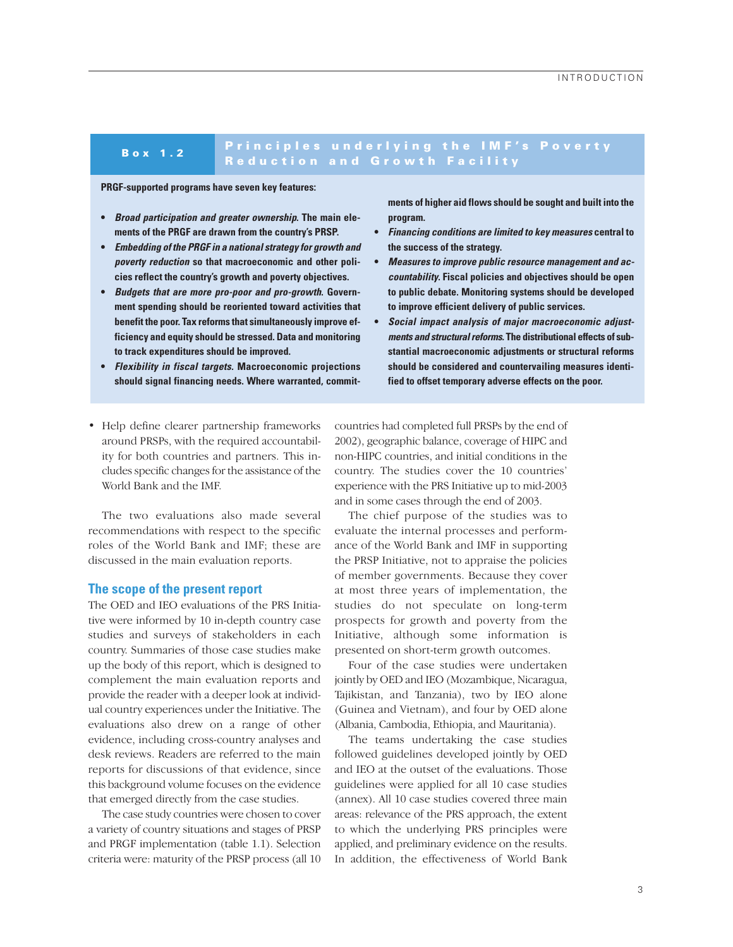#### **Principles underlying the IMF's Poverty Reduction and Growth Facility Box 1.2**

**PRGF-supported programs have seven key features:**

- **•** *Broad participation and greater ownership***. The main elements of the PRGF are drawn from the country's PRSP.**
- **•** *Embedding of the PRGF in a national strategy for growth and poverty reduction* **so that macroeconomic and other policies reflect the country's growth and poverty objectives.**
- **•** *Budgets that are more pro-poor and pro-growth***. Government spending should be reoriented toward activities that benefit the poor. Tax reforms that simultaneously improve efficiency and equity should be stressed. Data and monitoring to track expenditures should be improved.**
- **•** *Flexibility in fiscal targets.* **Macroeconomic projections should signal financing needs. Where warranted, commit-**

**ments of higher aid flows should be sought and built into the program.**

- **•** *Financing conditions are limited to key measures* **central to the success of the strategy.**
- **•** *Measures to improve public resource management and accountability***. Fiscal policies and objectives should be open to public debate. Monitoring systems should be developed to improve efficient delivery of public services.**
- **•** *Social impact analysis of major macroeconomic adjustments and structural reforms.* **The distributional effects of substantial macroeconomic adjustments or structural reforms should be considered and countervailing measures identified to offset temporary adverse effects on the poor.**
- Help define clearer partnership frameworks around PRSPs, with the required accountability for both countries and partners. This includes specific changes for the assistance of the World Bank and the IMF.

The two evaluations also made several recommendations with respect to the specific roles of the World Bank and IMF; these are discussed in the main evaluation reports.

#### **The scope of the present report**

The OED and IEO evaluations of the PRS Initiative were informed by 10 in-depth country case studies and surveys of stakeholders in each country. Summaries of those case studies make up the body of this report, which is designed to complement the main evaluation reports and provide the reader with a deeper look at individual country experiences under the Initiative. The evaluations also drew on a range of other evidence, including cross-country analyses and desk reviews. Readers are referred to the main reports for discussions of that evidence, since this background volume focuses on the evidence that emerged directly from the case studies.

The case study countries were chosen to cover a variety of country situations and stages of PRSP and PRGF implementation (table 1.1). Selection criteria were: maturity of the PRSP process (all 10 countries had completed full PRSPs by the end of 2002), geographic balance, coverage of HIPC and non-HIPC countries, and initial conditions in the country. The studies cover the 10 countries' experience with the PRS Initiative up to mid-2003 and in some cases through the end of 2003.

The chief purpose of the studies was to evaluate the internal processes and performance of the World Bank and IMF in supporting the PRSP Initiative, not to appraise the policies of member governments. Because they cover at most three years of implementation, the studies do not speculate on long-term prospects for growth and poverty from the Initiative, although some information is presented on short-term growth outcomes.

Four of the case studies were undertaken jointly by OED and IEO (Mozambique, Nicaragua, Tajikistan, and Tanzania), two by IEO alone (Guinea and Vietnam), and four by OED alone (Albania, Cambodia, Ethiopia, and Mauritania).

The teams undertaking the case studies followed guidelines developed jointly by OED and IEO at the outset of the evaluations. Those guidelines were applied for all 10 case studies (annex). All 10 case studies covered three main areas: relevance of the PRS approach, the extent to which the underlying PRS principles were applied, and preliminary evidence on the results. In addition, the effectiveness of World Bank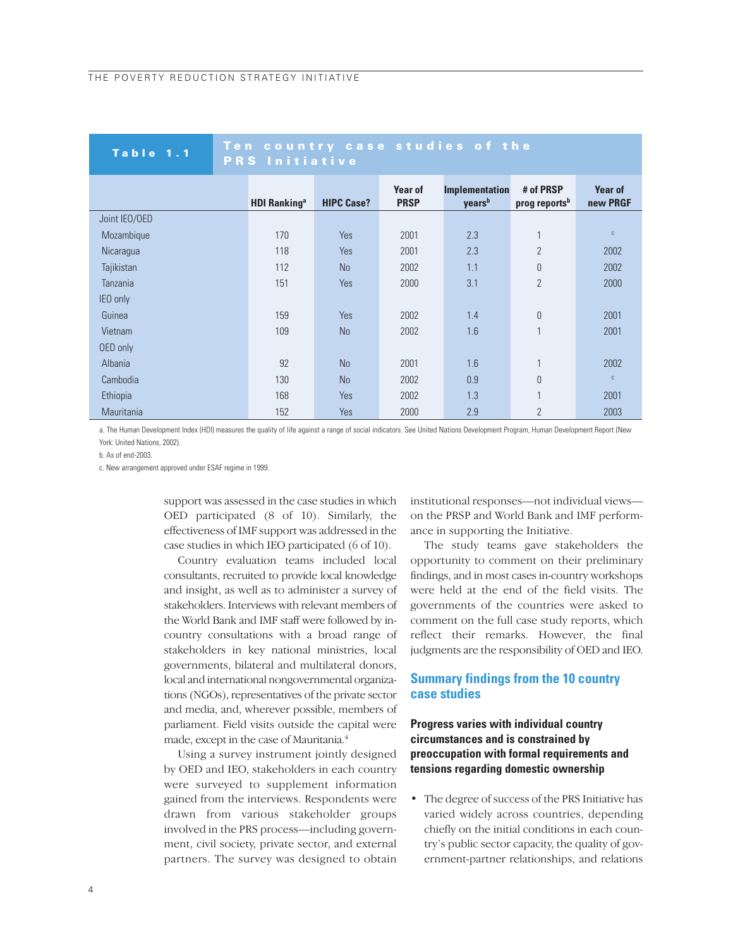| Table 1.1         | Ten country case studies of the<br><b>PRS</b> Initiative |                                |                   |                               |                                             |                                        |                            |  |
|-------------------|----------------------------------------------------------|--------------------------------|-------------------|-------------------------------|---------------------------------------------|----------------------------------------|----------------------------|--|
|                   |                                                          | <b>HDI Ranking<sup>a</sup></b> | <b>HIPC Case?</b> | <b>Year of</b><br><b>PRSP</b> | <b>Implementation</b><br>years <sup>b</sup> | # of PRSP<br>prog reports <sup>b</sup> | <b>Year of</b><br>new PRGF |  |
| Joint IEO/OED     |                                                          |                                |                   |                               |                                             |                                        |                            |  |
| Mozambique        |                                                          | 170                            | Yes               | 2001                          | 2.3                                         | 1                                      | $\mathbb{C}$               |  |
| Nicaragua         |                                                          | 118                            | Yes               | 2001                          | 2.3                                         | $\overline{2}$                         | 2002                       |  |
| Tajikistan        |                                                          | 112                            | N <sub>o</sub>    | 2002                          | 1.1                                         | $\Omega$                               | 2002                       |  |
| Tanzania          |                                                          | 151                            | Yes               | 2000                          | 3.1                                         | $\overline{2}$                         | 2000                       |  |
| IEO only          |                                                          |                                |                   |                               |                                             |                                        |                            |  |
| Guinea            |                                                          | 159                            | Yes               | 2002                          | 1.4                                         | 0                                      | 2001                       |  |
| Vietnam           |                                                          | 109                            | N <sub>o</sub>    | 2002                          | 1.6                                         | $\overline{ }$                         | 2001                       |  |
| OED only          |                                                          |                                |                   |                               |                                             |                                        |                            |  |
| Albania           |                                                          | 92                             | N <sub>o</sub>    | 2001                          | 1.6                                         |                                        | 2002                       |  |
| Cambodia          |                                                          | 130                            | N <sub>o</sub>    | 2002                          | 0.9                                         | $\Omega$                               | $\mathbb{C}$               |  |
| Ethiopia          |                                                          | 168                            | Yes               | 2002                          | 1.3                                         |                                        | 2001                       |  |
| <b>Mauritania</b> |                                                          | 152                            | Yes               | 2000                          | 2.9                                         | $\overline{2}$                         | 2003                       |  |

a. The Human Development Index (HDI) measures the quality of life against a range of social indicators. See United Nations Development Program, Human Development Report (New York: United Nations, 2002).

b. As of end-2003.

c. New arrangement approved under ESAF regime in 1999.

support was assessed in the case studies in which OED participated (8 of 10). Similarly, the effectiveness of IMF support was addressed in the case studies in which IEO participated (6 of 10).

Country evaluation teams included local consultants, recruited to provide local knowledge and insight, as well as to administer a survey of stakeholders. Interviews with relevant members of the World Bank and IMF staff were followed by incountry consultations with a broad range of stakeholders in key national ministries, local governments, bilateral and multilateral donors, local and international nongovernmental organizations (NGOs), representatives of the private sector and media, and, wherever possible, members of parliament. Field visits outside the capital were made, except in the case of Mauritania.<sup>4</sup>

Using a survey instrument jointly designed by OED and IEO, stakeholders in each country were surveyed to supplement information gained from the interviews. Respondents were drawn from various stakeholder groups involved in the PRS process—including government, civil society, private sector, and external partners. The survey was designed to obtain institutional responses—not individual views on the PRSP and World Bank and IMF performance in supporting the Initiative.

The study teams gave stakeholders the opportunity to comment on their preliminary findings, and in most cases in-country workshops were held at the end of the field visits. The governments of the countries were asked to comment on the full case study reports, which reflect their remarks. However, the final judgments are the responsibility of OED and IEO.

#### **Summary findings from the 10 country case studies**

#### **Progress varies with individual country circumstances and is constrained by preoccupation with formal requirements and tensions regarding domestic ownership**

• The degree of success of the PRS Initiative has varied widely across countries, depending chiefly on the initial conditions in each country's public sector capacity, the quality of government-partner relationships, and relations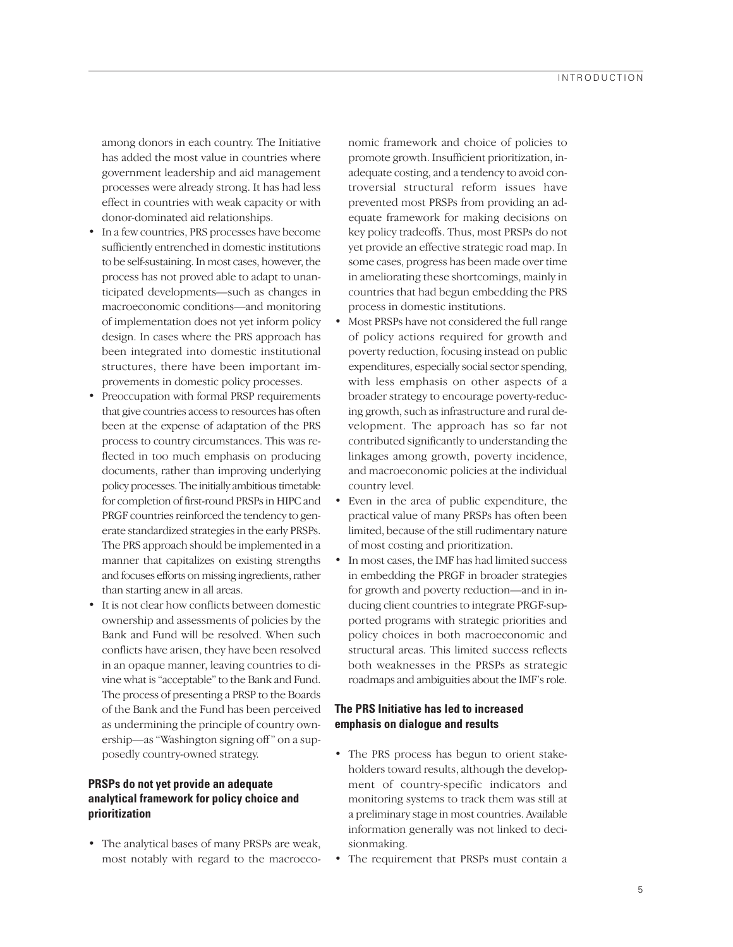among donors in each country. The Initiative has added the most value in countries where government leadership and aid management processes were already strong. It has had less effect in countries with weak capacity or with donor-dominated aid relationships.

- In a few countries, PRS processes have become sufficiently entrenched in domestic institutions to be self-sustaining. In most cases, however, the process has not proved able to adapt to unanticipated developments—such as changes in macroeconomic conditions—and monitoring of implementation does not yet inform policy design. In cases where the PRS approach has been integrated into domestic institutional structures, there have been important improvements in domestic policy processes.
- Preoccupation with formal PRSP requirements that give countries access to resources has often been at the expense of adaptation of the PRS process to country circumstances. This was reflected in too much emphasis on producing documents, rather than improving underlying policy processes. The initially ambitious timetable for completion of first-round PRSPs in HIPC and PRGF countries reinforced the tendency to generate standardized strategies in the early PRSPs. The PRS approach should be implemented in a manner that capitalizes on existing strengths and focuses efforts on missing ingredients, rather than starting anew in all areas.
- It is not clear how conflicts between domestic ownership and assessments of policies by the Bank and Fund will be resolved. When such conflicts have arisen, they have been resolved in an opaque manner, leaving countries to divine what is "acceptable" to the Bank and Fund. The process of presenting a PRSP to the Boards of the Bank and the Fund has been perceived as undermining the principle of country ownership—as "Washington signing off " on a supposedly country-owned strategy.

#### **PRSPs do not yet provide an adequate analytical framework for policy choice and prioritization**

• The analytical bases of many PRSPs are weak, most notably with regard to the macroeco-

nomic framework and choice of policies to promote growth. Insufficient prioritization, inadequate costing, and a tendency to avoid controversial structural reform issues have prevented most PRSPs from providing an adequate framework for making decisions on key policy tradeoffs. Thus, most PRSPs do not yet provide an effective strategic road map. In some cases, progress has been made over time in ameliorating these shortcomings, mainly in countries that had begun embedding the PRS process in domestic institutions.

- Most PRSPs have not considered the full range of policy actions required for growth and poverty reduction, focusing instead on public expenditures, especially social sector spending, with less emphasis on other aspects of a broader strategy to encourage poverty-reducing growth, such as infrastructure and rural development. The approach has so far not contributed significantly to understanding the linkages among growth, poverty incidence, and macroeconomic policies at the individual country level.
- Even in the area of public expenditure, the practical value of many PRSPs has often been limited, because of the still rudimentary nature of most costing and prioritization.
- In most cases, the IMF has had limited success in embedding the PRGF in broader strategies for growth and poverty reduction—and in inducing client countries to integrate PRGF-supported programs with strategic priorities and policy choices in both macroeconomic and structural areas. This limited success reflects both weaknesses in the PRSPs as strategic roadmaps and ambiguities about the IMF's role.

#### **The PRS Initiative has led to increased emphasis on dialogue and results**

- The PRS process has begun to orient stakeholders toward results, although the development of country-specific indicators and monitoring systems to track them was still at a preliminary stage in most countries. Available information generally was not linked to decisionmaking.
- The requirement that PRSPs must contain a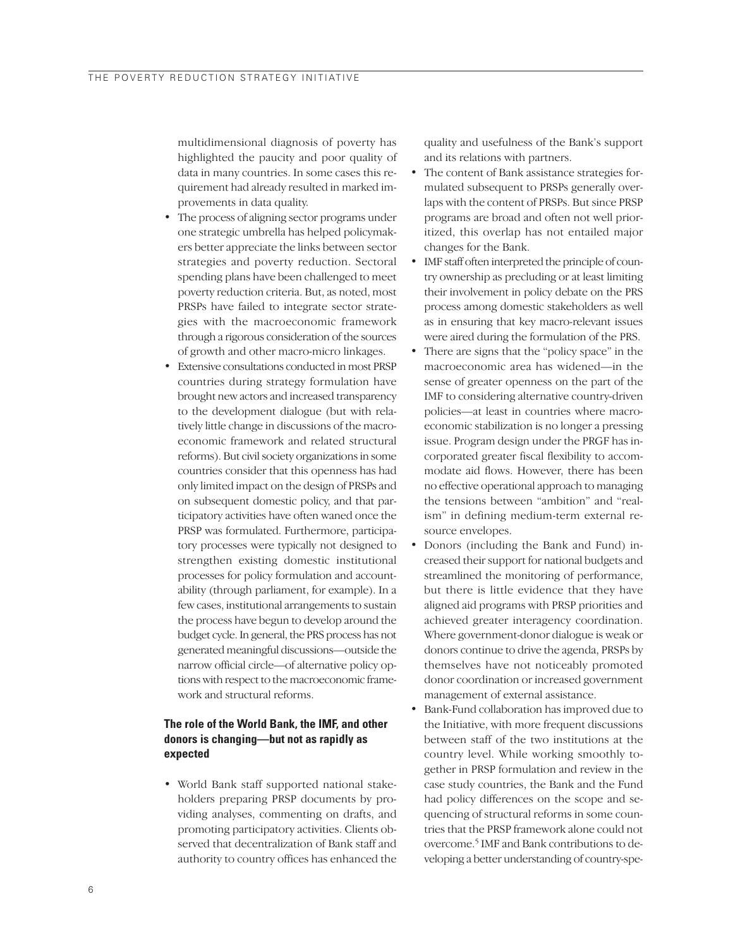multidimensional diagnosis of poverty has highlighted the paucity and poor quality of data in many countries. In some cases this requirement had already resulted in marked improvements in data quality.

- The process of aligning sector programs under one strategic umbrella has helped policymakers better appreciate the links between sector strategies and poverty reduction. Sectoral spending plans have been challenged to meet poverty reduction criteria. But, as noted, most PRSPs have failed to integrate sector strategies with the macroeconomic framework through a rigorous consideration of the sources of growth and other macro-micro linkages.
- Extensive consultations conducted in most PRSP countries during strategy formulation have brought new actors and increased transparency to the development dialogue (but with relatively little change in discussions of the macroeconomic framework and related structural reforms). But civil society organizations in some countries consider that this openness has had only limited impact on the design of PRSPs and on subsequent domestic policy, and that participatory activities have often waned once the PRSP was formulated. Furthermore, participatory processes were typically not designed to strengthen existing domestic institutional processes for policy formulation and accountability (through parliament, for example). In a few cases, institutional arrangements to sustain the process have begun to develop around the budget cycle. In general, the PRS process has not generated meaningful discussions—outside the narrow official circle—of alternative policy options with respect to the macroeconomic framework and structural reforms.

#### **The role of the World Bank, the IMF, and other donors is changing—but not as rapidly as expected**

• World Bank staff supported national stakeholders preparing PRSP documents by providing analyses, commenting on drafts, and promoting participatory activities. Clients observed that decentralization of Bank staff and authority to country offices has enhanced the quality and usefulness of the Bank's support and its relations with partners.

- The content of Bank assistance strategies formulated subsequent to PRSPs generally overlaps with the content of PRSPs. But since PRSP programs are broad and often not well prioritized, this overlap has not entailed major changes for the Bank.
- IMF staff often interpreted the principle of country ownership as precluding or at least limiting their involvement in policy debate on the PRS process among domestic stakeholders as well as in ensuring that key macro-relevant issues were aired during the formulation of the PRS.
- There are signs that the "policy space" in the macroeconomic area has widened—in the sense of greater openness on the part of the IMF to considering alternative country-driven policies—at least in countries where macroeconomic stabilization is no longer a pressing issue. Program design under the PRGF has incorporated greater fiscal flexibility to accommodate aid flows. However, there has been no effective operational approach to managing the tensions between "ambition" and "realism" in defining medium-term external resource envelopes.
- Donors (including the Bank and Fund) increased their support for national budgets and streamlined the monitoring of performance, but there is little evidence that they have aligned aid programs with PRSP priorities and achieved greater interagency coordination. Where government-donor dialogue is weak or donors continue to drive the agenda, PRSPs by themselves have not noticeably promoted donor coordination or increased government management of external assistance.
- Bank-Fund collaboration has improved due to the Initiative, with more frequent discussions between staff of the two institutions at the country level. While working smoothly together in PRSP formulation and review in the case study countries, the Bank and the Fund had policy differences on the scope and sequencing of structural reforms in some countries that the PRSP framework alone could not overcome.5 IMF and Bank contributions to developing a better understanding of country-spe-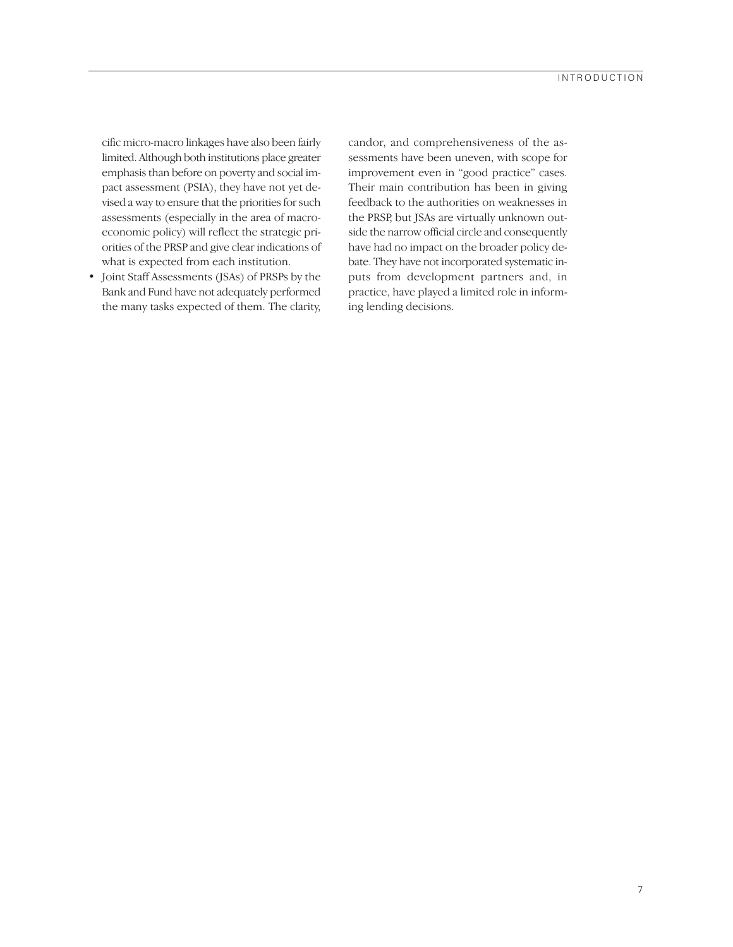cific micro-macro linkages have also been fairly limited. Although both institutions place greater emphasis than before on poverty and social impact assessment (PSIA), they have not yet devised a way to ensure that the priorities for such assessments (especially in the area of macroeconomic policy) will reflect the strategic priorities of the PRSP and give clear indications of what is expected from each institution.

• Joint Staff Assessments (JSAs) of PRSPs by the Bank and Fund have not adequately performed the many tasks expected of them. The clarity, candor, and comprehensiveness of the assessments have been uneven, with scope for improvement even in "good practice" cases. Their main contribution has been in giving feedback to the authorities on weaknesses in the PRSP, but JSAs are virtually unknown outside the narrow official circle and consequently have had no impact on the broader policy debate. They have not incorporated systematic inputs from development partners and, in practice, have played a limited role in informing lending decisions.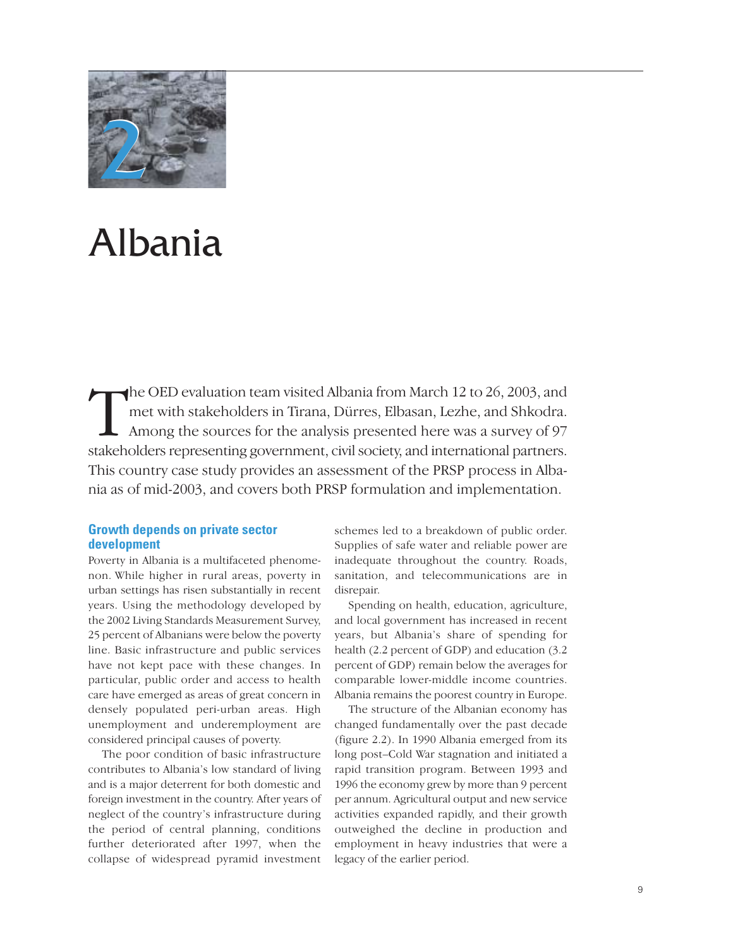

### Albania

The OED evaluation team visited Albania from March 12 to 26, 2003, and<br>met with stakeholders in Tirana, Dürres, Elbasan, Lezhe, and Shkodra.<br>Among the sources for the analysis presented here was a survey of 97<br>stakeholders met with stakeholders in Tirana, Dürres, Elbasan, Lezhe, and Shkodra.  $\mathsf{\mathsf{L}}$  Among the sources for the analysis presented here was a survey of 97 stakeholders representing government, civil society, and international partners. This country case study provides an assessment of the PRSP process in Albania as of mid-2003, and covers both PRSP formulation and implementation.

#### **Growth depends on private sector development**

Poverty in Albania is a multifaceted phenomenon. While higher in rural areas, poverty in urban settings has risen substantially in recent years. Using the methodology developed by the 2002 Living Standards Measurement Survey, 25 percent of Albanians were below the poverty line. Basic infrastructure and public services have not kept pace with these changes. In particular, public order and access to health care have emerged as areas of great concern in densely populated peri-urban areas. High unemployment and underemployment are considered principal causes of poverty.

The poor condition of basic infrastructure contributes to Albania's low standard of living and is a major deterrent for both domestic and foreign investment in the country. After years of neglect of the country's infrastructure during the period of central planning, conditions further deteriorated after 1997, when the collapse of widespread pyramid investment schemes led to a breakdown of public order. Supplies of safe water and reliable power are inadequate throughout the country. Roads, sanitation, and telecommunications are in disrepair.

Spending on health, education, agriculture, and local government has increased in recent years, but Albania's share of spending for health (2.2 percent of GDP) and education (3.2 percent of GDP) remain below the averages for comparable lower-middle income countries. Albania remains the poorest country in Europe.

The structure of the Albanian economy has changed fundamentally over the past decade (figure 2.2). In 1990 Albania emerged from its long post–Cold War stagnation and initiated a rapid transition program. Between 1993 and 1996 the economy grew by more than 9 percent per annum. Agricultural output and new service activities expanded rapidly, and their growth outweighed the decline in production and employment in heavy industries that were a legacy of the earlier period.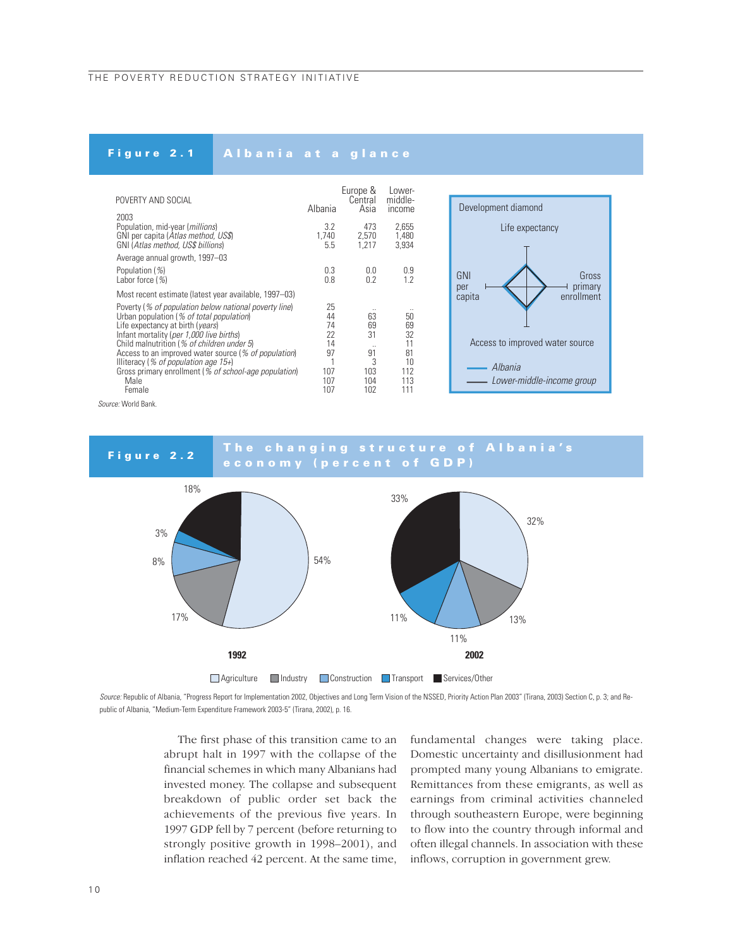#### **Figure 2.1 Albania at a glance**

| POVERTY AND SOCIAL                                                                                                                                                                                                                                                                                                                                                                                                                                                     | Albania                                               | Europe &<br>Central<br>Asia                                 | Lower-<br>middle-<br>income                           | Development diamond                                                                                               |
|------------------------------------------------------------------------------------------------------------------------------------------------------------------------------------------------------------------------------------------------------------------------------------------------------------------------------------------------------------------------------------------------------------------------------------------------------------------------|-------------------------------------------------------|-------------------------------------------------------------|-------------------------------------------------------|-------------------------------------------------------------------------------------------------------------------|
| 2003<br>Population, mid-year ( <i>millions</i> )<br>GNI per capita (Atlas method, US\$)<br>GNI (Atlas method, US\$ billions)                                                                                                                                                                                                                                                                                                                                           | 3.2<br>1,740<br>5.5                                   | 473<br>2.570<br>1.217                                       | 2.655<br>1.480<br>3,934                               | Life expectancy                                                                                                   |
| Average annual growth, 1997-03<br>Population (%)<br>Labor force (%)                                                                                                                                                                                                                                                                                                                                                                                                    | 0.3<br>0.8                                            | 0.0<br>0.2                                                  | 0.9<br>1.2                                            | GNI<br>Gross                                                                                                      |
| Most recent estimate (latest year available, 1997–03)<br>Poverty (% of population below national poverty line)<br>Urban population (% of total population)<br>Life expectancy at birth (years)<br>Infant mortality (per 1,000 live births)<br>Child malnutrition (% of children under 5)<br>Access to an improved water source (% of population)<br>Illiteracy (% of population age $15+$ )<br>Gross primary enrollment (% of school-age population)<br>Male<br>Female | 25<br>44<br>74<br>22<br>14<br>97<br>107<br>107<br>107 | 63<br>69<br>31<br>$\ddotsc$<br>91<br>3<br>103<br>104<br>102 | 50<br>69<br>32<br>11<br>81<br>10<br>112<br>113<br>111 | primary<br>per<br>enrollment<br>capita<br>Access to improved water source<br>Albania<br>Lower-middle-income group |

Source: World Bank.

#### **The changing structure of Albania's economy (percent of GDP) Figure 2.2**



Source: Republic of Albania, "Progress Report for Implementation 2002, Objectives and Long Term Vision of the NSSED, Priority Action Plan 2003" (Tirana, 2003) Section C, p. 3; and Republic of Albania, "Medium-Term Expenditure Framework 2003-5" (Tirana, 2002), p. 16.

> The first phase of this transition came to an abrupt halt in 1997 with the collapse of the financial schemes in which many Albanians had invested money. The collapse and subsequent breakdown of public order set back the achievements of the previous five years. In 1997 GDP fell by 7 percent (before returning to strongly positive growth in 1998–2001), and inflation reached 42 percent. At the same time,

fundamental changes were taking place. Domestic uncertainty and disillusionment had prompted many young Albanians to emigrate. Remittances from these emigrants, as well as earnings from criminal activities channeled through southeastern Europe, were beginning to flow into the country through informal and often illegal channels. In association with these inflows, corruption in government grew.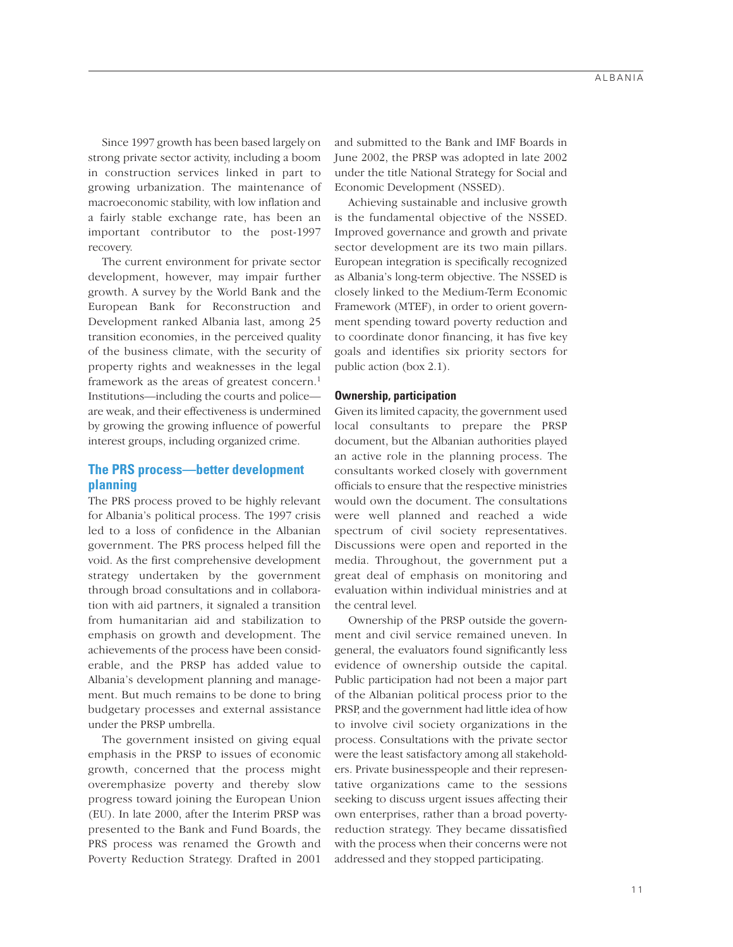Since 1997 growth has been based largely on strong private sector activity, including a boom in construction services linked in part to growing urbanization. The maintenance of macroeconomic stability, with low inflation and a fairly stable exchange rate, has been an important contributor to the post-1997 recovery.

The current environment for private sector development, however, may impair further growth. A survey by the World Bank and the European Bank for Reconstruction and Development ranked Albania last, among 25 transition economies, in the perceived quality of the business climate, with the security of property rights and weaknesses in the legal framework as the areas of greatest concern.<sup>1</sup> Institutions—including the courts and police are weak, and their effectiveness is undermined by growing the growing influence of powerful interest groups, including organized crime.

#### **The PRS process—better development planning**

The PRS process proved to be highly relevant for Albania's political process. The 1997 crisis led to a loss of confidence in the Albanian government. The PRS process helped fill the void. As the first comprehensive development strategy undertaken by the government through broad consultations and in collaboration with aid partners, it signaled a transition from humanitarian aid and stabilization to emphasis on growth and development. The achievements of the process have been considerable, and the PRSP has added value to Albania's development planning and management. But much remains to be done to bring budgetary processes and external assistance under the PRSP umbrella.

The government insisted on giving equal emphasis in the PRSP to issues of economic growth, concerned that the process might overemphasize poverty and thereby slow progress toward joining the European Union (EU). In late 2000, after the Interim PRSP was presented to the Bank and Fund Boards, the PRS process was renamed the Growth and Poverty Reduction Strategy. Drafted in 2001

and submitted to the Bank and IMF Boards in June 2002, the PRSP was adopted in late 2002 under the title National Strategy for Social and Economic Development (NSSED).

Achieving sustainable and inclusive growth is the fundamental objective of the NSSED. Improved governance and growth and private sector development are its two main pillars. European integration is specifically recognized as Albania's long-term objective. The NSSED is closely linked to the Medium-Term Economic Framework (MTEF), in order to orient government spending toward poverty reduction and to coordinate donor financing, it has five key goals and identifies six priority sectors for public action (box 2.1).

#### **Ownership, participation**

Given its limited capacity, the government used local consultants to prepare the PRSP document, but the Albanian authorities played an active role in the planning process. The consultants worked closely with government officials to ensure that the respective ministries would own the document. The consultations were well planned and reached a wide spectrum of civil society representatives. Discussions were open and reported in the media. Throughout, the government put a great deal of emphasis on monitoring and evaluation within individual ministries and at the central level.

Ownership of the PRSP outside the government and civil service remained uneven. In general, the evaluators found significantly less evidence of ownership outside the capital. Public participation had not been a major part of the Albanian political process prior to the PRSP, and the government had little idea of how to involve civil society organizations in the process. Consultations with the private sector were the least satisfactory among all stakeholders. Private businesspeople and their representative organizations came to the sessions seeking to discuss urgent issues affecting their own enterprises, rather than a broad povertyreduction strategy. They became dissatisfied with the process when their concerns were not addressed and they stopped participating.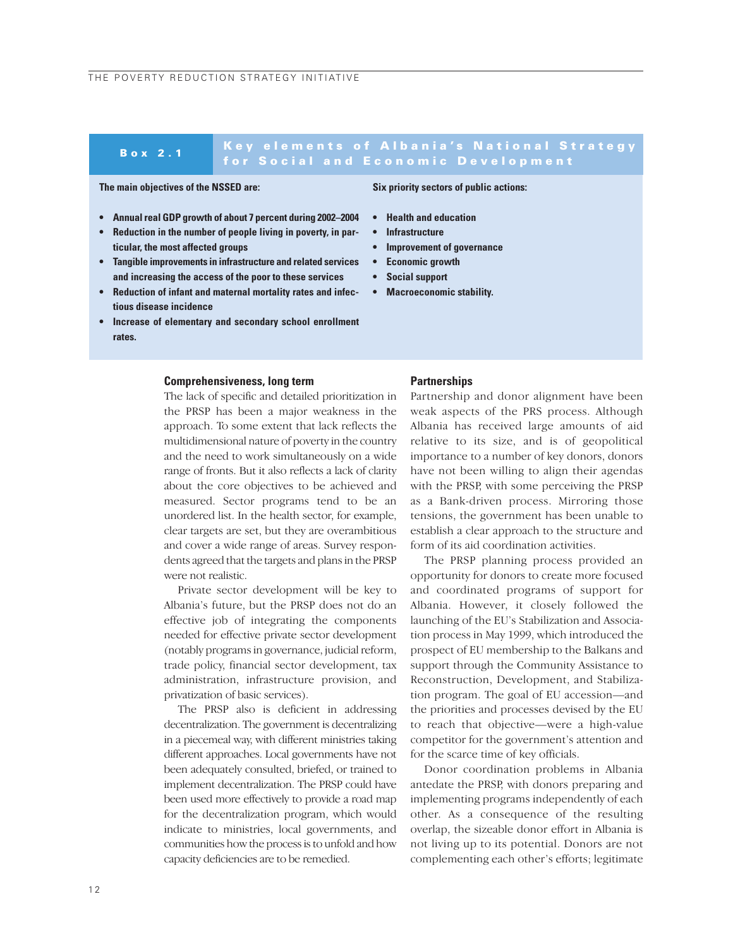#### **Key elements of Albania's National Strategy for Social and Economic Development Box 2.1**

#### **The main objectives of the NSSED are:**

- **Annual real GDP growth of about 7 percent during 2002–2004**
- **Reduction in the number of people living in poverty, in particular, the most affected groups**
- **Tangible improvements in infrastructure and related services and increasing the access of the poor to these services**
- **Reduction of infant and maternal mortality rates and infectious disease incidence**
- **Increase of elementary and secondary school enrollment rates.**

#### **Comprehensiveness, long term**

The lack of specific and detailed prioritization in the PRSP has been a major weakness in the approach. To some extent that lack reflects the multidimensional nature of poverty in the country and the need to work simultaneously on a wide range of fronts. But it also reflects a lack of clarity about the core objectives to be achieved and measured. Sector programs tend to be an unordered list. In the health sector, for example, clear targets are set, but they are overambitious and cover a wide range of areas. Survey respondents agreed that the targets and plans in the PRSP were not realistic.

Private sector development will be key to Albania's future, but the PRSP does not do an effective job of integrating the components needed for effective private sector development (notably programs in governance, judicial reform, trade policy, financial sector development, tax administration, infrastructure provision, and privatization of basic services).

The PRSP also is deficient in addressing decentralization. The government is decentralizing in a piecemeal way, with different ministries taking different approaches. Local governments have not been adequately consulted, briefed, or trained to implement decentralization. The PRSP could have been used more effectively to provide a road map for the decentralization program, which would indicate to ministries, local governments, and communities how the process is to unfold and how capacity deficiencies are to be remedied.

**Six priority sectors of public actions:** 

- **Health and education**
- **Infrastructure**
- **Improvement of governance**
- **Economic growth**
- **Social support**
- **Macroeconomic stability.**

#### **Partnerships**

Partnership and donor alignment have been weak aspects of the PRS process. Although Albania has received large amounts of aid relative to its size, and is of geopolitical importance to a number of key donors, donors have not been willing to align their agendas with the PRSP, with some perceiving the PRSP as a Bank-driven process. Mirroring those tensions, the government has been unable to establish a clear approach to the structure and form of its aid coordination activities.

The PRSP planning process provided an opportunity for donors to create more focused and coordinated programs of support for Albania. However, it closely followed the launching of the EU's Stabilization and Association process in May 1999, which introduced the prospect of EU membership to the Balkans and support through the Community Assistance to Reconstruction, Development, and Stabilization program. The goal of EU accession—and the priorities and processes devised by the EU to reach that objective—were a high-value competitor for the government's attention and for the scarce time of key officials.

Donor coordination problems in Albania antedate the PRSP, with donors preparing and implementing programs independently of each other. As a consequence of the resulting overlap, the sizeable donor effort in Albania is not living up to its potential. Donors are not complementing each other's efforts; legitimate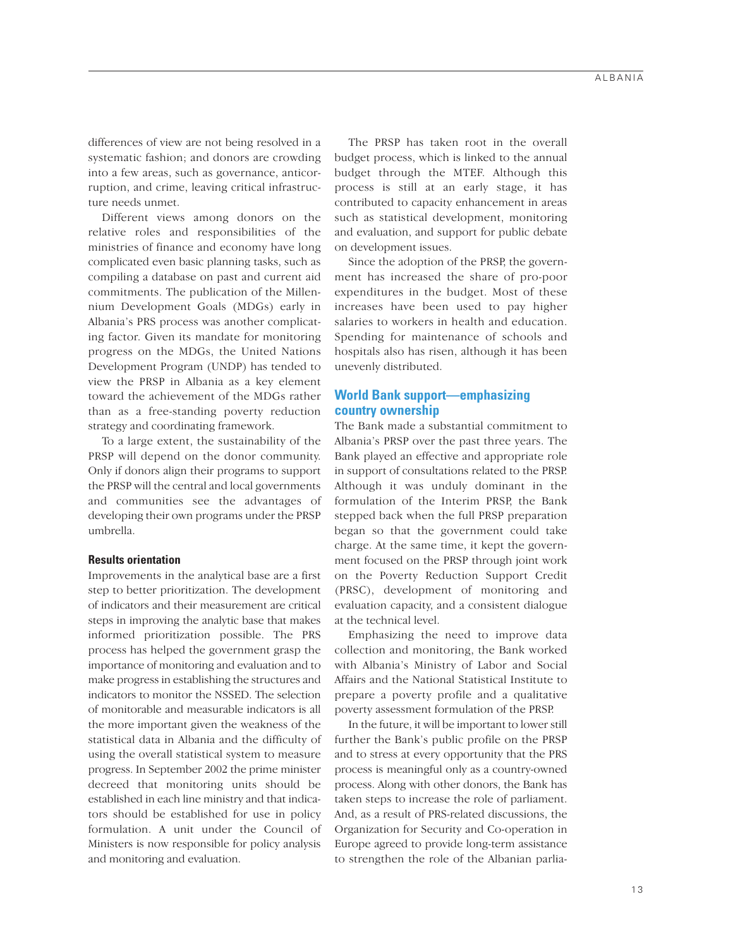differences of view are not being resolved in a systematic fashion; and donors are crowding into a few areas, such as governance, anticorruption, and crime, leaving critical infrastructure needs unmet.

Different views among donors on the relative roles and responsibilities of the ministries of finance and economy have long complicated even basic planning tasks, such as compiling a database on past and current aid commitments. The publication of the Millennium Development Goals (MDGs) early in Albania's PRS process was another complicating factor. Given its mandate for monitoring progress on the MDGs, the United Nations Development Program (UNDP) has tended to view the PRSP in Albania as a key element toward the achievement of the MDGs rather than as a free-standing poverty reduction strategy and coordinating framework.

To a large extent, the sustainability of the PRSP will depend on the donor community. Only if donors align their programs to support the PRSP will the central and local governments and communities see the advantages of developing their own programs under the PRSP umbrella.

#### **Results orientation**

Improvements in the analytical base are a first step to better prioritization. The development of indicators and their measurement are critical steps in improving the analytic base that makes informed prioritization possible. The PRS process has helped the government grasp the importance of monitoring and evaluation and to make progress in establishing the structures and indicators to monitor the NSSED. The selection of monitorable and measurable indicators is all the more important given the weakness of the statistical data in Albania and the difficulty of using the overall statistical system to measure progress. In September 2002 the prime minister decreed that monitoring units should be established in each line ministry and that indicators should be established for use in policy formulation. A unit under the Council of Ministers is now responsible for policy analysis and monitoring and evaluation.

The PRSP has taken root in the overall budget process, which is linked to the annual budget through the MTEF. Although this process is still at an early stage, it has contributed to capacity enhancement in areas such as statistical development, monitoring and evaluation, and support for public debate on development issues.

Since the adoption of the PRSP, the government has increased the share of pro-poor expenditures in the budget. Most of these increases have been used to pay higher salaries to workers in health and education. Spending for maintenance of schools and hospitals also has risen, although it has been unevenly distributed.

#### **World Bank support—emphasizing country ownership**

The Bank made a substantial commitment to Albania's PRSP over the past three years. The Bank played an effective and appropriate role in support of consultations related to the PRSP. Although it was unduly dominant in the formulation of the Interim PRSP, the Bank stepped back when the full PRSP preparation began so that the government could take charge. At the same time, it kept the government focused on the PRSP through joint work on the Poverty Reduction Support Credit (PRSC), development of monitoring and evaluation capacity, and a consistent dialogue at the technical level.

Emphasizing the need to improve data collection and monitoring, the Bank worked with Albania's Ministry of Labor and Social Affairs and the National Statistical Institute to prepare a poverty profile and a qualitative poverty assessment formulation of the PRSP.

In the future, it will be important to lower still further the Bank's public profile on the PRSP and to stress at every opportunity that the PRS process is meaningful only as a country-owned process. Along with other donors, the Bank has taken steps to increase the role of parliament. And, as a result of PRS-related discussions, the Organization for Security and Co-operation in Europe agreed to provide long-term assistance to strengthen the role of the Albanian parlia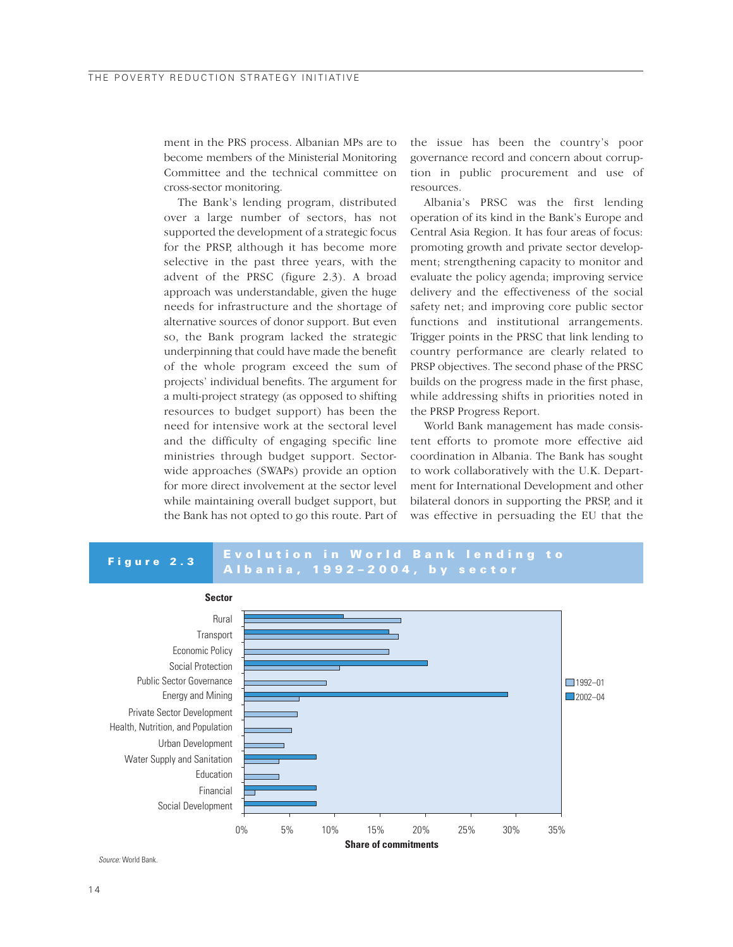ment in the PRS process. Albanian MPs are to become members of the Ministerial Monitoring Committee and the technical committee on cross-sector monitoring.

The Bank's lending program, distributed over a large number of sectors, has not supported the development of a strategic focus for the PRSP, although it has become more selective in the past three years, with the advent of the PRSC (figure 2.3). A broad approach was understandable, given the huge needs for infrastructure and the shortage of alternative sources of donor support. But even so, the Bank program lacked the strategic underpinning that could have made the benefit of the whole program exceed the sum of projects' individual benefits. The argument for a multi-project strategy (as opposed to shifting resources to budget support) has been the need for intensive work at the sectoral level and the difficulty of engaging specific line ministries through budget support. Sectorwide approaches (SWAPs) provide an option for more direct involvement at the sector level while maintaining overall budget support, but the Bank has not opted to go this route. Part of the issue has been the country's poor governance record and concern about corruption in public procurement and use of resources.

Albania's PRSC was the first lending operation of its kind in the Bank's Europe and Central Asia Region. It has four areas of focus: promoting growth and private sector development; strengthening capacity to monitor and evaluate the policy agenda; improving service delivery and the effectiveness of the social safety net; and improving core public sector functions and institutional arrangements. Trigger points in the PRSC that link lending to country performance are clearly related to PRSP objectives. The second phase of the PRSC builds on the progress made in the first phase, while addressing shifts in priorities noted in the PRSP Progress Report.

World Bank management has made consistent efforts to promote more effective aid coordination in Albania. The Bank has sought to work collaboratively with the U.K. Department for International Development and other bilateral donors in supporting the PRSP, and it was effective in persuading the EU that the



#### **Evolution in World Bank lending to Albania, 1992–2004, by sector Figure 2.3**

Source: World Bank.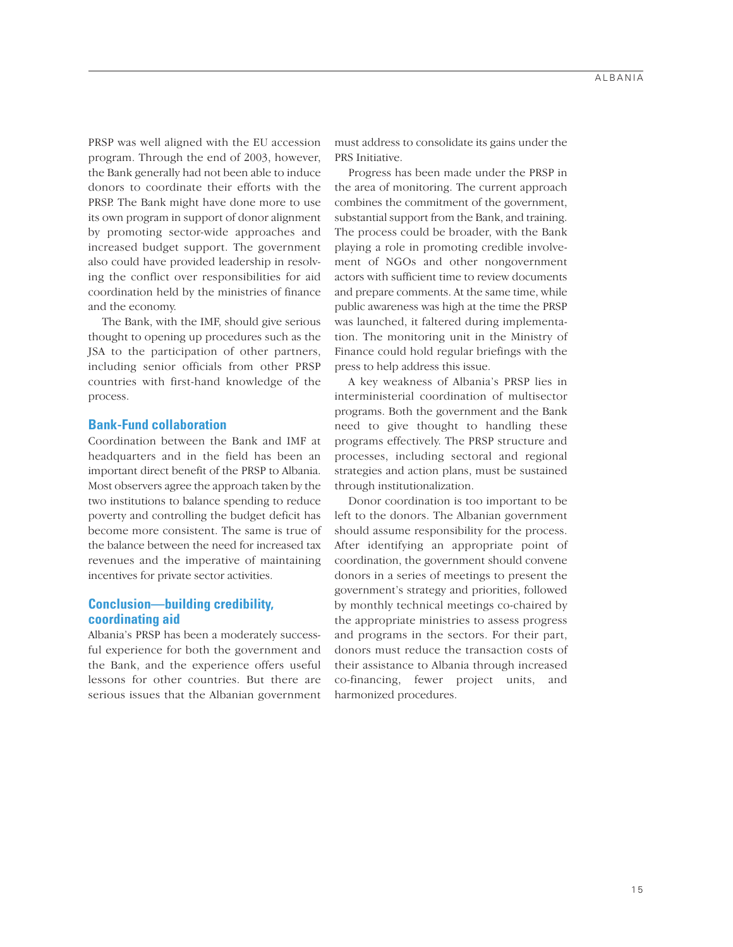PRSP was well aligned with the EU accession program. Through the end of 2003, however, the Bank generally had not been able to induce donors to coordinate their efforts with the PRSP. The Bank might have done more to use its own program in support of donor alignment by promoting sector-wide approaches and increased budget support. The government also could have provided leadership in resolving the conflict over responsibilities for aid coordination held by the ministries of finance and the economy.

The Bank, with the IMF, should give serious thought to opening up procedures such as the JSA to the participation of other partners, including senior officials from other PRSP countries with first-hand knowledge of the process.

#### **Bank-Fund collaboration**

Coordination between the Bank and IMF at headquarters and in the field has been an important direct benefit of the PRSP to Albania. Most observers agree the approach taken by the two institutions to balance spending to reduce poverty and controlling the budget deficit has become more consistent. The same is true of the balance between the need for increased tax revenues and the imperative of maintaining incentives for private sector activities.

#### **Conclusion—building credibility, coordinating aid**

Albania's PRSP has been a moderately successful experience for both the government and the Bank, and the experience offers useful lessons for other countries. But there are serious issues that the Albanian government must address to consolidate its gains under the PRS Initiative.

Progress has been made under the PRSP in the area of monitoring. The current approach combines the commitment of the government, substantial support from the Bank, and training. The process could be broader, with the Bank playing a role in promoting credible involvement of NGOs and other nongovernment actors with sufficient time to review documents and prepare comments. At the same time, while public awareness was high at the time the PRSP was launched, it faltered during implementation. The monitoring unit in the Ministry of Finance could hold regular briefings with the press to help address this issue.

A key weakness of Albania's PRSP lies in interministerial coordination of multisector programs. Both the government and the Bank need to give thought to handling these programs effectively. The PRSP structure and processes, including sectoral and regional strategies and action plans, must be sustained through institutionalization.

Donor coordination is too important to be left to the donors. The Albanian government should assume responsibility for the process. After identifying an appropriate point of coordination, the government should convene donors in a series of meetings to present the government's strategy and priorities, followed by monthly technical meetings co-chaired by the appropriate ministries to assess progress and programs in the sectors. For their part, donors must reduce the transaction costs of their assistance to Albania through increased co-financing, fewer project units, and harmonized procedures.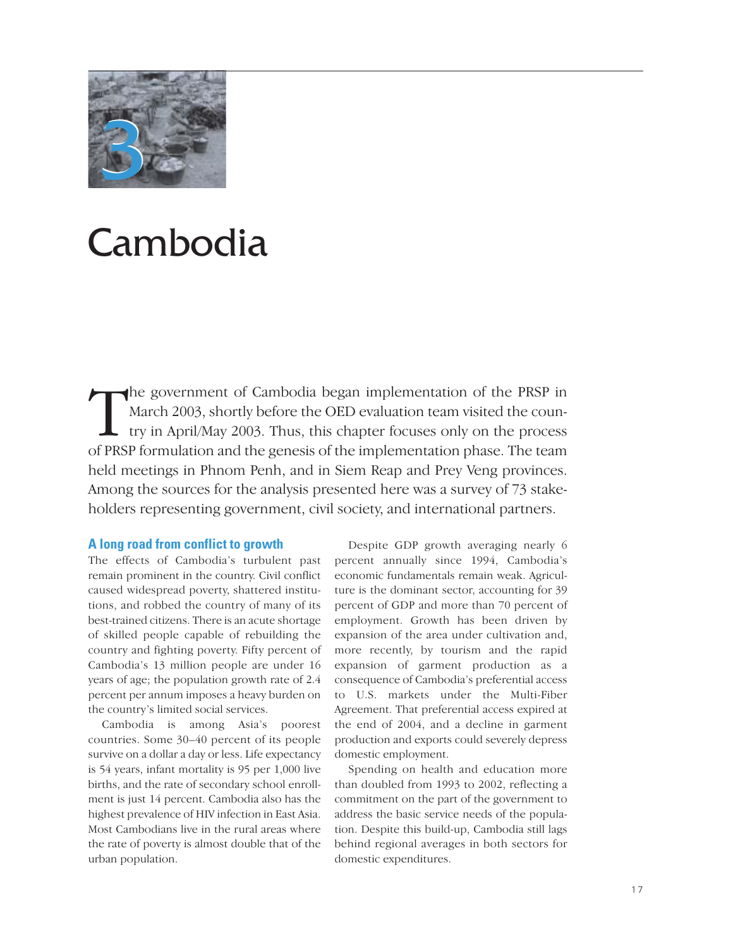

### **Cambodia**

The government of Cambodia began implementation of the PRSP in March 2003, shortly before the OED evaluation team visited the country in April/May 2003. Thus, this chapter focuses only on the process of PRSP formulation an March 2003, shortly before the OED evaluation team visited the country in April/May 2003. Thus, this chapter focuses only on the process of PRSP formulation and the genesis of the implementation phase. The team held meetings in Phnom Penh, and in Siem Reap and Prey Veng provinces. Among the sources for the analysis presented here was a survey of 73 stakeholders representing government, civil society, and international partners.

#### **A long road from conflict to growth**

The effects of Cambodia's turbulent past remain prominent in the country. Civil conflict caused widespread poverty, shattered institutions, and robbed the country of many of its best-trained citizens. There is an acute shortage of skilled people capable of rebuilding the country and fighting poverty. Fifty percent of Cambodia's 13 million people are under 16 years of age; the population growth rate of 2.4 percent per annum imposes a heavy burden on the country's limited social services.

Cambodia is among Asia's poorest countries. Some 30–40 percent of its people survive on a dollar a day or less. Life expectancy is 54 years, infant mortality is 95 per 1,000 live births, and the rate of secondary school enrollment is just 14 percent. Cambodia also has the highest prevalence of HIV infection in East Asia. Most Cambodians live in the rural areas where the rate of poverty is almost double that of the urban population.

Despite GDP growth averaging nearly 6 percent annually since 1994, Cambodia's economic fundamentals remain weak. Agriculture is the dominant sector, accounting for 39 percent of GDP and more than 70 percent of employment. Growth has been driven by expansion of the area under cultivation and, more recently, by tourism and the rapid expansion of garment production as a consequence of Cambodia's preferential access to U.S. markets under the Multi-Fiber Agreement. That preferential access expired at the end of 2004, and a decline in garment production and exports could severely depress domestic employment.

Spending on health and education more than doubled from 1993 to 2002, reflecting a commitment on the part of the government to address the basic service needs of the population. Despite this build-up, Cambodia still lags behind regional averages in both sectors for domestic expenditures.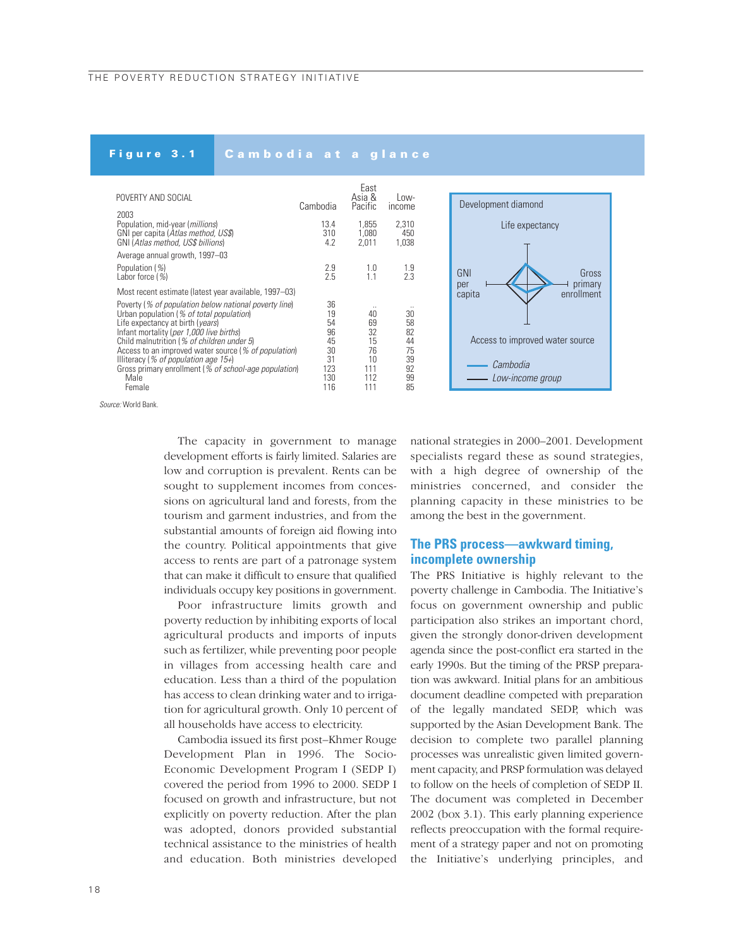### **Figure 3.1 Cambodia at a glance**

|                                                                                                                                                                                   |                      | East                    |                       |                                 |
|-----------------------------------------------------------------------------------------------------------------------------------------------------------------------------------|----------------------|-------------------------|-----------------------|---------------------------------|
| POVERTY AND SOCIAL                                                                                                                                                                | Cambodia             | Asia &<br>Pacific       | $Low-$<br>income      | Development diamond             |
| 2003<br>Population, mid-year ( <i>millions</i> )<br>GNI per capita (Atlas method, US\$)<br>GNI (Atlas method, US\$ billions)                                                      | 13.4<br>310<br>4.2   | 1.855<br>1.080<br>2.011 | 2,310<br>450<br>1.038 | Life expectancy                 |
| Average annual growth, 1997-03                                                                                                                                                    |                      |                         |                       |                                 |
| Population (%)<br>Labor force (%)                                                                                                                                                 | 2.9<br>2.5           | 1.0<br>1.1              | 1.9<br>2.3            | GNI<br>Gross<br>primary<br>per  |
| Most recent estimate (latest year available, 1997–03)                                                                                                                             |                      |                         |                       | enrollment<br>capita            |
| Poverty (% of population below national poverty line)<br>Urban population (% of total population)<br>Life expectancy at birth (years)<br>Infant mortality (per 1,000 live births) | 36<br>19<br>54<br>96 | 40<br>69<br>32          | 30<br>58<br>82        |                                 |
| Child malnutrition (% of children under 5)                                                                                                                                        | 45                   | 15                      | 44                    | Access to improved water source |
| Access to an improved water source (% of population)<br>Illiteracy (% of population age $15+$ )<br>Gross primary enrollment (% of school-age population)                          | 30<br>31<br>123      | 76<br>10<br>111         | 75<br>39<br>92        | Cambodia                        |
| Male<br>Female                                                                                                                                                                    | 130<br>116           | 112<br>111              | 99<br>85              | Low-income group                |

Source: World Bank.

The capacity in government to manage development efforts is fairly limited. Salaries are low and corruption is prevalent. Rents can be sought to supplement incomes from concessions on agricultural land and forests, from the tourism and garment industries, and from the substantial amounts of foreign aid flowing into the country. Political appointments that give access to rents are part of a patronage system that can make it difficult to ensure that qualified individuals occupy key positions in government.

Poor infrastructure limits growth and poverty reduction by inhibiting exports of local agricultural products and imports of inputs such as fertilizer, while preventing poor people in villages from accessing health care and education. Less than a third of the population has access to clean drinking water and to irrigation for agricultural growth. Only 10 percent of all households have access to electricity.

Cambodia issued its first post–Khmer Rouge Development Plan in 1996. The Socio-Economic Development Program I (SEDP I) covered the period from 1996 to 2000. SEDP I focused on growth and infrastructure, but not explicitly on poverty reduction. After the plan was adopted, donors provided substantial technical assistance to the ministries of health and education. Both ministries developed

national strategies in 2000–2001. Development specialists regard these as sound strategies, with a high degree of ownership of the ministries concerned, and consider the planning capacity in these ministries to be among the best in the government.

#### **The PRS process—awkward timing, incomplete ownership**

The PRS Initiative is highly relevant to the poverty challenge in Cambodia. The Initiative's focus on government ownership and public participation also strikes an important chord, given the strongly donor-driven development agenda since the post-conflict era started in the early 1990s. But the timing of the PRSP preparation was awkward. Initial plans for an ambitious document deadline competed with preparation of the legally mandated SEDP, which was supported by the Asian Development Bank. The decision to complete two parallel planning processes was unrealistic given limited government capacity, and PRSP formulation was delayed to follow on the heels of completion of SEDP II. The document was completed in December 2002 (box 3.1). This early planning experience reflects preoccupation with the formal requirement of a strategy paper and not on promoting the Initiative's underlying principles, and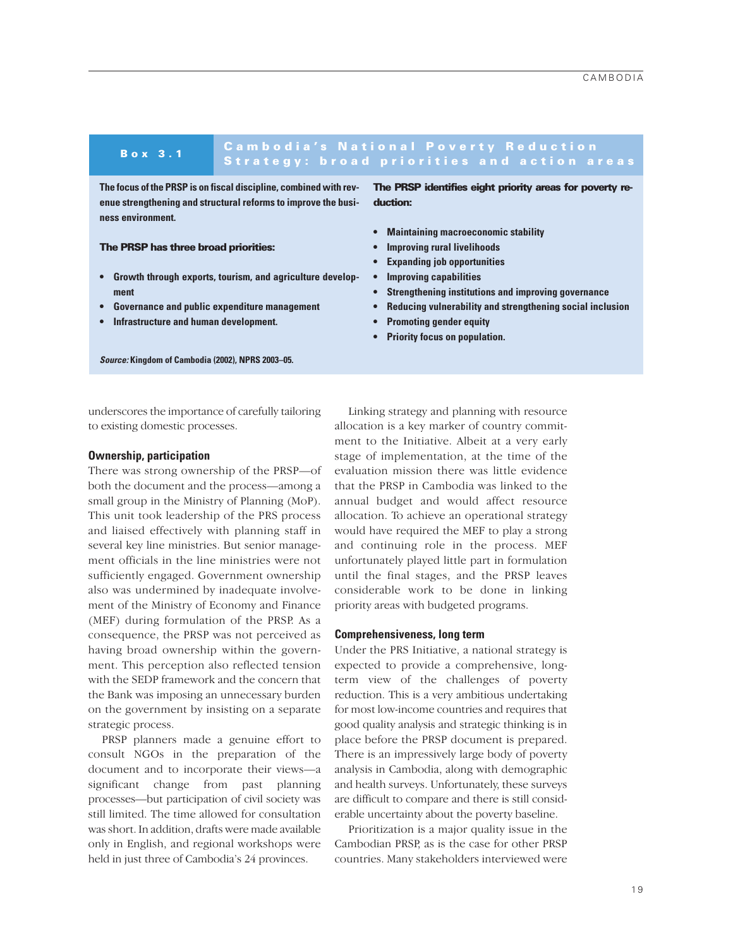#### **Cambodia's National Poverty Reduction Strategy: broad priorities and action areas Box 3.1**

**The focus of the PRSP is on fiscal discipline, combined with revenue strengthening and structural reforms to improve the business environment.** 

#### **The PRSP has three broad priorities:**

- **Growth through exports, tourism, and agriculture development**
- **Governance and public expenditure management**
- **Infrastructure and human development.**

*Source:* **Kingdom of Cambodia (2002), NPRS 2003–05.**

underscores the importance of carefully tailoring to existing domestic processes.

#### **Ownership, participation**

There was strong ownership of the PRSP—of both the document and the process—among a small group in the Ministry of Planning (MoP). This unit took leadership of the PRS process and liaised effectively with planning staff in several key line ministries. But senior management officials in the line ministries were not sufficiently engaged. Government ownership also was undermined by inadequate involvement of the Ministry of Economy and Finance (MEF) during formulation of the PRSP. As a consequence, the PRSP was not perceived as having broad ownership within the government. This perception also reflected tension with the SEDP framework and the concern that the Bank was imposing an unnecessary burden on the government by insisting on a separate strategic process.

PRSP planners made a genuine effort to consult NGOs in the preparation of the document and to incorporate their views—a significant change from past planning processes—but participation of civil society was still limited. The time allowed for consultation was short. In addition, drafts were made available only in English, and regional workshops were held in just three of Cambodia's 24 provinces.

**The PRSP identifies eight priority areas for poverty reduction:**

- **Maintaining macroeconomic stability**
- **Improving rural livelihoods**
- **Expanding job opportunities**
- **Improving capabilities**
- **Strengthening institutions and improving governance**
- **Reducing vulnerability and strengthening social inclusion**
- **Promoting gender equity**
- **Priority focus on population.**

Linking strategy and planning with resource allocation is a key marker of country commitment to the Initiative. Albeit at a very early stage of implementation, at the time of the evaluation mission there was little evidence that the PRSP in Cambodia was linked to the annual budget and would affect resource allocation. To achieve an operational strategy would have required the MEF to play a strong and continuing role in the process. MEF unfortunately played little part in formulation until the final stages, and the PRSP leaves considerable work to be done in linking priority areas with budgeted programs.

#### **Comprehensiveness, long term**

Under the PRS Initiative, a national strategy is expected to provide a comprehensive, longterm view of the challenges of poverty reduction. This is a very ambitious undertaking for most low-income countries and requires that good quality analysis and strategic thinking is in place before the PRSP document is prepared. There is an impressively large body of poverty analysis in Cambodia, along with demographic and health surveys. Unfortunately, these surveys are difficult to compare and there is still considerable uncertainty about the poverty baseline.

Prioritization is a major quality issue in the Cambodian PRSP, as is the case for other PRSP countries. Many stakeholders interviewed were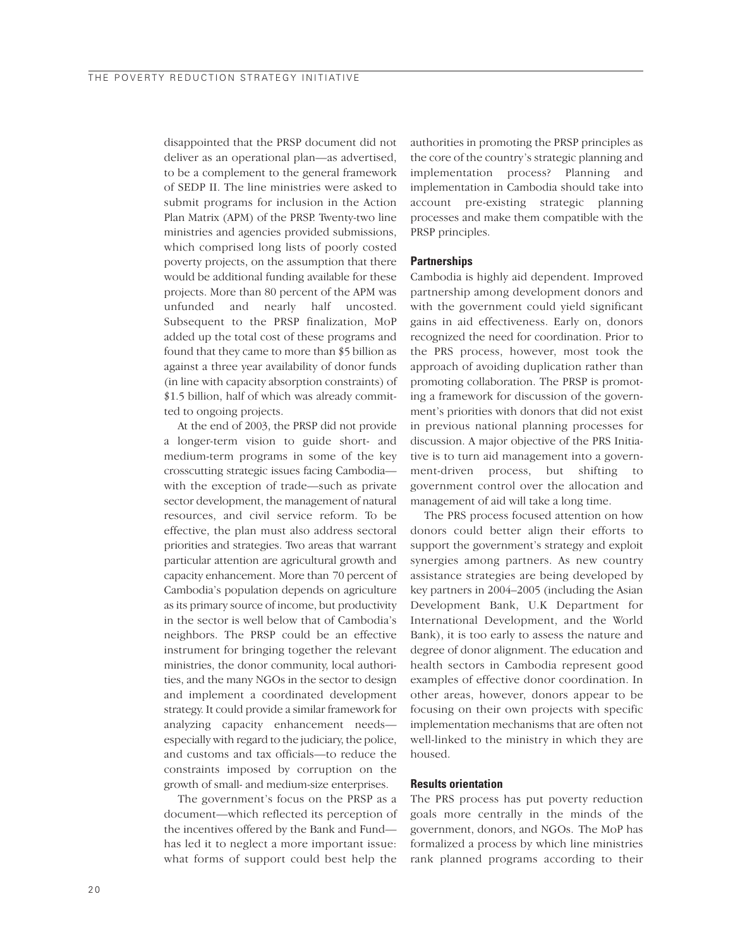disappointed that the PRSP document did not deliver as an operational plan—as advertised, to be a complement to the general framework of SEDP II. The line ministries were asked to submit programs for inclusion in the Action Plan Matrix (APM) of the PRSP. Twenty-two line ministries and agencies provided submissions, which comprised long lists of poorly costed poverty projects, on the assumption that there would be additional funding available for these projects. More than 80 percent of the APM was unfunded and nearly half uncosted. Subsequent to the PRSP finalization, MoP added up the total cost of these programs and found that they came to more than \$5 billion as against a three year availability of donor funds (in line with capacity absorption constraints) of \$1.5 billion, half of which was already committed to ongoing projects.

At the end of 2003, the PRSP did not provide a longer-term vision to guide short- and medium-term programs in some of the key crosscutting strategic issues facing Cambodia with the exception of trade—such as private sector development, the management of natural resources, and civil service reform. To be effective, the plan must also address sectoral priorities and strategies. Two areas that warrant particular attention are agricultural growth and capacity enhancement. More than 70 percent of Cambodia's population depends on agriculture as its primary source of income, but productivity in the sector is well below that of Cambodia's neighbors. The PRSP could be an effective instrument for bringing together the relevant ministries, the donor community, local authorities, and the many NGOs in the sector to design and implement a coordinated development strategy. It could provide a similar framework for analyzing capacity enhancement needs especially with regard to the judiciary, the police, and customs and tax officials—to reduce the constraints imposed by corruption on the growth of small- and medium-size enterprises.

The government's focus on the PRSP as a document—which reflected its perception of the incentives offered by the Bank and Fund has led it to neglect a more important issue: what forms of support could best help the authorities in promoting the PRSP principles as the core of the country's strategic planning and implementation process? Planning and implementation in Cambodia should take into account pre-existing strategic planning processes and make them compatible with the PRSP principles.

#### **Partnerships**

Cambodia is highly aid dependent. Improved partnership among development donors and with the government could yield significant gains in aid effectiveness. Early on, donors recognized the need for coordination. Prior to the PRS process, however, most took the approach of avoiding duplication rather than promoting collaboration. The PRSP is promoting a framework for discussion of the government's priorities with donors that did not exist in previous national planning processes for discussion. A major objective of the PRS Initiative is to turn aid management into a government-driven process, but shifting to government control over the allocation and management of aid will take a long time.

The PRS process focused attention on how donors could better align their efforts to support the government's strategy and exploit synergies among partners. As new country assistance strategies are being developed by key partners in 2004–2005 (including the Asian Development Bank, U.K Department for International Development, and the World Bank), it is too early to assess the nature and degree of donor alignment. The education and health sectors in Cambodia represent good examples of effective donor coordination. In other areas, however, donors appear to be focusing on their own projects with specific implementation mechanisms that are often not well-linked to the ministry in which they are housed.

#### **Results orientation**

The PRS process has put poverty reduction goals more centrally in the minds of the government, donors, and NGOs. The MoP has formalized a process by which line ministries rank planned programs according to their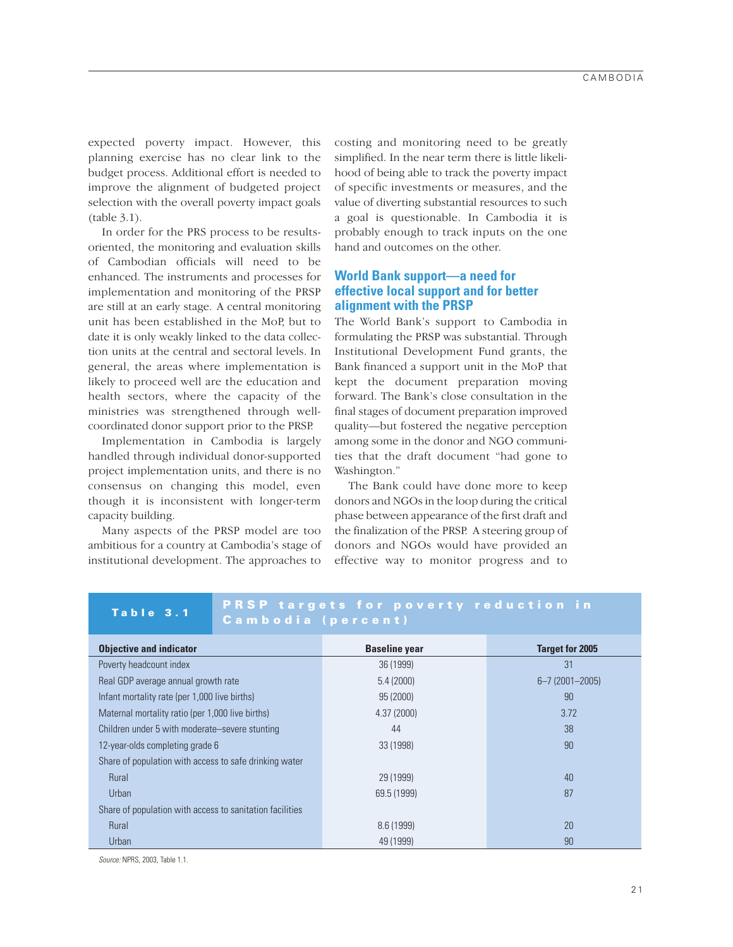expected poverty impact. However, this planning exercise has no clear link to the budget process. Additional effort is needed to improve the alignment of budgeted project selection with the overall poverty impact goals (table 3.1).

In order for the PRS process to be resultsoriented, the monitoring and evaluation skills of Cambodian officials will need to be enhanced. The instruments and processes for implementation and monitoring of the PRSP are still at an early stage. A central monitoring unit has been established in the MoP, but to date it is only weakly linked to the data collection units at the central and sectoral levels. In general, the areas where implementation is likely to proceed well are the education and health sectors, where the capacity of the ministries was strengthened through wellcoordinated donor support prior to the PRSP.

Implementation in Cambodia is largely handled through individual donor-supported project implementation units, and there is no consensus on changing this model, even though it is inconsistent with longer-term capacity building.

Many aspects of the PRSP model are too ambitious for a country at Cambodia's stage of institutional development. The approaches to costing and monitoring need to be greatly simplified. In the near term there is little likelihood of being able to track the poverty impact of specific investments or measures, and the value of diverting substantial resources to such a goal is questionable. In Cambodia it is probably enough to track inputs on the one hand and outcomes on the other.

#### **World Bank support—a need for effective local support and for better alignment with the PRSP**

The World Bank's support to Cambodia in formulating the PRSP was substantial. Through Institutional Development Fund grants, the Bank financed a support unit in the MoP that kept the document preparation moving forward. The Bank's close consultation in the final stages of document preparation improved quality—but fostered the negative perception among some in the donor and NGO communities that the draft document "had gone to Washington."

The Bank could have done more to keep donors and NGOs in the loop during the critical phase between appearance of the first draft and the finalization of the PRSP. A steering group of donors and NGOs would have provided an effective way to monitor progress and to

#### **PRSP targets for poverty reduction in Cambodia (percent) Table 3.1**

| <b>Objective and indicator</b>                           | <b>Baseline year</b> | <b>Target for 2005</b> |  |
|----------------------------------------------------------|----------------------|------------------------|--|
| Poverty headcount index                                  | 36 (1999)            | 31                     |  |
| Real GDP average annual growth rate                      | 5.4(2000)            | $6 - 7(2001 - 2005)$   |  |
| Infant mortality rate (per 1,000 live births)            | 95 (2000)            | 90                     |  |
| Maternal mortality ratio (per 1,000 live births)         | 4.37 (2000)          | 3.72                   |  |
| Children under 5 with moderate–severe stunting           | 44                   | 38                     |  |
| 12-year-olds completing grade 6                          | 33 (1998)            | 90                     |  |
| Share of population with access to safe drinking water   |                      |                        |  |
| <b>Rural</b>                                             | 29 (1999)            | 40                     |  |
| <b>Urban</b>                                             | 69.5 (1999)          | 87                     |  |
| Share of population with access to sanitation facilities |                      |                        |  |
| Rural                                                    | 8.6(1999)            | 20                     |  |
| Urban                                                    | 49 (1999)            | 90                     |  |

Source: NPRS, 2003, Table 1.1.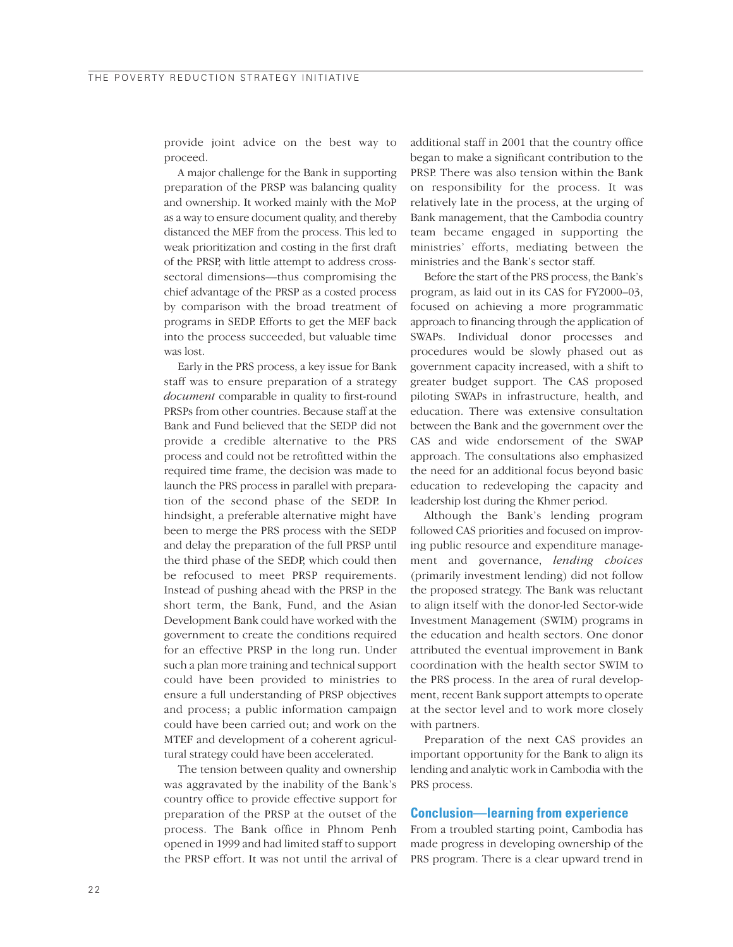provide joint advice on the best way to proceed.

A major challenge for the Bank in supporting preparation of the PRSP was balancing quality and ownership. It worked mainly with the MoP as a way to ensure document quality, and thereby distanced the MEF from the process. This led to weak prioritization and costing in the first draft of the PRSP, with little attempt to address crosssectoral dimensions—thus compromising the chief advantage of the PRSP as a costed process by comparison with the broad treatment of programs in SEDP. Efforts to get the MEF back into the process succeeded, but valuable time was lost.

Early in the PRS process, a key issue for Bank staff was to ensure preparation of a strategy *document* comparable in quality to first-round PRSPs from other countries. Because staff at the Bank and Fund believed that the SEDP did not provide a credible alternative to the PRS process and could not be retrofitted within the required time frame, the decision was made to launch the PRS process in parallel with preparation of the second phase of the SEDP. In hindsight, a preferable alternative might have been to merge the PRS process with the SEDP and delay the preparation of the full PRSP until the third phase of the SEDP, which could then be refocused to meet PRSP requirements. Instead of pushing ahead with the PRSP in the short term, the Bank, Fund, and the Asian Development Bank could have worked with the government to create the conditions required for an effective PRSP in the long run. Under such a plan more training and technical support could have been provided to ministries to ensure a full understanding of PRSP objectives and process; a public information campaign could have been carried out; and work on the MTEF and development of a coherent agricultural strategy could have been accelerated.

The tension between quality and ownership was aggravated by the inability of the Bank's country office to provide effective support for preparation of the PRSP at the outset of the process. The Bank office in Phnom Penh opened in 1999 and had limited staff to support the PRSP effort. It was not until the arrival of additional staff in 2001 that the country office began to make a significant contribution to the PRSP. There was also tension within the Bank on responsibility for the process. It was relatively late in the process, at the urging of Bank management, that the Cambodia country team became engaged in supporting the ministries' efforts, mediating between the ministries and the Bank's sector staff.

Before the start of the PRS process, the Bank's program, as laid out in its CAS for FY2000–03, focused on achieving a more programmatic approach to financing through the application of SWAPs. Individual donor processes and procedures would be slowly phased out as government capacity increased, with a shift to greater budget support. The CAS proposed piloting SWAPs in infrastructure, health, and education. There was extensive consultation between the Bank and the government over the CAS and wide endorsement of the SWAP approach. The consultations also emphasized the need for an additional focus beyond basic education to redeveloping the capacity and leadership lost during the Khmer period.

Although the Bank's lending program followed CAS priorities and focused on improving public resource and expenditure management and governance, *lending choices* (primarily investment lending) did not follow the proposed strategy. The Bank was reluctant to align itself with the donor-led Sector-wide Investment Management (SWIM) programs in the education and health sectors. One donor attributed the eventual improvement in Bank coordination with the health sector SWIM to the PRS process. In the area of rural development, recent Bank support attempts to operate at the sector level and to work more closely with partners.

Preparation of the next CAS provides an important opportunity for the Bank to align its lending and analytic work in Cambodia with the PRS process.

#### **Conclusion—learning from experience**

From a troubled starting point, Cambodia has made progress in developing ownership of the PRS program. There is a clear upward trend in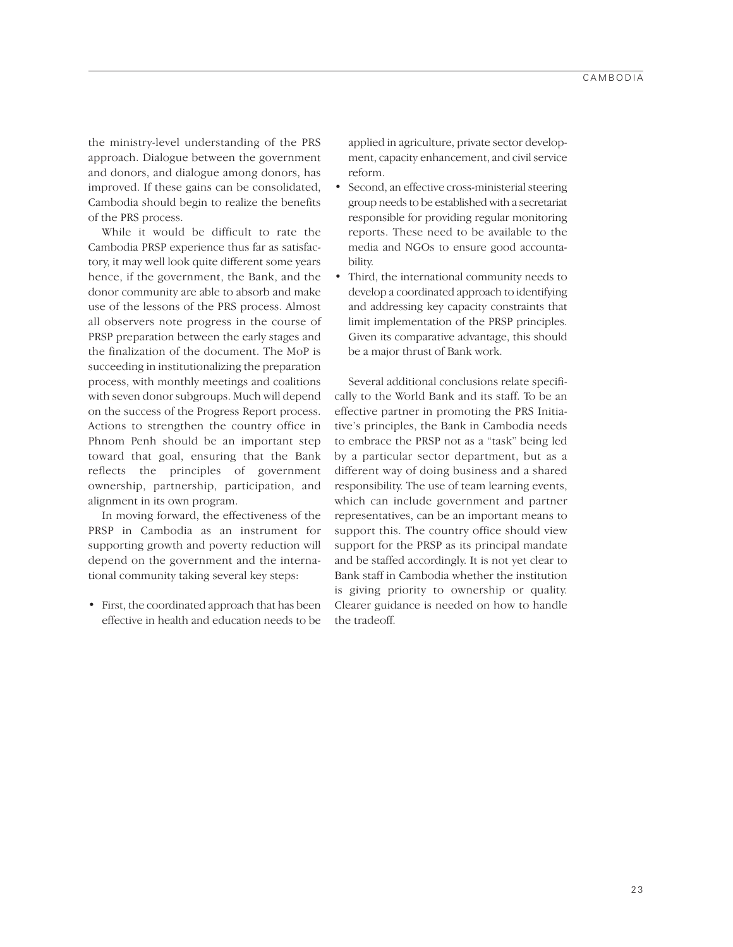the ministry-level understanding of the PRS approach. Dialogue between the government and donors, and dialogue among donors, has improved. If these gains can be consolidated, Cambodia should begin to realize the benefits of the PRS process.

While it would be difficult to rate the Cambodia PRSP experience thus far as satisfactory, it may well look quite different some years hence, if the government, the Bank, and the donor community are able to absorb and make use of the lessons of the PRS process. Almost all observers note progress in the course of PRSP preparation between the early stages and the finalization of the document. The MoP is succeeding in institutionalizing the preparation process, with monthly meetings and coalitions with seven donor subgroups. Much will depend on the success of the Progress Report process. Actions to strengthen the country office in Phnom Penh should be an important step toward that goal, ensuring that the Bank reflects the principles of government ownership, partnership, participation, and alignment in its own program.

In moving forward, the effectiveness of the PRSP in Cambodia as an instrument for supporting growth and poverty reduction will depend on the government and the international community taking several key steps:

• First, the coordinated approach that has been effective in health and education needs to be applied in agriculture, private sector development, capacity enhancement, and civil service reform.

- Second, an effective cross-ministerial steering group needs to be established with a secretariat responsible for providing regular monitoring reports. These need to be available to the media and NGOs to ensure good accountability.
- Third, the international community needs to develop a coordinated approach to identifying and addressing key capacity constraints that limit implementation of the PRSP principles. Given its comparative advantage, this should be a major thrust of Bank work.

Several additional conclusions relate specifically to the World Bank and its staff. To be an effective partner in promoting the PRS Initiative's principles, the Bank in Cambodia needs to embrace the PRSP not as a "task" being led by a particular sector department, but as a different way of doing business and a shared responsibility. The use of team learning events, which can include government and partner representatives, can be an important means to support this. The country office should view support for the PRSP as its principal mandate and be staffed accordingly. It is not yet clear to Bank staff in Cambodia whether the institution is giving priority to ownership or quality. Clearer guidance is needed on how to handle the tradeoff.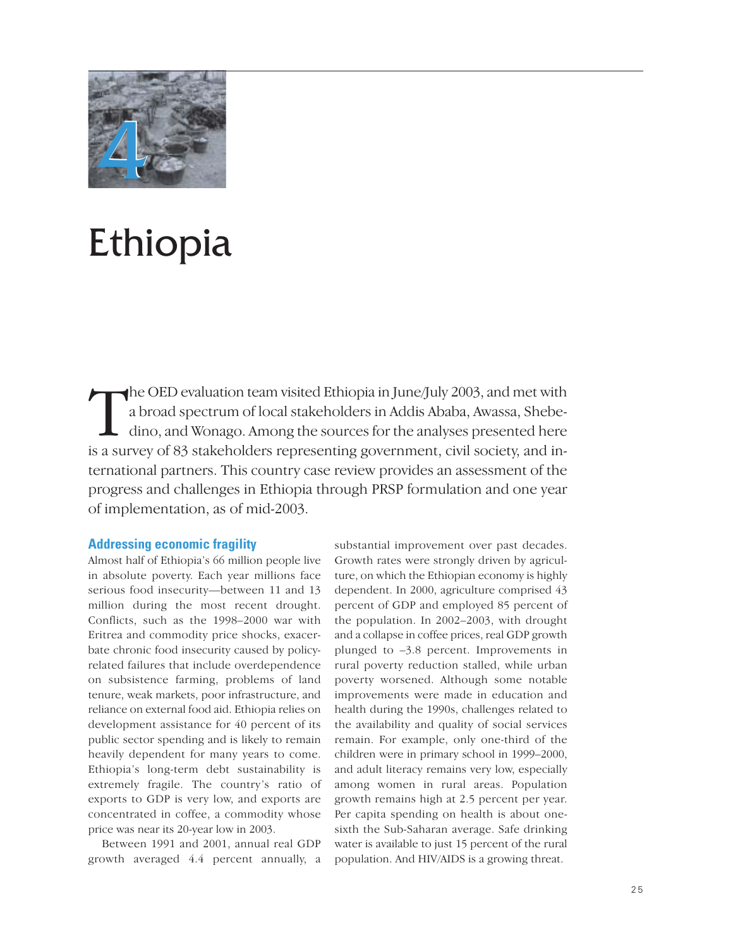

## Ethiopia

The OED evaluation team visited Ethiopia in June/July 2003, and met with<br>a broad spectrum of local stakeholders in Addis Ababa, Awassa, Shebe-<br>dino, and Wonago. Among the sources for the analyses presented here<br>is a survey a broad spectrum of local stakeholders in Addis Ababa, Awassa, Shebe- $\mathsf{\mathsf{L}}\;$  dino, and Wonago. Among the sources for the analyses presented here is a survey of 83 stakeholders representing government, civil society, and international partners. This country case review provides an assessment of the progress and challenges in Ethiopia through PRSP formulation and one year of implementation, as of mid-2003.

#### **Addressing economic fragility**

Almost half of Ethiopia's 66 million people live in absolute poverty. Each year millions face serious food insecurity—between 11 and 13 million during the most recent drought. Conflicts, such as the 1998–2000 war with Eritrea and commodity price shocks, exacerbate chronic food insecurity caused by policyrelated failures that include overdependence on subsistence farming, problems of land tenure, weak markets, poor infrastructure, and reliance on external food aid. Ethiopia relies on development assistance for 40 percent of its public sector spending and is likely to remain heavily dependent for many years to come. Ethiopia's long-term debt sustainability is extremely fragile. The country's ratio of exports to GDP is very low, and exports are concentrated in coffee, a commodity whose price was near its 20-year low in 2003.

Between 1991 and 2001, annual real GDP growth averaged 4.4 percent annually, a substantial improvement over past decades. Growth rates were strongly driven by agriculture, on which the Ethiopian economy is highly dependent. In 2000, agriculture comprised 43 percent of GDP and employed 85 percent of the population. In 2002–2003, with drought and a collapse in coffee prices, real GDP growth plunged to –3.8 percent. Improvements in rural poverty reduction stalled, while urban poverty worsened. Although some notable improvements were made in education and health during the 1990s, challenges related to the availability and quality of social services remain. For example, only one-third of the children were in primary school in 1999–2000, and adult literacy remains very low, especially among women in rural areas. Population growth remains high at 2.5 percent per year. Per capita spending on health is about onesixth the Sub-Saharan average. Safe drinking water is available to just 15 percent of the rural population. And HIV/AIDS is a growing threat.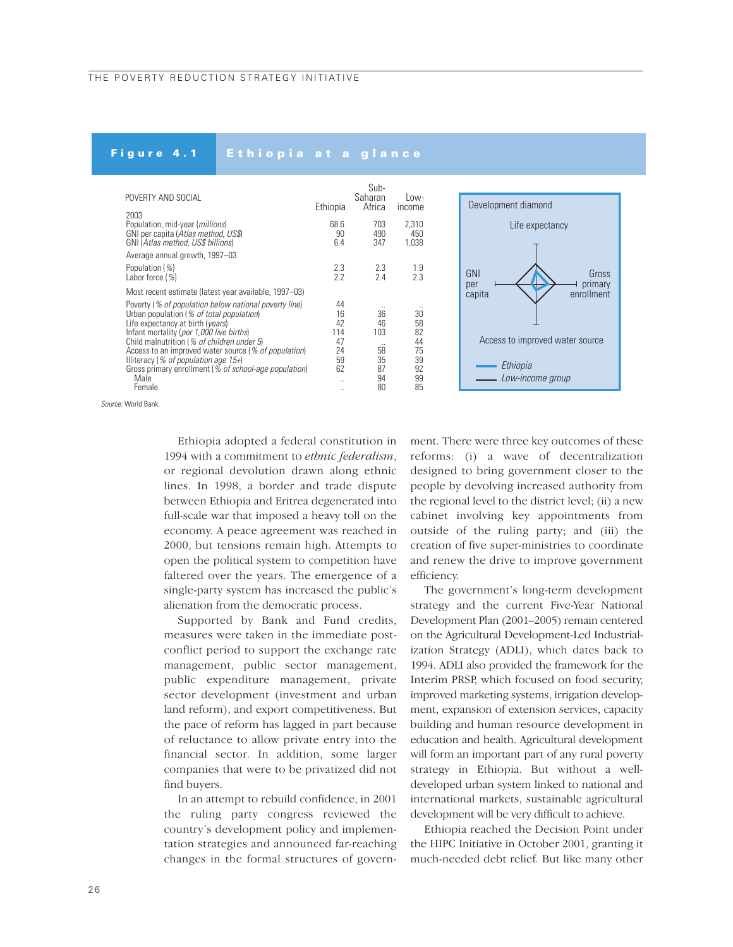#### **Figure 4.1 Ethiopia at a glance**

| POVERTY AND SOCIAL                                                                                                                                                                                                              | Ethiopia                                            | Sub-<br>Saharan<br>Africa  | $Low-$<br>income           | Development diamond                    |
|---------------------------------------------------------------------------------------------------------------------------------------------------------------------------------------------------------------------------------|-----------------------------------------------------|----------------------------|----------------------------|----------------------------------------|
| 2003<br>Population, mid-year ( <i>millions</i> )<br>GNI per capita (Atlas method, US\$)<br>GNI (Atlas method, US\$ billions)                                                                                                    | 68.6<br>90<br>6.4                                   | 703<br>490<br>347          | 2.310<br>450<br>1.038      | Life expectancy                        |
| Average annual growth, 1997-03<br>Population (%)<br>Labor force $(\%)$                                                                                                                                                          | 2.3<br>2.2                                          | 2.3<br>74                  | 1.9<br>2.3                 | GNI<br>Gross                           |
| Most recent estimate (latest year available, 1997–03)                                                                                                                                                                           |                                                     |                            |                            | primary<br>per<br>enrollment<br>capita |
| Poverty (% of population below national poverty line)<br>Urban population (% of total population)<br>Life expectancy at birth (vears)<br>Infant mortality (per 1,000 live births)<br>Child malnutrition (% of children under 5) | 44<br>16<br>42<br>114<br>47                         | 36<br>46<br>103            | 30<br>58<br>82<br>44       | Access to improved water source        |
| Access to an improved water source (% of population)<br>Illiteracy (% of population age $15+$ )<br>Gross primary enrollment (% of school-age population)<br>Male<br>Female                                                      | 24<br>59<br>62<br>$\ddot{\phantom{a}}$<br>$\ddotsc$ | 58<br>35<br>87<br>94<br>80 | 75<br>39<br>92<br>99<br>85 | Ethiopia<br>Low-income group           |

Source: World Bank.

Ethiopia adopted a federal constitution in 1994 with a commitment to *ethnic federalism*, or regional devolution drawn along ethnic lines. In 1998, a border and trade dispute between Ethiopia and Eritrea degenerated into full-scale war that imposed a heavy toll on the economy. A peace agreement was reached in 2000, but tensions remain high. Attempts to open the political system to competition have faltered over the years. The emergence of a single-party system has increased the public's alienation from the democratic process.

Supported by Bank and Fund credits, measures were taken in the immediate postconflict period to support the exchange rate management, public sector management, public expenditure management, private sector development (investment and urban land reform), and export competitiveness. But the pace of reform has lagged in part because of reluctance to allow private entry into the financial sector. In addition, some larger companies that were to be privatized did not find buyers.

In an attempt to rebuild confidence, in 2001 the ruling party congress reviewed the country's development policy and implementation strategies and announced far-reaching changes in the formal structures of government. There were three key outcomes of these reforms: (i) a wave of decentralization designed to bring government closer to the people by devolving increased authority from the regional level to the district level; (ii) a new cabinet involving key appointments from outside of the ruling party; and (iii) the creation of five super-ministries to coordinate and renew the drive to improve government efficiency.

The government's long-term development strategy and the current Five-Year National Development Plan (2001–2005) remain centered on the Agricultural Development-Led Industrialization Strategy (ADLI), which dates back to 1994. ADLI also provided the framework for the Interim PRSP, which focused on food security, improved marketing systems, irrigation development, expansion of extension services, capacity building and human resource development in education and health. Agricultural development will form an important part of any rural poverty strategy in Ethiopia. But without a welldeveloped urban system linked to national and international markets, sustainable agricultural development will be very difficult to achieve.

Ethiopia reached the Decision Point under the HIPC Initiative in October 2001, granting it much-needed debt relief. But like many other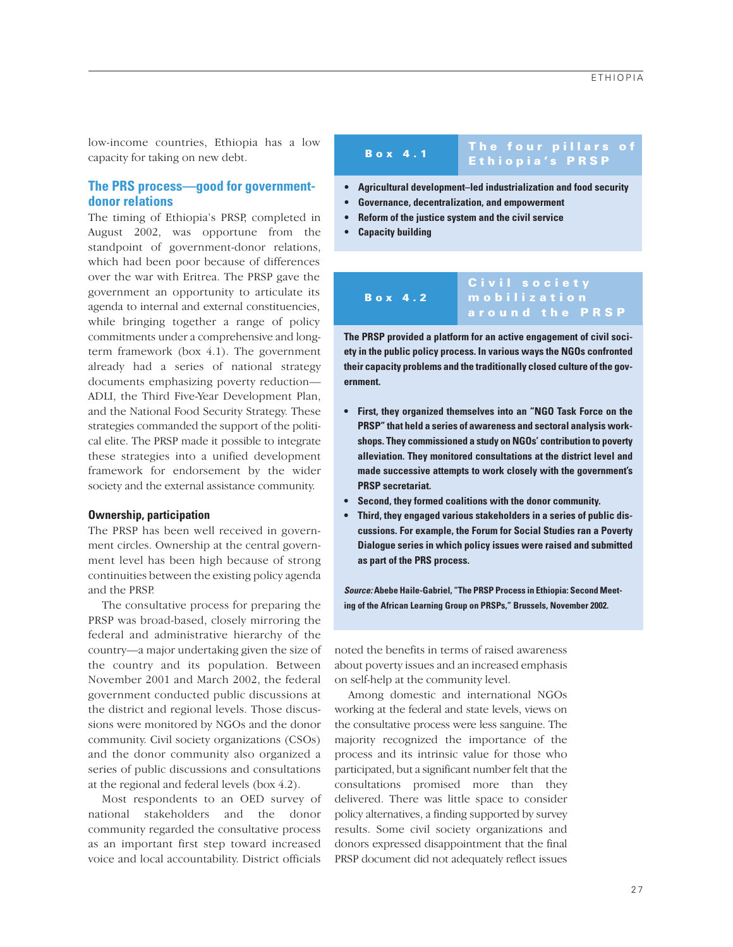low-income countries, Ethiopia has a low capacity for taking on new debt.

# **The PRS process—good for governmentdonor relations**

The timing of Ethiopia's PRSP, completed in August 2002, was opportune from the standpoint of government-donor relations, which had been poor because of differences over the war with Eritrea. The PRSP gave the government an opportunity to articulate its agenda to internal and external constituencies, while bringing together a range of policy commitments under a comprehensive and longterm framework (box 4.1). The government already had a series of national strategy documents emphasizing poverty reduction— ADLI, the Third Five-Year Development Plan, and the National Food Security Strategy. These strategies commanded the support of the political elite. The PRSP made it possible to integrate these strategies into a unified development framework for endorsement by the wider society and the external assistance community.

#### **Ownership, participation**

The PRSP has been well received in government circles. Ownership at the central government level has been high because of strong continuities between the existing policy agenda and the PRSP.

The consultative process for preparing the PRSP was broad-based, closely mirroring the federal and administrative hierarchy of the country—a major undertaking given the size of the country and its population. Between November 2001 and March 2002, the federal government conducted public discussions at the district and regional levels. Those discussions were monitored by NGOs and the donor community. Civil society organizations (CSOs) and the donor community also organized a series of public discussions and consultations at the regional and federal levels (box 4.2).

Most respondents to an OED survey of national stakeholders and the donor community regarded the consultative process as an important first step toward increased voice and local accountability. District officials

# **The four pillars of Ethiopia's PRSP Box 4.1**

- **Agricultural development–led industrialization and food security**
- **Governance, decentralization, and empowerment**
- **Reform of the justice system and the civil service**
- **Capacity building**

**Box 4.2**

# **Civil society mobilization around the PRSP**

**The PRSP provided a platform for an active engagement of civil society in the public policy process. In various ways the NGOs confronted their capacity problems and the traditionally closed culture of the government.**

- **First, they organized themselves into an "NGO Task Force on the PRSP" that held a series of awareness and sectoral analysis workshops. They commissioned a study on NGOs' contribution to poverty alleviation. They monitored consultations at the district level and made successive attempts to work closely with the government's PRSP secretariat.**
- **Second, they formed coalitions with the donor community.**
- **Third, they engaged various stakeholders in a series of public discussions. For example, the Forum for Social Studies ran a Poverty Dialogue series in which policy issues were raised and submitted as part of the PRS process.**

*Source:* **Abebe Haile-Gabriel, "The PRSP Process in Ethiopia: Second Meeting of the African Learning Group on PRSPs," Brussels, November 2002.**

noted the benefits in terms of raised awareness about poverty issues and an increased emphasis on self-help at the community level.

Among domestic and international NGOs working at the federal and state levels, views on the consultative process were less sanguine. The majority recognized the importance of the process and its intrinsic value for those who participated, but a significant number felt that the consultations promised more than they delivered. There was little space to consider policy alternatives, a finding supported by survey results. Some civil society organizations and donors expressed disappointment that the final PRSP document did not adequately reflect issues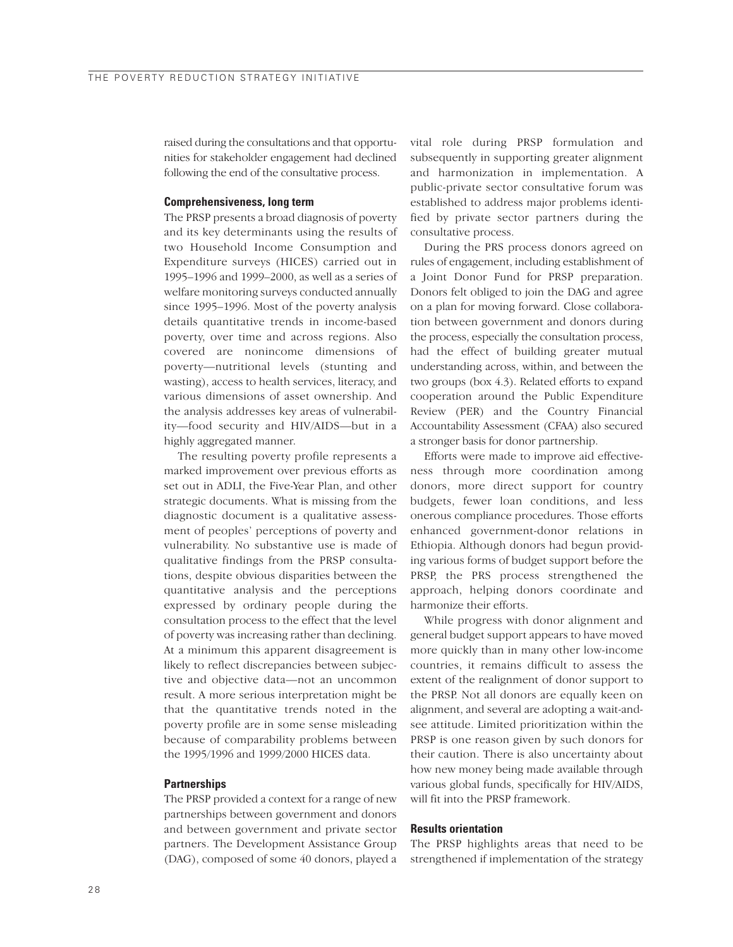raised during the consultations and that opportunities for stakeholder engagement had declined following the end of the consultative process.

#### **Comprehensiveness, long term**

The PRSP presents a broad diagnosis of poverty and its key determinants using the results of two Household Income Consumption and Expenditure surveys (HICES) carried out in 1995–1996 and 1999–2000, as well as a series of welfare monitoring surveys conducted annually since 1995–1996. Most of the poverty analysis details quantitative trends in income-based poverty, over time and across regions. Also covered are nonincome dimensions of poverty—nutritional levels (stunting and wasting), access to health services, literacy, and various dimensions of asset ownership. And the analysis addresses key areas of vulnerability—food security and HIV/AIDS—but in a highly aggregated manner.

The resulting poverty profile represents a marked improvement over previous efforts as set out in ADLI, the Five-Year Plan, and other strategic documents. What is missing from the diagnostic document is a qualitative assessment of peoples' perceptions of poverty and vulnerability. No substantive use is made of qualitative findings from the PRSP consultations, despite obvious disparities between the quantitative analysis and the perceptions expressed by ordinary people during the consultation process to the effect that the level of poverty was increasing rather than declining. At a minimum this apparent disagreement is likely to reflect discrepancies between subjective and objective data—not an uncommon result. A more serious interpretation might be that the quantitative trends noted in the poverty profile are in some sense misleading because of comparability problems between the 1995/1996 and 1999/2000 HICES data.

#### **Partnerships**

The PRSP provided a context for a range of new partnerships between government and donors and between government and private sector partners. The Development Assistance Group (DAG), composed of some 40 donors, played a vital role during PRSP formulation and subsequently in supporting greater alignment and harmonization in implementation. A public-private sector consultative forum was established to address major problems identified by private sector partners during the consultative process.

During the PRS process donors agreed on rules of engagement, including establishment of a Joint Donor Fund for PRSP preparation. Donors felt obliged to join the DAG and agree on a plan for moving forward. Close collaboration between government and donors during the process, especially the consultation process, had the effect of building greater mutual understanding across, within, and between the two groups (box 4.3). Related efforts to expand cooperation around the Public Expenditure Review (PER) and the Country Financial Accountability Assessment (CFAA) also secured a stronger basis for donor partnership.

Efforts were made to improve aid effectiveness through more coordination among donors, more direct support for country budgets, fewer loan conditions, and less onerous compliance procedures. Those efforts enhanced government-donor relations in Ethiopia. Although donors had begun providing various forms of budget support before the PRSP, the PRS process strengthened the approach, helping donors coordinate and harmonize their efforts.

While progress with donor alignment and general budget support appears to have moved more quickly than in many other low-income countries, it remains difficult to assess the extent of the realignment of donor support to the PRSP. Not all donors are equally keen on alignment, and several are adopting a wait-andsee attitude. Limited prioritization within the PRSP is one reason given by such donors for their caution. There is also uncertainty about how new money being made available through various global funds, specifically for HIV/AIDS, will fit into the PRSP framework.

# **Results orientation**

The PRSP highlights areas that need to be strengthened if implementation of the strategy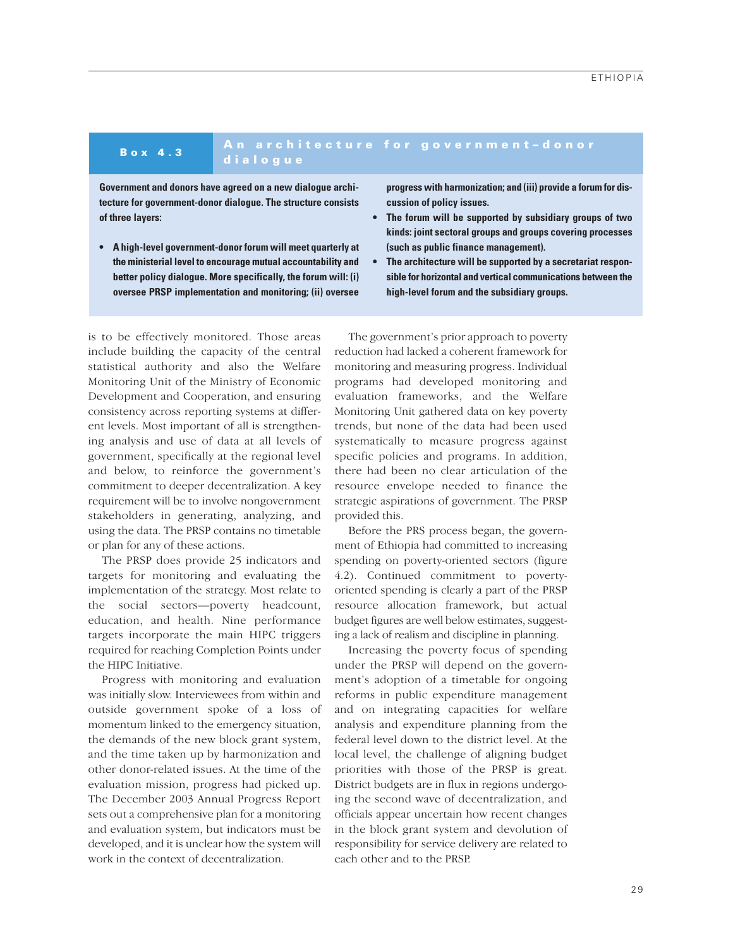# **An architecture for government–donor dialogue Box 4.3**

**Government and donors have agreed on a new dialogue architecture for government-donor dialogue. The structure consists of three layers:**

**• A high-level government-donor forum will meet quarterly at the ministerial level to encourage mutual accountability and better policy dialogue. More specifically, the forum will: (i) oversee PRSP implementation and monitoring; (ii) oversee**

**progress with harmonization; and (iii) provide a forum for discussion of policy issues.** 

- **The forum will be supported by subsidiary groups of two kinds: joint sectoral groups and groups covering processes (such as public finance management).**
- **The architecture will be supported by a secretariat responsible for horizontal and vertical communications between the high-level forum and the subsidiary groups.**

is to be effectively monitored. Those areas include building the capacity of the central statistical authority and also the Welfare Monitoring Unit of the Ministry of Economic Development and Cooperation, and ensuring consistency across reporting systems at different levels. Most important of all is strengthening analysis and use of data at all levels of government, specifically at the regional level and below, to reinforce the government's commitment to deeper decentralization. A key requirement will be to involve nongovernment stakeholders in generating, analyzing, and using the data. The PRSP contains no timetable or plan for any of these actions.

The PRSP does provide 25 indicators and targets for monitoring and evaluating the implementation of the strategy. Most relate to the social sectors—poverty headcount, education, and health. Nine performance targets incorporate the main HIPC triggers required for reaching Completion Points under the HIPC Initiative.

Progress with monitoring and evaluation was initially slow. Interviewees from within and outside government spoke of a loss of momentum linked to the emergency situation, the demands of the new block grant system, and the time taken up by harmonization and other donor-related issues. At the time of the evaluation mission, progress had picked up. The December 2003 Annual Progress Report sets out a comprehensive plan for a monitoring and evaluation system, but indicators must be developed, and it is unclear how the system will work in the context of decentralization.

The government's prior approach to poverty reduction had lacked a coherent framework for monitoring and measuring progress. Individual programs had developed monitoring and evaluation frameworks, and the Welfare Monitoring Unit gathered data on key poverty trends, but none of the data had been used systematically to measure progress against specific policies and programs. In addition, there had been no clear articulation of the resource envelope needed to finance the strategic aspirations of government. The PRSP provided this.

Before the PRS process began, the government of Ethiopia had committed to increasing spending on poverty-oriented sectors (figure 4.2). Continued commitment to povertyoriented spending is clearly a part of the PRSP resource allocation framework, but actual budget figures are well below estimates, suggesting a lack of realism and discipline in planning.

Increasing the poverty focus of spending under the PRSP will depend on the government's adoption of a timetable for ongoing reforms in public expenditure management and on integrating capacities for welfare analysis and expenditure planning from the federal level down to the district level. At the local level, the challenge of aligning budget priorities with those of the PRSP is great. District budgets are in flux in regions undergoing the second wave of decentralization, and officials appear uncertain how recent changes in the block grant system and devolution of responsibility for service delivery are related to each other and to the PRSP.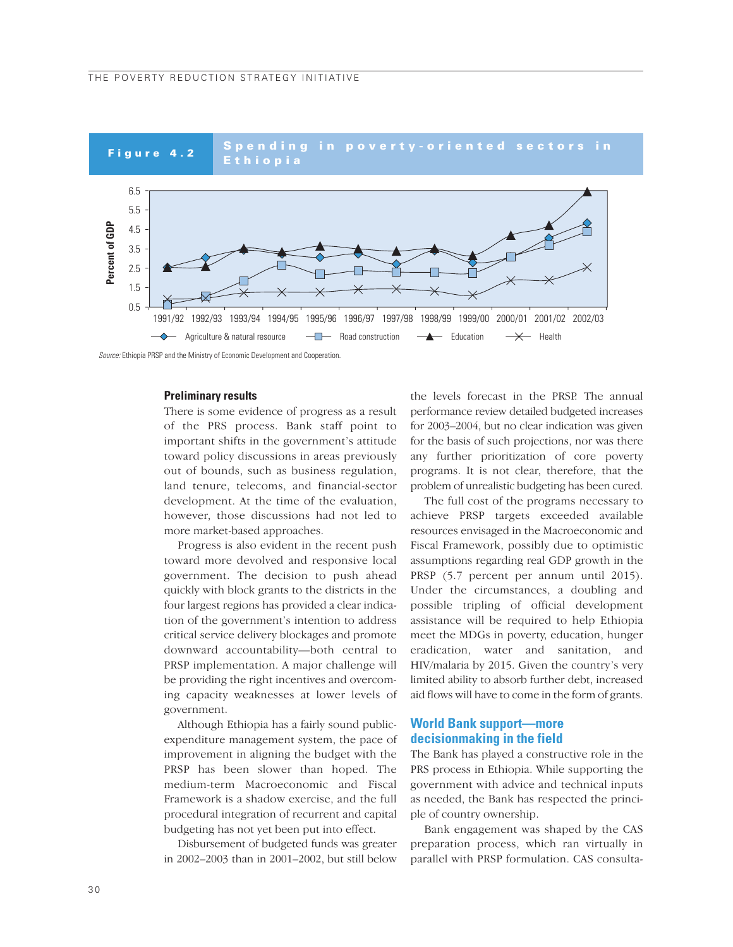

#### **Preliminary results**

There is some evidence of progress as a result of the PRS process. Bank staff point to important shifts in the government's attitude toward policy discussions in areas previously out of bounds, such as business regulation, land tenure, telecoms, and financial-sector development. At the time of the evaluation, however, those discussions had not led to more market-based approaches.

Progress is also evident in the recent push toward more devolved and responsive local government. The decision to push ahead quickly with block grants to the districts in the four largest regions has provided a clear indication of the government's intention to address critical service delivery blockages and promote downward accountability—both central to PRSP implementation. A major challenge will be providing the right incentives and overcoming capacity weaknesses at lower levels of government.

Although Ethiopia has a fairly sound publicexpenditure management system, the pace of improvement in aligning the budget with the PRSP has been slower than hoped. The medium-term Macroeconomic and Fiscal Framework is a shadow exercise, and the full procedural integration of recurrent and capital budgeting has not yet been put into effect.

Disbursement of budgeted funds was greater in 2002–2003 than in 2001–2002, but still below

the levels forecast in the PRSP. The annual performance review detailed budgeted increases for 2003–2004, but no clear indication was given for the basis of such projections, nor was there any further prioritization of core poverty programs. It is not clear, therefore, that the problem of unrealistic budgeting has been cured.

The full cost of the programs necessary to achieve PRSP targets exceeded available resources envisaged in the Macroeconomic and Fiscal Framework, possibly due to optimistic assumptions regarding real GDP growth in the PRSP (5.7 percent per annum until 2015). Under the circumstances, a doubling and possible tripling of official development assistance will be required to help Ethiopia meet the MDGs in poverty, education, hunger eradication, water and sanitation, and HIV/malaria by 2015. Given the country's very limited ability to absorb further debt, increased aid flows will have to come in the form of grants.

# **World Bank support—more decisionmaking in the field**

The Bank has played a constructive role in the PRS process in Ethiopia. While supporting the government with advice and technical inputs as needed, the Bank has respected the principle of country ownership.

Bank engagement was shaped by the CAS preparation process, which ran virtually in parallel with PRSP formulation. CAS consulta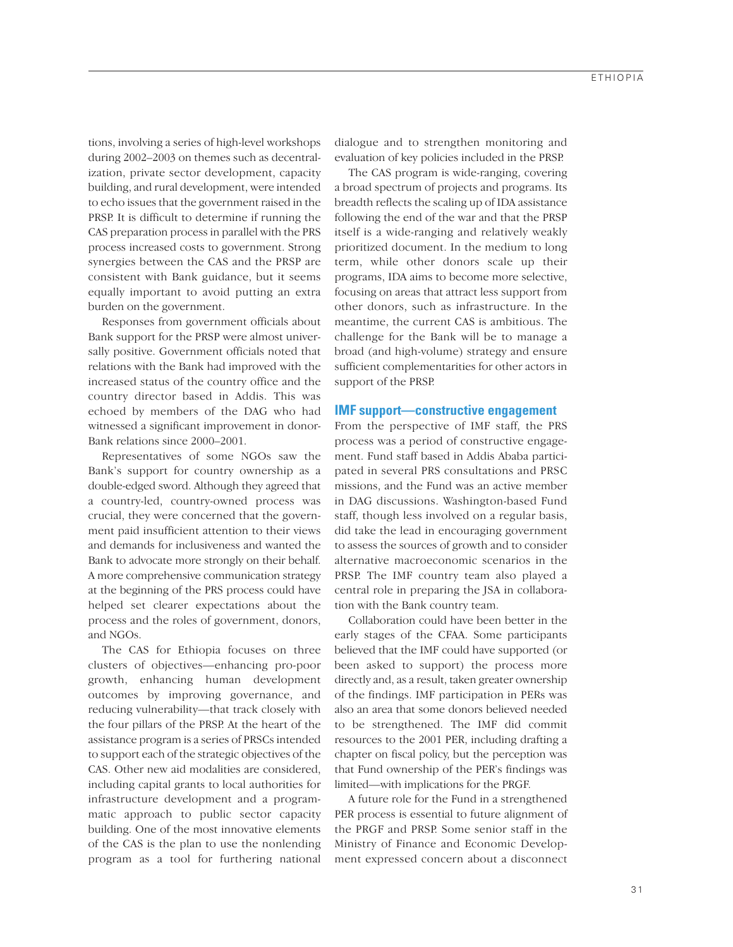tions, involving a series of high-level workshops during 2002–2003 on themes such as decentralization, private sector development, capacity building, and rural development, were intended to echo issues that the government raised in the PRSP. It is difficult to determine if running the CAS preparation process in parallel with the PRS process increased costs to government. Strong synergies between the CAS and the PRSP are consistent with Bank guidance, but it seems equally important to avoid putting an extra burden on the government.

Responses from government officials about Bank support for the PRSP were almost universally positive. Government officials noted that relations with the Bank had improved with the increased status of the country office and the country director based in Addis. This was echoed by members of the DAG who had witnessed a significant improvement in donor-Bank relations since 2000–2001.

Representatives of some NGOs saw the Bank's support for country ownership as a double-edged sword. Although they agreed that a country-led, country-owned process was crucial, they were concerned that the government paid insufficient attention to their views and demands for inclusiveness and wanted the Bank to advocate more strongly on their behalf. A more comprehensive communication strategy at the beginning of the PRS process could have helped set clearer expectations about the process and the roles of government, donors, and NGOs.

The CAS for Ethiopia focuses on three clusters of objectives—enhancing pro-poor growth, enhancing human development outcomes by improving governance, and reducing vulnerability—that track closely with the four pillars of the PRSP. At the heart of the assistance program is a series of PRSCs intended to support each of the strategic objectives of the CAS. Other new aid modalities are considered, including capital grants to local authorities for infrastructure development and a programmatic approach to public sector capacity building. One of the most innovative elements of the CAS is the plan to use the nonlending program as a tool for furthering national dialogue and to strengthen monitoring and evaluation of key policies included in the PRSP.

The CAS program is wide-ranging, covering a broad spectrum of projects and programs. Its breadth reflects the scaling up of IDA assistance following the end of the war and that the PRSP itself is a wide-ranging and relatively weakly prioritized document. In the medium to long term, while other donors scale up their programs, IDA aims to become more selective, focusing on areas that attract less support from other donors, such as infrastructure. In the meantime, the current CAS is ambitious. The challenge for the Bank will be to manage a broad (and high-volume) strategy and ensure sufficient complementarities for other actors in support of the PRSP.

#### **IMF support—constructive engagement**

From the perspective of IMF staff, the PRS process was a period of constructive engagement. Fund staff based in Addis Ababa participated in several PRS consultations and PRSC missions, and the Fund was an active member in DAG discussions. Washington-based Fund staff, though less involved on a regular basis, did take the lead in encouraging government to assess the sources of growth and to consider alternative macroeconomic scenarios in the PRSP. The IMF country team also played a central role in preparing the JSA in collaboration with the Bank country team.

Collaboration could have been better in the early stages of the CFAA. Some participants believed that the IMF could have supported (or been asked to support) the process more directly and, as a result, taken greater ownership of the findings. IMF participation in PERs was also an area that some donors believed needed to be strengthened. The IMF did commit resources to the 2001 PER, including drafting a chapter on fiscal policy, but the perception was that Fund ownership of the PER's findings was limited—with implications for the PRGF.

A future role for the Fund in a strengthened PER process is essential to future alignment of the PRGF and PRSP. Some senior staff in the Ministry of Finance and Economic Development expressed concern about a disconnect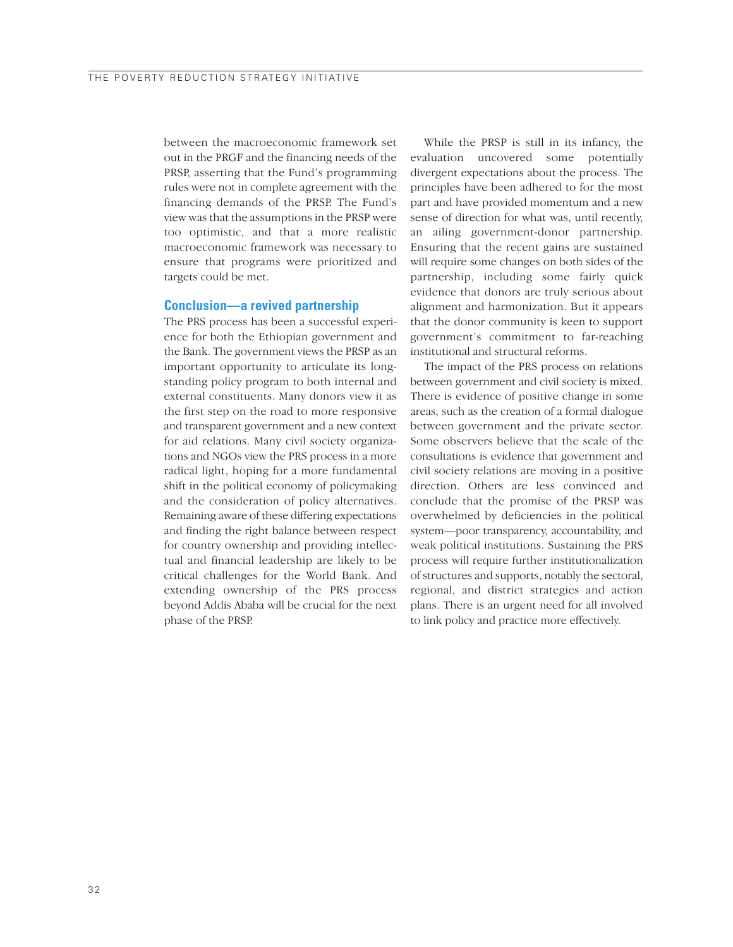between the macroeconomic framework set out in the PRGF and the financing needs of the PRSP, asserting that the Fund's programming rules were not in complete agreement with the financing demands of the PRSP. The Fund's view was that the assumptions in the PRSP were too optimistic, and that a more realistic macroeconomic framework was necessary to ensure that programs were prioritized and targets could be met.

#### **Conclusion—a revived partnership**

The PRS process has been a successful experience for both the Ethiopian government and the Bank. The government views the PRSP as an important opportunity to articulate its longstanding policy program to both internal and external constituents. Many donors view it as the first step on the road to more responsive and transparent government and a new context for aid relations. Many civil society organizations and NGOs view the PRS process in a more radical light, hoping for a more fundamental shift in the political economy of policymaking and the consideration of policy alternatives. Remaining aware of these differing expectations and finding the right balance between respect for country ownership and providing intellectual and financial leadership are likely to be critical challenges for the World Bank. And extending ownership of the PRS process beyond Addis Ababa will be crucial for the next phase of the PRSP.

While the PRSP is still in its infancy, the evaluation uncovered some potentially divergent expectations about the process. The principles have been adhered to for the most part and have provided momentum and a new sense of direction for what was, until recently, an ailing government-donor partnership. Ensuring that the recent gains are sustained will require some changes on both sides of the partnership, including some fairly quick evidence that donors are truly serious about alignment and harmonization. But it appears that the donor community is keen to support government's commitment to far-reaching institutional and structural reforms.

The impact of the PRS process on relations between government and civil society is mixed. There is evidence of positive change in some areas, such as the creation of a formal dialogue between government and the private sector. Some observers believe that the scale of the consultations is evidence that government and civil society relations are moving in a positive direction. Others are less convinced and conclude that the promise of the PRSP was overwhelmed by deficiencies in the political system—poor transparency, accountability, and weak political institutions. Sustaining the PRS process will require further institutionalization of structures and supports, notably the sectoral, regional, and district strategies and action plans. There is an urgent need for all involved to link policy and practice more effectively.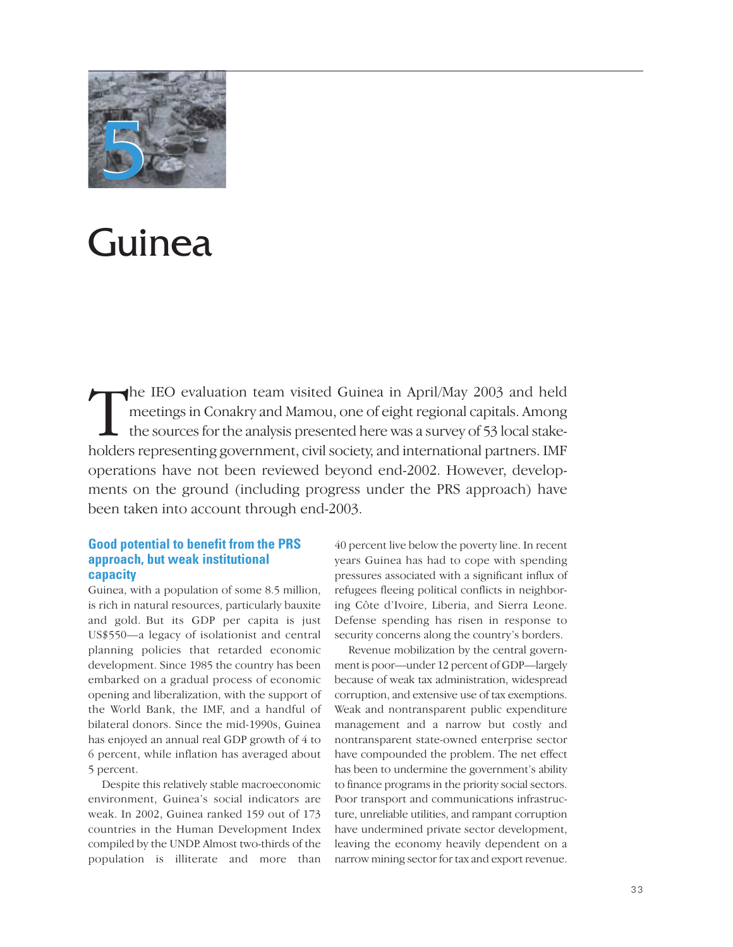

# Guinea

The IEO evaluation team visited Guinea in April/May 2003 and held<br>meetings in Conakry and Mamou, one of eight regional capitals. Among<br>the sources for the analysis presented here was a survey of 53 local stake-<br>holders rep meetings in Conakry and Mamou, one of eight regional capitals. Among  $\mathsf{\mathsf{L}}\;$  the sources for the analysis presented here was a survey of 53 local stakeholders representing government, civil society, and international partners. IMF operations have not been reviewed beyond end-2002. However, developments on the ground (including progress under the PRS approach) have been taken into account through end-2003.

# **Good potential to benefit from the PRS approach, but weak institutional capacity**

Guinea, with a population of some 8.5 million, is rich in natural resources, particularly bauxite and gold. But its GDP per capita is just US\$550—a legacy of isolationist and central planning policies that retarded economic development. Since 1985 the country has been embarked on a gradual process of economic opening and liberalization, with the support of the World Bank, the IMF, and a handful of bilateral donors. Since the mid-1990s, Guinea has enjoyed an annual real GDP growth of 4 to 6 percent, while inflation has averaged about 5 percent.

Despite this relatively stable macroeconomic environment, Guinea's social indicators are weak. In 2002, Guinea ranked 159 out of 173 countries in the Human Development Index compiled by the UNDP. Almost two-thirds of the population is illiterate and more than 40 percent live below the poverty line. In recent years Guinea has had to cope with spending pressures associated with a significant influx of refugees fleeing political conflicts in neighboring Côte d'Ivoire, Liberia, and Sierra Leone. Defense spending has risen in response to security concerns along the country's borders.

Revenue mobilization by the central government is poor—under 12 percent of GDP—largely because of weak tax administration, widespread corruption, and extensive use of tax exemptions. Weak and nontransparent public expenditure management and a narrow but costly and nontransparent state-owned enterprise sector have compounded the problem. The net effect has been to undermine the government's ability to finance programs in the priority social sectors. Poor transport and communications infrastructure, unreliable utilities, and rampant corruption have undermined private sector development, leaving the economy heavily dependent on a narrow mining sector for tax and export revenue.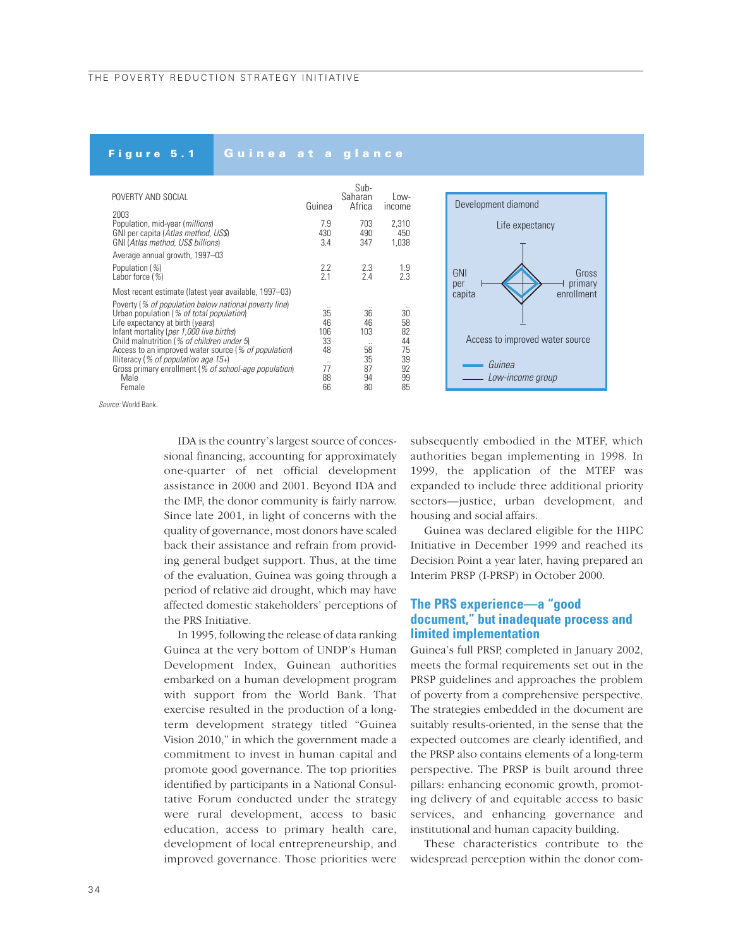## **Figure 5.1 Guinea at a glance**

|                                                                                 |                      | Sub-              |                |                                 |
|---------------------------------------------------------------------------------|----------------------|-------------------|----------------|---------------------------------|
| POVERTY AND SOCIAL                                                              | Guinea               | Saharan<br>Africa | Low-<br>income | Development diamond             |
| 2003                                                                            |                      |                   |                |                                 |
| Population, mid-year ( <i>millions</i> )<br>GNI per capita (Atlas method, US\$) | 7.9<br>430           | 703<br>490        | 2.310<br>450   | Life expectancy                 |
| GNI (Atlas method, US\$ billions)                                               | 3.4                  | 347               | 1.038          |                                 |
| Average annual growth, 1997-03                                                  |                      |                   |                |                                 |
| Population (%)                                                                  | 2.2                  | 2.3               | 1.9            | GNI<br>Gross                    |
| Labor force (%)                                                                 | 2.1                  | 2.4               | 2.3            | primary<br>per                  |
| Most recent estimate (latest year available, 1997–03)                           |                      |                   |                | enrollment<br>capita            |
| Poverty (% of population below national poverty line)                           |                      |                   |                |                                 |
| Urban population (% of total population)<br>Life expectancy at birth (years)    | 35<br>46             | 36<br>46          | 30<br>58       |                                 |
| Infant mortality (per 1,000 live births)                                        | 106                  | 103               | 82             |                                 |
| Child malnutrition (% of children under 5)                                      | 33                   |                   | 44             | Access to improved water source |
| Access to an improved water source (% of population)                            | 48                   | 58                | 75             |                                 |
| Illiteracy (% of population age $15+$ )                                         | $\ddot{\phantom{0}}$ | 35                | 39             | Guinea                          |
| Gross primary enrollment (% of school-age population)<br>Male                   | 77<br>88             | 87                | 92<br>99       |                                 |
| Female                                                                          | 66                   | 94<br>80          | 85             | Low-income group                |

Source: World Bank.

IDA is the country's largest source of concessional financing, accounting for approximately one-quarter of net official development assistance in 2000 and 2001. Beyond IDA and the IMF, the donor community is fairly narrow. Since late 2001, in light of concerns with the quality of governance, most donors have scaled back their assistance and refrain from providing general budget support. Thus, at the time of the evaluation, Guinea was going through a period of relative aid drought, which may have affected domestic stakeholders' perceptions of the PRS Initiative.

In 1995, following the release of data ranking Guinea at the very bottom of UNDP's Human Development Index, Guinean authorities embarked on a human development program with support from the World Bank. That exercise resulted in the production of a longterm development strategy titled "Guinea Vision 2010," in which the government made a commitment to invest in human capital and promote good governance. The top priorities identified by participants in a National Consultative Forum conducted under the strategy were rural development, access to basic education, access to primary health care, development of local entrepreneurship, and improved governance. Those priorities were subsequently embodied in the MTEF, which authorities began implementing in 1998. In 1999, the application of the MTEF was expanded to include three additional priority sectors—justice, urban development, and housing and social affairs.

Guinea was declared eligible for the HIPC Initiative in December 1999 and reached its Decision Point a year later, having prepared an Interim PRSP (I-PRSP) in October 2000.

# **The PRS experience—a "good document," but inadequate process and limited implementation**

Guinea's full PRSP, completed in January 2002, meets the formal requirements set out in the PRSP guidelines and approaches the problem of poverty from a comprehensive perspective. The strategies embedded in the document are suitably results-oriented, in the sense that the expected outcomes are clearly identified, and the PRSP also contains elements of a long-term perspective. The PRSP is built around three pillars: enhancing economic growth, promoting delivery of and equitable access to basic services, and enhancing governance and institutional and human capacity building.

These characteristics contribute to the widespread perception within the donor com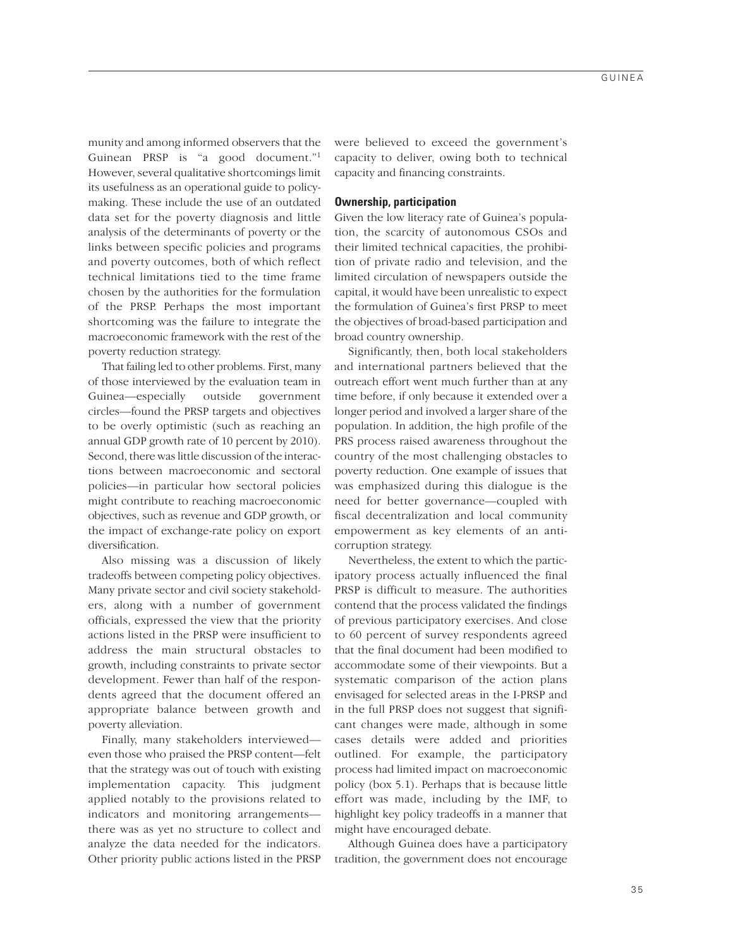munity and among informed observers that the Guinean PRSP is "a good document."1 However, several qualitative shortcomings limit its usefulness as an operational guide to policymaking. These include the use of an outdated data set for the poverty diagnosis and little analysis of the determinants of poverty or the links between specific policies and programs and poverty outcomes, both of which reflect technical limitations tied to the time frame chosen by the authorities for the formulation of the PRSP. Perhaps the most important shortcoming was the failure to integrate the macroeconomic framework with the rest of the poverty reduction strategy.

That failing led to other problems. First, many of those interviewed by the evaluation team in Guinea—especially outside government circles—found the PRSP targets and objectives to be overly optimistic (such as reaching an annual GDP growth rate of 10 percent by 2010). Second, there was little discussion of the interactions between macroeconomic and sectoral policies—in particular how sectoral policies might contribute to reaching macroeconomic objectives, such as revenue and GDP growth, or the impact of exchange-rate policy on export diversification.

Also missing was a discussion of likely tradeoffs between competing policy objectives. Many private sector and civil society stakeholders, along with a number of government officials, expressed the view that the priority actions listed in the PRSP were insufficient to address the main structural obstacles to growth, including constraints to private sector development. Fewer than half of the respondents agreed that the document offered an appropriate balance between growth and poverty alleviation.

Finally, many stakeholders interviewed even those who praised the PRSP content—felt that the strategy was out of touch with existing implementation capacity. This judgment applied notably to the provisions related to indicators and monitoring arrangements there was as yet no structure to collect and analyze the data needed for the indicators. Other priority public actions listed in the PRSP were believed to exceed the government's capacity to deliver, owing both to technical capacity and financing constraints.

#### **Ownership, participation**

Given the low literacy rate of Guinea's population, the scarcity of autonomous CSOs and their limited technical capacities, the prohibition of private radio and television, and the limited circulation of newspapers outside the capital, it would have been unrealistic to expect the formulation of Guinea's first PRSP to meet the objectives of broad-based participation and broad country ownership.

Significantly, then, both local stakeholders and international partners believed that the outreach effort went much further than at any time before, if only because it extended over a longer period and involved a larger share of the population. In addition, the high profile of the PRS process raised awareness throughout the country of the most challenging obstacles to poverty reduction. One example of issues that was emphasized during this dialogue is the need for better governance—coupled with fiscal decentralization and local community empowerment as key elements of an anticorruption strategy.

Nevertheless, the extent to which the participatory process actually influenced the final PRSP is difficult to measure. The authorities contend that the process validated the findings of previous participatory exercises. And close to 60 percent of survey respondents agreed that the final document had been modified to accommodate some of their viewpoints. But a systematic comparison of the action plans envisaged for selected areas in the I-PRSP and in the full PRSP does not suggest that significant changes were made, although in some cases details were added and priorities outlined. For example, the participatory process had limited impact on macroeconomic policy (box 5.1). Perhaps that is because little effort was made, including by the IMF, to highlight key policy tradeoffs in a manner that might have encouraged debate.

Although Guinea does have a participatory tradition, the government does not encourage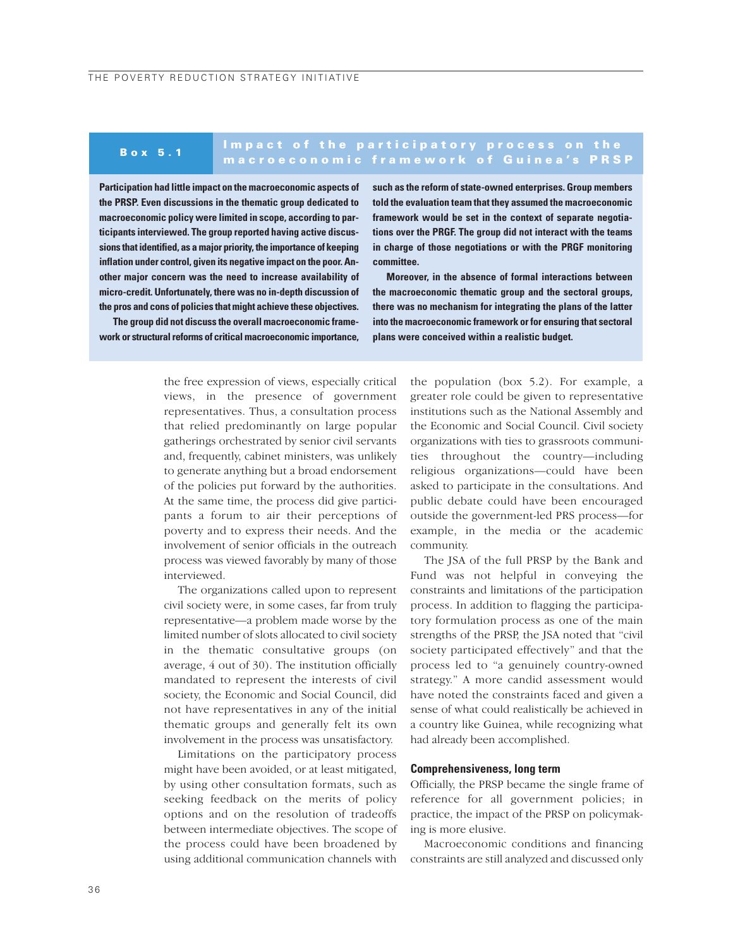# **Impact of the participatory process on the macroeconomic framework of Guinea's PRSP Box 5.1**

**Participation had little impact on the macroeconomic aspects of the PRSP. Even discussions in the thematic group dedicated to macroeconomic policy were limited in scope, according to participants interviewed. The group reported having active discussions that identified, as a major priority, the importance of keeping inflation under control, given its negative impact on the poor. Another major concern was the need to increase availability of micro-credit. Unfortunately, there was no in-depth discussion of the pros and cons of policies that might achieve these objectives. The group did not discuss the overall macroeconomic framework or structural reforms of critical macroeconomic importance,**

**such as the reform of state-owned enterprises. Group members told the evaluation team that they assumed the macroeconomic framework would be set in the context of separate negotiations over the PRGF. The group did not interact with the teams in charge of those negotiations or with the PRGF monitoring committee.**

**Moreover, in the absence of formal interactions between the macroeconomic thematic group and the sectoral groups, there was no mechanism for integrating the plans of the latter into the macroeconomic framework or for ensuring that sectoral plans were conceived within a realistic budget.** 

the free expression of views, especially critical views, in the presence of government representatives. Thus, a consultation process that relied predominantly on large popular gatherings orchestrated by senior civil servants and, frequently, cabinet ministers, was unlikely to generate anything but a broad endorsement of the policies put forward by the authorities. At the same time, the process did give participants a forum to air their perceptions of poverty and to express their needs. And the involvement of senior officials in the outreach process was viewed favorably by many of those interviewed.

The organizations called upon to represent civil society were, in some cases, far from truly representative—a problem made worse by the limited number of slots allocated to civil society in the thematic consultative groups (on average, 4 out of 30). The institution officially mandated to represent the interests of civil society, the Economic and Social Council, did not have representatives in any of the initial thematic groups and generally felt its own involvement in the process was unsatisfactory.

Limitations on the participatory process might have been avoided, or at least mitigated, by using other consultation formats, such as seeking feedback on the merits of policy options and on the resolution of tradeoffs between intermediate objectives. The scope of the process could have been broadened by using additional communication channels with the population (box 5.2). For example, a greater role could be given to representative institutions such as the National Assembly and the Economic and Social Council. Civil society organizations with ties to grassroots communities throughout the country—including religious organizations—could have been asked to participate in the consultations. And public debate could have been encouraged outside the government-led PRS process—for example, in the media or the academic community.

The JSA of the full PRSP by the Bank and Fund was not helpful in conveying the constraints and limitations of the participation process. In addition to flagging the participatory formulation process as one of the main strengths of the PRSP, the JSA noted that "civil society participated effectively" and that the process led to "a genuinely country-owned strategy." A more candid assessment would have noted the constraints faced and given a sense of what could realistically be achieved in a country like Guinea, while recognizing what had already been accomplished.

#### **Comprehensiveness, long term**

Officially, the PRSP became the single frame of reference for all government policies; in practice, the impact of the PRSP on policymaking is more elusive.

Macroeconomic conditions and financing constraints are still analyzed and discussed only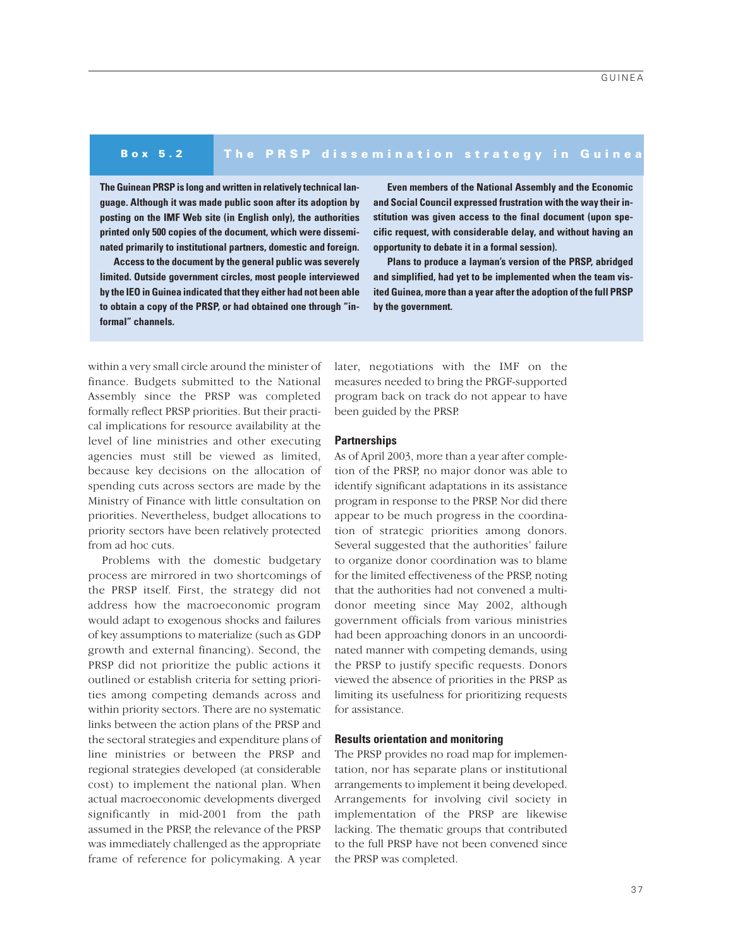# **Box 5.2 The PRSP dissemination strategy in Guinea**

**The Guinean PRSP is long and written in relatively technical language. Although it was made public soon after its adoption by posting on the IMF Web site (in English only), the authorities printed only 500 copies of the document, which were disseminated primarily to institutional partners, domestic and foreign.** 

**Access to the document by the general public was severely limited. Outside government circles, most people interviewed by the IEO in Guinea indicated that they either had not been able to obtain a copy of the PRSP, or had obtained one through "informal" channels.** 

**Even members of the National Assembly and the Economic and Social Council expressed frustration with the way their institution was given access to the final document (upon specific request, with considerable delay, and without having an opportunity to debate it in a formal session).** 

**Plans to produce a layman's version of the PRSP, abridged and simplified, had yet to be implemented when the team visited Guinea, more than a year after the adoption of the full PRSP by the government.**

within a very small circle around the minister of finance. Budgets submitted to the National Assembly since the PRSP was completed formally reflect PRSP priorities. But their practical implications for resource availability at the level of line ministries and other executing agencies must still be viewed as limited, because key decisions on the allocation of spending cuts across sectors are made by the Ministry of Finance with little consultation on priorities. Nevertheless, budget allocations to priority sectors have been relatively protected from ad hoc cuts.

Problems with the domestic budgetary process are mirrored in two shortcomings of the PRSP itself. First, the strategy did not address how the macroeconomic program would adapt to exogenous shocks and failures of key assumptions to materialize (such as GDP growth and external financing). Second, the PRSP did not prioritize the public actions it outlined or establish criteria for setting priorities among competing demands across and within priority sectors. There are no systematic links between the action plans of the PRSP and the sectoral strategies and expenditure plans of line ministries or between the PRSP and regional strategies developed (at considerable cost) to implement the national plan. When actual macroeconomic developments diverged significantly in mid-2001 from the path assumed in the PRSP, the relevance of the PRSP was immediately challenged as the appropriate frame of reference for policymaking. A year

later, negotiations with the IMF on the measures needed to bring the PRGF-supported program back on track do not appear to have been guided by the PRSP.

#### **Partnerships**

As of April 2003, more than a year after completion of the PRSP, no major donor was able to identify significant adaptations in its assistance program in response to the PRSP. Nor did there appear to be much progress in the coordination of strategic priorities among donors. Several suggested that the authorities' failure to organize donor coordination was to blame for the limited effectiveness of the PRSP, noting that the authorities had not convened a multidonor meeting since May 2002, although government officials from various ministries had been approaching donors in an uncoordinated manner with competing demands, using the PRSP to justify specific requests. Donors viewed the absence of priorities in the PRSP as limiting its usefulness for prioritizing requests for assistance.

#### **Results orientation and monitoring**

The PRSP provides no road map for implementation, nor has separate plans or institutional arrangements to implement it being developed. Arrangements for involving civil society in implementation of the PRSP are likewise lacking. The thematic groups that contributed to the full PRSP have not been convened since the PRSP was completed.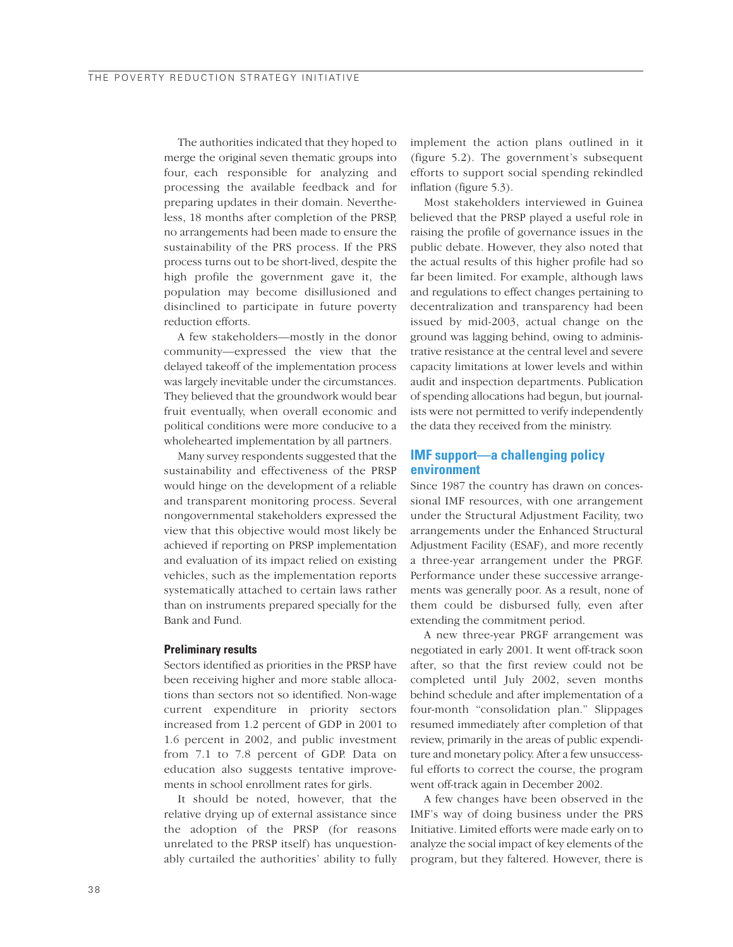The authorities indicated that they hoped to merge the original seven thematic groups into four, each responsible for analyzing and processing the available feedback and for preparing updates in their domain. Nevertheless, 18 months after completion of the PRSP, no arrangements had been made to ensure the sustainability of the PRS process. If the PRS process turns out to be short-lived, despite the high profile the government gave it, the population may become disillusioned and disinclined to participate in future poverty reduction efforts.

A few stakeholders—mostly in the donor community—expressed the view that the delayed takeoff of the implementation process was largely inevitable under the circumstances. They believed that the groundwork would bear fruit eventually, when overall economic and political conditions were more conducive to a wholehearted implementation by all partners.

Many survey respondents suggested that the sustainability and effectiveness of the PRSP would hinge on the development of a reliable and transparent monitoring process. Several nongovernmental stakeholders expressed the view that this objective would most likely be achieved if reporting on PRSP implementation and evaluation of its impact relied on existing vehicles, such as the implementation reports systematically attached to certain laws rather than on instruments prepared specially for the Bank and Fund.

#### **Preliminary results**

Sectors identified as priorities in the PRSP have been receiving higher and more stable allocations than sectors not so identified. Non-wage current expenditure in priority sectors increased from 1.2 percent of GDP in 2001 to 1.6 percent in 2002, and public investment from 7.1 to 7.8 percent of GDP. Data on education also suggests tentative improvements in school enrollment rates for girls.

It should be noted, however, that the relative drying up of external assistance since the adoption of the PRSP (for reasons unrelated to the PRSP itself) has unquestionably curtailed the authorities' ability to fully implement the action plans outlined in it (figure 5.2). The government's subsequent efforts to support social spending rekindled inflation (figure 5.3).

Most stakeholders interviewed in Guinea believed that the PRSP played a useful role in raising the profile of governance issues in the public debate. However, they also noted that the actual results of this higher profile had so far been limited. For example, although laws and regulations to effect changes pertaining to decentralization and transparency had been issued by mid-2003, actual change on the ground was lagging behind, owing to administrative resistance at the central level and severe capacity limitations at lower levels and within audit and inspection departments. Publication of spending allocations had begun, but journalists were not permitted to verify independently the data they received from the ministry.

## **IMF support—a challenging policy environment**

Since 1987 the country has drawn on concessional IMF resources, with one arrangement under the Structural Adjustment Facility, two arrangements under the Enhanced Structural Adjustment Facility (ESAF), and more recently a three-year arrangement under the PRGF. Performance under these successive arrangements was generally poor. As a result, none of them could be disbursed fully, even after extending the commitment period.

A new three-year PRGF arrangement was negotiated in early 2001. It went off-track soon after, so that the first review could not be completed until July 2002, seven months behind schedule and after implementation of a four-month "consolidation plan." Slippages resumed immediately after completion of that review, primarily in the areas of public expenditure and monetary policy. After a few unsuccessful efforts to correct the course, the program went off-track again in December 2002.

A few changes have been observed in the IMF's way of doing business under the PRS Initiative. Limited efforts were made early on to analyze the social impact of key elements of the program, but they faltered. However, there is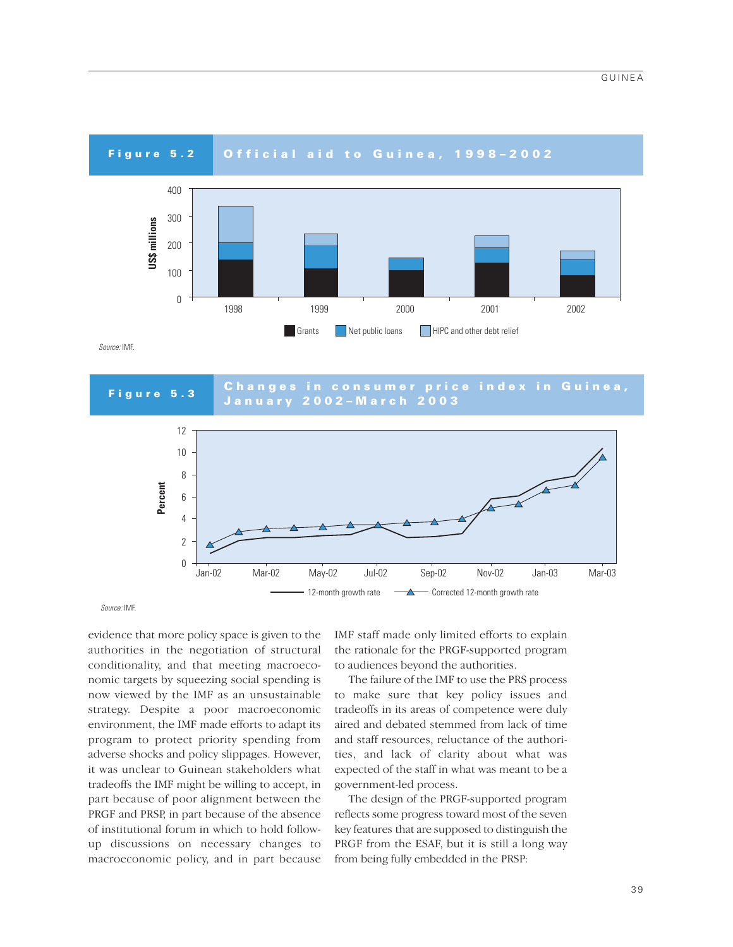

## **Figure 5.2 Official aid to Guinea, 1998–2002**

Source: IMF.

**Changes in consumer price index in Guinea, January 2002–March 2003 Figure 5.3**



Source: IMF.

evidence that more policy space is given to the authorities in the negotiation of structural conditionality, and that meeting macroeconomic targets by squeezing social spending is now viewed by the IMF as an unsustainable strategy. Despite a poor macroeconomic environment, the IMF made efforts to adapt its program to protect priority spending from adverse shocks and policy slippages. However, it was unclear to Guinean stakeholders what tradeoffs the IMF might be willing to accept, in part because of poor alignment between the PRGF and PRSP, in part because of the absence of institutional forum in which to hold followup discussions on necessary changes to macroeconomic policy, and in part because IMF staff made only limited efforts to explain the rationale for the PRGF-supported program to audiences beyond the authorities.

The failure of the IMF to use the PRS process to make sure that key policy issues and tradeoffs in its areas of competence were duly aired and debated stemmed from lack of time and staff resources, reluctance of the authorities, and lack of clarity about what was expected of the staff in what was meant to be a government-led process.

The design of the PRGF-supported program reflects some progress toward most of the seven key features that are supposed to distinguish the PRGF from the ESAF, but it is still a long way from being fully embedded in the PRSP: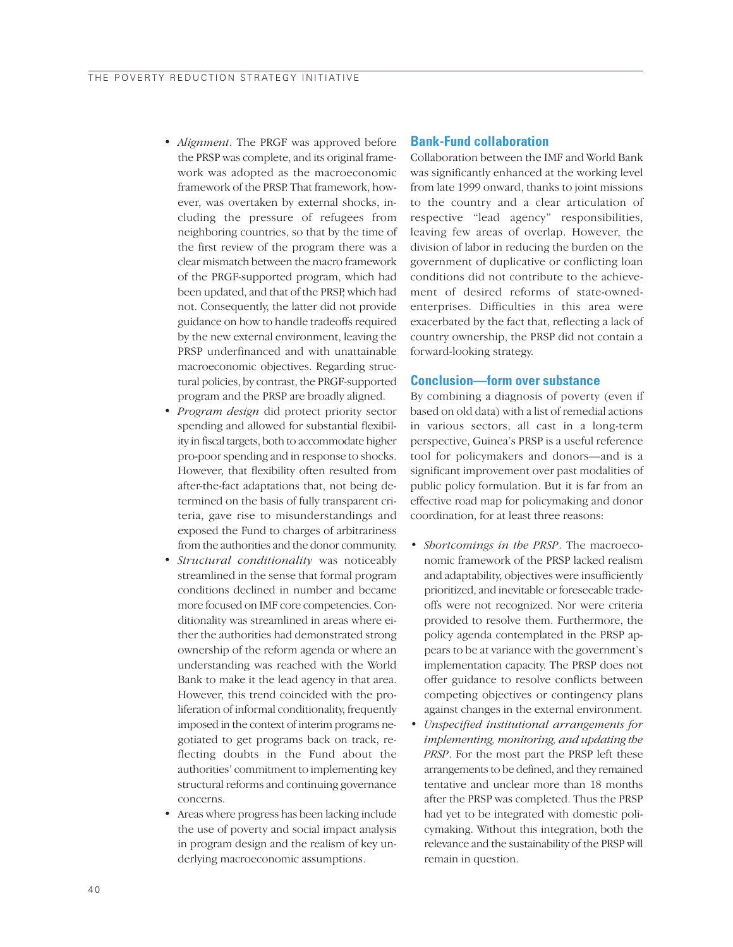- *Alignment*. The PRGF was approved before the PRSP was complete, and its original framework was adopted as the macroeconomic framework of the PRSP. That framework, however, was overtaken by external shocks, including the pressure of refugees from neighboring countries, so that by the time of the first review of the program there was a clear mismatch between the macro framework of the PRGF-supported program, which had been updated, and that of the PRSP, which had not. Consequently, the latter did not provide guidance on how to handle tradeoffs required by the new external environment, leaving the PRSP underfinanced and with unattainable macroeconomic objectives. Regarding structural policies, by contrast, the PRGF-supported program and the PRSP are broadly aligned.
- *Program design* did protect priority sector spending and allowed for substantial flexibility in fiscal targets, both to accommodate higher pro-poor spending and in response to shocks. However, that flexibility often resulted from after-the-fact adaptations that, not being determined on the basis of fully transparent criteria, gave rise to misunderstandings and exposed the Fund to charges of arbitrariness from the authorities and the donor community.
- *Structural conditionality* was noticeably streamlined in the sense that formal program conditions declined in number and became more focused on IMF core competencies. Conditionality was streamlined in areas where either the authorities had demonstrated strong ownership of the reform agenda or where an understanding was reached with the World Bank to make it the lead agency in that area. However, this trend coincided with the proliferation of informal conditionality, frequently imposed in the context of interim programs negotiated to get programs back on track, reflecting doubts in the Fund about the authorities' commitment to implementing key structural reforms and continuing governance concerns.
- Areas where progress has been lacking include the use of poverty and social impact analysis in program design and the realism of key underlying macroeconomic assumptions.

### **Bank-Fund collaboration**

Collaboration between the IMF and World Bank was significantly enhanced at the working level from late 1999 onward, thanks to joint missions to the country and a clear articulation of respective "lead agency" responsibilities, leaving few areas of overlap. However, the division of labor in reducing the burden on the government of duplicative or conflicting loan conditions did not contribute to the achievement of desired reforms of state-ownedenterprises. Difficulties in this area were exacerbated by the fact that, reflecting a lack of country ownership, the PRSP did not contain a forward-looking strategy.

### **Conclusion—form over substance**

By combining a diagnosis of poverty (even if based on old data) with a list of remedial actions in various sectors, all cast in a long-term perspective, Guinea's PRSP is a useful reference tool for policymakers and donors—and is a significant improvement over past modalities of public policy formulation. But it is far from an effective road map for policymaking and donor coordination, for at least three reasons:

- *Shortcomings in the PRSP*. The macroeconomic framework of the PRSP lacked realism and adaptability, objectives were insufficiently prioritized, and inevitable or foreseeable tradeoffs were not recognized. Nor were criteria provided to resolve them. Furthermore, the policy agenda contemplated in the PRSP appears to be at variance with the government's implementation capacity. The PRSP does not offer guidance to resolve conflicts between competing objectives or contingency plans against changes in the external environment.
- *Unspecified institutional arrangements for implementing, monitoring, and updating the PRSP*. For the most part the PRSP left these arrangements to be defined, and they remained tentative and unclear more than 18 months after the PRSP was completed. Thus the PRSP had yet to be integrated with domestic policymaking. Without this integration, both the relevance and the sustainability of the PRSP will remain in question.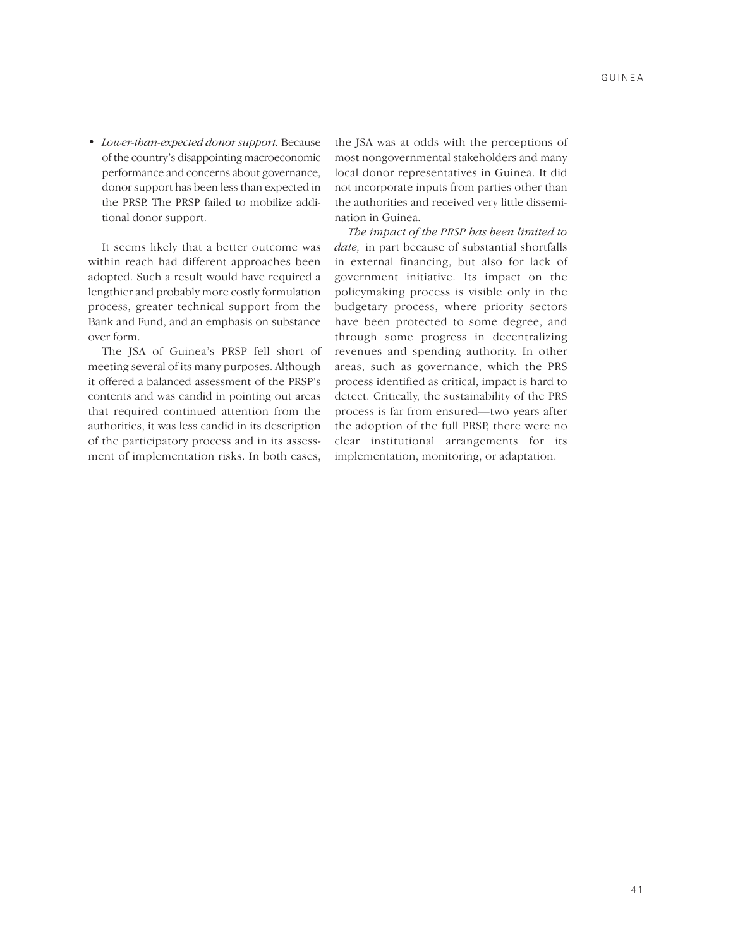• *Lower-than-expected donor support.* Because of the country's disappointing macroeconomic performance and concerns about governance, donor support has been less than expected in the PRSP. The PRSP failed to mobilize additional donor support.

It seems likely that a better outcome was within reach had different approaches been adopted. Such a result would have required a lengthier and probably more costly formulation process, greater technical support from the Bank and Fund, and an emphasis on substance over form.

The JSA of Guinea's PRSP fell short of meeting several of its many purposes. Although it offered a balanced assessment of the PRSP's contents and was candid in pointing out areas that required continued attention from the authorities, it was less candid in its description of the participatory process and in its assessment of implementation risks. In both cases,

the JSA was at odds with the perceptions of most nongovernmental stakeholders and many local donor representatives in Guinea. It did not incorporate inputs from parties other than the authorities and received very little dissemination in Guinea.

*The impact of the PRSP has been limited to date,* in part because of substantial shortfalls in external financing, but also for lack of government initiative. Its impact on the policymaking process is visible only in the budgetary process, where priority sectors have been protected to some degree, and through some progress in decentralizing revenues and spending authority. In other areas, such as governance, which the PRS process identified as critical, impact is hard to detect. Critically, the sustainability of the PRS process is far from ensured—two years after the adoption of the full PRSP, there were no clear institutional arrangements for its implementation, monitoring, or adaptation.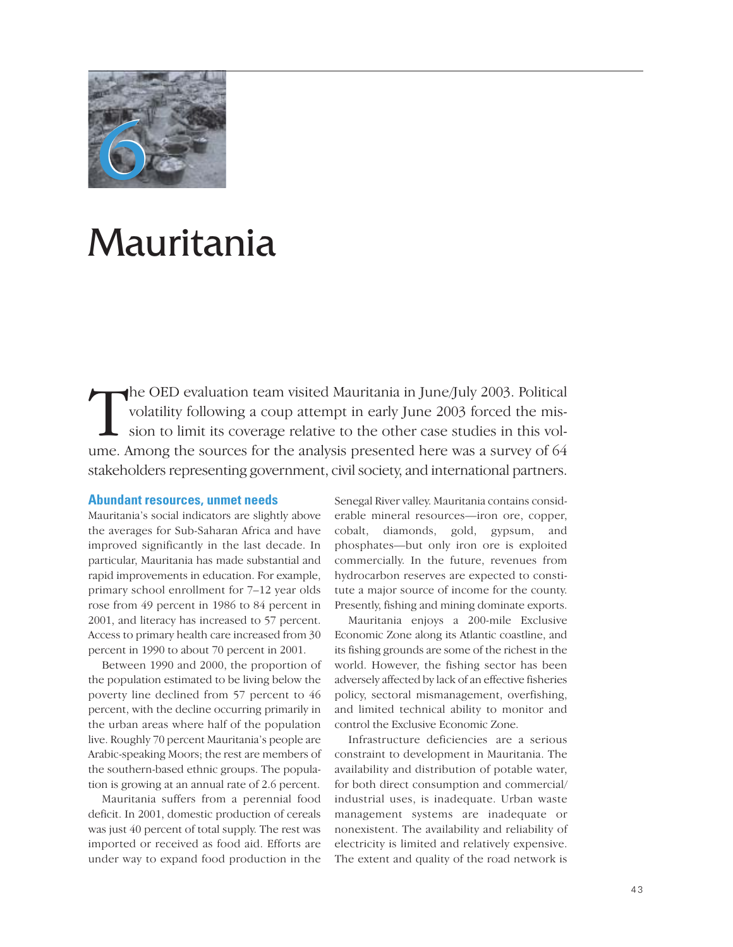

# Mauritania

The OED evaluation team visited Mauritania in June/July 2003. Political<br>volatility following a coup attempt in early June 2003 forced the mis-<br>sion to limit its coverage relative to the other case studies in this vol-<br>ume volatility following a coup attempt in early June 2003 forced the mission to limit its coverage relative to the other case studies in this volume. Among the sources for the analysis presented here was a survey of 64 stakeholders representing government, civil society, and international partners.

### **Abundant resources, unmet needs**

Mauritania's social indicators are slightly above the averages for Sub-Saharan Africa and have improved significantly in the last decade. In particular, Mauritania has made substantial and rapid improvements in education. For example, primary school enrollment for 7–12 year olds rose from 49 percent in 1986 to 84 percent in 2001, and literacy has increased to 57 percent. Access to primary health care increased from 30 percent in 1990 to about 70 percent in 2001.

Between 1990 and 2000, the proportion of the population estimated to be living below the poverty line declined from 57 percent to 46 percent, with the decline occurring primarily in the urban areas where half of the population live. Roughly 70 percent Mauritania's people are Arabic-speaking Moors; the rest are members of the southern-based ethnic groups. The population is growing at an annual rate of 2.6 percent.

Mauritania suffers from a perennial food deficit. In 2001, domestic production of cereals was just 40 percent of total supply. The rest was imported or received as food aid. Efforts are under way to expand food production in the Senegal River valley. Mauritania contains considerable mineral resources—iron ore, copper, cobalt, diamonds, gold, gypsum, and phosphates—but only iron ore is exploited commercially. In the future, revenues from hydrocarbon reserves are expected to constitute a major source of income for the county. Presently, fishing and mining dominate exports.

Mauritania enjoys a 200-mile Exclusive Economic Zone along its Atlantic coastline, and its fishing grounds are some of the richest in the world. However, the fishing sector has been adversely affected by lack of an effective fisheries policy, sectoral mismanagement, overfishing, and limited technical ability to monitor and control the Exclusive Economic Zone.

Infrastructure deficiencies are a serious constraint to development in Mauritania. The availability and distribution of potable water, for both direct consumption and commercial/ industrial uses, is inadequate. Urban waste management systems are inadequate or nonexistent. The availability and reliability of electricity is limited and relatively expensive. The extent and quality of the road network is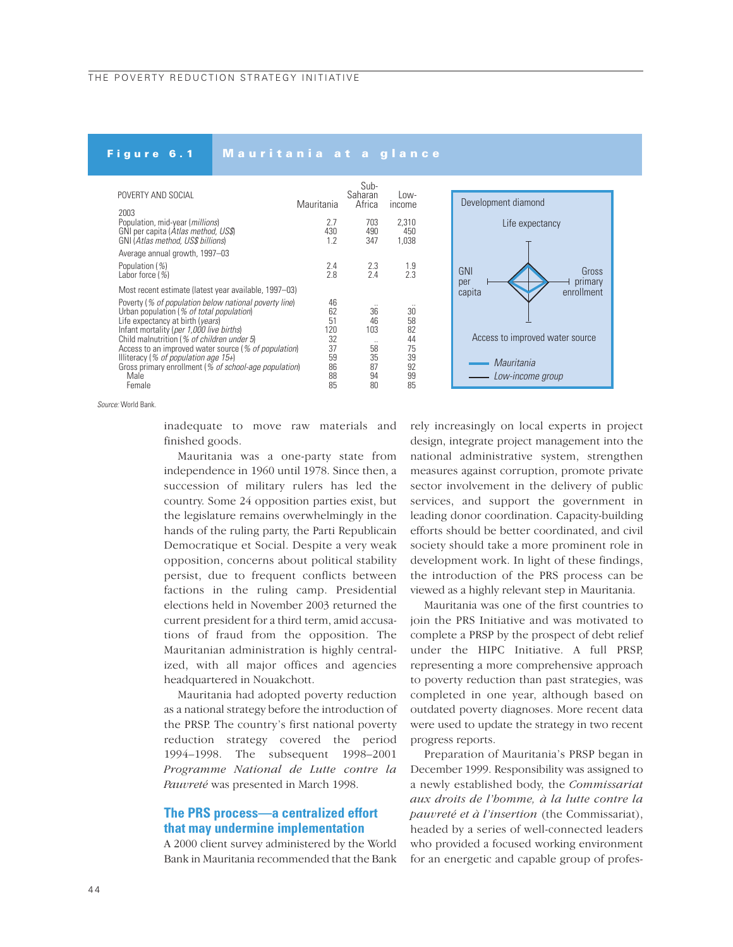# **Figure 6.1 Mauritania at a glance**

|                                                       |            | $Sub-$            |                  |                                        |
|-------------------------------------------------------|------------|-------------------|------------------|----------------------------------------|
| POVERTY AND SOCIAL                                    | Mauritania | Saharan<br>Africa | $Low-$<br>income | Development diamond                    |
| 2003                                                  |            |                   |                  |                                        |
| Population, mid-year ( <i>millions</i> )              | 2.7        | 703               | 2,310            | Life expectancy                        |
| GNI per capita (Atlas method, US\$)                   | 430        | 490               | 450              |                                        |
| GNI (Atlas method, US\$ billions)                     | 1.2        | 347               | 1,038            |                                        |
| Average annual growth, 1997-03                        |            |                   |                  |                                        |
| Population (%)                                        | 2.4        | 2.3               | 1.9              |                                        |
| Labor force (%)                                       | 2.8        | 2.4               | 2.3              | GNI<br>Gross                           |
| Most recent estimate (latest year available, 1997–03) |            |                   |                  | primary<br>per<br>enrollment<br>capita |
| Poverty (% of population below national poverty line) | 46         |                   |                  |                                        |
| Urban population (% of total population)              | 62         | 36                | 30               |                                        |
| Life expectancy at birth (years)                      | 51         | 46                | 58               |                                        |
| Infant mortality (per 1,000 live births)              | 120        | 103               | 82               |                                        |
| Child malnutrition (% of children under 5)            | 32         |                   | 44               | Access to improved water source        |
| Access to an improved water source (% of population)  | 37         | 58                | 75               |                                        |
| Illiteracy (% of population age $15+$ )               | 59         | 35                | 39               | Mauritania                             |
| Gross primary enrollment (% of school-age population) | 86         | 87                | 92               |                                        |
| Male                                                  | 88         | 94                | 99               | Low-income group                       |
| Female                                                | 85         | 80                | 85               |                                        |

Source: World Bank.

inadequate to move raw materials and finished goods.

Mauritania was a one-party state from independence in 1960 until 1978. Since then, a succession of military rulers has led the country. Some 24 opposition parties exist, but the legislature remains overwhelmingly in the hands of the ruling party, the Parti Republicain Democratique et Social. Despite a very weak opposition, concerns about political stability persist, due to frequent conflicts between factions in the ruling camp. Presidential elections held in November 2003 returned the current president for a third term, amid accusations of fraud from the opposition. The Mauritanian administration is highly centralized, with all major offices and agencies headquartered in Nouakchott.

Mauritania had adopted poverty reduction as a national strategy before the introduction of the PRSP. The country's first national poverty reduction strategy covered the period 1994–1998. The subsequent 1998–2001 *Programme National de Lutte contre la Pauvreté* was presented in March 1998.

# **The PRS process—a centralized effort that may undermine implementation**

A 2000 client survey administered by the World Bank in Mauritania recommended that the Bank rely increasingly on local experts in project design, integrate project management into the national administrative system, strengthen measures against corruption, promote private sector involvement in the delivery of public services, and support the government in leading donor coordination. Capacity-building efforts should be better coordinated, and civil society should take a more prominent role in development work. In light of these findings, the introduction of the PRS process can be viewed as a highly relevant step in Mauritania.

Mauritania was one of the first countries to join the PRS Initiative and was motivated to complete a PRSP by the prospect of debt relief under the HIPC Initiative. A full PRSP, representing a more comprehensive approach to poverty reduction than past strategies, was completed in one year, although based on outdated poverty diagnoses. More recent data were used to update the strategy in two recent progress reports.

Preparation of Mauritania's PRSP began in December 1999. Responsibility was assigned to a newly established body, the *Commissariat aux droits de l'homme, à la lutte contre la pauvreté et à l'insertion* (the Commissariat), headed by a series of well-connected leaders who provided a focused working environment for an energetic and capable group of profes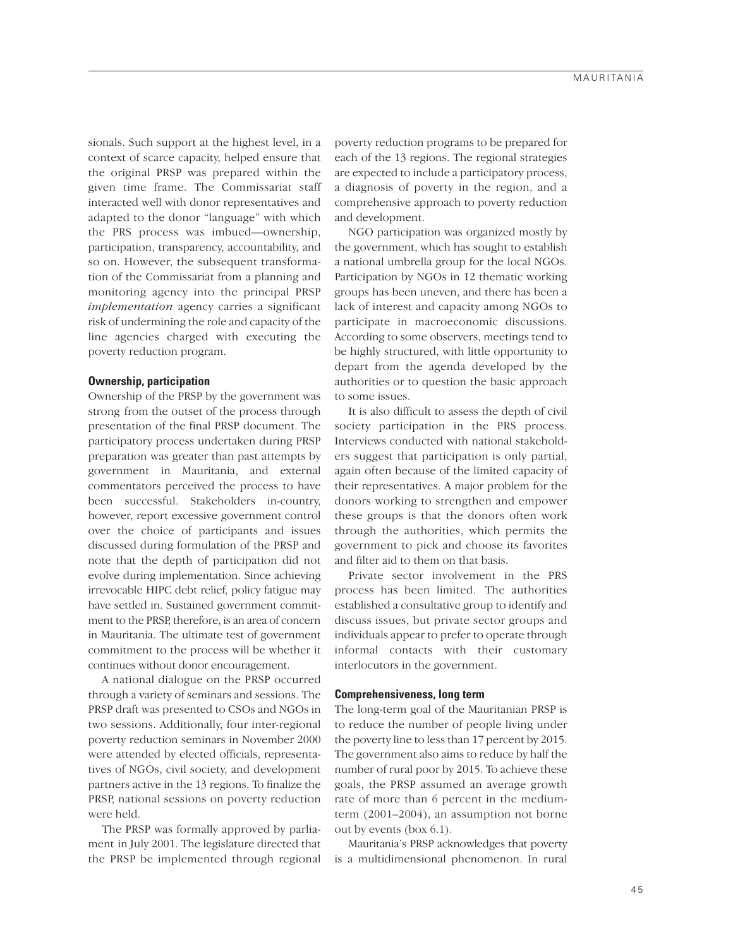sionals. Such support at the highest level, in a context of scarce capacity, helped ensure that the original PRSP was prepared within the given time frame. The Commissariat staff interacted well with donor representatives and adapted to the donor "language" with which the PRS process was imbued—ownership, participation, transparency, accountability, and so on. However, the subsequent transformation of the Commissariat from a planning and monitoring agency into the principal PRSP *implementation* agency carries a significant risk of undermining the role and capacity of the line agencies charged with executing the poverty reduction program.

#### **Ownership, participation**

Ownership of the PRSP by the government was strong from the outset of the process through presentation of the final PRSP document. The participatory process undertaken during PRSP preparation was greater than past attempts by government in Mauritania, and external commentators perceived the process to have been successful. Stakeholders in-country, however, report excessive government control over the choice of participants and issues discussed during formulation of the PRSP and note that the depth of participation did not evolve during implementation. Since achieving irrevocable HIPC debt relief, policy fatigue may have settled in. Sustained government commitment to the PRSP, therefore, is an area of concern in Mauritania. The ultimate test of government commitment to the process will be whether it continues without donor encouragement.

A national dialogue on the PRSP occurred through a variety of seminars and sessions. The PRSP draft was presented to CSOs and NGOs in two sessions. Additionally, four inter-regional poverty reduction seminars in November 2000 were attended by elected officials, representatives of NGOs, civil society, and development partners active in the 13 regions. To finalize the PRSP, national sessions on poverty reduction were held.

The PRSP was formally approved by parliament in July 2001. The legislature directed that the PRSP be implemented through regional poverty reduction programs to be prepared for each of the 13 regions. The regional strategies are expected to include a participatory process, a diagnosis of poverty in the region, and a comprehensive approach to poverty reduction and development.

NGO participation was organized mostly by the government, which has sought to establish a national umbrella group for the local NGOs. Participation by NGOs in 12 thematic working groups has been uneven, and there has been a lack of interest and capacity among NGOs to participate in macroeconomic discussions. According to some observers, meetings tend to be highly structured, with little opportunity to depart from the agenda developed by the authorities or to question the basic approach to some issues.

It is also difficult to assess the depth of civil society participation in the PRS process. Interviews conducted with national stakeholders suggest that participation is only partial, again often because of the limited capacity of their representatives. A major problem for the donors working to strengthen and empower these groups is that the donors often work through the authorities, which permits the government to pick and choose its favorites and filter aid to them on that basis.

Private sector involvement in the PRS process has been limited. The authorities established a consultative group to identify and discuss issues, but private sector groups and individuals appear to prefer to operate through informal contacts with their customary interlocutors in the government.

#### **Comprehensiveness, long term**

The long-term goal of the Mauritanian PRSP is to reduce the number of people living under the poverty line to less than 17 percent by 2015. The government also aims to reduce by half the number of rural poor by 2015. To achieve these goals, the PRSP assumed an average growth rate of more than 6 percent in the mediumterm (2001–2004), an assumption not borne out by events (box 6.1).

Mauritania's PRSP acknowledges that poverty is a multidimensional phenomenon. In rural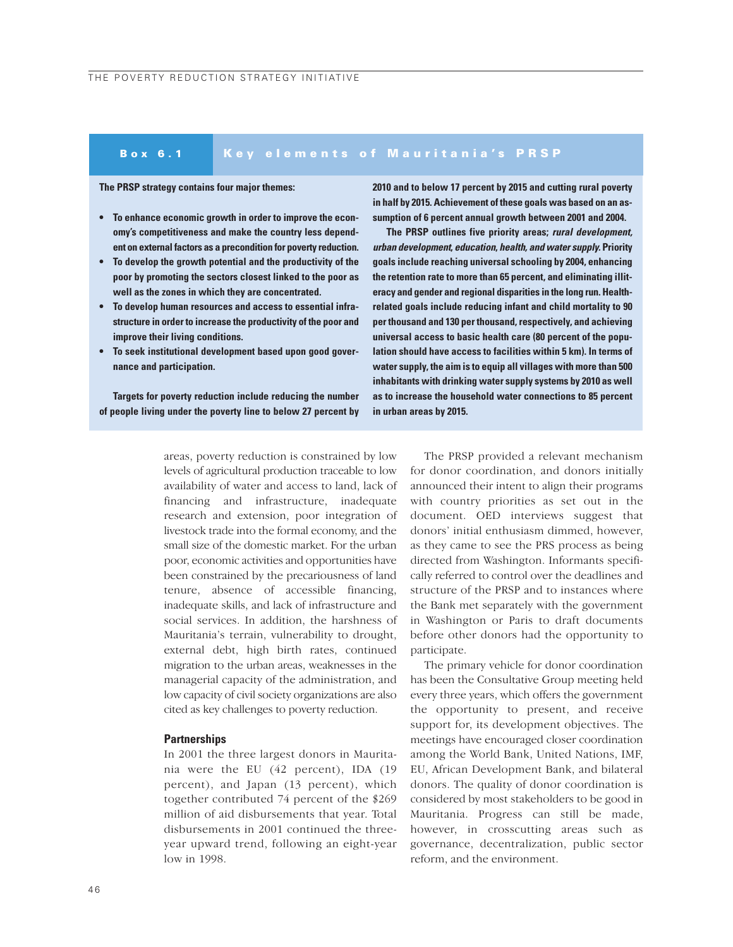# **Box 6.1 Key elements of Mauritania's PRSP**

**The PRSP strategy contains four major themes:** 

- **To enhance economic growth in order to improve the economy's competitiveness and make the country less dependent on external factors as a precondition for poverty reduction.**
- **To develop the growth potential and the productivity of the poor by promoting the sectors closest linked to the poor as well as the zones in which they are concentrated.**
- **To develop human resources and access to essential infrastructure in order to increase the productivity of the poor and improve their living conditions.**
- **To seek institutional development based upon good governance and participation.**

**Targets for poverty reduction include reducing the number of people living under the poverty line to below 27 percent by**

**2010 and to below 17 percent by 2015 and cutting rural poverty in half by 2015. Achievement of these goals was based on an assumption of 6 percent annual growth between 2001 and 2004.**

**The PRSP outlines five priority areas;** *rural development, urban development***,** *education***,** *health, and water supply.* **Priority goals include reaching universal schooling by 2004, enhancing the retention rate to more than 65 percent, and eliminating illiteracy and gender and regional disparities in the long run. Healthrelated goals include reducing infant and child mortality to 90 per thousand and 130 per thousand, respectively, and achieving universal access to basic health care (80 percent of the population should have access to facilities within 5 km). In terms of water supply, the aim is to equip all villages with more than 500 inhabitants with drinking water supply systems by 2010 as well as to increase the household water connections to 85 percent in urban areas by 2015.**

areas, poverty reduction is constrained by low levels of agricultural production traceable to low availability of water and access to land, lack of financing and infrastructure, inadequate research and extension, poor integration of livestock trade into the formal economy, and the small size of the domestic market. For the urban poor, economic activities and opportunities have been constrained by the precariousness of land tenure, absence of accessible financing, inadequate skills, and lack of infrastructure and social services. In addition, the harshness of Mauritania's terrain, vulnerability to drought, external debt, high birth rates, continued migration to the urban areas, weaknesses in the managerial capacity of the administration, and low capacity of civil society organizations are also cited as key challenges to poverty reduction.

#### **Partnerships**

In 2001 the three largest donors in Mauritania were the EU (42 percent), IDA (19 percent), and Japan (13 percent), which together contributed 74 percent of the \$269 million of aid disbursements that year. Total disbursements in 2001 continued the threeyear upward trend, following an eight-year low in 1998.

The PRSP provided a relevant mechanism for donor coordination, and donors initially announced their intent to align their programs with country priorities as set out in the document. OED interviews suggest that donors' initial enthusiasm dimmed, however, as they came to see the PRS process as being directed from Washington. Informants specifically referred to control over the deadlines and structure of the PRSP and to instances where the Bank met separately with the government in Washington or Paris to draft documents before other donors had the opportunity to participate.

The primary vehicle for donor coordination has been the Consultative Group meeting held every three years, which offers the government the opportunity to present, and receive support for, its development objectives. The meetings have encouraged closer coordination among the World Bank, United Nations, IMF, EU, African Development Bank, and bilateral donors. The quality of donor coordination is considered by most stakeholders to be good in Mauritania. Progress can still be made, however, in crosscutting areas such as governance, decentralization, public sector reform, and the environment.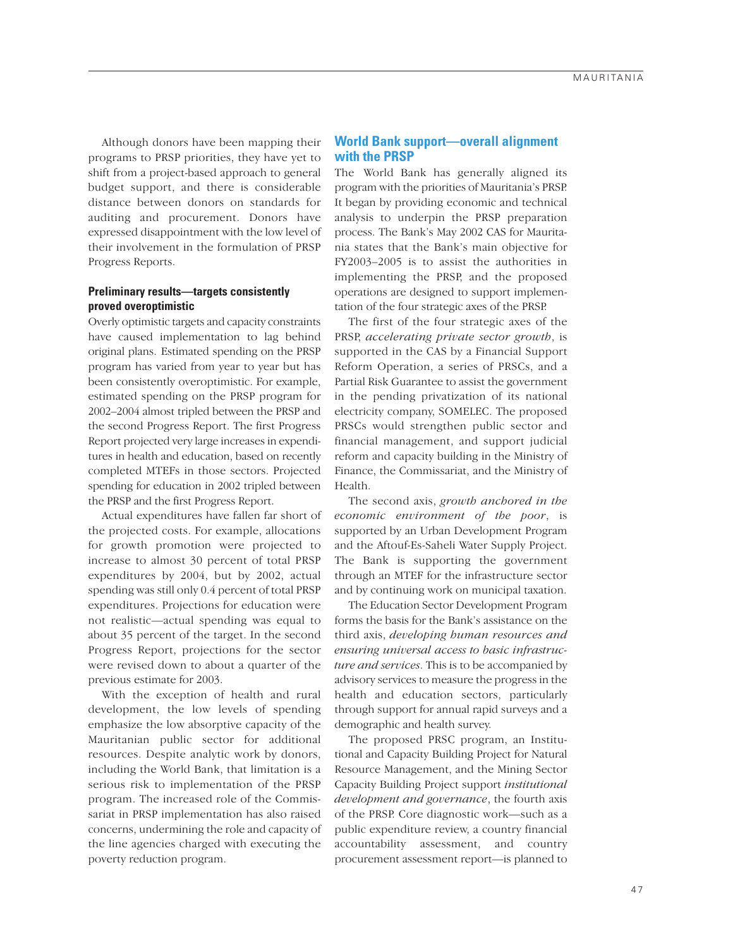Although donors have been mapping their programs to PRSP priorities, they have yet to shift from a project-based approach to general budget support, and there is considerable distance between donors on standards for auditing and procurement. Donors have expressed disappointment with the low level of their involvement in the formulation of PRSP Progress Reports.

# **Preliminary results—targets consistently proved overoptimistic**

Overly optimistic targets and capacity constraints have caused implementation to lag behind original plans. Estimated spending on the PRSP program has varied from year to year but has been consistently overoptimistic. For example, estimated spending on the PRSP program for 2002–2004 almost tripled between the PRSP and the second Progress Report. The first Progress Report projected very large increases in expenditures in health and education, based on recently completed MTEFs in those sectors. Projected spending for education in 2002 tripled between the PRSP and the first Progress Report.

Actual expenditures have fallen far short of the projected costs. For example, allocations for growth promotion were projected to increase to almost 30 percent of total PRSP expenditures by 2004, but by 2002, actual spending was still only 0.4 percent of total PRSP expenditures. Projections for education were not realistic—actual spending was equal to about 35 percent of the target. In the second Progress Report, projections for the sector were revised down to about a quarter of the previous estimate for 2003.

With the exception of health and rural development, the low levels of spending emphasize the low absorptive capacity of the Mauritanian public sector for additional resources. Despite analytic work by donors, including the World Bank, that limitation is a serious risk to implementation of the PRSP program. The increased role of the Commissariat in PRSP implementation has also raised concerns, undermining the role and capacity of the line agencies charged with executing the poverty reduction program.

# **World Bank support—overall alignment with the PRSP**

The World Bank has generally aligned its program with the priorities of Mauritania's PRSP. It began by providing economic and technical analysis to underpin the PRSP preparation process. The Bank's May 2002 CAS for Mauritania states that the Bank's main objective for FY2003–2005 is to assist the authorities in implementing the PRSP, and the proposed operations are designed to support implementation of the four strategic axes of the PRSP.

The first of the four strategic axes of the PRSP, *accelerating private sector growth*, is supported in the CAS by a Financial Support Reform Operation, a series of PRSCs, and a Partial Risk Guarantee to assist the government in the pending privatization of its national electricity company, SOMELEC. The proposed PRSCs would strengthen public sector and financial management, and support judicial reform and capacity building in the Ministry of Finance, the Commissariat, and the Ministry of Health.

The second axis, *growth anchored in the economic environment of the poor*, is supported by an Urban Development Program and the Aftouf-Es-Saheli Water Supply Project. The Bank is supporting the government through an MTEF for the infrastructure sector and by continuing work on municipal taxation.

The Education Sector Development Program forms the basis for the Bank's assistance on the third axis, *developing human resources and ensuring universal access to basic infrastructure and services*. This is to be accompanied by advisory services to measure the progress in the health and education sectors, particularly through support for annual rapid surveys and a demographic and health survey.

The proposed PRSC program, an Institutional and Capacity Building Project for Natural Resource Management, and the Mining Sector Capacity Building Project support *institutional development and governance*, the fourth axis of the PRSP. Core diagnostic work—such as a public expenditure review, a country financial accountability assessment, and country procurement assessment report—is planned to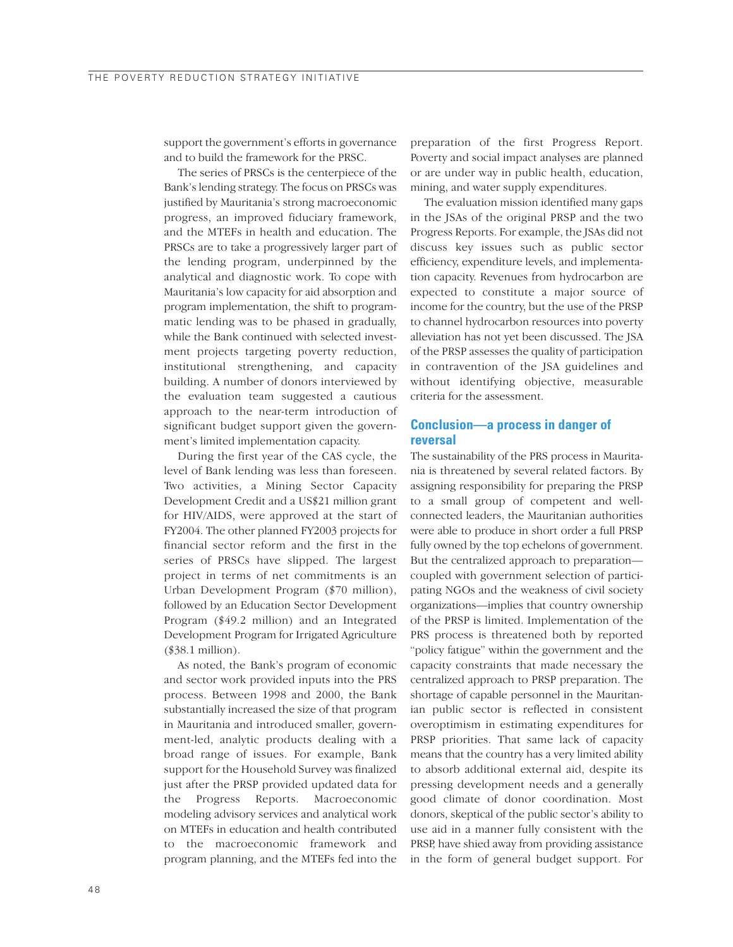support the government's efforts in governance and to build the framework for the PRSC.

The series of PRSCs is the centerpiece of the Bank's lending strategy. The focus on PRSCs was justified by Mauritania's strong macroeconomic progress, an improved fiduciary framework, and the MTEFs in health and education. The PRSCs are to take a progressively larger part of the lending program, underpinned by the analytical and diagnostic work. To cope with Mauritania's low capacity for aid absorption and program implementation, the shift to programmatic lending was to be phased in gradually, while the Bank continued with selected investment projects targeting poverty reduction, institutional strengthening, and capacity building. A number of donors interviewed by the evaluation team suggested a cautious approach to the near-term introduction of significant budget support given the government's limited implementation capacity.

During the first year of the CAS cycle, the level of Bank lending was less than foreseen. Two activities, a Mining Sector Capacity Development Credit and a US\$21 million grant for HIV/AIDS, were approved at the start of FY2004. The other planned FY2003 projects for financial sector reform and the first in the series of PRSCs have slipped. The largest project in terms of net commitments is an Urban Development Program (\$70 million), followed by an Education Sector Development Program (\$49.2 million) and an Integrated Development Program for Irrigated Agriculture (\$38.1 million).

As noted, the Bank's program of economic and sector work provided inputs into the PRS process. Between 1998 and 2000, the Bank substantially increased the size of that program in Mauritania and introduced smaller, government-led, analytic products dealing with a broad range of issues. For example, Bank support for the Household Survey was finalized just after the PRSP provided updated data for the Progress Reports. Macroeconomic modeling advisory services and analytical work on MTEFs in education and health contributed to the macroeconomic framework and program planning, and the MTEFs fed into the

preparation of the first Progress Report. Poverty and social impact analyses are planned or are under way in public health, education, mining, and water supply expenditures.

The evaluation mission identified many gaps in the JSAs of the original PRSP and the two Progress Reports. For example, the JSAs did not discuss key issues such as public sector efficiency, expenditure levels, and implementation capacity. Revenues from hydrocarbon are expected to constitute a major source of income for the country, but the use of the PRSP to channel hydrocarbon resources into poverty alleviation has not yet been discussed. The JSA of the PRSP assesses the quality of participation in contravention of the JSA guidelines and without identifying objective, measurable criteria for the assessment.

# **Conclusion—a process in danger of reversal**

The sustainability of the PRS process in Mauritania is threatened by several related factors. By assigning responsibility for preparing the PRSP to a small group of competent and wellconnected leaders, the Mauritanian authorities were able to produce in short order a full PRSP fully owned by the top echelons of government. But the centralized approach to preparation coupled with government selection of participating NGOs and the weakness of civil society organizations—implies that country ownership of the PRSP is limited. Implementation of the PRS process is threatened both by reported "policy fatigue" within the government and the capacity constraints that made necessary the centralized approach to PRSP preparation. The shortage of capable personnel in the Mauritanian public sector is reflected in consistent overoptimism in estimating expenditures for PRSP priorities. That same lack of capacity means that the country has a very limited ability to absorb additional external aid, despite its pressing development needs and a generally good climate of donor coordination. Most donors, skeptical of the public sector's ability to use aid in a manner fully consistent with the PRSP, have shied away from providing assistance in the form of general budget support. For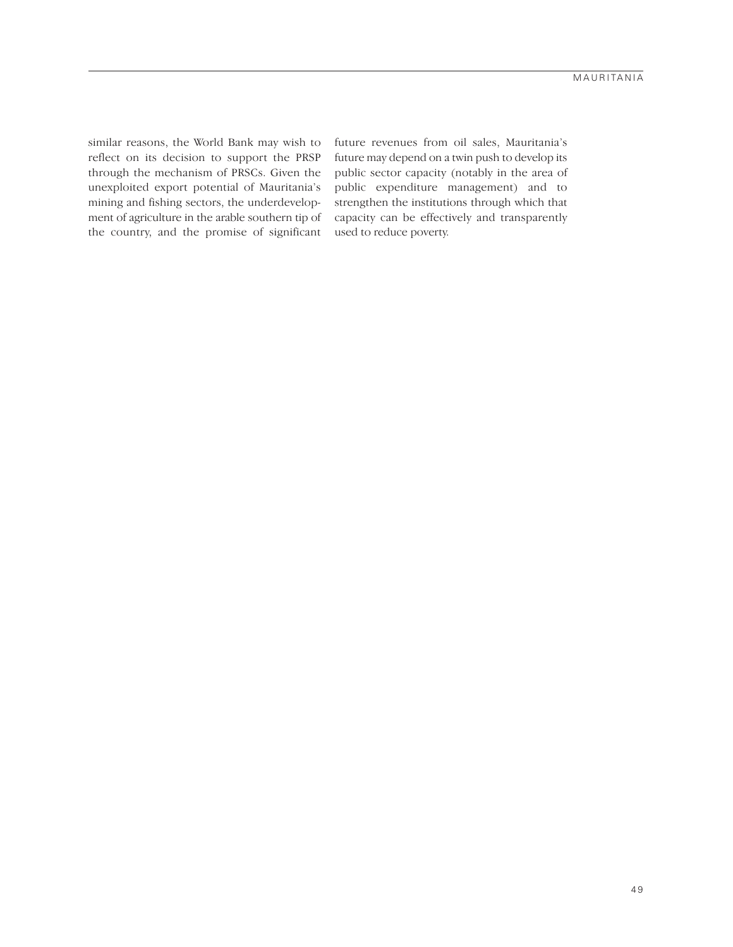similar reasons, the World Bank may wish to reflect on its decision to support the PRSP through the mechanism of PRSCs. Given the unexploited export potential of Mauritania's mining and fishing sectors, the underdevelopment of agriculture in the arable southern tip of the country, and the promise of significant future revenues from oil sales, Mauritania's future may depend on a twin push to develop its public sector capacity (notably in the area of public expenditure management) and to strengthen the institutions through which that capacity can be effectively and transparently used to reduce poverty.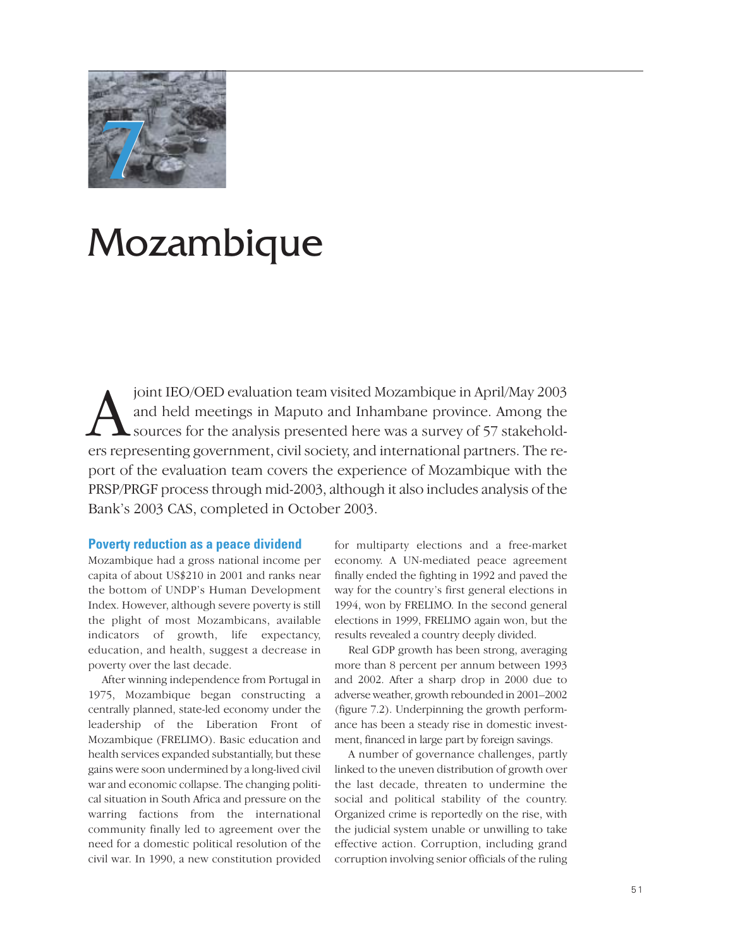

# Mozambique

joint IEO/OED evaluation team visited Mozambique in April/May 2003<br>and held meetings in Maputo and Inhambane province. Among the<br>sources for the analysis presented here was a survey of 57 stakehold-<br>ers representing govern and held meetings in Maputo and Inhambane province. Among the sources for the analysis presented here was a survey of 57 stakeholders representing government, civil society, and international partners. The report of the evaluation team covers the experience of Mozambique with the PRSP/PRGF process through mid-2003, although it also includes analysis of the Bank's 2003 CAS, completed in October 2003.

#### **Poverty reduction as a peace dividend**

Mozambique had a gross national income per capita of about US\$210 in 2001 and ranks near the bottom of UNDP's Human Development Index. However, although severe poverty is still the plight of most Mozambicans, available indicators of growth, life expectancy, education, and health, suggest a decrease in poverty over the last decade.

After winning independence from Portugal in 1975, Mozambique began constructing a centrally planned, state-led economy under the leadership of the Liberation Front of Mozambique (FRELIMO). Basic education and health services expanded substantially, but these gains were soon undermined by a long-lived civil war and economic collapse. The changing political situation in South Africa and pressure on the warring factions from the international community finally led to agreement over the need for a domestic political resolution of the civil war. In 1990, a new constitution provided

for multiparty elections and a free-market economy. A UN-mediated peace agreement finally ended the fighting in 1992 and paved the way for the country's first general elections in 1994, won by FRELIMO. In the second general elections in 1999, FRELIMO again won, but the results revealed a country deeply divided.

Real GDP growth has been strong, averaging more than 8 percent per annum between 1993 and 2002. After a sharp drop in 2000 due to adverse weather, growth rebounded in 2001–2002 (figure 7.2). Underpinning the growth performance has been a steady rise in domestic investment, financed in large part by foreign savings.

A number of governance challenges, partly linked to the uneven distribution of growth over the last decade, threaten to undermine the social and political stability of the country. Organized crime is reportedly on the rise, with the judicial system unable or unwilling to take effective action. Corruption, including grand corruption involving senior officials of the ruling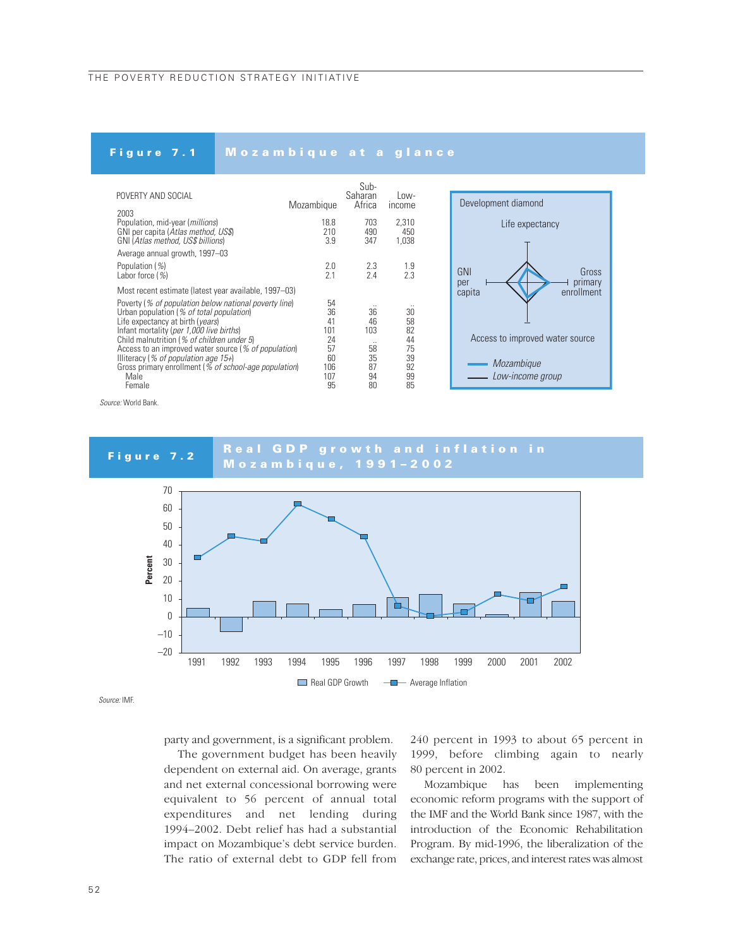### THE POVERTY REDUCTION STRATEGY INITIATIVE

## **Figure 7.1 Mozambique at a glance**

| POVERTY AND SOCIAL                                                                                                                                                                                                                                                                                                                                                                                            | Mozambique                                                  | Sub-<br>Saharan<br>Africa                                             | $Low-$<br>income                                   | Development diamond                                                         |
|---------------------------------------------------------------------------------------------------------------------------------------------------------------------------------------------------------------------------------------------------------------------------------------------------------------------------------------------------------------------------------------------------------------|-------------------------------------------------------------|-----------------------------------------------------------------------|----------------------------------------------------|-----------------------------------------------------------------------------|
| 2003<br>Population, mid-year ( <i>millions</i> )<br>GNI per capita (Atlas method, US\$)<br>GNI (Atlas method, US\$ billions)                                                                                                                                                                                                                                                                                  | 18.8<br>210<br>3.9                                          | 703<br>490<br>347                                                     | 2.310<br>450<br>1.038                              | Life expectancy                                                             |
| Average annual growth, 1997-03<br>Population (%)<br>Labor force (%)<br>Most recent estimate (latest year available, 1997–03)                                                                                                                                                                                                                                                                                  | 2.0<br>2.1                                                  | 2.3<br>2.4                                                            | 1.9<br>2.3                                         | GNI<br>Gross<br>primary<br>per<br>enrollment                                |
| Poverty (% of population below national poverty line)<br>Urban population (% of total population)<br>Life expectancy at birth (years)<br>Infant mortality (per 1,000 live births)<br>Child malnutrition (% of children under 5)<br>Access to an improved water source (% of population)<br>Illiteracy (% of population age $15+$ )<br>Gross primary enrollment (% of school-age population)<br>Male<br>Female | 54<br>36<br>41<br>101<br>24<br>57<br>60<br>106<br>107<br>95 | 36<br>46<br>103<br>$\ddot{\phantom{0}}$<br>58<br>35<br>87<br>94<br>80 | 30<br>58<br>82<br>44<br>75<br>39<br>92<br>99<br>85 | capita<br>Access to improved water source<br>Mozambique<br>Low-income group |

Source: World Bank.

# **Real GDP growth and inflation in Mozambique, 1991–2002 Figure 7.2**



Source: IMF.

party and government, is a significant problem.

The government budget has been heavily dependent on external aid. On average, grants and net external concessional borrowing were equivalent to 56 percent of annual total expenditures and net lending during 1994–2002. Debt relief has had a substantial impact on Mozambique's debt service burden. The ratio of external debt to GDP fell from

240 percent in 1993 to about 65 percent in 1999, before climbing again to nearly 80 percent in 2002.

Mozambique has been implementing economic reform programs with the support of the IMF and the World Bank since 1987, with the introduction of the Economic Rehabilitation Program. By mid-1996, the liberalization of the exchange rate, prices, and interest rates was almost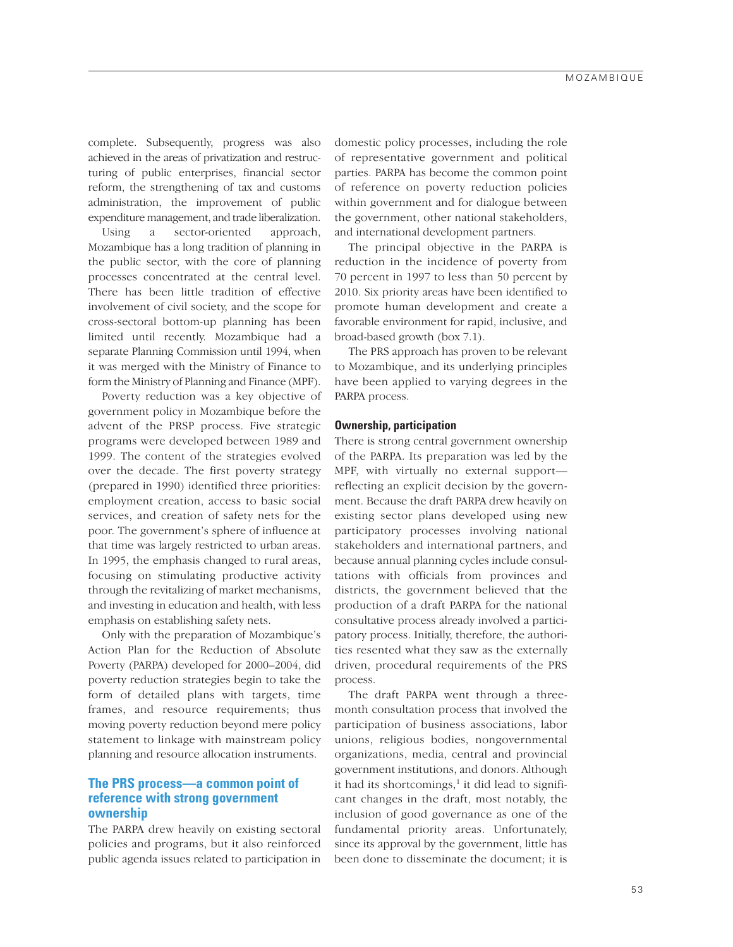complete. Subsequently, progress was also achieved in the areas of privatization and restructuring of public enterprises, financial sector reform, the strengthening of tax and customs administration, the improvement of public expenditure management, and trade liberalization.

Using a sector-oriented approach, Mozambique has a long tradition of planning in the public sector, with the core of planning processes concentrated at the central level. There has been little tradition of effective involvement of civil society, and the scope for cross-sectoral bottom-up planning has been limited until recently. Mozambique had a separate Planning Commission until 1994, when it was merged with the Ministry of Finance to form the Ministry of Planning and Finance (MPF).

Poverty reduction was a key objective of government policy in Mozambique before the advent of the PRSP process. Five strategic programs were developed between 1989 and 1999. The content of the strategies evolved over the decade. The first poverty strategy (prepared in 1990) identified three priorities: employment creation, access to basic social services, and creation of safety nets for the poor. The government's sphere of influence at that time was largely restricted to urban areas. In 1995, the emphasis changed to rural areas, focusing on stimulating productive activity through the revitalizing of market mechanisms, and investing in education and health, with less emphasis on establishing safety nets.

Only with the preparation of Mozambique's Action Plan for the Reduction of Absolute Poverty (PARPA) developed for 2000–2004, did poverty reduction strategies begin to take the form of detailed plans with targets, time frames, and resource requirements; thus moving poverty reduction beyond mere policy statement to linkage with mainstream policy planning and resource allocation instruments.

# **The PRS process—a common point of reference with strong government ownership**

The PARPA drew heavily on existing sectoral policies and programs, but it also reinforced public agenda issues related to participation in domestic policy processes, including the role of representative government and political parties. PARPA has become the common point of reference on poverty reduction policies within government and for dialogue between the government, other national stakeholders, and international development partners.

The principal objective in the PARPA is reduction in the incidence of poverty from 70 percent in 1997 to less than 50 percent by 2010. Six priority areas have been identified to promote human development and create a favorable environment for rapid, inclusive, and broad-based growth (box 7.1).

The PRS approach has proven to be relevant to Mozambique, and its underlying principles have been applied to varying degrees in the PARPA process.

#### **Ownership, participation**

There is strong central government ownership of the PARPA. Its preparation was led by the MPF, with virtually no external support reflecting an explicit decision by the government. Because the draft PARPA drew heavily on existing sector plans developed using new participatory processes involving national stakeholders and international partners, and because annual planning cycles include consultations with officials from provinces and districts, the government believed that the production of a draft PARPA for the national consultative process already involved a participatory process. Initially, therefore, the authorities resented what they saw as the externally driven, procedural requirements of the PRS process.

The draft PARPA went through a threemonth consultation process that involved the participation of business associations, labor unions, religious bodies, nongovernmental organizations, media, central and provincial government institutions, and donors. Although it had its shortcomings, $<sup>1</sup>$  it did lead to signifi-</sup> cant changes in the draft, most notably, the inclusion of good governance as one of the fundamental priority areas. Unfortunately, since its approval by the government, little has been done to disseminate the document; it is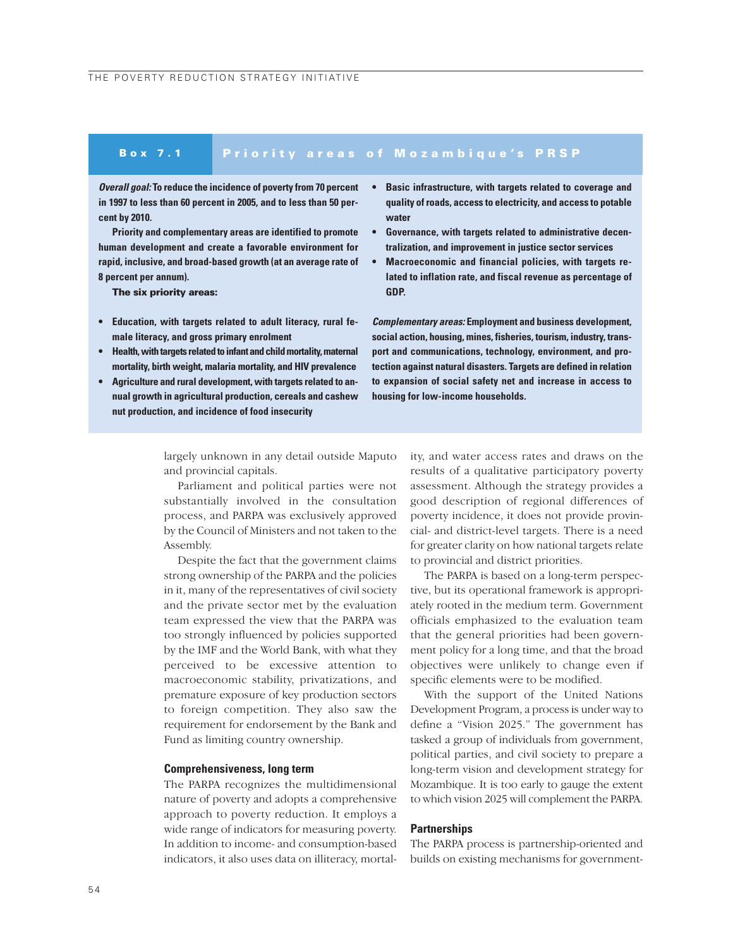# **Box 7.1 Priority areas of Mozambique's PRSP**

*Overall goal:* **To reduce the incidence of poverty from 70 percent in 1997 to less than 60 percent in 2005, and to less than 50 percent by 2010.**

**Priority and complementary areas are identified to promote human development and create a favorable environment for rapid, inclusive, and broad-based growth (at an average rate of 8 percent per annum).** 

**The six priority areas:**

- **Education, with targets related to adult literacy, rural female literacy, and gross primary enrolment**
- **Health, with targets related to infant and child mortality, maternal mortality, birth weight, malaria mortality, and HIV prevalence**
- **Agriculture and rural development, with targets related to annual growth in agricultural production, cereals and cashew nut production, and incidence of food insecurity**
- **Basic infrastructure, with targets related to coverage and quality of roads, access to electricity, and access to potable water**
- **Governance, with targets related to administrative decentralization, and improvement in justice sector services**
- **Macroeconomic and financial policies, with targets related to inflation rate, and fiscal revenue as percentage of GDP.**

*Complementary areas:* **Employment and business development, social action, housing, mines, fisheries, tourism, industry, transport and communications, technology, environment, and protection against natural disasters. Targets are defined in relation to expansion of social safety net and increase in access to housing for low-income households.**

largely unknown in any detail outside Maputo and provincial capitals.

Parliament and political parties were not substantially involved in the consultation process, and PARPA was exclusively approved by the Council of Ministers and not taken to the Assembly.

Despite the fact that the government claims strong ownership of the PARPA and the policies in it, many of the representatives of civil society and the private sector met by the evaluation team expressed the view that the PARPA was too strongly influenced by policies supported by the IMF and the World Bank, with what they perceived to be excessive attention to macroeconomic stability, privatizations, and premature exposure of key production sectors to foreign competition. They also saw the requirement for endorsement by the Bank and Fund as limiting country ownership.

#### **Comprehensiveness, long term**

The PARPA recognizes the multidimensional nature of poverty and adopts a comprehensive approach to poverty reduction. It employs a wide range of indicators for measuring poverty. In addition to income- and consumption-based indicators, it also uses data on illiteracy, mortality, and water access rates and draws on the results of a qualitative participatory poverty assessment. Although the strategy provides a good description of regional differences of poverty incidence, it does not provide provincial- and district-level targets. There is a need for greater clarity on how national targets relate to provincial and district priorities.

The PARPA is based on a long-term perspective, but its operational framework is appropriately rooted in the medium term. Government officials emphasized to the evaluation team that the general priorities had been government policy for a long time, and that the broad objectives were unlikely to change even if specific elements were to be modified.

With the support of the United Nations Development Program, a process is under way to define a "Vision 2025." The government has tasked a group of individuals from government, political parties, and civil society to prepare a long-term vision and development strategy for Mozambique. It is too early to gauge the extent to which vision 2025 will complement the PARPA.

#### **Partnerships**

The PARPA process is partnership-oriented and builds on existing mechanisms for government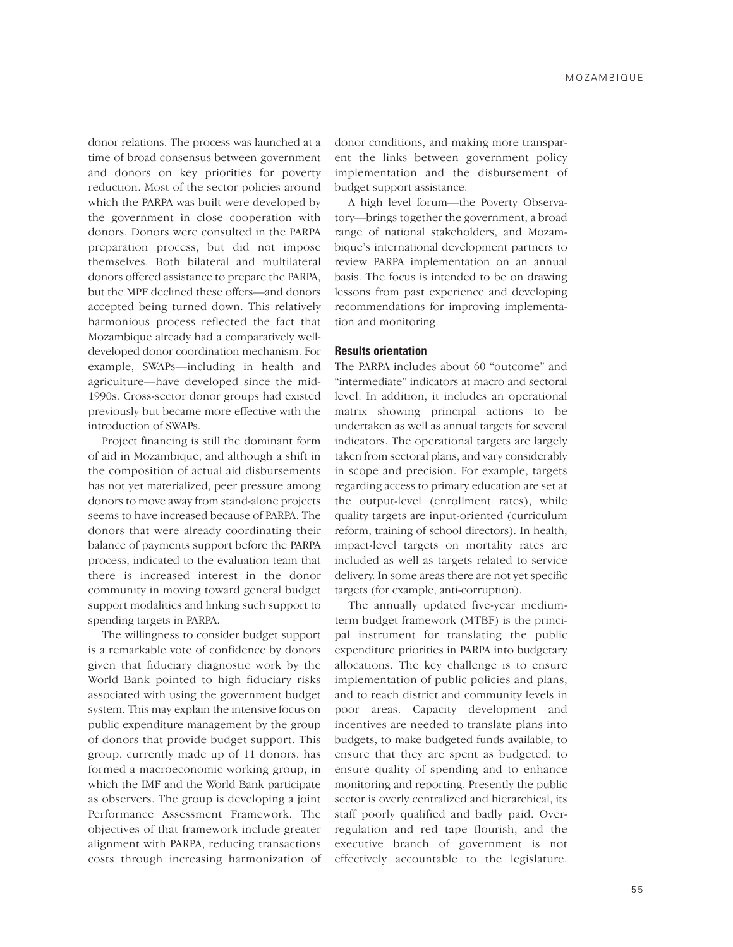donor relations. The process was launched at a time of broad consensus between government and donors on key priorities for poverty reduction. Most of the sector policies around which the PARPA was built were developed by the government in close cooperation with donors. Donors were consulted in the PARPA preparation process, but did not impose themselves. Both bilateral and multilateral donors offered assistance to prepare the PARPA, but the MPF declined these offers—and donors accepted being turned down. This relatively harmonious process reflected the fact that Mozambique already had a comparatively welldeveloped donor coordination mechanism. For example, SWAPs—including in health and agriculture—have developed since the mid-1990s. Cross-sector donor groups had existed previously but became more effective with the introduction of SWAPs.

Project financing is still the dominant form of aid in Mozambique, and although a shift in the composition of actual aid disbursements has not yet materialized, peer pressure among donors to move away from stand-alone projects seems to have increased because of PARPA. The donors that were already coordinating their balance of payments support before the PARPA process, indicated to the evaluation team that there is increased interest in the donor community in moving toward general budget support modalities and linking such support to spending targets in PARPA.

The willingness to consider budget support is a remarkable vote of confidence by donors given that fiduciary diagnostic work by the World Bank pointed to high fiduciary risks associated with using the government budget system. This may explain the intensive focus on public expenditure management by the group of donors that provide budget support. This group, currently made up of 11 donors, has formed a macroeconomic working group, in which the IMF and the World Bank participate as observers. The group is developing a joint Performance Assessment Framework. The objectives of that framework include greater alignment with PARPA, reducing transactions costs through increasing harmonization of donor conditions, and making more transparent the links between government policy implementation and the disbursement of budget support assistance.

A high level forum—the Poverty Observatory—brings together the government, a broad range of national stakeholders, and Mozambique's international development partners to review PARPA implementation on an annual basis. The focus is intended to be on drawing lessons from past experience and developing recommendations for improving implementation and monitoring.

### **Results orientation**

The PARPA includes about 60 "outcome" and "intermediate" indicators at macro and sectoral level. In addition, it includes an operational matrix showing principal actions to be undertaken as well as annual targets for several indicators. The operational targets are largely taken from sectoral plans, and vary considerably in scope and precision. For example, targets regarding access to primary education are set at the output-level (enrollment rates), while quality targets are input-oriented (curriculum reform, training of school directors). In health, impact-level targets on mortality rates are included as well as targets related to service delivery. In some areas there are not yet specific targets (for example, anti-corruption).

The annually updated five-year mediumterm budget framework (MTBF) is the principal instrument for translating the public expenditure priorities in PARPA into budgetary allocations. The key challenge is to ensure implementation of public policies and plans, and to reach district and community levels in poor areas. Capacity development and incentives are needed to translate plans into budgets, to make budgeted funds available, to ensure that they are spent as budgeted, to ensure quality of spending and to enhance monitoring and reporting. Presently the public sector is overly centralized and hierarchical, its staff poorly qualified and badly paid. Overregulation and red tape flourish, and the executive branch of government is not effectively accountable to the legislature.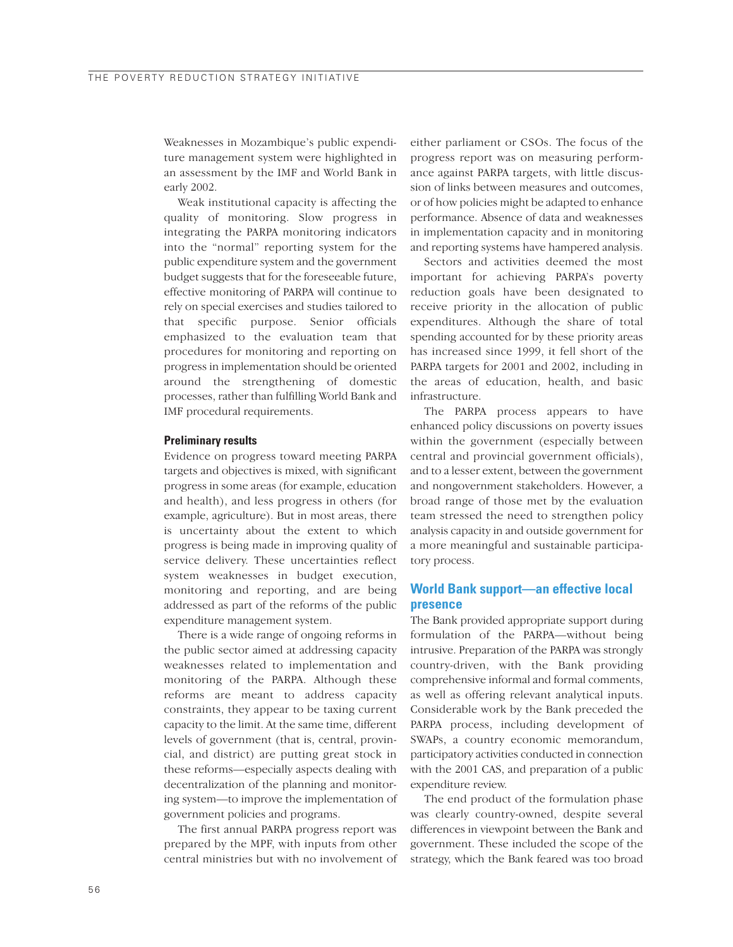Weaknesses in Mozambique's public expenditure management system were highlighted in an assessment by the IMF and World Bank in early 2002.

Weak institutional capacity is affecting the quality of monitoring. Slow progress in integrating the PARPA monitoring indicators into the "normal" reporting system for the public expenditure system and the government budget suggests that for the foreseeable future, effective monitoring of PARPA will continue to rely on special exercises and studies tailored to that specific purpose. Senior officials emphasized to the evaluation team that procedures for monitoring and reporting on progress in implementation should be oriented around the strengthening of domestic processes, rather than fulfilling World Bank and IMF procedural requirements.

#### **Preliminary results**

Evidence on progress toward meeting PARPA targets and objectives is mixed, with significant progress in some areas (for example, education and health), and less progress in others (for example, agriculture). But in most areas, there is uncertainty about the extent to which progress is being made in improving quality of service delivery. These uncertainties reflect system weaknesses in budget execution, monitoring and reporting, and are being addressed as part of the reforms of the public expenditure management system.

There is a wide range of ongoing reforms in the public sector aimed at addressing capacity weaknesses related to implementation and monitoring of the PARPA. Although these reforms are meant to address capacity constraints, they appear to be taxing current capacity to the limit. At the same time, different levels of government (that is, central, provincial, and district) are putting great stock in these reforms—especially aspects dealing with decentralization of the planning and monitoring system—to improve the implementation of government policies and programs.

The first annual PARPA progress report was prepared by the MPF, with inputs from other central ministries but with no involvement of either parliament or CSOs. The focus of the progress report was on measuring performance against PARPA targets, with little discussion of links between measures and outcomes, or of how policies might be adapted to enhance performance. Absence of data and weaknesses in implementation capacity and in monitoring and reporting systems have hampered analysis.

Sectors and activities deemed the most important for achieving PARPA's poverty reduction goals have been designated to receive priority in the allocation of public expenditures. Although the share of total spending accounted for by these priority areas has increased since 1999, it fell short of the PARPA targets for 2001 and 2002, including in the areas of education, health, and basic infrastructure.

The PARPA process appears to have enhanced policy discussions on poverty issues within the government (especially between central and provincial government officials), and to a lesser extent, between the government and nongovernment stakeholders. However, a broad range of those met by the evaluation team stressed the need to strengthen policy analysis capacity in and outside government for a more meaningful and sustainable participatory process.

# **World Bank support—an effective local presence**

The Bank provided appropriate support during formulation of the PARPA—without being intrusive. Preparation of the PARPA was strongly country-driven, with the Bank providing comprehensive informal and formal comments, as well as offering relevant analytical inputs. Considerable work by the Bank preceded the PARPA process, including development of SWAPs, a country economic memorandum, participatory activities conducted in connection with the 2001 CAS, and preparation of a public expenditure review.

The end product of the formulation phase was clearly country-owned, despite several differences in viewpoint between the Bank and government. These included the scope of the strategy, which the Bank feared was too broad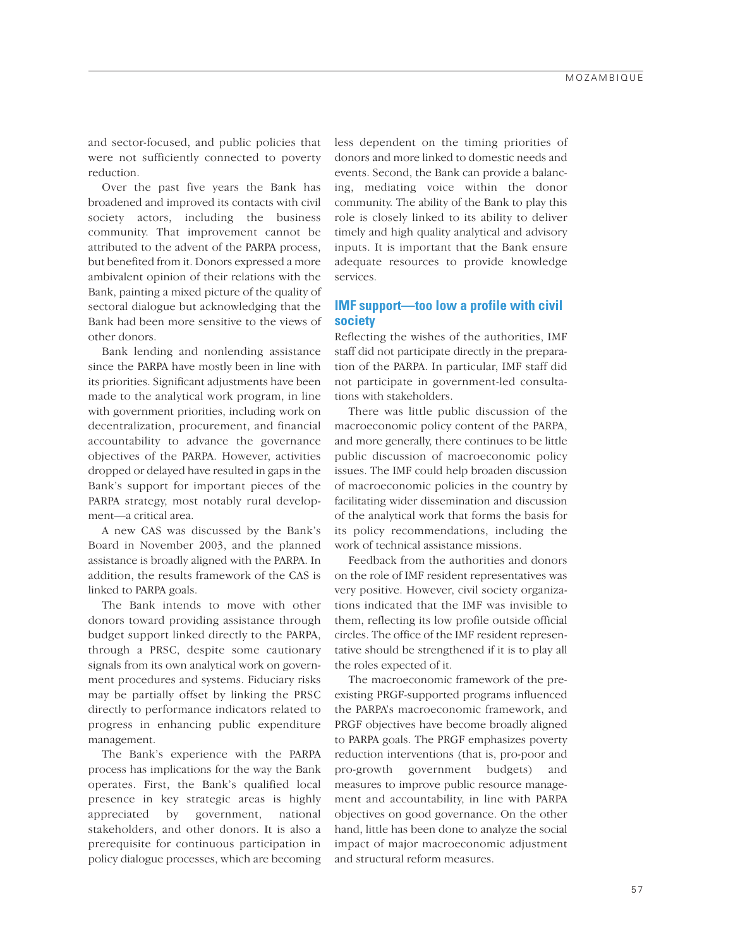and sector-focused, and public policies that were not sufficiently connected to poverty reduction.

Over the past five years the Bank has broadened and improved its contacts with civil society actors, including the business community. That improvement cannot be attributed to the advent of the PARPA process, but benefited from it. Donors expressed a more ambivalent opinion of their relations with the Bank, painting a mixed picture of the quality of sectoral dialogue but acknowledging that the Bank had been more sensitive to the views of other donors.

Bank lending and nonlending assistance since the PARPA have mostly been in line with its priorities. Significant adjustments have been made to the analytical work program, in line with government priorities, including work on decentralization, procurement, and financial accountability to advance the governance objectives of the PARPA. However, activities dropped or delayed have resulted in gaps in the Bank's support for important pieces of the PARPA strategy, most notably rural development—a critical area.

A new CAS was discussed by the Bank's Board in November 2003, and the planned assistance is broadly aligned with the PARPA. In addition, the results framework of the CAS is linked to PARPA goals.

The Bank intends to move with other donors toward providing assistance through budget support linked directly to the PARPA, through a PRSC, despite some cautionary signals from its own analytical work on government procedures and systems. Fiduciary risks may be partially offset by linking the PRSC directly to performance indicators related to progress in enhancing public expenditure management.

The Bank's experience with the PARPA process has implications for the way the Bank operates. First, the Bank's qualified local presence in key strategic areas is highly appreciated by government, national stakeholders, and other donors. It is also a prerequisite for continuous participation in policy dialogue processes, which are becoming less dependent on the timing priorities of donors and more linked to domestic needs and events. Second, the Bank can provide a balancing, mediating voice within the donor community. The ability of the Bank to play this role is closely linked to its ability to deliver timely and high quality analytical and advisory inputs. It is important that the Bank ensure adequate resources to provide knowledge services.

# **IMF support—too low a profile with civil society**

Reflecting the wishes of the authorities, IMF staff did not participate directly in the preparation of the PARPA. In particular, IMF staff did not participate in government-led consultations with stakeholders.

There was little public discussion of the macroeconomic policy content of the PARPA, and more generally, there continues to be little public discussion of macroeconomic policy issues. The IMF could help broaden discussion of macroeconomic policies in the country by facilitating wider dissemination and discussion of the analytical work that forms the basis for its policy recommendations, including the work of technical assistance missions.

Feedback from the authorities and donors on the role of IMF resident representatives was very positive. However, civil society organizations indicated that the IMF was invisible to them, reflecting its low profile outside official circles. The office of the IMF resident representative should be strengthened if it is to play all the roles expected of it.

The macroeconomic framework of the preexisting PRGF-supported programs influenced the PARPA's macroeconomic framework, and PRGF objectives have become broadly aligned to PARPA goals. The PRGF emphasizes poverty reduction interventions (that is, pro-poor and pro-growth government budgets) and measures to improve public resource management and accountability, in line with PARPA objectives on good governance. On the other hand, little has been done to analyze the social impact of major macroeconomic adjustment and structural reform measures.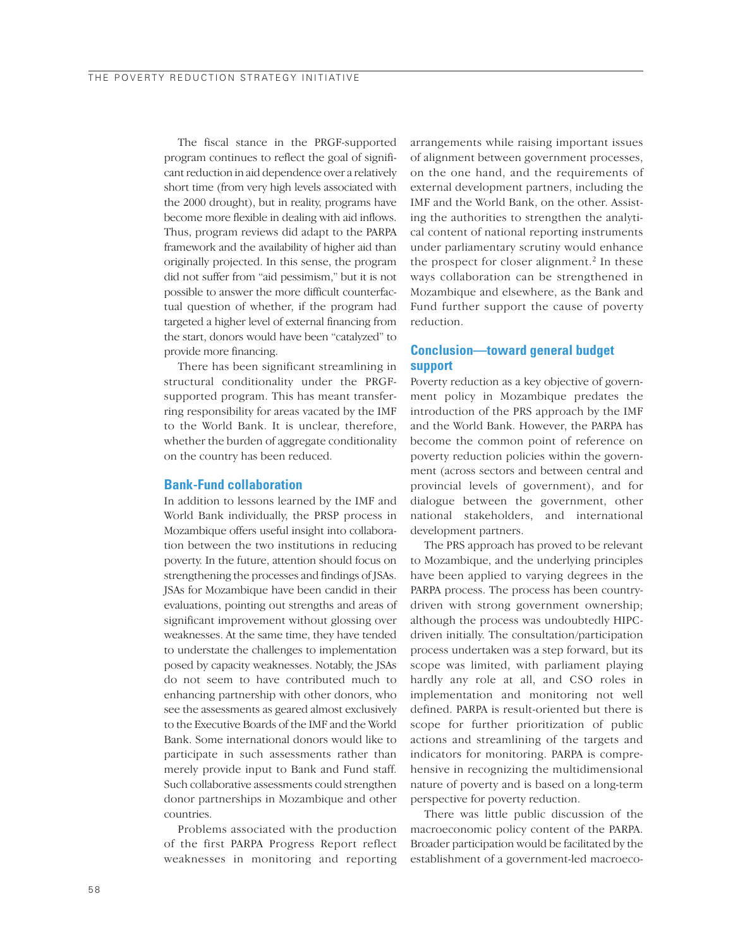The fiscal stance in the PRGF-supported program continues to reflect the goal of significant reduction in aid dependence over a relatively short time (from very high levels associated with the 2000 drought), but in reality, programs have become more flexible in dealing with aid inflows. Thus, program reviews did adapt to the PARPA framework and the availability of higher aid than originally projected. In this sense, the program did not suffer from "aid pessimism," but it is not possible to answer the more difficult counterfactual question of whether, if the program had targeted a higher level of external financing from the start, donors would have been "catalyzed" to provide more financing.

There has been significant streamlining in structural conditionality under the PRGFsupported program. This has meant transferring responsibility for areas vacated by the IMF to the World Bank. It is unclear, therefore, whether the burden of aggregate conditionality on the country has been reduced.

#### **Bank-Fund collaboration**

In addition to lessons learned by the IMF and World Bank individually, the PRSP process in Mozambique offers useful insight into collaboration between the two institutions in reducing poverty. In the future, attention should focus on strengthening the processes and findings of JSAs. JSAs for Mozambique have been candid in their evaluations, pointing out strengths and areas of significant improvement without glossing over weaknesses. At the same time, they have tended to understate the challenges to implementation posed by capacity weaknesses. Notably, the JSAs do not seem to have contributed much to enhancing partnership with other donors, who see the assessments as geared almost exclusively to the Executive Boards of the IMF and the World Bank. Some international donors would like to participate in such assessments rather than merely provide input to Bank and Fund staff. Such collaborative assessments could strengthen donor partnerships in Mozambique and other countries.

Problems associated with the production of the first PARPA Progress Report reflect weaknesses in monitoring and reporting arrangements while raising important issues of alignment between government processes, on the one hand, and the requirements of external development partners, including the IMF and the World Bank, on the other. Assisting the authorities to strengthen the analytical content of national reporting instruments under parliamentary scrutiny would enhance the prospect for closer alignment.<sup>2</sup> In these ways collaboration can be strengthened in Mozambique and elsewhere, as the Bank and Fund further support the cause of poverty reduction.

# **Conclusion—toward general budget support**

Poverty reduction as a key objective of government policy in Mozambique predates the introduction of the PRS approach by the IMF and the World Bank. However, the PARPA has become the common point of reference on poverty reduction policies within the government (across sectors and between central and provincial levels of government), and for dialogue between the government, other national stakeholders, and international development partners.

The PRS approach has proved to be relevant to Mozambique, and the underlying principles have been applied to varying degrees in the PARPA process. The process has been countrydriven with strong government ownership; although the process was undoubtedly HIPCdriven initially. The consultation/participation process undertaken was a step forward, but its scope was limited, with parliament playing hardly any role at all, and CSO roles in implementation and monitoring not well defined. PARPA is result-oriented but there is scope for further prioritization of public actions and streamlining of the targets and indicators for monitoring. PARPA is comprehensive in recognizing the multidimensional nature of poverty and is based on a long-term perspective for poverty reduction.

There was little public discussion of the macroeconomic policy content of the PARPA. Broader participation would be facilitated by the establishment of a government-led macroeco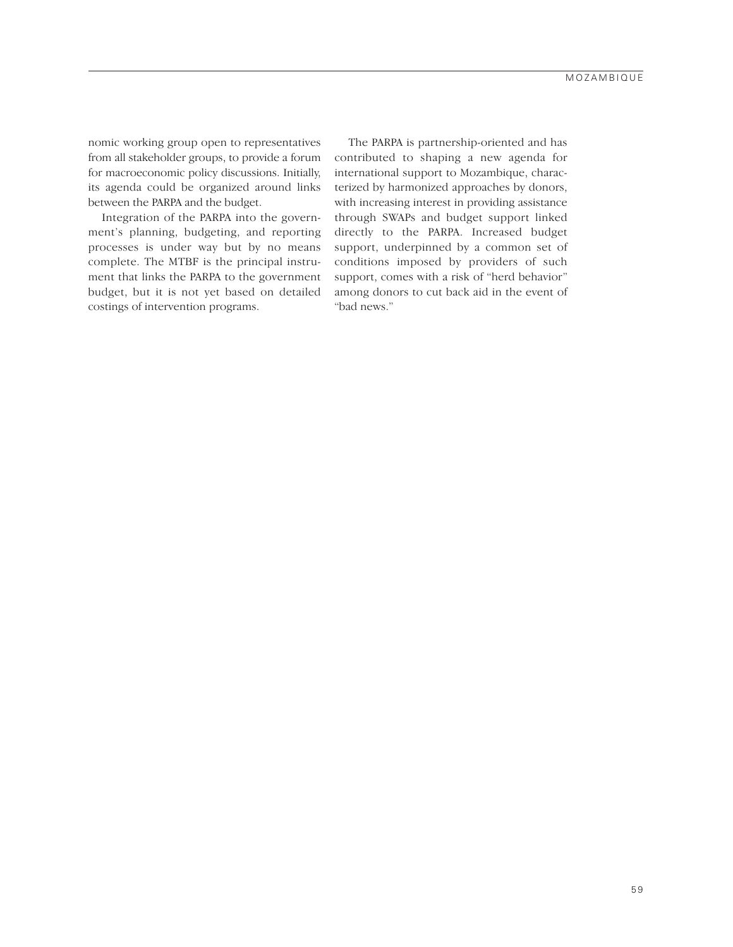nomic working group open to representatives from all stakeholder groups, to provide a forum for macroeconomic policy discussions. Initially, its agenda could be organized around links between the PARPA and the budget.

Integration of the PARPA into the government's planning, budgeting, and reporting processes is under way but by no means complete. The MTBF is the principal instrument that links the PARPA to the government budget, but it is not yet based on detailed costings of intervention programs.

The PARPA is partnership-oriented and has contributed to shaping a new agenda for international support to Mozambique, characterized by harmonized approaches by donors, with increasing interest in providing assistance through SWAPs and budget support linked directly to the PARPA. Increased budget support, underpinned by a common set of conditions imposed by providers of such support, comes with a risk of "herd behavior" among donors to cut back aid in the event of "bad news."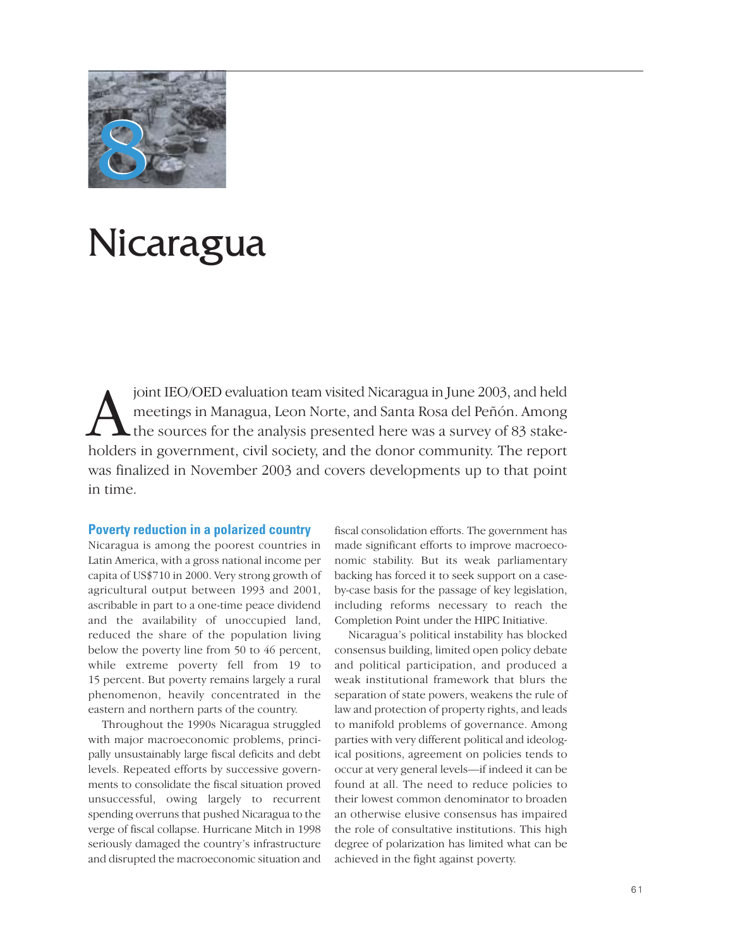

# Nicaragua

joint IEO/OED evaluation team visited Nicaragua in June 2003, and held<br>meetings in Managua, Leon Norte, and Santa Rosa del Peñón. Among<br>the sources for the analysis presented here was a survey of 83 stake-<br>holders in gover meetings in Managua, Leon Norte, and Santa Rosa del Peñón. Among the sources for the analysis presented here was a survey of 83 stakeholders in government, civil society, and the donor community. The report was finalized in November 2003 and covers developments up to that point in time.

#### **Poverty reduction in a polarized country**

Nicaragua is among the poorest countries in Latin America, with a gross national income per capita of US\$710 in 2000. Very strong growth of agricultural output between 1993 and 2001, ascribable in part to a one-time peace dividend and the availability of unoccupied land, reduced the share of the population living below the poverty line from 50 to 46 percent, while extreme poverty fell from 19 to 15 percent. But poverty remains largely a rural phenomenon, heavily concentrated in the eastern and northern parts of the country.

Throughout the 1990s Nicaragua struggled with major macroeconomic problems, principally unsustainably large fiscal deficits and debt levels. Repeated efforts by successive governments to consolidate the fiscal situation proved unsuccessful, owing largely to recurrent spending overruns that pushed Nicaragua to the verge of fiscal collapse. Hurricane Mitch in 1998 seriously damaged the country's infrastructure and disrupted the macroeconomic situation and fiscal consolidation efforts. The government has made significant efforts to improve macroeconomic stability. But its weak parliamentary backing has forced it to seek support on a caseby-case basis for the passage of key legislation, including reforms necessary to reach the Completion Point under the HIPC Initiative.

Nicaragua's political instability has blocked consensus building, limited open policy debate and political participation, and produced a weak institutional framework that blurs the separation of state powers, weakens the rule of law and protection of property rights, and leads to manifold problems of governance. Among parties with very different political and ideological positions, agreement on policies tends to occur at very general levels—if indeed it can be found at all. The need to reduce policies to their lowest common denominator to broaden an otherwise elusive consensus has impaired the role of consultative institutions. This high degree of polarization has limited what can be achieved in the fight against poverty.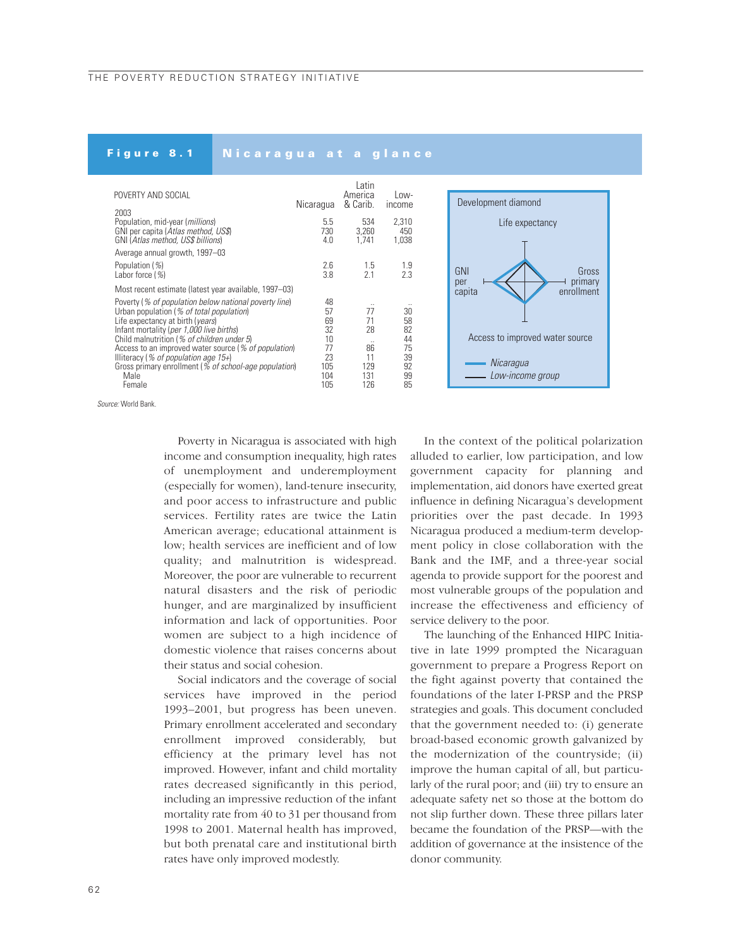| POVERTY AND SOCIAL                                                                                                                    | Nicaragua            | Latin<br>America<br>& Carib. | $Low-$<br>income      | Development diamond                    |
|---------------------------------------------------------------------------------------------------------------------------------------|----------------------|------------------------------|-----------------------|----------------------------------------|
| 2003<br>Population, mid-year ( <i>millions</i> )<br>GNI per capita (Atlas method, US\$)<br>GNI (Atlas method, US\$ billions)          | 5.5<br>730<br>4.0    | 534<br>3.260<br>1.741        | 2,310<br>450<br>1,038 | Life expectancy                        |
| Average annual growth, 1997-03                                                                                                        |                      |                              |                       |                                        |
| Population (%)<br>Labor force (%)                                                                                                     | 2.6<br>3.8           | 1.5<br>2.1                   | 1.9<br>2.3            | GNI<br>Gross                           |
| Most recent estimate (latest year available, 1997–03)                                                                                 |                      |                              |                       | primary<br>per<br>enrollment<br>capita |
| Poverty (% of population below national poverty line)<br>Urban population (% of total population)<br>Life expectancy at birth (years) | 48<br>57<br>69<br>32 | 77<br>71<br>28               | 30<br>58<br>82        |                                        |
| Infant mortality (per 1,000 live births)<br>Child malnutrition (% of children under 5)                                                | 10                   | $\sim$                       | 44                    | Access to improved water source        |
| Access to an improved water source (% of population)                                                                                  | 77                   | 86                           | 75                    |                                        |
| Illiteracy (% of population age $15+$ )<br>Gross primary enrollment (% of school-age population)                                      | 23<br>105            | 129                          | 39<br>92              | Nicaragua                              |
| Male                                                                                                                                  | 104                  | 131                          | 99                    | Low-income group                       |
| Female                                                                                                                                | 105                  | 126                          | 85                    |                                        |

# **Figure 8.1 Nicaragua at a glance**

Source: World Bank.

Poverty in Nicaragua is associated with high income and consumption inequality, high rates of unemployment and underemployment (especially for women), land-tenure insecurity, and poor access to infrastructure and public services. Fertility rates are twice the Latin American average; educational attainment is low; health services are inefficient and of low quality; and malnutrition is widespread. Moreover, the poor are vulnerable to recurrent natural disasters and the risk of periodic hunger, and are marginalized by insufficient information and lack of opportunities. Poor women are subject to a high incidence of domestic violence that raises concerns about their status and social cohesion.

Social indicators and the coverage of social services have improved in the period 1993–2001, but progress has been uneven. Primary enrollment accelerated and secondary enrollment improved considerably, but efficiency at the primary level has not improved. However, infant and child mortality rates decreased significantly in this period, including an impressive reduction of the infant mortality rate from 40 to 31 per thousand from 1998 to 2001. Maternal health has improved, but both prenatal care and institutional birth rates have only improved modestly.

In the context of the political polarization alluded to earlier, low participation, and low government capacity for planning and implementation, aid donors have exerted great influence in defining Nicaragua's development priorities over the past decade. In 1993 Nicaragua produced a medium-term development policy in close collaboration with the Bank and the IMF, and a three-year social agenda to provide support for the poorest and most vulnerable groups of the population and increase the effectiveness and efficiency of service delivery to the poor.

The launching of the Enhanced HIPC Initiative in late 1999 prompted the Nicaraguan government to prepare a Progress Report on the fight against poverty that contained the foundations of the later I-PRSP and the PRSP strategies and goals. This document concluded that the government needed to: (i) generate broad-based economic growth galvanized by the modernization of the countryside; (ii) improve the human capital of all, but particularly of the rural poor; and (iii) try to ensure an adequate safety net so those at the bottom do not slip further down. These three pillars later became the foundation of the PRSP—with the addition of governance at the insistence of the donor community.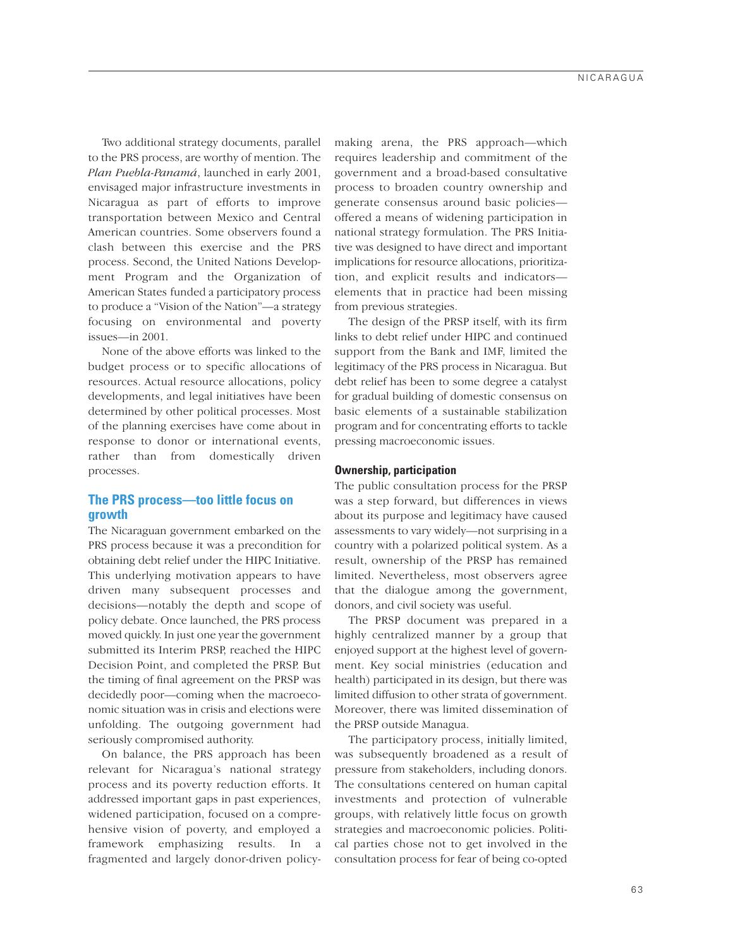Two additional strategy documents, parallel to the PRS process, are worthy of mention. The *Plan Puebla-Panamá*, launched in early 2001, envisaged major infrastructure investments in Nicaragua as part of efforts to improve transportation between Mexico and Central American countries. Some observers found a clash between this exercise and the PRS process. Second, the United Nations Development Program and the Organization of American States funded a participatory process to produce a "Vision of the Nation"—a strategy focusing on environmental and poverty issues—in 2001.

None of the above efforts was linked to the budget process or to specific allocations of resources. Actual resource allocations, policy developments, and legal initiatives have been determined by other political processes. Most of the planning exercises have come about in response to donor or international events, rather than from domestically driven processes.

#### **The PRS process—too little focus on growth**

The Nicaraguan government embarked on the PRS process because it was a precondition for obtaining debt relief under the HIPC Initiative. This underlying motivation appears to have driven many subsequent processes and decisions—notably the depth and scope of policy debate. Once launched, the PRS process moved quickly. In just one year the government submitted its Interim PRSP, reached the HIPC Decision Point, and completed the PRSP. But the timing of final agreement on the PRSP was decidedly poor—coming when the macroeconomic situation was in crisis and elections were unfolding. The outgoing government had seriously compromised authority.

On balance, the PRS approach has been relevant for Nicaragua's national strategy process and its poverty reduction efforts. It addressed important gaps in past experiences, widened participation, focused on a comprehensive vision of poverty, and employed a framework emphasizing results. In a fragmented and largely donor-driven policymaking arena, the PRS approach—which requires leadership and commitment of the government and a broad-based consultative process to broaden country ownership and generate consensus around basic policies offered a means of widening participation in national strategy formulation. The PRS Initiative was designed to have direct and important implications for resource allocations, prioritization, and explicit results and indicators elements that in practice had been missing from previous strategies.

The design of the PRSP itself, with its firm links to debt relief under HIPC and continued support from the Bank and IMF, limited the legitimacy of the PRS process in Nicaragua. But debt relief has been to some degree a catalyst for gradual building of domestic consensus on basic elements of a sustainable stabilization program and for concentrating efforts to tackle pressing macroeconomic issues.

#### **Ownership, participation**

The public consultation process for the PRSP was a step forward, but differences in views about its purpose and legitimacy have caused assessments to vary widely—not surprising in a country with a polarized political system. As a result, ownership of the PRSP has remained limited. Nevertheless, most observers agree that the dialogue among the government, donors, and civil society was useful.

The PRSP document was prepared in a highly centralized manner by a group that enjoyed support at the highest level of government. Key social ministries (education and health) participated in its design, but there was limited diffusion to other strata of government. Moreover, there was limited dissemination of the PRSP outside Managua.

The participatory process, initially limited, was subsequently broadened as a result of pressure from stakeholders, including donors. The consultations centered on human capital investments and protection of vulnerable groups, with relatively little focus on growth strategies and macroeconomic policies. Political parties chose not to get involved in the consultation process for fear of being co-opted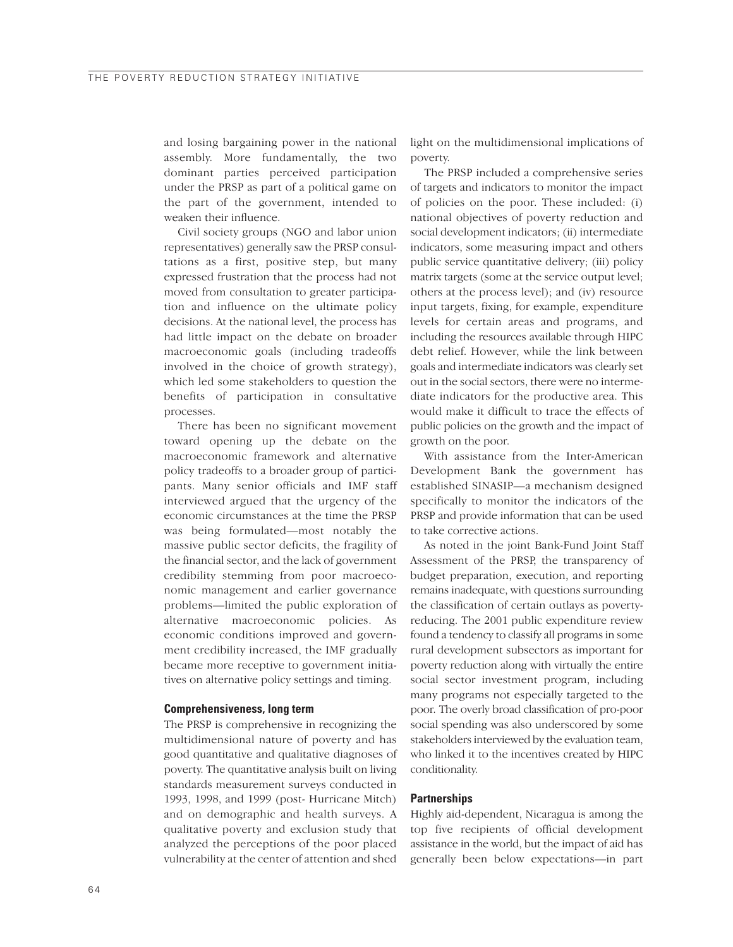and losing bargaining power in the national assembly. More fundamentally, the two dominant parties perceived participation under the PRSP as part of a political game on the part of the government, intended to weaken their influence.

Civil society groups (NGO and labor union representatives) generally saw the PRSP consultations as a first, positive step, but many expressed frustration that the process had not moved from consultation to greater participation and influence on the ultimate policy decisions. At the national level, the process has had little impact on the debate on broader macroeconomic goals (including tradeoffs involved in the choice of growth strategy), which led some stakeholders to question the benefits of participation in consultative processes.

There has been no significant movement toward opening up the debate on the macroeconomic framework and alternative policy tradeoffs to a broader group of participants. Many senior officials and IMF staff interviewed argued that the urgency of the economic circumstances at the time the PRSP was being formulated—most notably the massive public sector deficits, the fragility of the financial sector, and the lack of government credibility stemming from poor macroeconomic management and earlier governance problems—limited the public exploration of alternative macroeconomic policies. As economic conditions improved and government credibility increased, the IMF gradually became more receptive to government initiatives on alternative policy settings and timing.

#### **Comprehensiveness, long term**

The PRSP is comprehensive in recognizing the multidimensional nature of poverty and has good quantitative and qualitative diagnoses of poverty. The quantitative analysis built on living standards measurement surveys conducted in 1993, 1998, and 1999 (post- Hurricane Mitch) and on demographic and health surveys. A qualitative poverty and exclusion study that analyzed the perceptions of the poor placed vulnerability at the center of attention and shed

light on the multidimensional implications of poverty.

The PRSP included a comprehensive series of targets and indicators to monitor the impact of policies on the poor. These included: (i) national objectives of poverty reduction and social development indicators; (ii) intermediate indicators, some measuring impact and others public service quantitative delivery; (iii) policy matrix targets (some at the service output level; others at the process level); and (iv) resource input targets, fixing, for example, expenditure levels for certain areas and programs, and including the resources available through HIPC debt relief. However, while the link between goals and intermediate indicators was clearly set out in the social sectors, there were no intermediate indicators for the productive area. This would make it difficult to trace the effects of public policies on the growth and the impact of growth on the poor.

With assistance from the Inter-American Development Bank the government has established SINASIP—a mechanism designed specifically to monitor the indicators of the PRSP and provide information that can be used to take corrective actions.

As noted in the joint Bank-Fund Joint Staff Assessment of the PRSP, the transparency of budget preparation, execution, and reporting remains inadequate, with questions surrounding the classification of certain outlays as povertyreducing. The 2001 public expenditure review found a tendency to classify all programs in some rural development subsectors as important for poverty reduction along with virtually the entire social sector investment program, including many programs not especially targeted to the poor. The overly broad classification of pro-poor social spending was also underscored by some stakeholders interviewed by the evaluation team, who linked it to the incentives created by HIPC conditionality.

#### **Partnerships**

Highly aid-dependent, Nicaragua is among the top five recipients of official development assistance in the world, but the impact of aid has generally been below expectations—in part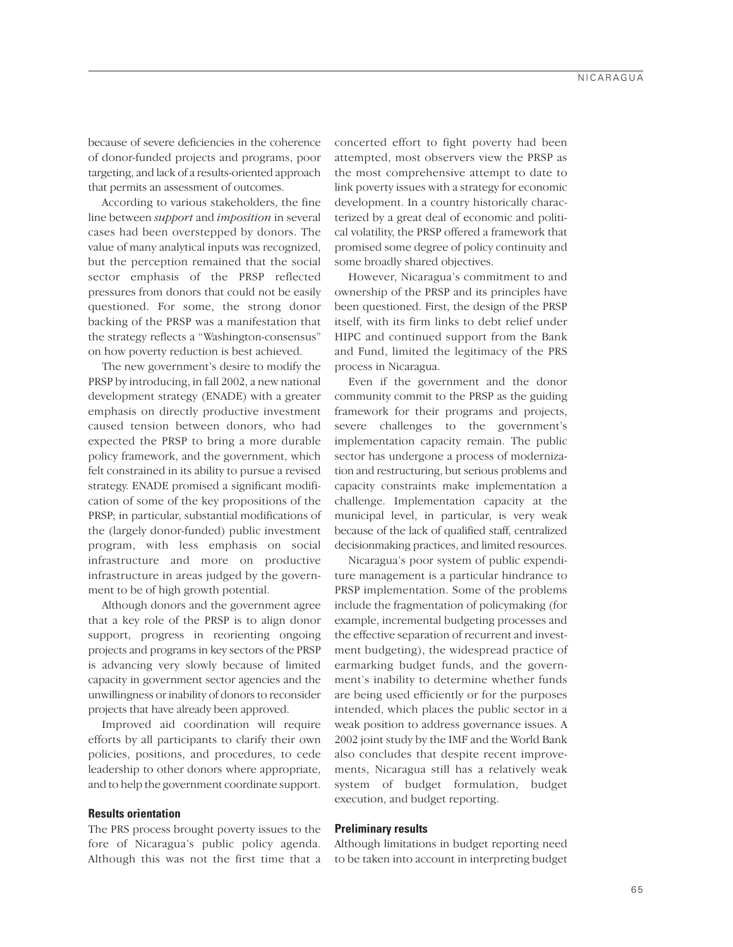because of severe deficiencies in the coherence of donor-funded projects and programs, poor targeting, and lack of a results-oriented approach that permits an assessment of outcomes.

According to various stakeholders, the fine line between *support* and *imposition* in several cases had been overstepped by donors. The value of many analytical inputs was recognized, but the perception remained that the social sector emphasis of the PRSP reflected pressures from donors that could not be easily questioned. For some, the strong donor backing of the PRSP was a manifestation that the strategy reflects a "Washington-consensus" on how poverty reduction is best achieved.

The new government's desire to modify the PRSP by introducing, in fall 2002, a new national development strategy (ENADE) with a greater emphasis on directly productive investment caused tension between donors, who had expected the PRSP to bring a more durable policy framework, and the government, which felt constrained in its ability to pursue a revised strategy. ENADE promised a significant modification of some of the key propositions of the PRSP; in particular, substantial modifications of the (largely donor-funded) public investment program, with less emphasis on social infrastructure and more on productive infrastructure in areas judged by the government to be of high growth potential.

Although donors and the government agree that a key role of the PRSP is to align donor support, progress in reorienting ongoing projects and programs in key sectors of the PRSP is advancing very slowly because of limited capacity in government sector agencies and the unwillingness or inability of donors to reconsider projects that have already been approved.

Improved aid coordination will require efforts by all participants to clarify their own policies, positions, and procedures, to cede leadership to other donors where appropriate, and to help the government coordinate support.

#### **Results orientation**

The PRS process brought poverty issues to the fore of Nicaragua's public policy agenda. Although this was not the first time that a concerted effort to fight poverty had been attempted, most observers view the PRSP as the most comprehensive attempt to date to link poverty issues with a strategy for economic development. In a country historically characterized by a great deal of economic and political volatility, the PRSP offered a framework that promised some degree of policy continuity and some broadly shared objectives.

However, Nicaragua's commitment to and ownership of the PRSP and its principles have been questioned. First, the design of the PRSP itself, with its firm links to debt relief under HIPC and continued support from the Bank and Fund, limited the legitimacy of the PRS process in Nicaragua.

Even if the government and the donor community commit to the PRSP as the guiding framework for their programs and projects, severe challenges to the government's implementation capacity remain. The public sector has undergone a process of modernization and restructuring, but serious problems and capacity constraints make implementation a challenge. Implementation capacity at the municipal level, in particular, is very weak because of the lack of qualified staff, centralized decisionmaking practices, and limited resources.

Nicaragua's poor system of public expenditure management is a particular hindrance to PRSP implementation. Some of the problems include the fragmentation of policymaking (for example, incremental budgeting processes and the effective separation of recurrent and investment budgeting), the widespread practice of earmarking budget funds, and the government's inability to determine whether funds are being used efficiently or for the purposes intended, which places the public sector in a weak position to address governance issues. A 2002 joint study by the IMF and the World Bank also concludes that despite recent improvements, Nicaragua still has a relatively weak system of budget formulation, budget execution, and budget reporting.

#### **Preliminary results**

Although limitations in budget reporting need to be taken into account in interpreting budget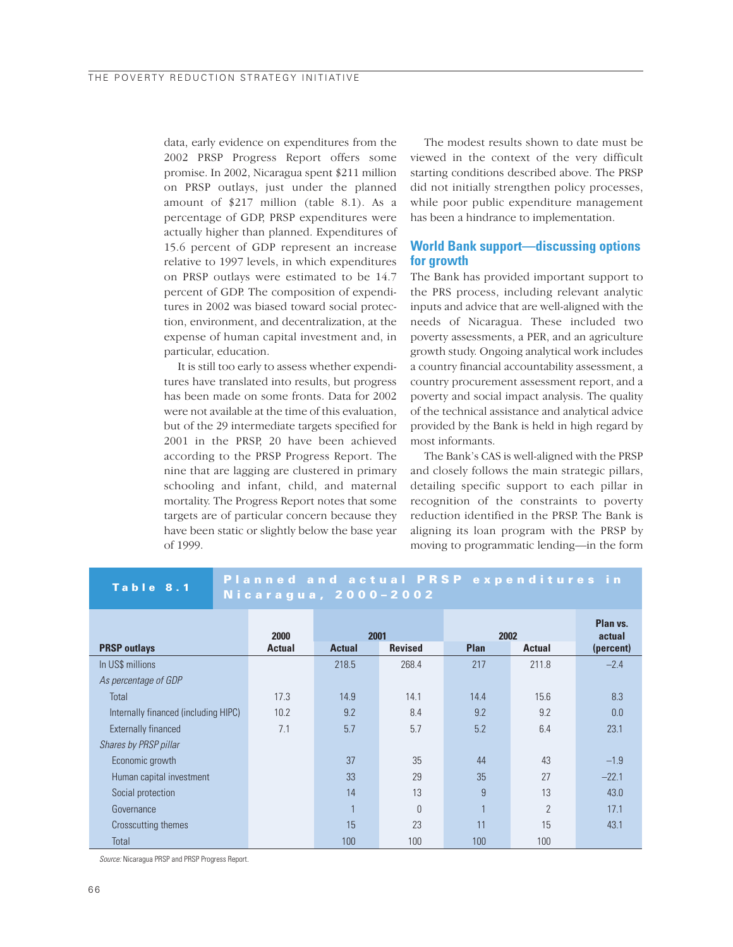data, early evidence on expenditures from the 2002 PRSP Progress Report offers some promise. In 2002, Nicaragua spent \$211 million on PRSP outlays, just under the planned amount of \$217 million (table 8.1). As a percentage of GDP, PRSP expenditures were actually higher than planned. Expenditures of 15.6 percent of GDP represent an increase relative to 1997 levels, in which expenditures on PRSP outlays were estimated to be 14.7 percent of GDP. The composition of expenditures in 2002 was biased toward social protection, environment, and decentralization, at the expense of human capital investment and, in particular, education.

It is still too early to assess whether expenditures have translated into results, but progress has been made on some fronts. Data for 2002 were not available at the time of this evaluation, but of the 29 intermediate targets specified for 2001 in the PRSP, 20 have been achieved according to the PRSP Progress Report. The nine that are lagging are clustered in primary schooling and infant, child, and maternal mortality. The Progress Report notes that some targets are of particular concern because they have been static or slightly below the base year of 1999.

The modest results shown to date must be viewed in the context of the very difficult starting conditions described above. The PRSP did not initially strengthen policy processes, while poor public expenditure management has been a hindrance to implementation.

#### **World Bank support—discussing options for growth**

The Bank has provided important support to the PRS process, including relevant analytic inputs and advice that are well-aligned with the needs of Nicaragua. These included two poverty assessments, a PER, and an agriculture growth study. Ongoing analytical work includes a country financial accountability assessment, a country procurement assessment report, and a poverty and social impact analysis. The quality of the technical assistance and analytical advice provided by the Bank is held in high regard by most informants.

The Bank's CAS is well-aligned with the PRSP and closely follows the main strategic pillars, detailing specific support to each pillar in recognition of the constraints to poverty reduction identified in the PRSP. The Bank is aligning its loan program with the PRSP by moving to programmatic lending—in the form

| Table 8.1<br>Nicaragua, 2000-2002    |               |               |                |                |                    |           |  |
|--------------------------------------|---------------|---------------|----------------|----------------|--------------------|-----------|--|
|                                      | 2000          | 2001          |                | 2002           | Plan vs.<br>actual |           |  |
| <b>PRSP outlays</b>                  | <b>Actual</b> | <b>Actual</b> | <b>Revised</b> | <b>Plan</b>    | <b>Actual</b>      | (percent) |  |
| In US\$ millions                     |               | 218.5         | 268.4          | 217            | 211.8              | $-2.4$    |  |
| As percentage of GDP                 |               |               |                |                |                    |           |  |
| Total                                | 17.3          | 14.9          | 14.1           | 14.4           | 15.6               | 8.3       |  |
| Internally financed (including HIPC) | 10.2          | 9.2           | 8.4            | 9.2            | 9.2                | 0.0       |  |
| <b>Externally financed</b>           | 7.1           | 5.7           | 5.7            | 5.2            | 6.4                | 23.1      |  |
| Shares by PRSP pillar                |               |               |                |                |                    |           |  |
| Economic growth                      |               | 37            | 35             | 44             | 43                 | $-1.9$    |  |
| Human capital investment             |               | 33            | 29             | 35             | 27                 | $-22.1$   |  |
| Social protection                    |               | 14            | 13             | 9              | 13                 | 43.0      |  |
| Governance                           |               | $\mathbf{1}$  | $\theta$       | $\overline{1}$ | $\overline{2}$     | 17.1      |  |
| Crosscutting themes                  |               | 15            | 23             | 11             | 15                 | 43.1      |  |
| Total                                |               | 100           | 100            | 100            | 100                |           |  |

### **Planned and actual PRSP expenditures in**

Source: Nicaragua PRSP and PRSP Progress Report.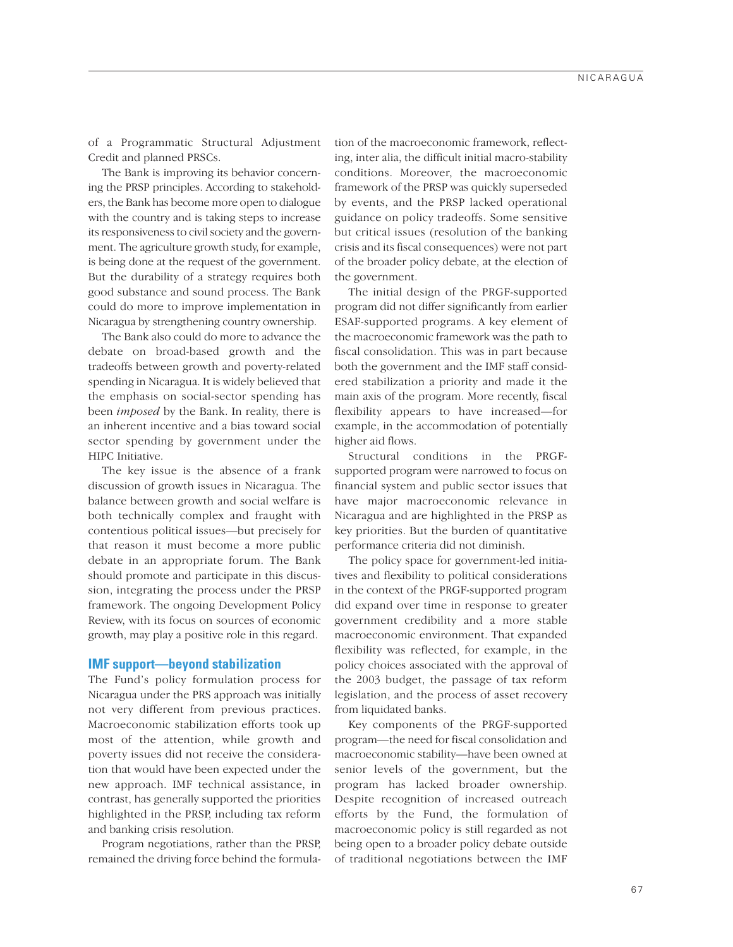of a Programmatic Structural Adjustment Credit and planned PRSCs.

The Bank is improving its behavior concerning the PRSP principles. According to stakeholders, the Bank has become more open to dialogue with the country and is taking steps to increase its responsiveness to civil society and the government. The agriculture growth study, for example, is being done at the request of the government. But the durability of a strategy requires both good substance and sound process. The Bank could do more to improve implementation in Nicaragua by strengthening country ownership.

The Bank also could do more to advance the debate on broad-based growth and the tradeoffs between growth and poverty-related spending in Nicaragua. It is widely believed that the emphasis on social-sector spending has been *imposed* by the Bank. In reality, there is an inherent incentive and a bias toward social sector spending by government under the HIPC Initiative.

The key issue is the absence of a frank discussion of growth issues in Nicaragua. The balance between growth and social welfare is both technically complex and fraught with contentious political issues—but precisely for that reason it must become a more public debate in an appropriate forum. The Bank should promote and participate in this discussion, integrating the process under the PRSP framework. The ongoing Development Policy Review, with its focus on sources of economic growth, may play a positive role in this regard.

#### **IMF support—beyond stabilization**

The Fund's policy formulation process for Nicaragua under the PRS approach was initially not very different from previous practices. Macroeconomic stabilization efforts took up most of the attention, while growth and poverty issues did not receive the consideration that would have been expected under the new approach. IMF technical assistance, in contrast, has generally supported the priorities highlighted in the PRSP, including tax reform and banking crisis resolution.

Program negotiations, rather than the PRSP, remained the driving force behind the formulation of the macroeconomic framework, reflecting, inter alia, the difficult initial macro-stability conditions. Moreover, the macroeconomic framework of the PRSP was quickly superseded by events, and the PRSP lacked operational guidance on policy tradeoffs. Some sensitive but critical issues (resolution of the banking crisis and its fiscal consequences) were not part of the broader policy debate, at the election of the government.

The initial design of the PRGF-supported program did not differ significantly from earlier ESAF-supported programs. A key element of the macroeconomic framework was the path to fiscal consolidation. This was in part because both the government and the IMF staff considered stabilization a priority and made it the main axis of the program. More recently, fiscal flexibility appears to have increased—for example, in the accommodation of potentially higher aid flows.

Structural conditions in the PRGFsupported program were narrowed to focus on financial system and public sector issues that have major macroeconomic relevance in Nicaragua and are highlighted in the PRSP as key priorities. But the burden of quantitative performance criteria did not diminish.

The policy space for government-led initiatives and flexibility to political considerations in the context of the PRGF-supported program did expand over time in response to greater government credibility and a more stable macroeconomic environment. That expanded flexibility was reflected, for example, in the policy choices associated with the approval of the 2003 budget, the passage of tax reform legislation, and the process of asset recovery from liquidated banks.

Key components of the PRGF-supported program—the need for fiscal consolidation and macroeconomic stability—have been owned at senior levels of the government, but the program has lacked broader ownership. Despite recognition of increased outreach efforts by the Fund, the formulation of macroeconomic policy is still regarded as not being open to a broader policy debate outside of traditional negotiations between the IMF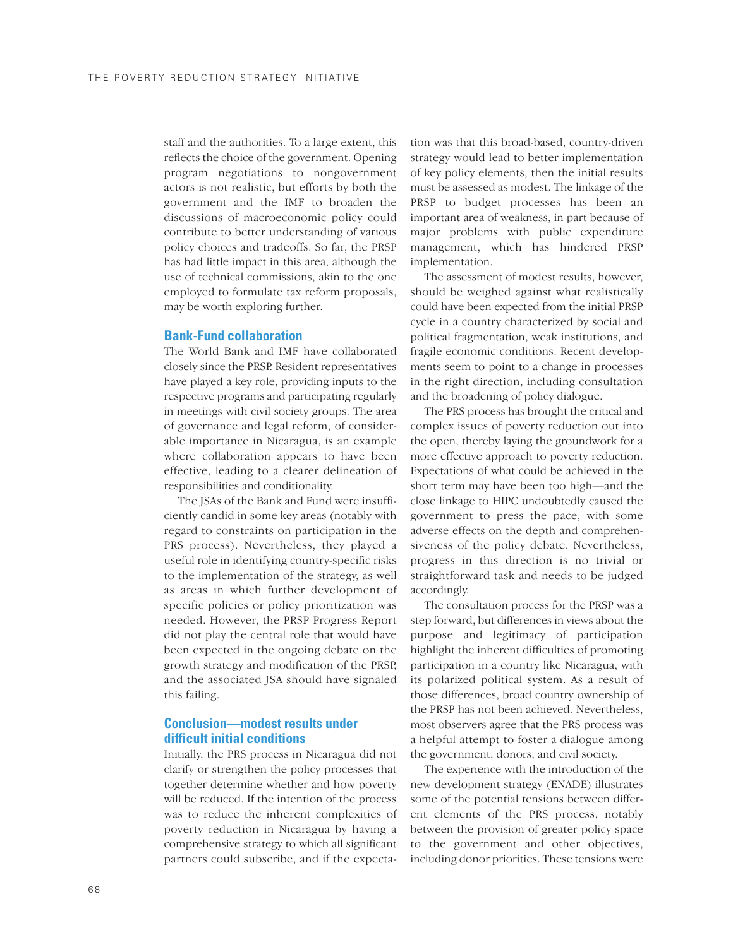staff and the authorities. To a large extent, this reflects the choice of the government. Opening program negotiations to nongovernment actors is not realistic, but efforts by both the government and the IMF to broaden the discussions of macroeconomic policy could contribute to better understanding of various policy choices and tradeoffs. So far, the PRSP has had little impact in this area, although the use of technical commissions, akin to the one employed to formulate tax reform proposals, may be worth exploring further.

#### **Bank-Fund collaboration**

The World Bank and IMF have collaborated closely since the PRSP. Resident representatives have played a key role, providing inputs to the respective programs and participating regularly in meetings with civil society groups. The area of governance and legal reform, of considerable importance in Nicaragua, is an example where collaboration appears to have been effective, leading to a clearer delineation of responsibilities and conditionality.

The JSAs of the Bank and Fund were insufficiently candid in some key areas (notably with regard to constraints on participation in the PRS process). Nevertheless, they played a useful role in identifying country-specific risks to the implementation of the strategy, as well as areas in which further development of specific policies or policy prioritization was needed. However, the PRSP Progress Report did not play the central role that would have been expected in the ongoing debate on the growth strategy and modification of the PRSP, and the associated JSA should have signaled this failing.

#### **Conclusion—modest results under difficult initial conditions**

Initially, the PRS process in Nicaragua did not clarify or strengthen the policy processes that together determine whether and how poverty will be reduced. If the intention of the process was to reduce the inherent complexities of poverty reduction in Nicaragua by having a comprehensive strategy to which all significant partners could subscribe, and if the expectation was that this broad-based, country-driven strategy would lead to better implementation of key policy elements, then the initial results must be assessed as modest. The linkage of the PRSP to budget processes has been an important area of weakness, in part because of major problems with public expenditure management, which has hindered PRSP implementation.

The assessment of modest results, however, should be weighed against what realistically could have been expected from the initial PRSP cycle in a country characterized by social and political fragmentation, weak institutions, and fragile economic conditions. Recent developments seem to point to a change in processes in the right direction, including consultation and the broadening of policy dialogue.

The PRS process has brought the critical and complex issues of poverty reduction out into the open, thereby laying the groundwork for a more effective approach to poverty reduction. Expectations of what could be achieved in the short term may have been too high—and the close linkage to HIPC undoubtedly caused the government to press the pace, with some adverse effects on the depth and comprehensiveness of the policy debate. Nevertheless, progress in this direction is no trivial or straightforward task and needs to be judged accordingly.

The consultation process for the PRSP was a step forward, but differences in views about the purpose and legitimacy of participation highlight the inherent difficulties of promoting participation in a country like Nicaragua, with its polarized political system. As a result of those differences, broad country ownership of the PRSP has not been achieved. Nevertheless, most observers agree that the PRS process was a helpful attempt to foster a dialogue among the government, donors, and civil society.

The experience with the introduction of the new development strategy (ENADE) illustrates some of the potential tensions between different elements of the PRS process, notably between the provision of greater policy space to the government and other objectives, including donor priorities. These tensions were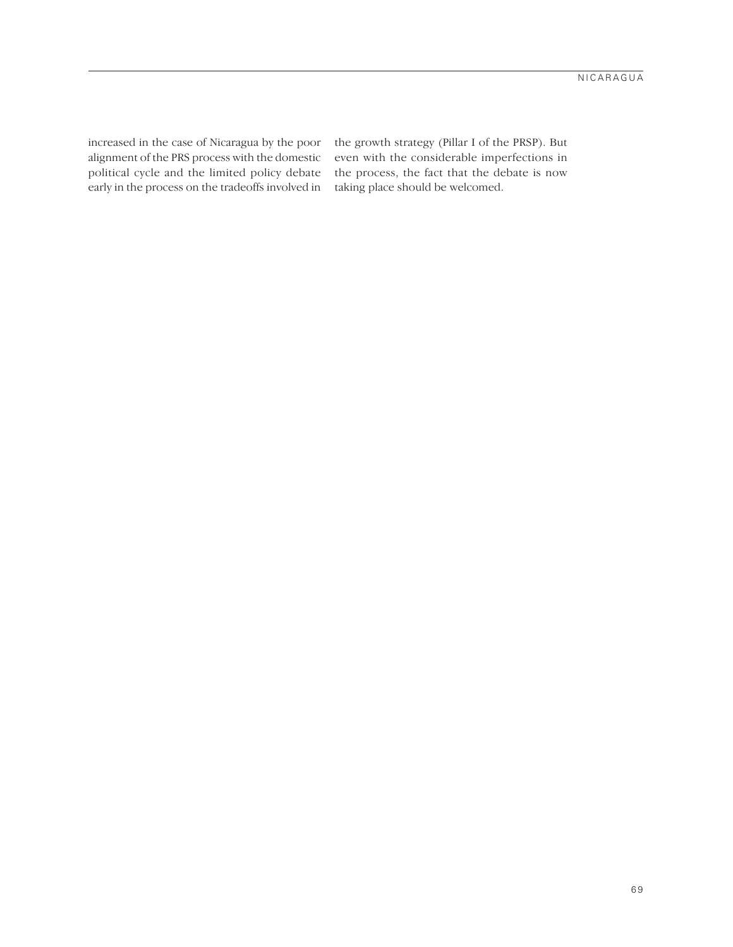increased in the case of Nicaragua by the poor alignment of the PRS process with the domestic political cycle and the limited policy debate early in the process on the tradeoffs involved in the growth strategy (Pillar I of the PRSP). But even with the considerable imperfections in the process, the fact that the debate is now taking place should be welcomed.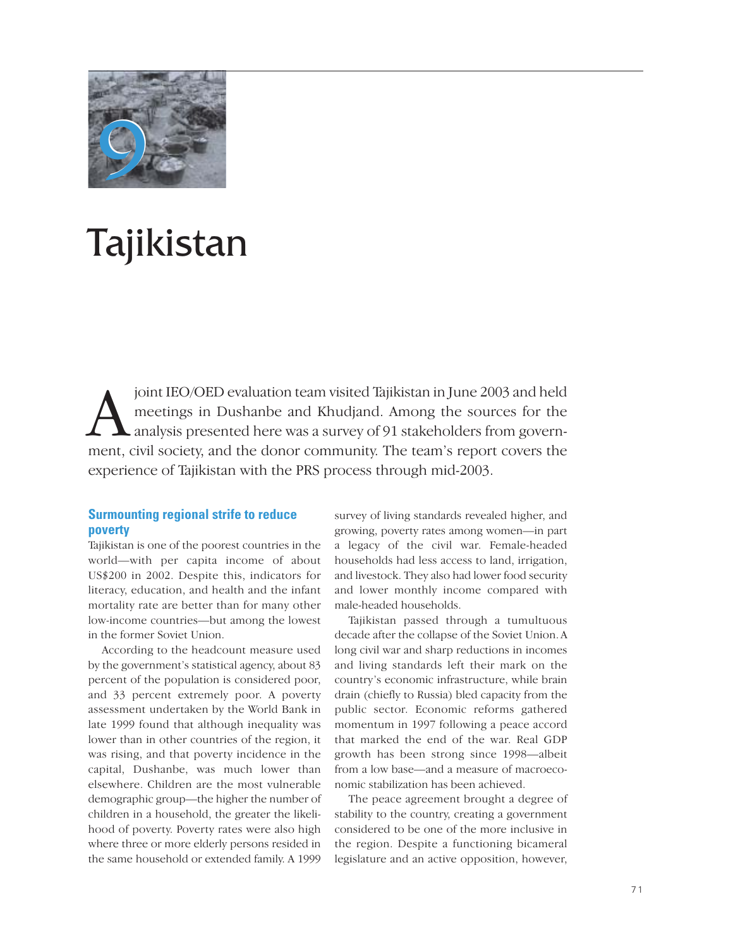

# Tajikistan

joint IEO/OED evaluation team visited Tajikistan in June 2003 and held<br>meetings in Dushanbe and Khudjand. Among the sources for the<br>analysis presented here was a survey of 91 stakeholders from govern-<br>ment-civil society an meetings in Dushanbe and Khudjand. Among the sources for the analysis presented here was a survey of 91 stakeholders from government, civil society, and the donor community. The team's report covers the experience of Tajikistan with the PRS process through mid-2003.

#### **Surmounting regional strife to reduce poverty**

Tajikistan is one of the poorest countries in the world—with per capita income of about US\$200 in 2002. Despite this, indicators for literacy, education, and health and the infant mortality rate are better than for many other low-income countries—but among the lowest in the former Soviet Union.

According to the headcount measure used by the government's statistical agency, about 83 percent of the population is considered poor, and 33 percent extremely poor. A poverty assessment undertaken by the World Bank in late 1999 found that although inequality was lower than in other countries of the region, it was rising, and that poverty incidence in the capital, Dushanbe, was much lower than elsewhere. Children are the most vulnerable demographic group—the higher the number of children in a household, the greater the likelihood of poverty. Poverty rates were also high where three or more elderly persons resided in the same household or extended family. A 1999 survey of living standards revealed higher, and growing, poverty rates among women—in part a legacy of the civil war. Female-headed households had less access to land, irrigation, and livestock. They also had lower food security and lower monthly income compared with male-headed households.

Tajikistan passed through a tumultuous decade after the collapse of the Soviet Union. A long civil war and sharp reductions in incomes and living standards left their mark on the country's economic infrastructure, while brain drain (chiefly to Russia) bled capacity from the public sector. Economic reforms gathered momentum in 1997 following a peace accord that marked the end of the war. Real GDP growth has been strong since 1998—albeit from a low base—and a measure of macroeconomic stabilization has been achieved.

The peace agreement brought a degree of stability to the country, creating a government considered to be one of the more inclusive in the region. Despite a functioning bicameral legislature and an active opposition, however,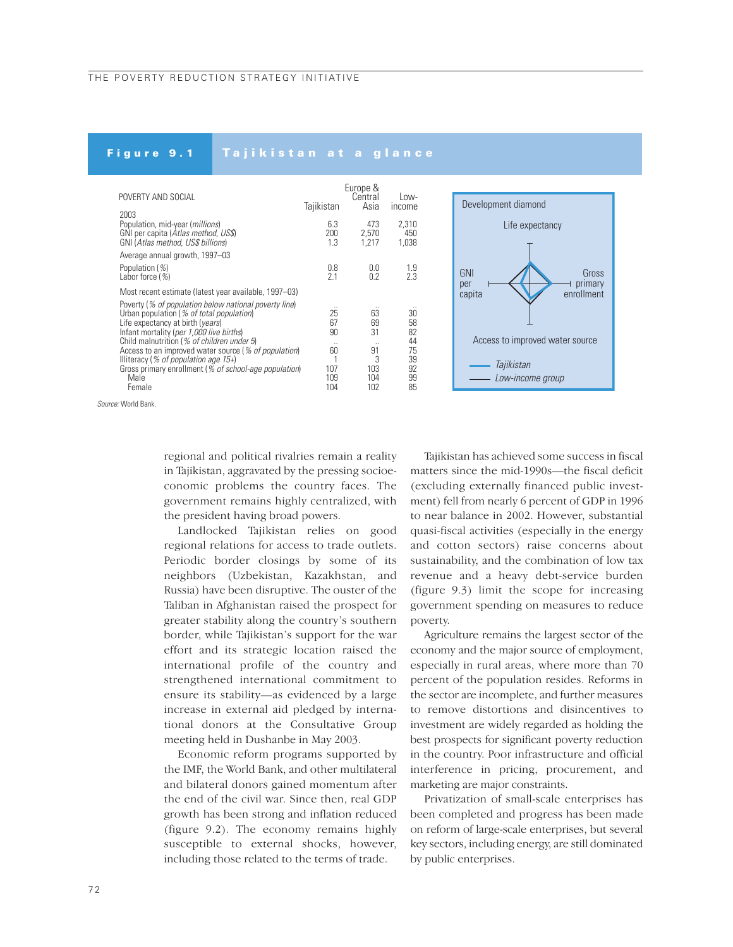#### **Figure 9.1 Tajikistan at a glance**

| POVERTY AND SOCIAL                                                                                                                             | Tajikistan            | Europe &<br>Central<br>Asia | Low-<br>income        | Development diamond                    |
|------------------------------------------------------------------------------------------------------------------------------------------------|-----------------------|-----------------------------|-----------------------|----------------------------------------|
| 2003<br>Population, mid-year ( <i>millions</i> )<br>GNI per capita (Atlas method, US\$)<br>GNI (Atlas method, US\$ billions)                   | 6.3<br>200<br>1.3     | 473<br>2.570<br>1.217       | 2.310<br>450<br>1.038 | Life expectancy                        |
| Average annual growth, 1997-03<br>Population (%)<br>Labor force (%)                                                                            | 0.8<br>2.1            | 0.0<br>0.2                  | 1.9<br>2.3            | GNI<br>Gross                           |
| Most recent estimate (latest year available, 1997–03)                                                                                          |                       |                             |                       | primary<br>per<br>enrollment<br>capita |
| Poverty (% of population below national poverty line)<br>Urban population (% of total population)<br>Life expectancy at birth (years)          | 25<br>67              | 63<br>69                    | 30<br>58              |                                        |
| Infant mortality (per 1,000 live births)<br>Child malnutrition (% of children under 5)<br>Access to an improved water source (% of population) | 90<br>$\ddotsc$<br>60 | 31<br>91                    | 82<br>44<br>75        | Access to improved water source        |
| Illiteracy (% of population age $15+$ )<br>Gross primary enrollment (% of school-age population)<br>Male                                       | 107<br>109            | 3<br>103<br>104             | 39<br>92<br>99        | Tajikistan<br>Low-income group         |
| Female                                                                                                                                         | 104                   | 102                         | 85                    |                                        |

Source: World Bank.

regional and political rivalries remain a reality in Tajikistan, aggravated by the pressing socioeconomic problems the country faces. The government remains highly centralized, with the president having broad powers.

Landlocked Tajikistan relies on good regional relations for access to trade outlets. Periodic border closings by some of its neighbors (Uzbekistan, Kazakhstan, and Russia) have been disruptive. The ouster of the Taliban in Afghanistan raised the prospect for greater stability along the country's southern border, while Tajikistan's support for the war effort and its strategic location raised the international profile of the country and strengthened international commitment to ensure its stability—as evidenced by a large increase in external aid pledged by international donors at the Consultative Group meeting held in Dushanbe in May 2003.

Economic reform programs supported by the IMF, the World Bank, and other multilateral and bilateral donors gained momentum after the end of the civil war. Since then, real GDP growth has been strong and inflation reduced (figure 9.2). The economy remains highly susceptible to external shocks, however, including those related to the terms of trade.

Tajikistan has achieved some success in fiscal matters since the mid-1990s—the fiscal deficit (excluding externally financed public investment) fell from nearly 6 percent of GDP in 1996 to near balance in 2002. However, substantial quasi-fiscal activities (especially in the energy and cotton sectors) raise concerns about sustainability, and the combination of low tax revenue and a heavy debt-service burden (figure 9.3) limit the scope for increasing government spending on measures to reduce poverty.

Agriculture remains the largest sector of the economy and the major source of employment, especially in rural areas, where more than 70 percent of the population resides. Reforms in the sector are incomplete, and further measures to remove distortions and disincentives to investment are widely regarded as holding the best prospects for significant poverty reduction in the country. Poor infrastructure and official interference in pricing, procurement, and marketing are major constraints.

Privatization of small-scale enterprises has been completed and progress has been made on reform of large-scale enterprises, but several key sectors, including energy, are still dominated by public enterprises.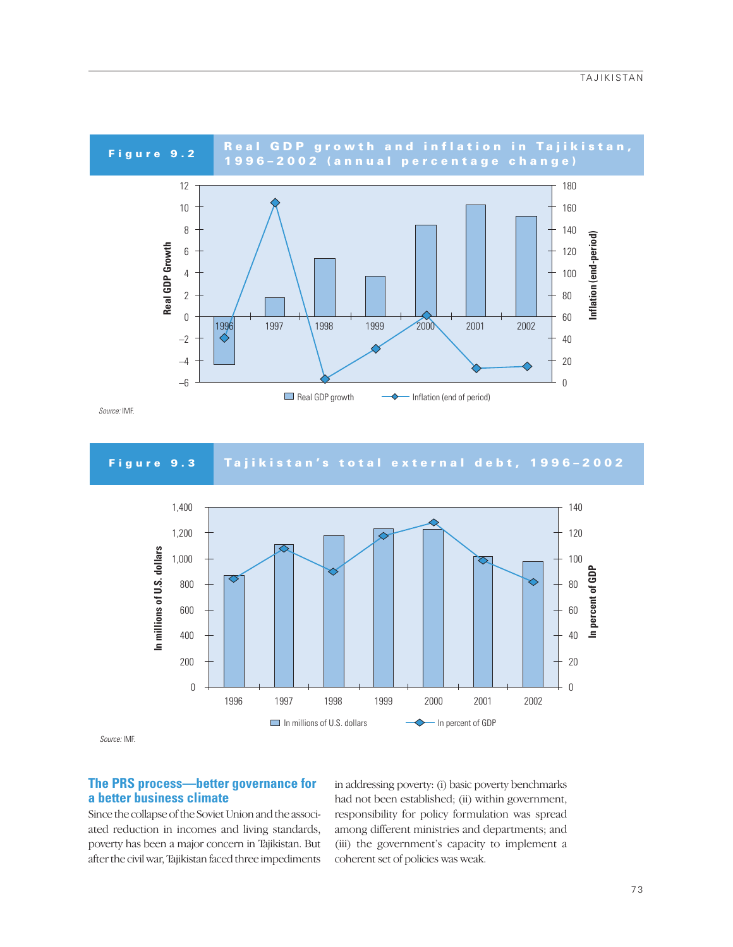

Source: IMF.

#### **Figure 9.3 Tajikistan's total external debt, 1996–2002**



Source: IMF.

#### **The PRS process—better governance for a better business climate**

Since the collapse of the Soviet Union and the associated reduction in incomes and living standards, poverty has been a major concern in Tajikistan. But after the civil war, Tajikistan faced three impediments in addressing poverty: (i) basic poverty benchmarks had not been established; (ii) within government, responsibility for policy formulation was spread among different ministries and departments; and (iii) the government's capacity to implement a coherent set of policies was weak.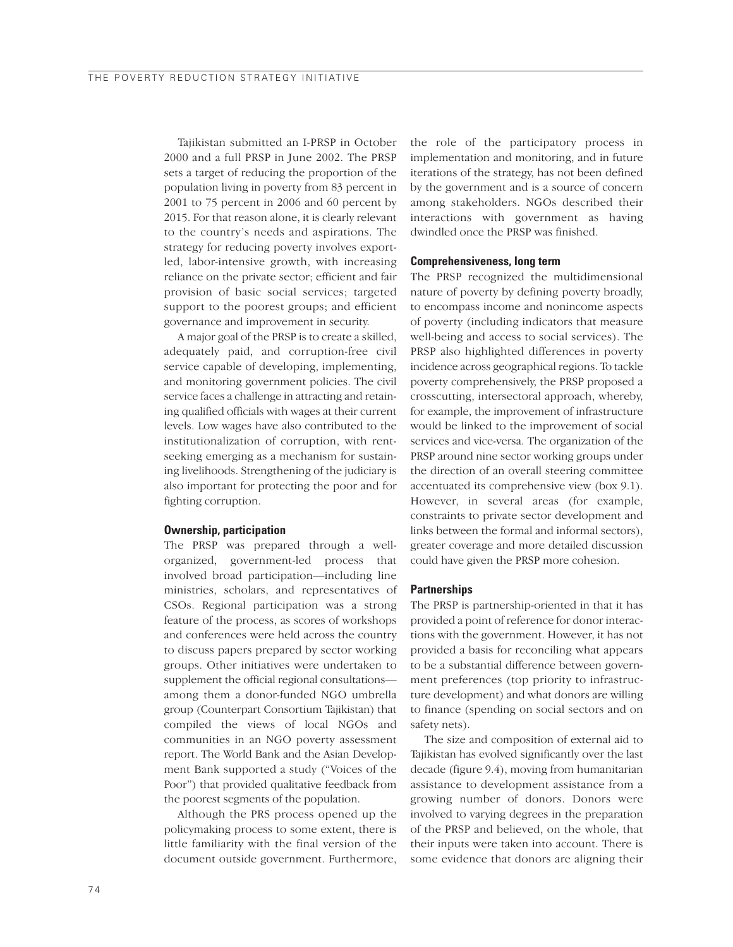Tajikistan submitted an I-PRSP in October 2000 and a full PRSP in June 2002. The PRSP sets a target of reducing the proportion of the population living in poverty from 83 percent in 2001 to 75 percent in 2006 and 60 percent by 2015. For that reason alone, it is clearly relevant to the country's needs and aspirations. The strategy for reducing poverty involves exportled, labor-intensive growth, with increasing reliance on the private sector; efficient and fair provision of basic social services; targeted support to the poorest groups; and efficient governance and improvement in security.

A major goal of the PRSP is to create a skilled, adequately paid, and corruption-free civil service capable of developing, implementing, and monitoring government policies. The civil service faces a challenge in attracting and retaining qualified officials with wages at their current levels. Low wages have also contributed to the institutionalization of corruption, with rentseeking emerging as a mechanism for sustaining livelihoods. Strengthening of the judiciary is also important for protecting the poor and for fighting corruption.

#### **Ownership, participation**

The PRSP was prepared through a wellorganized, government-led process that involved broad participation—including line ministries, scholars, and representatives of CSOs. Regional participation was a strong feature of the process, as scores of workshops and conferences were held across the country to discuss papers prepared by sector working groups. Other initiatives were undertaken to supplement the official regional consultations among them a donor-funded NGO umbrella group (Counterpart Consortium Tajikistan) that compiled the views of local NGOs and communities in an NGO poverty assessment report. The World Bank and the Asian Development Bank supported a study ("Voices of the Poor") that provided qualitative feedback from the poorest segments of the population.

Although the PRS process opened up the policymaking process to some extent, there is little familiarity with the final version of the document outside government. Furthermore, the role of the participatory process in implementation and monitoring, and in future iterations of the strategy, has not been defined by the government and is a source of concern among stakeholders. NGOs described their interactions with government as having dwindled once the PRSP was finished.

#### **Comprehensiveness, long term**

The PRSP recognized the multidimensional nature of poverty by defining poverty broadly, to encompass income and nonincome aspects of poverty (including indicators that measure well-being and access to social services). The PRSP also highlighted differences in poverty incidence across geographical regions. To tackle poverty comprehensively, the PRSP proposed a crosscutting, intersectoral approach, whereby, for example, the improvement of infrastructure would be linked to the improvement of social services and vice-versa. The organization of the PRSP around nine sector working groups under the direction of an overall steering committee accentuated its comprehensive view (box 9.1). However, in several areas (for example, constraints to private sector development and links between the formal and informal sectors), greater coverage and more detailed discussion could have given the PRSP more cohesion.

#### **Partnerships**

The PRSP is partnership-oriented in that it has provided a point of reference for donor interactions with the government. However, it has not provided a basis for reconciling what appears to be a substantial difference between government preferences (top priority to infrastructure development) and what donors are willing to finance (spending on social sectors and on safety nets).

The size and composition of external aid to Tajikistan has evolved significantly over the last decade (figure 9.4), moving from humanitarian assistance to development assistance from a growing number of donors. Donors were involved to varying degrees in the preparation of the PRSP and believed, on the whole, that their inputs were taken into account. There is some evidence that donors are aligning their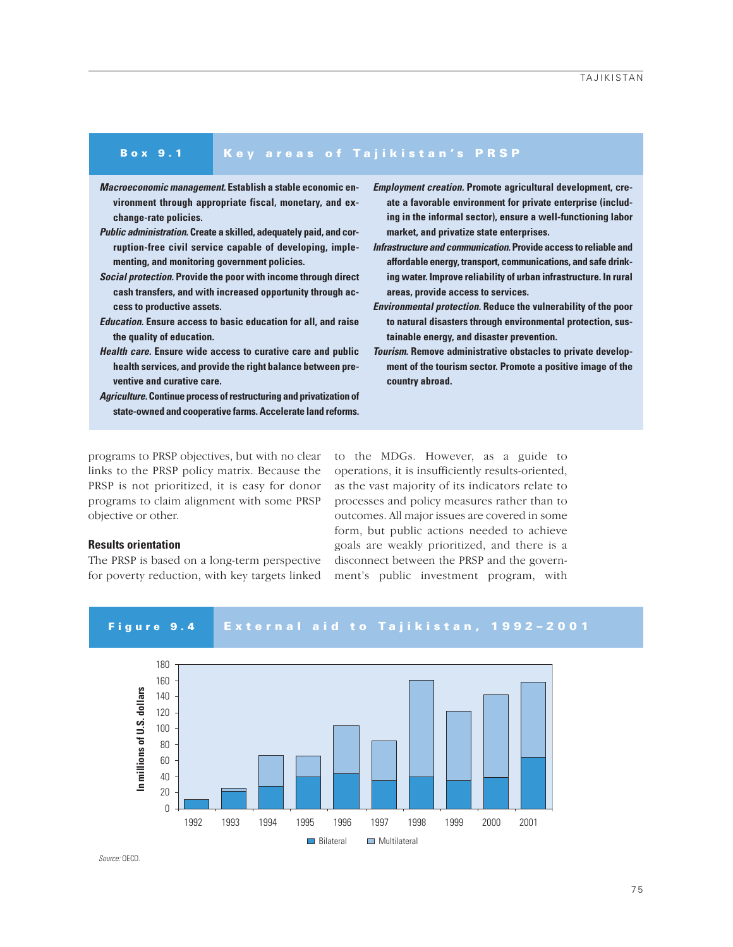### **Box 9.1 Key areas of Tajikistan's PRSP**

- *Macroeconomic management.* **Establish a stable economic environment through appropriate fiscal, monetary, and exchange-rate policies.**
- *Public administration.* **Create a skilled, adequately paid, and corruption-free civil service capable of developing, implementing, and monitoring government policies.**
- *Social protection.* **Provide the poor with income through direct cash transfers, and with increased opportunity through access to productive assets.**
- *Education.* **Ensure access to basic education for all, and raise the quality of education.**
- *Health care.* **Ensure wide access to curative care and public health services, and provide the right balance between preventive and curative care.**
- *Agriculture.* **Continue process of restructuring and privatization of state-owned and cooperative farms. Accelerate land reforms.**
- *Employment creation.* **Promote agricultural development, create a favorable environment for private enterprise (including in the informal sector), ensure a well-functioning labor market, and privatize state enterprises.**
- *Infrastructure and communication.* **Provide access to reliable and affordable energy, transport, communications, and safe drinking water. Improve reliability of urban infrastructure. In rural areas, provide access to services.**
- *Environmental protection.* **Reduce the vulnerability of the poor to natural disasters through environmental protection, sustainable energy, and disaster prevention.**
- *Tourism.* **Remove administrative obstacles to private development of the tourism sector. Promote a positive image of the country abroad.**

programs to PRSP objectives, but with no clear links to the PRSP policy matrix. Because the PRSP is not prioritized, it is easy for donor programs to claim alignment with some PRSP objective or other.

#### **Results orientation**

The PRSP is based on a long-term perspective for poverty reduction, with key targets linked to the MDGs. However, as a guide to operations, it is insufficiently results-oriented, as the vast majority of its indicators relate to processes and policy measures rather than to outcomes. All major issues are covered in some form, but public actions needed to achieve goals are weakly prioritized, and there is a disconnect between the PRSP and the government's public investment program, with

#### **Figure 9.4 External aid to Tajikistan, 1992–2001**



Source: OECD.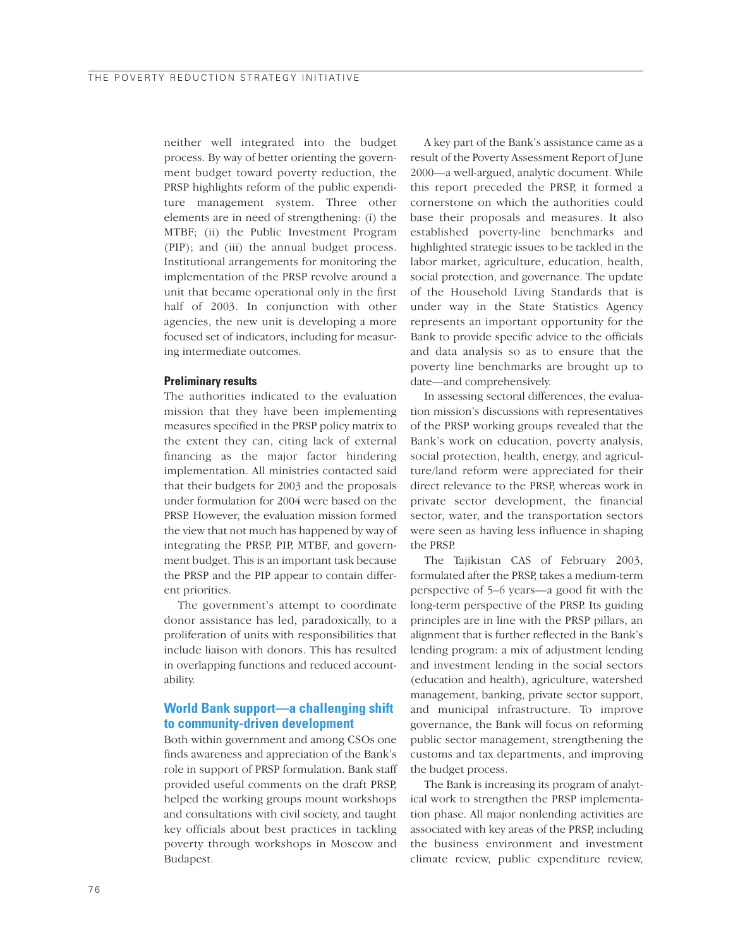neither well integrated into the budget process. By way of better orienting the government budget toward poverty reduction, the PRSP highlights reform of the public expenditure management system. Three other elements are in need of strengthening: (i) the MTBF; (ii) the Public Investment Program (PIP); and (iii) the annual budget process. Institutional arrangements for monitoring the implementation of the PRSP revolve around a unit that became operational only in the first half of 2003. In conjunction with other agencies, the new unit is developing a more focused set of indicators, including for measuring intermediate outcomes.

#### **Preliminary results**

The authorities indicated to the evaluation mission that they have been implementing measures specified in the PRSP policy matrix to the extent they can, citing lack of external financing as the major factor hindering implementation. All ministries contacted said that their budgets for 2003 and the proposals under formulation for 2004 were based on the PRSP. However, the evaluation mission formed the view that not much has happened by way of integrating the PRSP, PIP, MTBF, and government budget. This is an important task because the PRSP and the PIP appear to contain different priorities.

The government's attempt to coordinate donor assistance has led, paradoxically, to a proliferation of units with responsibilities that include liaison with donors. This has resulted in overlapping functions and reduced accountability.

#### **World Bank support—a challenging shift to community-driven development**

Both within government and among CSOs one finds awareness and appreciation of the Bank's role in support of PRSP formulation. Bank staff provided useful comments on the draft PRSP, helped the working groups mount workshops and consultations with civil society, and taught key officials about best practices in tackling poverty through workshops in Moscow and Budapest.

A key part of the Bank's assistance came as a result of the Poverty Assessment Report of June 2000—a well-argued, analytic document. While this report preceded the PRSP, it formed a cornerstone on which the authorities could base their proposals and measures. It also established poverty-line benchmarks and highlighted strategic issues to be tackled in the labor market, agriculture, education, health, social protection, and governance. The update of the Household Living Standards that is under way in the State Statistics Agency represents an important opportunity for the Bank to provide specific advice to the officials and data analysis so as to ensure that the poverty line benchmarks are brought up to date—and comprehensively.

In assessing sectoral differences, the evaluation mission's discussions with representatives of the PRSP working groups revealed that the Bank's work on education, poverty analysis, social protection, health, energy, and agriculture/land reform were appreciated for their direct relevance to the PRSP, whereas work in private sector development, the financial sector, water, and the transportation sectors were seen as having less influence in shaping the PRSP.

The Tajikistan CAS of February 2003, formulated after the PRSP, takes a medium-term perspective of 5–6 years—a good fit with the long-term perspective of the PRSP. Its guiding principles are in line with the PRSP pillars, an alignment that is further reflected in the Bank's lending program: a mix of adjustment lending and investment lending in the social sectors (education and health), agriculture, watershed management, banking, private sector support, and municipal infrastructure. To improve governance, the Bank will focus on reforming public sector management, strengthening the customs and tax departments, and improving the budget process.

The Bank is increasing its program of analytical work to strengthen the PRSP implementation phase. All major nonlending activities are associated with key areas of the PRSP, including the business environment and investment climate review, public expenditure review,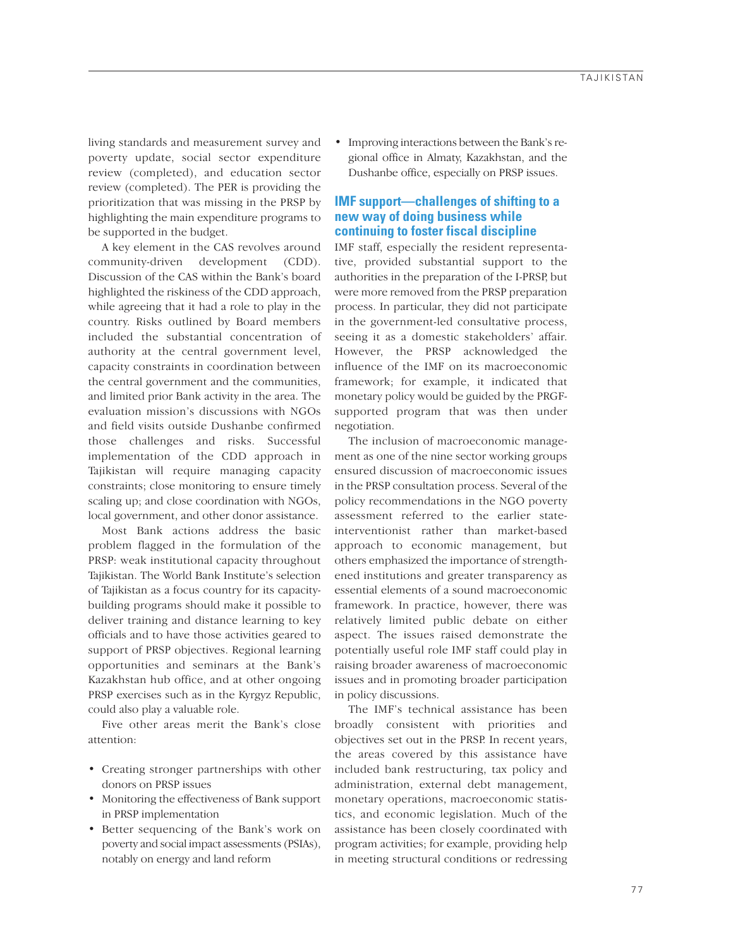living standards and measurement survey and poverty update, social sector expenditure review (completed), and education sector review (completed). The PER is providing the prioritization that was missing in the PRSP by highlighting the main expenditure programs to be supported in the budget.

A key element in the CAS revolves around community-driven development (CDD). Discussion of the CAS within the Bank's board highlighted the riskiness of the CDD approach, while agreeing that it had a role to play in the country. Risks outlined by Board members included the substantial concentration of authority at the central government level, capacity constraints in coordination between the central government and the communities, and limited prior Bank activity in the area. The evaluation mission's discussions with NGOs and field visits outside Dushanbe confirmed those challenges and risks. Successful implementation of the CDD approach in Tajikistan will require managing capacity constraints; close monitoring to ensure timely scaling up; and close coordination with NGOs, local government, and other donor assistance.

Most Bank actions address the basic problem flagged in the formulation of the PRSP: weak institutional capacity throughout Tajikistan. The World Bank Institute's selection of Tajikistan as a focus country for its capacitybuilding programs should make it possible to deliver training and distance learning to key officials and to have those activities geared to support of PRSP objectives. Regional learning opportunities and seminars at the Bank's Kazakhstan hub office, and at other ongoing PRSP exercises such as in the Kyrgyz Republic, could also play a valuable role.

Five other areas merit the Bank's close attention:

- Creating stronger partnerships with other donors on PRSP issues
- Monitoring the effectiveness of Bank support in PRSP implementation
- Better sequencing of the Bank's work on poverty and social impact assessments (PSIAs), notably on energy and land reform

• Improving interactions between the Bank's regional office in Almaty, Kazakhstan, and the Dushanbe office, especially on PRSP issues.

#### **IMF support—challenges of shifting to a new way of doing business while continuing to foster fiscal discipline**

IMF staff, especially the resident representative, provided substantial support to the authorities in the preparation of the I-PRSP, but were more removed from the PRSP preparation process. In particular, they did not participate in the government-led consultative process, seeing it as a domestic stakeholders' affair. However, the PRSP acknowledged the influence of the IMF on its macroeconomic framework; for example, it indicated that monetary policy would be guided by the PRGFsupported program that was then under negotiation.

The inclusion of macroeconomic management as one of the nine sector working groups ensured discussion of macroeconomic issues in the PRSP consultation process. Several of the policy recommendations in the NGO poverty assessment referred to the earlier stateinterventionist rather than market-based approach to economic management, but others emphasized the importance of strengthened institutions and greater transparency as essential elements of a sound macroeconomic framework. In practice, however, there was relatively limited public debate on either aspect. The issues raised demonstrate the potentially useful role IMF staff could play in raising broader awareness of macroeconomic issues and in promoting broader participation in policy discussions.

The IMF's technical assistance has been broadly consistent with priorities and objectives set out in the PRSP. In recent years, the areas covered by this assistance have included bank restructuring, tax policy and administration, external debt management, monetary operations, macroeconomic statistics, and economic legislation. Much of the assistance has been closely coordinated with program activities; for example, providing help in meeting structural conditions or redressing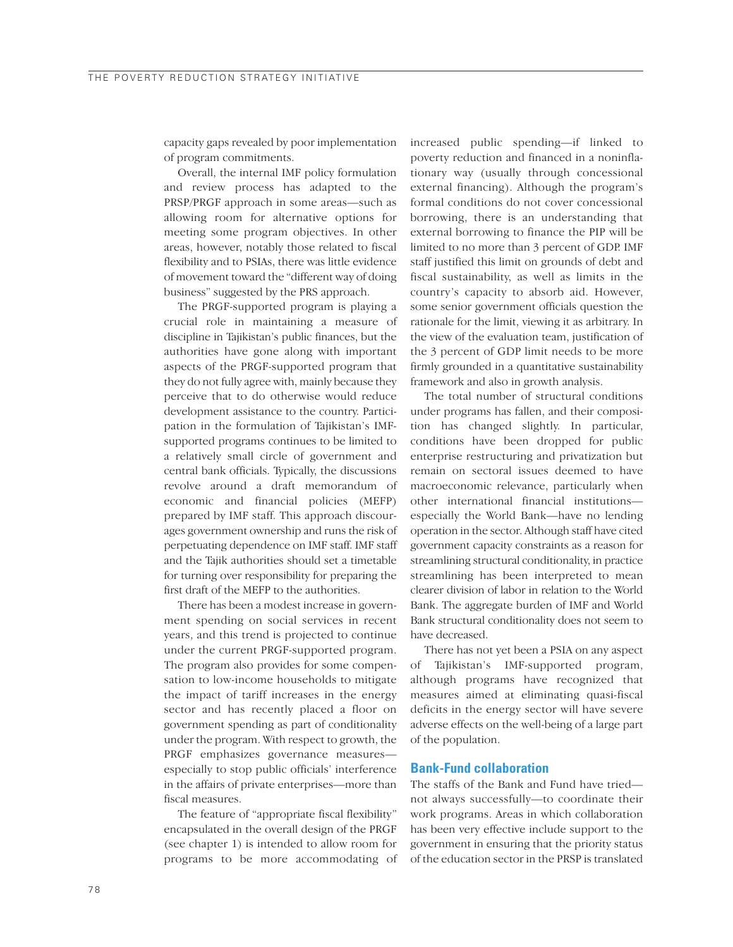capacity gaps revealed by poor implementation of program commitments.

Overall, the internal IMF policy formulation and review process has adapted to the PRSP/PRGF approach in some areas—such as allowing room for alternative options for meeting some program objectives. In other areas, however, notably those related to fiscal flexibility and to PSIAs, there was little evidence of movement toward the "different way of doing business" suggested by the PRS approach.

The PRGF-supported program is playing a crucial role in maintaining a measure of discipline in Tajikistan's public finances, but the authorities have gone along with important aspects of the PRGF-supported program that they do not fully agree with, mainly because they perceive that to do otherwise would reduce development assistance to the country. Participation in the formulation of Tajikistan's IMFsupported programs continues to be limited to a relatively small circle of government and central bank officials. Typically, the discussions revolve around a draft memorandum of economic and financial policies (MEFP) prepared by IMF staff. This approach discourages government ownership and runs the risk of perpetuating dependence on IMF staff. IMF staff and the Tajik authorities should set a timetable for turning over responsibility for preparing the first draft of the MEFP to the authorities.

There has been a modest increase in government spending on social services in recent years, and this trend is projected to continue under the current PRGF-supported program. The program also provides for some compensation to low-income households to mitigate the impact of tariff increases in the energy sector and has recently placed a floor on government spending as part of conditionality under the program. With respect to growth, the PRGF emphasizes governance measures especially to stop public officials' interference in the affairs of private enterprises—more than fiscal measures.

The feature of "appropriate fiscal flexibility" encapsulated in the overall design of the PRGF (see chapter 1) is intended to allow room for programs to be more accommodating of increased public spending—if linked to poverty reduction and financed in a noninflationary way (usually through concessional external financing). Although the program's formal conditions do not cover concessional borrowing, there is an understanding that external borrowing to finance the PIP will be limited to no more than 3 percent of GDP. IMF staff justified this limit on grounds of debt and fiscal sustainability, as well as limits in the country's capacity to absorb aid. However, some senior government officials question the rationale for the limit, viewing it as arbitrary. In the view of the evaluation team, justification of the 3 percent of GDP limit needs to be more firmly grounded in a quantitative sustainability framework and also in growth analysis.

The total number of structural conditions under programs has fallen, and their composition has changed slightly. In particular, conditions have been dropped for public enterprise restructuring and privatization but remain on sectoral issues deemed to have macroeconomic relevance, particularly when other international financial institutions especially the World Bank—have no lending operation in the sector. Although staff have cited government capacity constraints as a reason for streamlining structural conditionality, in practice streamlining has been interpreted to mean clearer division of labor in relation to the World Bank. The aggregate burden of IMF and World Bank structural conditionality does not seem to have decreased.

There has not yet been a PSIA on any aspect of Tajikistan's IMF-supported program, although programs have recognized that measures aimed at eliminating quasi-fiscal deficits in the energy sector will have severe adverse effects on the well-being of a large part of the population.

#### **Bank-Fund collaboration**

The staffs of the Bank and Fund have tried not always successfully—to coordinate their work programs. Areas in which collaboration has been very effective include support to the government in ensuring that the priority status of the education sector in the PRSP is translated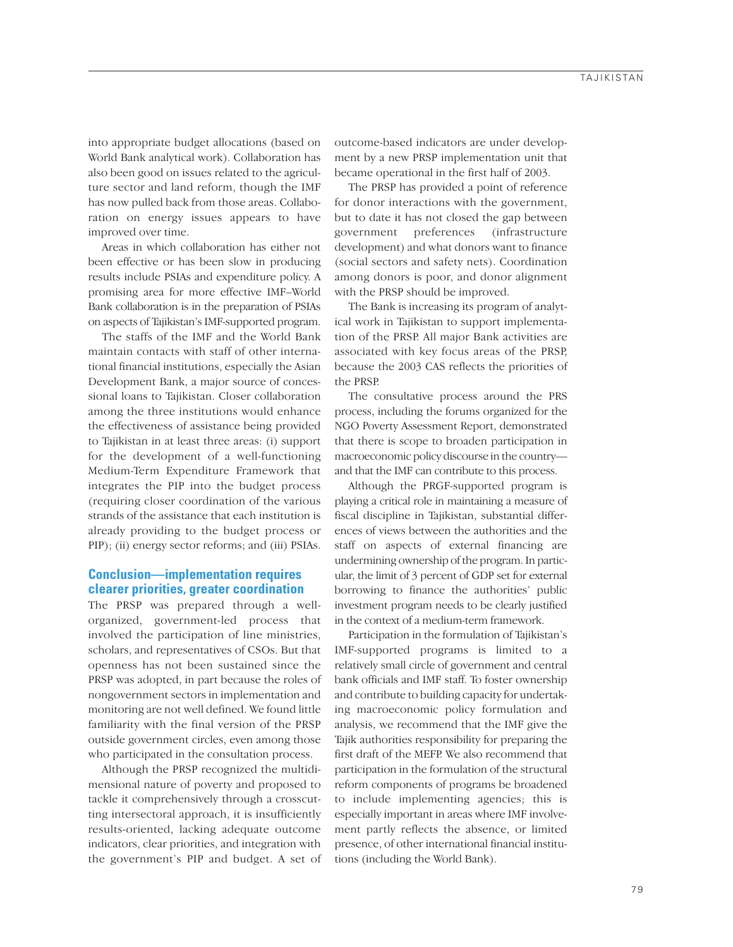into appropriate budget allocations (based on World Bank analytical work). Collaboration has also been good on issues related to the agriculture sector and land reform, though the IMF has now pulled back from those areas. Collaboration on energy issues appears to have improved over time.

Areas in which collaboration has either not been effective or has been slow in producing results include PSIAs and expenditure policy. A promising area for more effective IMF–World Bank collaboration is in the preparation of PSIAs on aspects of Tajikistan's IMF-supported program.

The staffs of the IMF and the World Bank maintain contacts with staff of other international financial institutions, especially the Asian Development Bank, a major source of concessional loans to Tajikistan. Closer collaboration among the three institutions would enhance the effectiveness of assistance being provided to Tajikistan in at least three areas: (i) support for the development of a well-functioning Medium-Term Expenditure Framework that integrates the PIP into the budget process (requiring closer coordination of the various strands of the assistance that each institution is already providing to the budget process or PIP); (ii) energy sector reforms; and (iii) PSIAs.

#### **Conclusion—implementation requires clearer priorities, greater coordination**

The PRSP was prepared through a wellorganized, government-led process that involved the participation of line ministries, scholars, and representatives of CSOs. But that openness has not been sustained since the PRSP was adopted, in part because the roles of nongovernment sectors in implementation and monitoring are not well defined. We found little familiarity with the final version of the PRSP outside government circles, even among those who participated in the consultation process.

Although the PRSP recognized the multidimensional nature of poverty and proposed to tackle it comprehensively through a crosscutting intersectoral approach, it is insufficiently results-oriented, lacking adequate outcome indicators, clear priorities, and integration with the government's PIP and budget. A set of outcome-based indicators are under development by a new PRSP implementation unit that became operational in the first half of 2003.

The PRSP has provided a point of reference for donor interactions with the government, but to date it has not closed the gap between government preferences (infrastructure development) and what donors want to finance (social sectors and safety nets). Coordination among donors is poor, and donor alignment with the PRSP should be improved.

The Bank is increasing its program of analytical work in Tajikistan to support implementation of the PRSP. All major Bank activities are associated with key focus areas of the PRSP, because the 2003 CAS reflects the priorities of the PRSP.

The consultative process around the PRS process, including the forums organized for the NGO Poverty Assessment Report, demonstrated that there is scope to broaden participation in macroeconomic policy discourse in the country and that the IMF can contribute to this process.

Although the PRGF-supported program is playing a critical role in maintaining a measure of fiscal discipline in Tajikistan, substantial differences of views between the authorities and the staff on aspects of external financing are undermining ownership of the program. In particular, the limit of 3 percent of GDP set for external borrowing to finance the authorities' public investment program needs to be clearly justified in the context of a medium-term framework.

Participation in the formulation of Tajikistan's IMF-supported programs is limited to a relatively small circle of government and central bank officials and IMF staff. To foster ownership and contribute to building capacity for undertaking macroeconomic policy formulation and analysis, we recommend that the IMF give the Tajik authorities responsibility for preparing the first draft of the MEFP. We also recommend that participation in the formulation of the structural reform components of programs be broadened to include implementing agencies; this is especially important in areas where IMF involvement partly reflects the absence, or limited presence, of other international financial institutions (including the World Bank).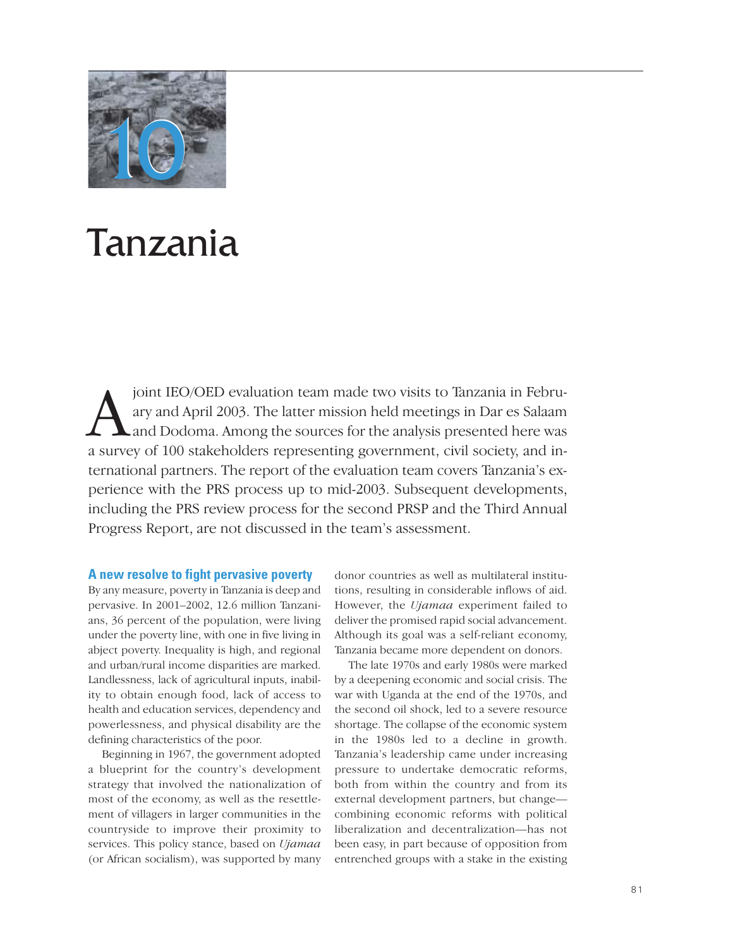

## Tanzania

joint IEO/OED evaluation team made two visits to Tanzania in February and April 2003. The latter mission held meetings in Dar es Salaam and Dodoma. Among the sources for the analysis presented here was a survey of 100 stak ary and April 2003. The latter mission held meetings in Dar es Salaam and Dodoma. Among the sources for the analysis presented here was a survey of 100 stakeholders representing government, civil society, and international partners. The report of the evaluation team covers Tanzania's experience with the PRS process up to mid-2003. Subsequent developments, including the PRS review process for the second PRSP and the Third Annual Progress Report, are not discussed in the team's assessment.

#### **A new resolve to fight pervasive poverty**

By any measure, poverty in Tanzania is deep and pervasive. In 2001–2002, 12.6 million Tanzanians, 36 percent of the population, were living under the poverty line, with one in five living in abject poverty. Inequality is high, and regional and urban/rural income disparities are marked. Landlessness, lack of agricultural inputs, inability to obtain enough food, lack of access to health and education services, dependency and powerlessness, and physical disability are the defining characteristics of the poor.

Beginning in 1967, the government adopted a blueprint for the country's development strategy that involved the nationalization of most of the economy, as well as the resettlement of villagers in larger communities in the countryside to improve their proximity to services. This policy stance, based on *Ujamaa* (or African socialism), was supported by many donor countries as well as multilateral institutions, resulting in considerable inflows of aid. However, the *Ujamaa* experiment failed to deliver the promised rapid social advancement. Although its goal was a self-reliant economy, Tanzania became more dependent on donors.

The late 1970s and early 1980s were marked by a deepening economic and social crisis. The war with Uganda at the end of the 1970s, and the second oil shock, led to a severe resource shortage. The collapse of the economic system in the 1980s led to a decline in growth. Tanzania's leadership came under increasing pressure to undertake democratic reforms, both from within the country and from its external development partners, but change combining economic reforms with political liberalization and decentralization—has not been easy, in part because of opposition from entrenched groups with a stake in the existing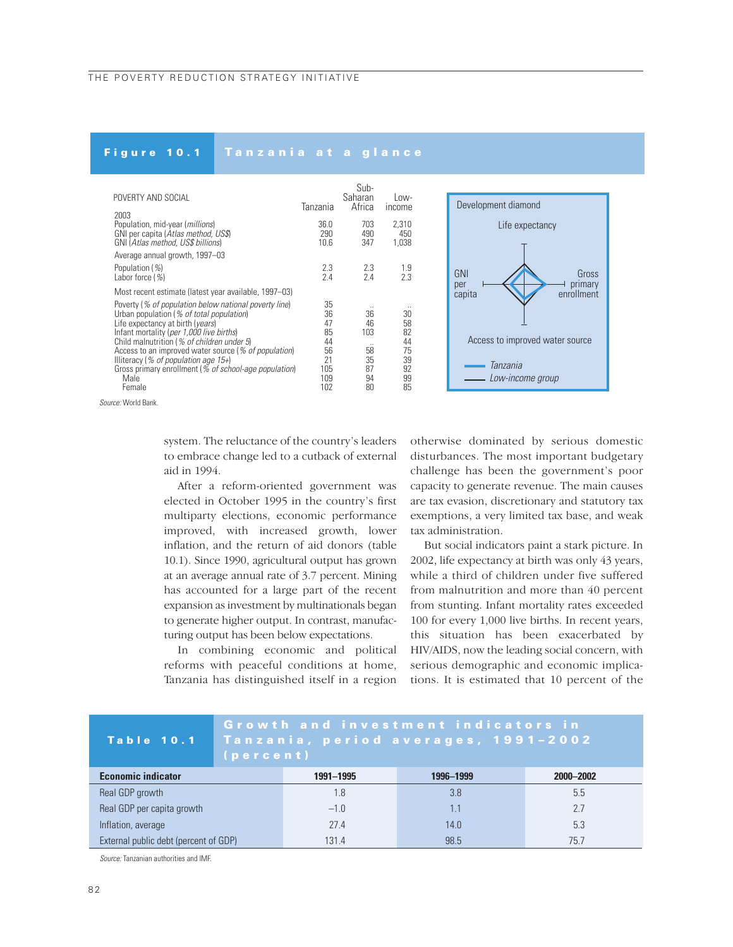#### **Figure 10.1 Tanzania at a glance**

| POVERTY AND SOCIAL                                                                              |             | Sub-<br>Saharan | $Low-$       | Development diamond             |
|-------------------------------------------------------------------------------------------------|-------------|-----------------|--------------|---------------------------------|
| 2003                                                                                            | Tanzania    | Africa          | income       |                                 |
| Population, mid-year ( <i>millions</i> )                                                        | 36.0        | 703             | 2.310        | Life expectancy                 |
| GNI per capita (Atlas method, US\$)<br>GNI (Atlas method, US\$ billions)                        | 290<br>10.6 | 490<br>347      | 450<br>1.038 |                                 |
| Average annual growth, 1997-03                                                                  |             |                 |              |                                 |
| Population (%)                                                                                  | 2.3         | 2.3             | 1.9          | GNI<br>Gross                    |
| Labor force (%)                                                                                 | 2.4         | 2.4             | 2.3          | primary<br>per                  |
| Most recent estimate (latest year available, 1997–03)                                           |             |                 |              | enrollment<br>capita            |
| Poverty (% of population below national poverty line)                                           | 35          |                 |              |                                 |
| Urban population (% of total population)<br>Life expectancy at birth (years)                    | 36<br>47    | 36<br>46        | 30<br>58     |                                 |
| Infant mortality (per 1,000 live births)                                                        | 85          | 103             | 82           |                                 |
| Child malnutrition (% of children under 5)                                                      | 44          |                 | 44           | Access to improved water source |
| Access to an improved water source (% of population)<br>Illiteracy (% of population age $15+$ ) | 56<br>21    | 58<br>35        | 75<br>39     |                                 |
| Gross primary enrollment (% of school-age population)                                           | 105         | 87              | 92           | Tanzania                        |
| Male                                                                                            | 109         | 94              | 99           | Low-income group                |
| Female                                                                                          | 102         | 80              | 85           |                                 |

Source: World Bank.

system. The reluctance of the country's leaders to embrace change led to a cutback of external aid in 1994.

After a reform-oriented government was elected in October 1995 in the country's first multiparty elections, economic performance improved, with increased growth, lower inflation, and the return of aid donors (table 10.1). Since 1990, agricultural output has grown at an average annual rate of 3.7 percent. Mining has accounted for a large part of the recent expansion as investment by multinationals began to generate higher output. In contrast, manufacturing output has been below expectations.

In combining economic and political reforms with peaceful conditions at home, Tanzania has distinguished itself in a region otherwise dominated by serious domestic disturbances. The most important budgetary challenge has been the government's poor capacity to generate revenue. The main causes are tax evasion, discretionary and statutory tax exemptions, a very limited tax base, and weak tax administration.

But social indicators paint a stark picture. In 2002, life expectancy at birth was only 43 years, while a third of children under five suffered from malnutrition and more than 40 percent from stunting. Infant mortality rates exceeded 100 for every 1,000 live births. In recent years, this situation has been exacerbated by HIV/AIDS, now the leading social concern, with serious demographic and economic implications. It is estimated that 10 percent of the

| Table 10.1                            | Growth and investment indicators in<br>Tanzania, period averages, 1991–2002<br>(percent) |           |           |  |  |  |
|---------------------------------------|------------------------------------------------------------------------------------------|-----------|-----------|--|--|--|
| <b>Economic indicator</b>             | 1991-1995                                                                                | 1996-1999 | 2000-2002 |  |  |  |
| Real GDP growth                       | 1.8                                                                                      | 3.8       | 5.5       |  |  |  |
| Real GDP per capita growth            | $-1.0$                                                                                   | 1.1       | 2.7       |  |  |  |
| Inflation, average                    | 27.4                                                                                     | 14.0      | 5.3       |  |  |  |
| External public debt (percent of GDP) | 131.4                                                                                    | 98.5      | 75.7      |  |  |  |

Source: Tanzanian authorities and IMF.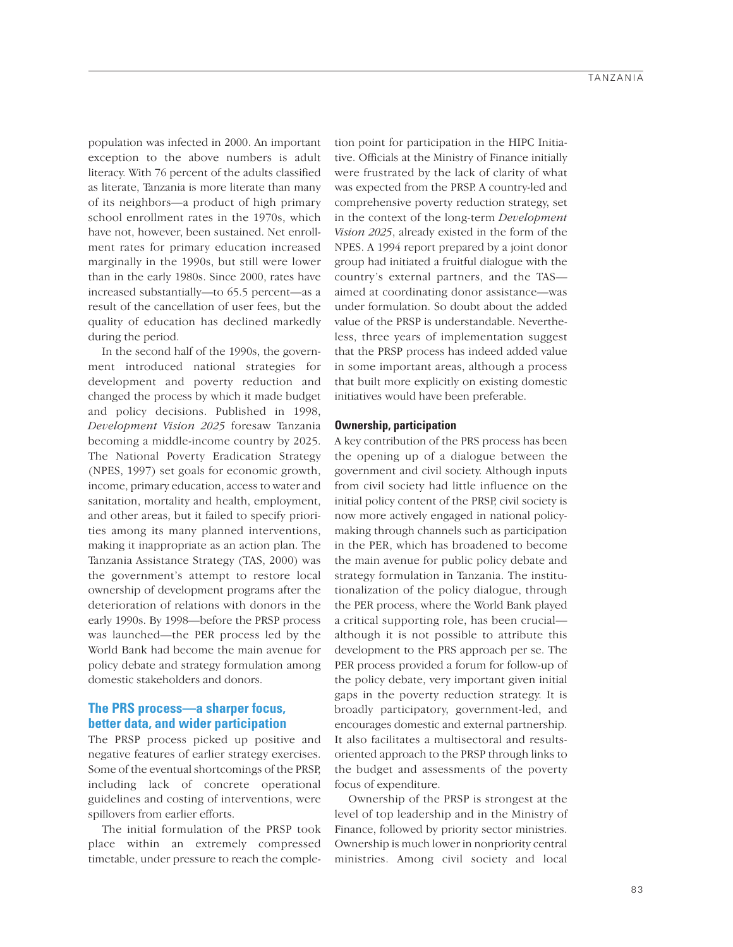population was infected in 2000. An important exception to the above numbers is adult literacy. With 76 percent of the adults classified as literate, Tanzania is more literate than many of its neighbors—a product of high primary school enrollment rates in the 1970s, which have not, however, been sustained. Net enrollment rates for primary education increased marginally in the 1990s, but still were lower than in the early 1980s. Since 2000, rates have increased substantially—to 65.5 percent—as a result of the cancellation of user fees, but the quality of education has declined markedly during the period.

In the second half of the 1990s, the government introduced national strategies for development and poverty reduction and changed the process by which it made budget and policy decisions. Published in 1998, *Development Vision 2025* foresaw Tanzania becoming a middle-income country by 2025. The National Poverty Eradication Strategy (NPES, 1997) set goals for economic growth, income, primary education, access to water and sanitation, mortality and health, employment, and other areas, but it failed to specify priorities among its many planned interventions, making it inappropriate as an action plan. The Tanzania Assistance Strategy (TAS, 2000) was the government's attempt to restore local ownership of development programs after the deterioration of relations with donors in the early 1990s. By 1998—before the PRSP process was launched—the PER process led by the World Bank had become the main avenue for policy debate and strategy formulation among domestic stakeholders and donors.

#### **The PRS process—a sharper focus, better data, and wider participation**

The PRSP process picked up positive and negative features of earlier strategy exercises. Some of the eventual shortcomings of the PRSP, including lack of concrete operational guidelines and costing of interventions, were spillovers from earlier efforts.

The initial formulation of the PRSP took place within an extremely compressed timetable, under pressure to reach the completion point for participation in the HIPC Initiative. Officials at the Ministry of Finance initially were frustrated by the lack of clarity of what was expected from the PRSP. A country-led and comprehensive poverty reduction strategy, set in the context of the long-term *Development Vision 2025*, already existed in the form of the NPES. A 1994 report prepared by a joint donor group had initiated a fruitful dialogue with the country's external partners, and the TAS aimed at coordinating donor assistance—was under formulation. So doubt about the added value of the PRSP is understandable. Nevertheless, three years of implementation suggest that the PRSP process has indeed added value in some important areas, although a process that built more explicitly on existing domestic initiatives would have been preferable.

#### **Ownership, participation**

A key contribution of the PRS process has been the opening up of a dialogue between the government and civil society. Although inputs from civil society had little influence on the initial policy content of the PRSP, civil society is now more actively engaged in national policymaking through channels such as participation in the PER, which has broadened to become the main avenue for public policy debate and strategy formulation in Tanzania. The institutionalization of the policy dialogue, through the PER process, where the World Bank played a critical supporting role, has been crucial although it is not possible to attribute this development to the PRS approach per se. The PER process provided a forum for follow-up of the policy debate, very important given initial gaps in the poverty reduction strategy. It is broadly participatory, government-led, and encourages domestic and external partnership. It also facilitates a multisectoral and resultsoriented approach to the PRSP through links to the budget and assessments of the poverty focus of expenditure.

Ownership of the PRSP is strongest at the level of top leadership and in the Ministry of Finance, followed by priority sector ministries. Ownership is much lower in nonpriority central ministries. Among civil society and local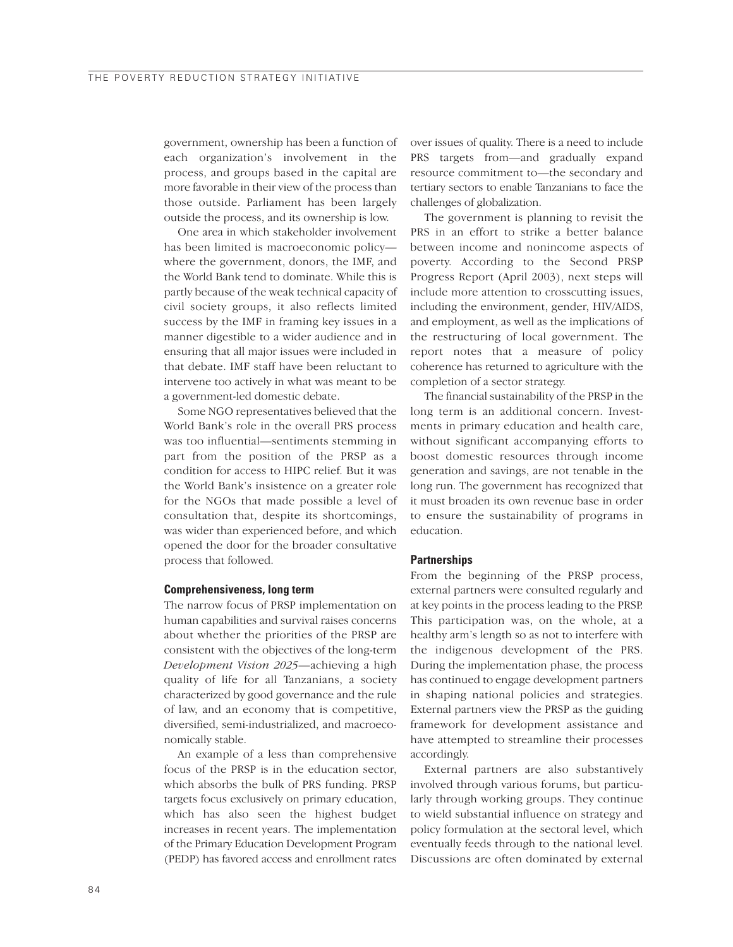government, ownership has been a function of each organization's involvement in the process, and groups based in the capital are more favorable in their view of the process than those outside. Parliament has been largely outside the process, and its ownership is low.

One area in which stakeholder involvement has been limited is macroeconomic policy where the government, donors, the IMF, and the World Bank tend to dominate. While this is partly because of the weak technical capacity of civil society groups, it also reflects limited success by the IMF in framing key issues in a manner digestible to a wider audience and in ensuring that all major issues were included in that debate. IMF staff have been reluctant to intervene too actively in what was meant to be a government-led domestic debate.

Some NGO representatives believed that the World Bank's role in the overall PRS process was too influential—sentiments stemming in part from the position of the PRSP as a condition for access to HIPC relief. But it was the World Bank's insistence on a greater role for the NGOs that made possible a level of consultation that, despite its shortcomings, was wider than experienced before, and which opened the door for the broader consultative process that followed.

#### **Comprehensiveness, long term**

The narrow focus of PRSP implementation on human capabilities and survival raises concerns about whether the priorities of the PRSP are consistent with the objectives of the long-term *Development Vision 2025*—achieving a high quality of life for all Tanzanians, a society characterized by good governance and the rule of law, and an economy that is competitive, diversified, semi-industrialized, and macroeconomically stable.

An example of a less than comprehensive focus of the PRSP is in the education sector, which absorbs the bulk of PRS funding. PRSP targets focus exclusively on primary education, which has also seen the highest budget increases in recent years. The implementation of the Primary Education Development Program (PEDP) has favored access and enrollment rates

over issues of quality. There is a need to include PRS targets from—and gradually expand resource commitment to—the secondary and tertiary sectors to enable Tanzanians to face the challenges of globalization.

The government is planning to revisit the PRS in an effort to strike a better balance between income and nonincome aspects of poverty. According to the Second PRSP Progress Report (April 2003), next steps will include more attention to crosscutting issues, including the environment, gender, HIV/AIDS, and employment, as well as the implications of the restructuring of local government. The report notes that a measure of policy coherence has returned to agriculture with the completion of a sector strategy.

The financial sustainability of the PRSP in the long term is an additional concern. Investments in primary education and health care, without significant accompanying efforts to boost domestic resources through income generation and savings, are not tenable in the long run. The government has recognized that it must broaden its own revenue base in order to ensure the sustainability of programs in education.

#### **Partnerships**

From the beginning of the PRSP process, external partners were consulted regularly and at key points in the process leading to the PRSP. This participation was, on the whole, at a healthy arm's length so as not to interfere with the indigenous development of the PRS. During the implementation phase, the process has continued to engage development partners in shaping national policies and strategies. External partners view the PRSP as the guiding framework for development assistance and have attempted to streamline their processes accordingly.

External partners are also substantively involved through various forums, but particularly through working groups. They continue to wield substantial influence on strategy and policy formulation at the sectoral level, which eventually feeds through to the national level. Discussions are often dominated by external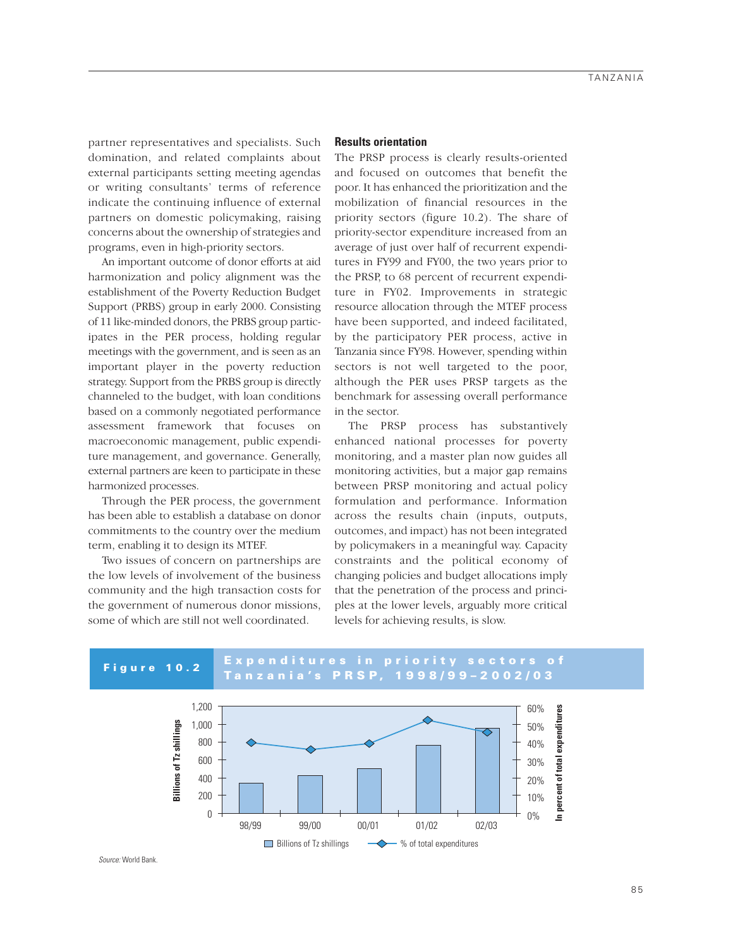partner representatives and specialists. Such domination, and related complaints about external participants setting meeting agendas or writing consultants' terms of reference indicate the continuing influence of external partners on domestic policymaking, raising concerns about the ownership of strategies and programs, even in high-priority sectors.

An important outcome of donor efforts at aid harmonization and policy alignment was the establishment of the Poverty Reduction Budget Support (PRBS) group in early 2000. Consisting of 11 like-minded donors, the PRBS group participates in the PER process, holding regular meetings with the government, and is seen as an important player in the poverty reduction strategy. Support from the PRBS group is directly channeled to the budget, with loan conditions based on a commonly negotiated performance assessment framework that focuses on macroeconomic management, public expenditure management, and governance. Generally, external partners are keen to participate in these harmonized processes.

Through the PER process, the government has been able to establish a database on donor commitments to the country over the medium term, enabling it to design its MTEF.

Two issues of concern on partnerships are the low levels of involvement of the business community and the high transaction costs for the government of numerous donor missions, some of which are still not well coordinated.

#### **Results orientation**

The PRSP process is clearly results-oriented and focused on outcomes that benefit the poor. It has enhanced the prioritization and the mobilization of financial resources in the priority sectors (figure 10.2). The share of priority-sector expenditure increased from an average of just over half of recurrent expenditures in FY99 and FY00, the two years prior to the PRSP, to 68 percent of recurrent expenditure in FY02. Improvements in strategic resource allocation through the MTEF process have been supported, and indeed facilitated, by the participatory PER process, active in Tanzania since FY98. However, spending within sectors is not well targeted to the poor, although the PER uses PRSP targets as the benchmark for assessing overall performance in the sector.

The PRSP process has substantively enhanced national processes for poverty monitoring, and a master plan now guides all monitoring activities, but a major gap remains between PRSP monitoring and actual policy formulation and performance. Information across the results chain (inputs, outputs, outcomes, and impact) has not been integrated by policymakers in a meaningful way. Capacity constraints and the political economy of changing policies and budget allocations imply that the penetration of the process and principles at the lower levels, arguably more critical levels for achieving results, is slow.

#### **Expenditures in priority sectors of Tanzania's PRSP, 1998/99–2002/03 Figure 10.2**



Source: World Bank.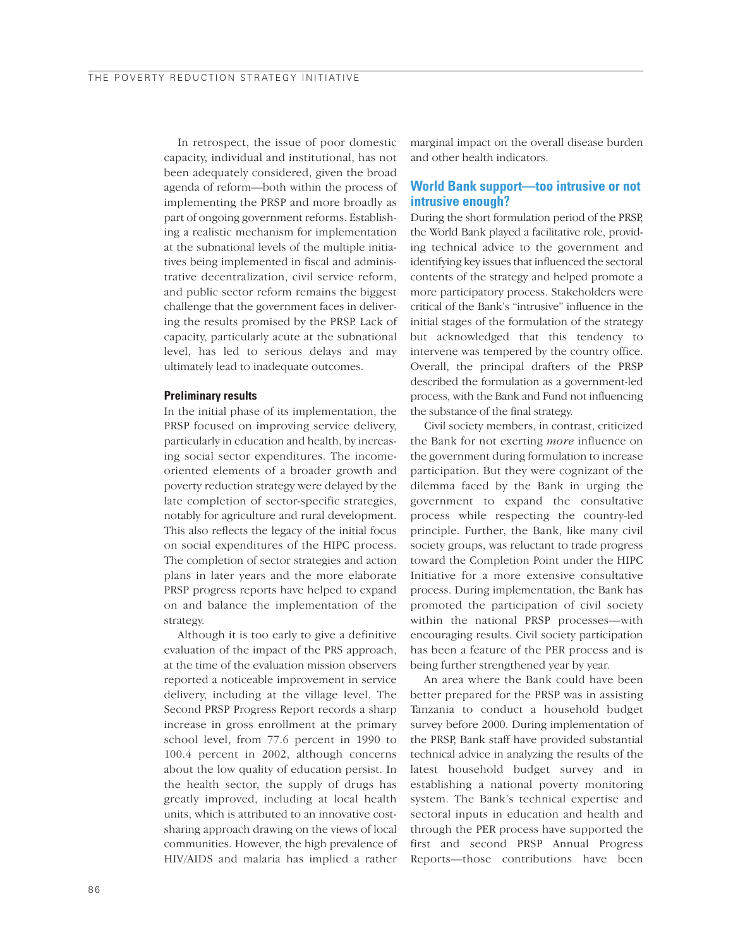In retrospect, the issue of poor domestic capacity, individual and institutional, has not been adequately considered, given the broad agenda of reform—both within the process of implementing the PRSP and more broadly as part of ongoing government reforms. Establishing a realistic mechanism for implementation at the subnational levels of the multiple initiatives being implemented in fiscal and administrative decentralization, civil service reform, and public sector reform remains the biggest challenge that the government faces in delivering the results promised by the PRSP. Lack of capacity, particularly acute at the subnational level, has led to serious delays and may ultimately lead to inadequate outcomes.

#### **Preliminary results**

In the initial phase of its implementation, the PRSP focused on improving service delivery, particularly in education and health, by increasing social sector expenditures. The incomeoriented elements of a broader growth and poverty reduction strategy were delayed by the late completion of sector-specific strategies, notably for agriculture and rural development. This also reflects the legacy of the initial focus on social expenditures of the HIPC process. The completion of sector strategies and action plans in later years and the more elaborate PRSP progress reports have helped to expand on and balance the implementation of the strategy.

Although it is too early to give a definitive evaluation of the impact of the PRS approach, at the time of the evaluation mission observers reported a noticeable improvement in service delivery, including at the village level. The Second PRSP Progress Report records a sharp increase in gross enrollment at the primary school level, from 77.6 percent in 1990 to 100.4 percent in 2002, although concerns about the low quality of education persist. In the health sector, the supply of drugs has greatly improved, including at local health units, which is attributed to an innovative costsharing approach drawing on the views of local communities. However, the high prevalence of HIV/AIDS and malaria has implied a rather marginal impact on the overall disease burden and other health indicators.

#### **World Bank support—too intrusive or not intrusive enough?**

During the short formulation period of the PRSP, the World Bank played a facilitative role, providing technical advice to the government and identifying key issues that influenced the sectoral contents of the strategy and helped promote a more participatory process. Stakeholders were critical of the Bank's "intrusive" influence in the initial stages of the formulation of the strategy but acknowledged that this tendency to intervene was tempered by the country office. Overall, the principal drafters of the PRSP described the formulation as a government-led process, with the Bank and Fund not influencing the substance of the final strategy.

Civil society members, in contrast, criticized the Bank for not exerting *more* influence on the government during formulation to increase participation. But they were cognizant of the dilemma faced by the Bank in urging the government to expand the consultative process while respecting the country-led principle. Further, the Bank, like many civil society groups, was reluctant to trade progress toward the Completion Point under the HIPC Initiative for a more extensive consultative process. During implementation, the Bank has promoted the participation of civil society within the national PRSP processes—with encouraging results. Civil society participation has been a feature of the PER process and is being further strengthened year by year.

An area where the Bank could have been better prepared for the PRSP was in assisting Tanzania to conduct a household budget survey before 2000. During implementation of the PRSP, Bank staff have provided substantial technical advice in analyzing the results of the latest household budget survey and in establishing a national poverty monitoring system. The Bank's technical expertise and sectoral inputs in education and health and through the PER process have supported the first and second PRSP Annual Progress Reports—those contributions have been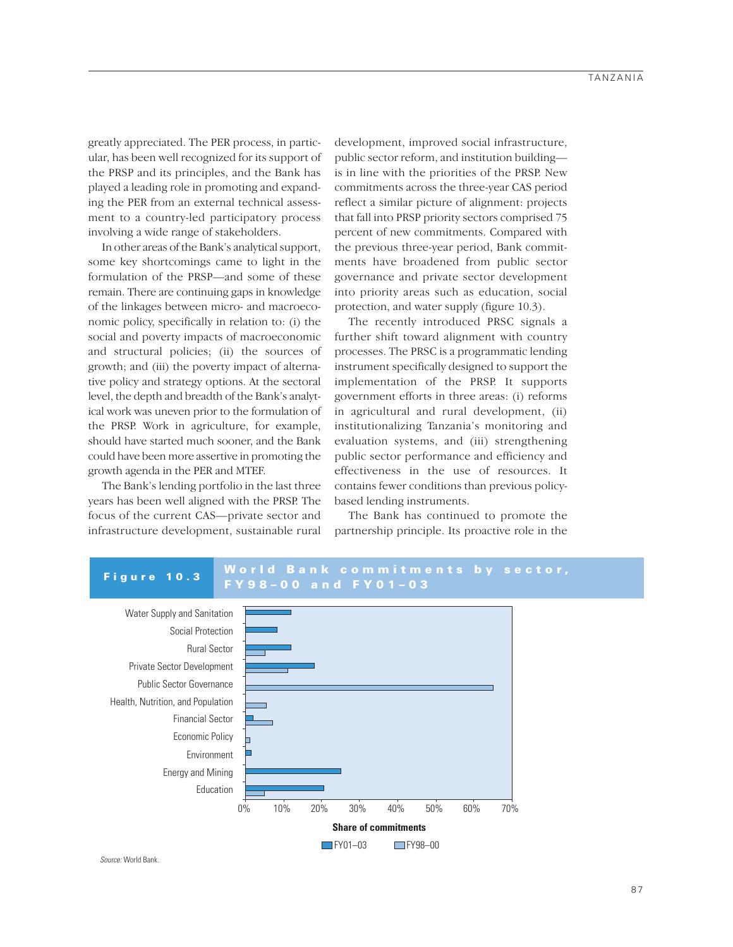greatly appreciated. The PER process, in particular, has been well recognized for its support of the PRSP and its principles, and the Bank has played a leading role in promoting and expanding the PER from an external technical assessment to a country-led participatory process involving a wide range of stakeholders.

In other areas of the Bank's analytical support, some key shortcomings came to light in the formulation of the PRSP—and some of these remain. There are continuing gaps in knowledge of the linkages between micro- and macroeconomic policy, specifically in relation to: (i) the social and poverty impacts of macroeconomic and structural policies; (ii) the sources of growth; and (iii) the poverty impact of alternative policy and strategy options. At the sectoral level, the depth and breadth of the Bank's analytical work was uneven prior to the formulation of the PRSP. Work in agriculture, for example, should have started much sooner, and the Bank could have been more assertive in promoting the growth agenda in the PER and MTEF.

The Bank's lending portfolio in the last three years has been well aligned with the PRSP. The focus of the current CAS—private sector and infrastructure development, sustainable rural development, improved social infrastructure, public sector reform, and institution building is in line with the priorities of the PRSP. New commitments across the three-year CAS period reflect a similar picture of alignment: projects that fall into PRSP priority sectors comprised 75 percent of new commitments. Compared with the previous three-year period, Bank commitments have broadened from public sector governance and private sector development into priority areas such as education, social protection, and water supply (figure 10.3).

The recently introduced PRSC signals a further shift toward alignment with country processes. The PRSC is a programmatic lending instrument specifically designed to support the implementation of the PRSP. It supports government efforts in three areas: (i) reforms in agricultural and rural development, (ii) institutionalizing Tanzania's monitoring and evaluation systems, and (iii) strengthening public sector performance and efficiency and effectiveness in the use of resources. It contains fewer conditions than previous policybased lending instruments.

The Bank has continued to promote the partnership principle. Its proactive role in the



#### **World Bank commitments by sector, FY98–00 and FY01–03 Figure 10.3**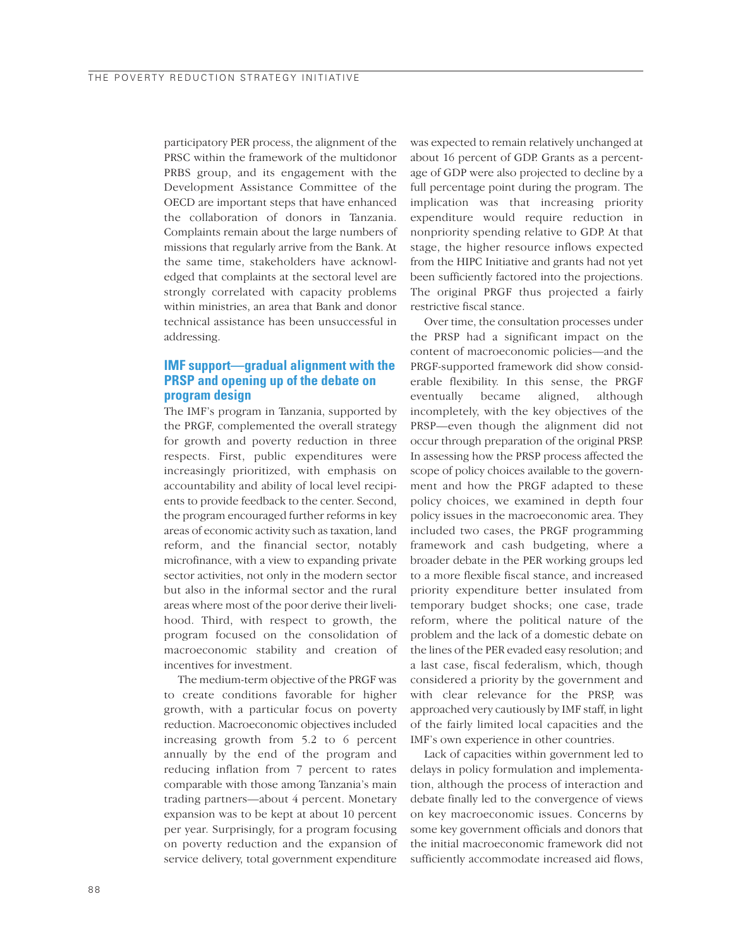participatory PER process, the alignment of the PRSC within the framework of the multidonor PRBS group, and its engagement with the Development Assistance Committee of the OECD are important steps that have enhanced the collaboration of donors in Tanzania. Complaints remain about the large numbers of missions that regularly arrive from the Bank. At the same time, stakeholders have acknowledged that complaints at the sectoral level are strongly correlated with capacity problems within ministries, an area that Bank and donor technical assistance has been unsuccessful in addressing.

#### **IMF support—gradual alignment with the PRSP and opening up of the debate on program design**

The IMF's program in Tanzania, supported by the PRGF, complemented the overall strategy for growth and poverty reduction in three respects. First, public expenditures were increasingly prioritized, with emphasis on accountability and ability of local level recipients to provide feedback to the center. Second, the program encouraged further reforms in key areas of economic activity such as taxation, land reform, and the financial sector, notably microfinance, with a view to expanding private sector activities, not only in the modern sector but also in the informal sector and the rural areas where most of the poor derive their livelihood. Third, with respect to growth, the program focused on the consolidation of macroeconomic stability and creation of incentives for investment.

The medium-term objective of the PRGF was to create conditions favorable for higher growth, with a particular focus on poverty reduction. Macroeconomic objectives included increasing growth from 5.2 to 6 percent annually by the end of the program and reducing inflation from 7 percent to rates comparable with those among Tanzania's main trading partners—about 4 percent. Monetary expansion was to be kept at about 10 percent per year. Surprisingly, for a program focusing on poverty reduction and the expansion of service delivery, total government expenditure was expected to remain relatively unchanged at about 16 percent of GDP. Grants as a percentage of GDP were also projected to decline by a full percentage point during the program. The implication was that increasing priority expenditure would require reduction in nonpriority spending relative to GDP. At that stage, the higher resource inflows expected from the HIPC Initiative and grants had not yet been sufficiently factored into the projections. The original PRGF thus projected a fairly restrictive fiscal stance.

Over time, the consultation processes under the PRSP had a significant impact on the content of macroeconomic policies—and the PRGF-supported framework did show considerable flexibility. In this sense, the PRGF eventually became aligned, although incompletely, with the key objectives of the PRSP—even though the alignment did not occur through preparation of the original PRSP. In assessing how the PRSP process affected the scope of policy choices available to the government and how the PRGF adapted to these policy choices, we examined in depth four policy issues in the macroeconomic area. They included two cases, the PRGF programming framework and cash budgeting, where a broader debate in the PER working groups led to a more flexible fiscal stance, and increased priority expenditure better insulated from temporary budget shocks; one case, trade reform, where the political nature of the problem and the lack of a domestic debate on the lines of the PER evaded easy resolution; and a last case, fiscal federalism, which, though considered a priority by the government and with clear relevance for the PRSP, was approached very cautiously by IMF staff, in light of the fairly limited local capacities and the IMF's own experience in other countries.

Lack of capacities within government led to delays in policy formulation and implementation, although the process of interaction and debate finally led to the convergence of views on key macroeconomic issues. Concerns by some key government officials and donors that the initial macroeconomic framework did not sufficiently accommodate increased aid flows,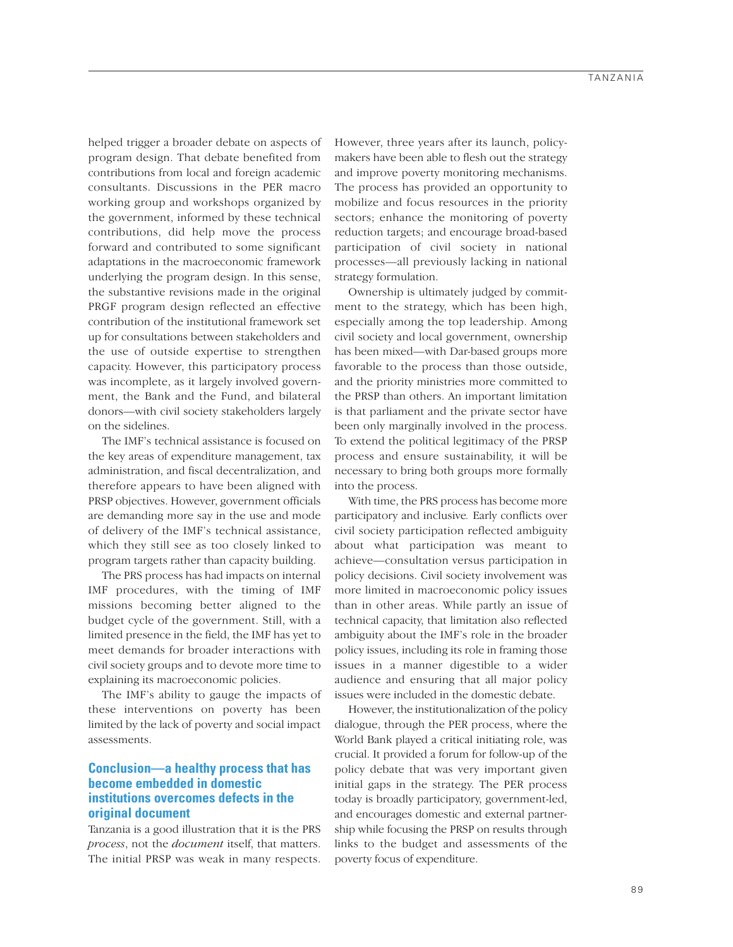helped trigger a broader debate on aspects of program design. That debate benefited from contributions from local and foreign academic consultants. Discussions in the PER macro working group and workshops organized by the government, informed by these technical contributions, did help move the process forward and contributed to some significant adaptations in the macroeconomic framework underlying the program design. In this sense, the substantive revisions made in the original PRGF program design reflected an effective contribution of the institutional framework set up for consultations between stakeholders and the use of outside expertise to strengthen capacity. However, this participatory process was incomplete, as it largely involved government, the Bank and the Fund, and bilateral donors—with civil society stakeholders largely on the sidelines.

The IMF's technical assistance is focused on the key areas of expenditure management, tax administration, and fiscal decentralization, and therefore appears to have been aligned with PRSP objectives. However, government officials are demanding more say in the use and mode of delivery of the IMF's technical assistance, which they still see as too closely linked to program targets rather than capacity building.

The PRS process has had impacts on internal IMF procedures, with the timing of IMF missions becoming better aligned to the budget cycle of the government. Still, with a limited presence in the field, the IMF has yet to meet demands for broader interactions with civil society groups and to devote more time to explaining its macroeconomic policies.

The IMF's ability to gauge the impacts of these interventions on poverty has been limited by the lack of poverty and social impact assessments.

#### **Conclusion—a healthy process that has become embedded in domestic institutions overcomes defects in the original document**

Tanzania is a good illustration that it is the PRS *process*, not the *document* itself, that matters. The initial PRSP was weak in many respects. However, three years after its launch, policymakers have been able to flesh out the strategy and improve poverty monitoring mechanisms. The process has provided an opportunity to mobilize and focus resources in the priority sectors; enhance the monitoring of poverty reduction targets; and encourage broad-based participation of civil society in national processes—all previously lacking in national strategy formulation.

Ownership is ultimately judged by commitment to the strategy, which has been high, especially among the top leadership. Among civil society and local government, ownership has been mixed—with Dar-based groups more favorable to the process than those outside, and the priority ministries more committed to the PRSP than others. An important limitation is that parliament and the private sector have been only marginally involved in the process. To extend the political legitimacy of the PRSP process and ensure sustainability, it will be necessary to bring both groups more formally into the process.

With time, the PRS process has become more participatory and inclusive*.* Early conflicts over civil society participation reflected ambiguity about what participation was meant to achieve—consultation versus participation in policy decisions. Civil society involvement was more limited in macroeconomic policy issues than in other areas. While partly an issue of technical capacity, that limitation also reflected ambiguity about the IMF's role in the broader policy issues, including its role in framing those issues in a manner digestible to a wider audience and ensuring that all major policy issues were included in the domestic debate.

However, the institutionalization of the policy dialogue, through the PER process, where the World Bank played a critical initiating role, was crucial. It provided a forum for follow-up of the policy debate that was very important given initial gaps in the strategy. The PER process today is broadly participatory, government-led, and encourages domestic and external partnership while focusing the PRSP on results through links to the budget and assessments of the poverty focus of expenditure.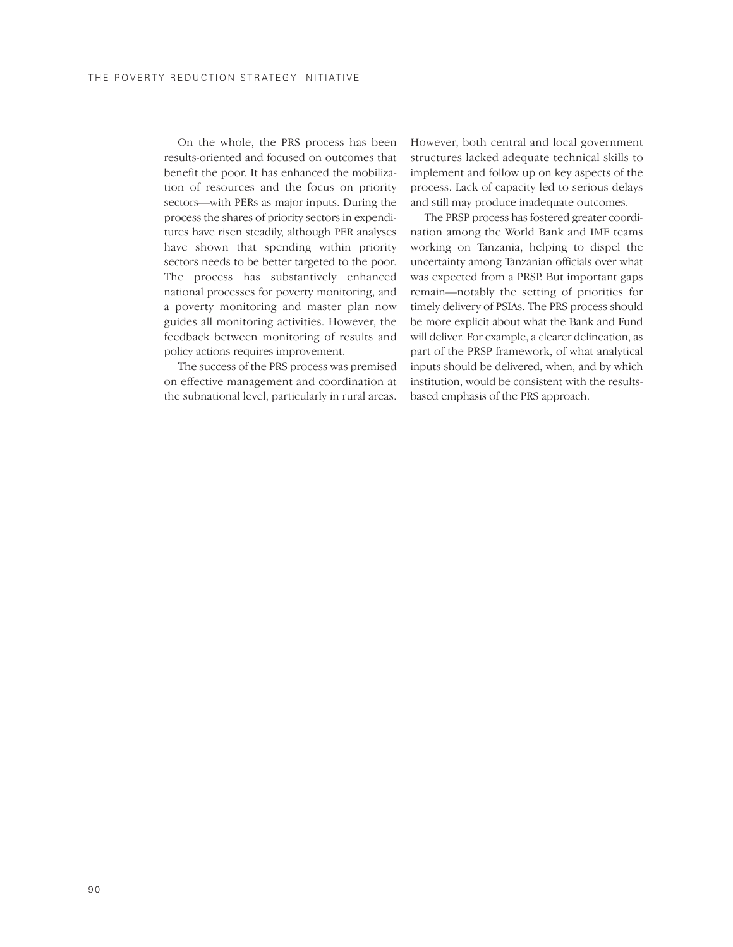On the whole, the PRS process has been results-oriented and focused on outcomes that benefit the poor. It has enhanced the mobilization of resources and the focus on priority sectors—with PERs as major inputs. During the process the shares of priority sectors in expenditures have risen steadily, although PER analyses have shown that spending within priority sectors needs to be better targeted to the poor. The process has substantively enhanced national processes for poverty monitoring, and a poverty monitoring and master plan now guides all monitoring activities. However, the feedback between monitoring of results and policy actions requires improvement.

The success of the PRS process was premised on effective management and coordination at the subnational level, particularly in rural areas.

However, both central and local government structures lacked adequate technical skills to implement and follow up on key aspects of the process. Lack of capacity led to serious delays and still may produce inadequate outcomes.

The PRSP process has fostered greater coordination among the World Bank and IMF teams working on Tanzania, helping to dispel the uncertainty among Tanzanian officials over what was expected from a PRSP. But important gaps remain—notably the setting of priorities for timely delivery of PSIAs. The PRS process should be more explicit about what the Bank and Fund will deliver. For example, a clearer delineation, as part of the PRSP framework, of what analytical inputs should be delivered, when, and by which institution, would be consistent with the resultsbased emphasis of the PRS approach.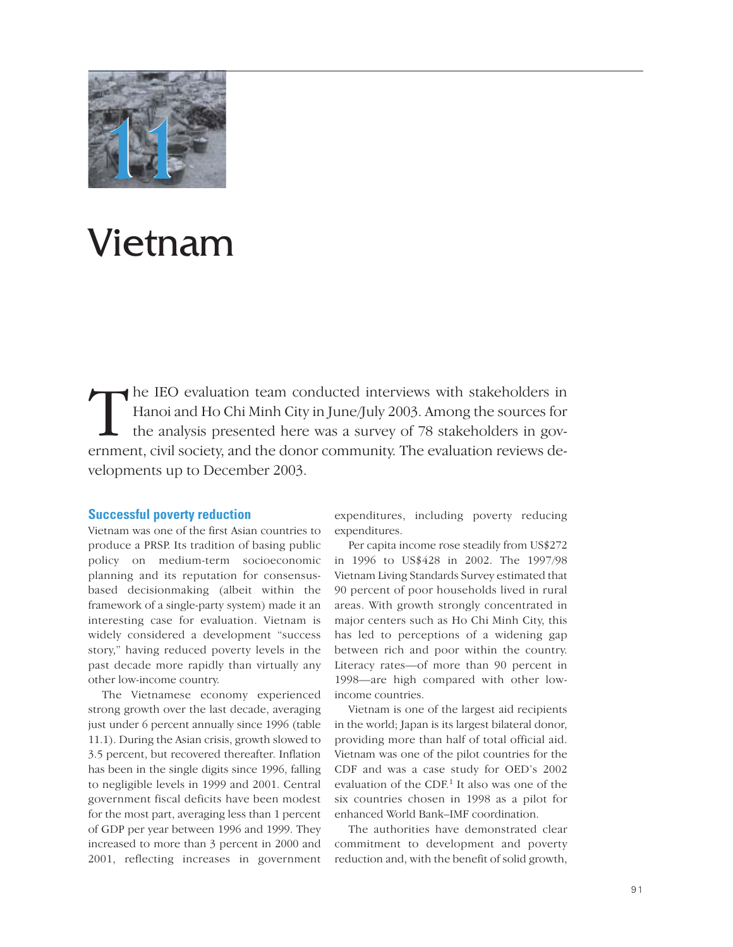

### Vietnam

The IEO evaluation team conducted interviews with stakeholders in Hanoi and Ho Chi Minh City in June/July 2003. Among the sources for the analysis presented here was a survey of 78 stakeholders in government civil society Hanoi and Ho Chi Minh City in June/July 2003. Among the sources for the analysis presented here was a survey of 78 stakeholders in government, civil society, and the donor community. The evaluation reviews developments up to December 2003.

#### **Successful poverty reduction**

Vietnam was one of the first Asian countries to produce a PRSP. Its tradition of basing public policy on medium-term socioeconomic planning and its reputation for consensusbased decisionmaking (albeit within the framework of a single-party system) made it an interesting case for evaluation. Vietnam is widely considered a development "success story," having reduced poverty levels in the past decade more rapidly than virtually any other low-income country.

The Vietnamese economy experienced strong growth over the last decade, averaging just under 6 percent annually since 1996 (table 11.1). During the Asian crisis, growth slowed to 3.5 percent, but recovered thereafter. Inflation has been in the single digits since 1996, falling to negligible levels in 1999 and 2001. Central government fiscal deficits have been modest for the most part, averaging less than 1 percent of GDP per year between 1996 and 1999. They increased to more than 3 percent in 2000 and 2001, reflecting increases in government expenditures, including poverty reducing expenditures.

Per capita income rose steadily from US\$272 in 1996 to US\$428 in 2002. The 1997/98 Vietnam Living Standards Survey estimated that 90 percent of poor households lived in rural areas. With growth strongly concentrated in major centers such as Ho Chi Minh City, this has led to perceptions of a widening gap between rich and poor within the country. Literacy rates—of more than 90 percent in 1998—are high compared with other lowincome countries.

Vietnam is one of the largest aid recipients in the world; Japan is its largest bilateral donor, providing more than half of total official aid. Vietnam was one of the pilot countries for the CDF and was a case study for OED's 2002 evaluation of the CDF.<sup>1</sup> It also was one of the six countries chosen in 1998 as a pilot for enhanced World Bank–IMF coordination.

The authorities have demonstrated clear commitment to development and poverty reduction and, with the benefit of solid growth,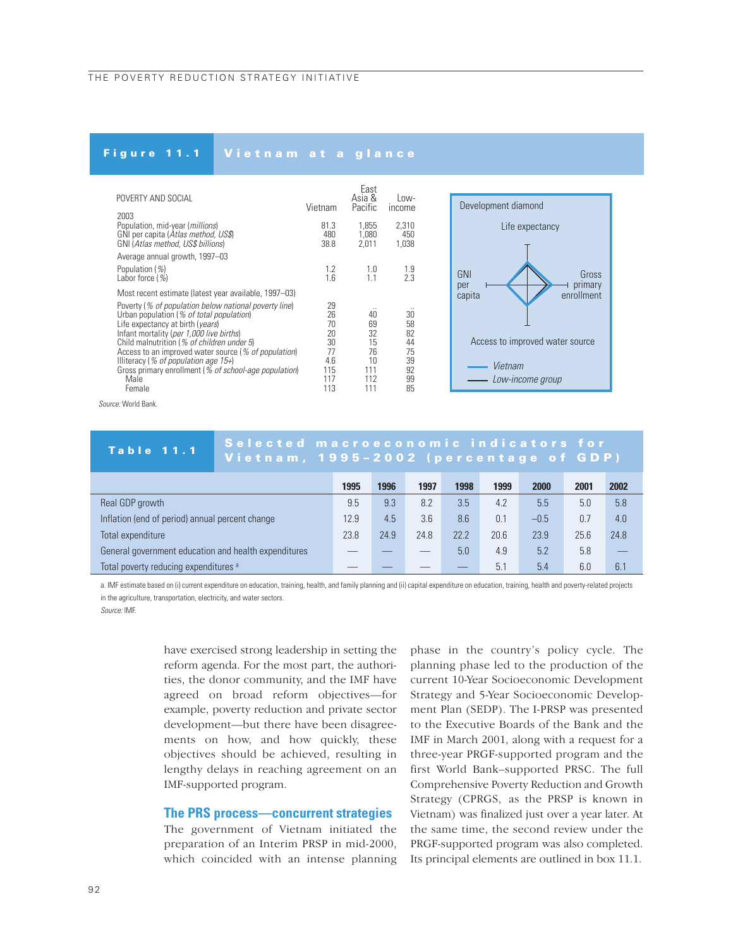#### **Figure 11.1 Vietnam at a glance**

|                                                                                                                                                                                                                                                                                                                                                                                                               |                                                              | East                                                  |                                                                            |            |                                                                |
|---------------------------------------------------------------------------------------------------------------------------------------------------------------------------------------------------------------------------------------------------------------------------------------------------------------------------------------------------------------------------------------------------------------|--------------------------------------------------------------|-------------------------------------------------------|----------------------------------------------------------------------------|------------|----------------------------------------------------------------|
| POVERTY AND SOCIAL                                                                                                                                                                                                                                                                                                                                                                                            | Vietnam                                                      | Asia &<br>Pacific                                     | $Low-$<br>income                                                           |            | Development diamond                                            |
| 2003<br>Population, mid-year ( <i>millions</i> )<br>GNI per capita (Atlas method, US\$)<br>GNI (Atlas method, US\$ billions)                                                                                                                                                                                                                                                                                  | 81.3<br>480<br>38.8                                          | 1.855<br>1.080<br>2.011                               | 2.310<br>450<br>1,038                                                      |            | Life expectancy                                                |
| Average annual growth, 1997-03                                                                                                                                                                                                                                                                                                                                                                                |                                                              |                                                       |                                                                            |            |                                                                |
| Population (%)<br>Labor force (%)                                                                                                                                                                                                                                                                                                                                                                             | 1.2<br>1.6                                                   | 1.0<br>1.1                                            | 1.9<br>2.3                                                                 | GNI<br>per | Gross<br>primary                                               |
| Most recent estimate (latest year available, 1997–03)                                                                                                                                                                                                                                                                                                                                                         |                                                              |                                                       |                                                                            | capita     | enrollment                                                     |
| Poverty (% of population below national poverty line)<br>Urban population (% of total population)<br>Life expectancy at birth (years)<br>Infant mortality (per 1,000 live births)<br>Child malnutrition (% of children under 5)<br>Access to an improved water source (% of population)<br>Illiteracy (% of population age $15+$ )<br>Gross primary enrollment (% of school-age population)<br>Male<br>Female | 29<br>26<br>70<br>20<br>30<br>77<br>4.6<br>115<br>117<br>113 | 40<br>69<br>32<br>15<br>76<br>10<br>111<br>112<br>111 | $\ddot{\phantom{0}}$<br>30<br>58<br>82<br>44<br>75<br>39<br>92<br>99<br>85 |            | Access to improved water source<br>Vietnam<br>Low-income group |

Source: World Bank.

#### **Selected macroeconomic indicators for Vietnam, 1995–2002 (percentage of GDP) Table 11.1**

|                                                      | 1995 | 1996 | 1997 | 1998 | 1999 | 2000   | 2001 | 2002 |
|------------------------------------------------------|------|------|------|------|------|--------|------|------|
| Real GDP growth                                      | 9.5  | 9.3  | 8.2  | 3.5  | 4.2  | 5.5    | 5.0  | 5.8  |
| Inflation (end of period) annual percent change      | 12.9 | 4.5  | 3.6  | 8.6  | 0.1  | $-0.5$ | 0.7  | 4.0  |
| Total expenditure                                    | 23.8 | 24.9 | 24.8 | 22.2 | 20.6 | 23.9   | 25.6 | 24.8 |
| General government education and health expenditures |      |      |      | 5.0  | 4.9  | 5.2    | 5.8  |      |
| Total poverty reducing expenditures <sup>a</sup>     |      |      |      |      | 5.1  | 5.4    | 6.0  | 6.1  |

a. IMF estimate based on (i) current expenditure on education, training, health, and family planning and (ii) capital expenditure on education, training, health and poverty-related projects in the agriculture, transportation, electricity, and water sectors.

Source: IMF.

have exercised strong leadership in setting the reform agenda. For the most part, the authorities, the donor community, and the IMF have agreed on broad reform objectives—for example, poverty reduction and private sector development—but there have been disagreements on how, and how quickly, these objectives should be achieved, resulting in lengthy delays in reaching agreement on an IMF-supported program.

#### **The PRS process—concurrent strategies**

The government of Vietnam initiated the preparation of an Interim PRSP in mid-2000, which coincided with an intense planning phase in the country's policy cycle. The planning phase led to the production of the current 10-Year Socioeconomic Development Strategy and 5-Year Socioeconomic Development Plan (SEDP). The I-PRSP was presented to the Executive Boards of the Bank and the IMF in March 2001, along with a request for a three-year PRGF-supported program and the first World Bank–supported PRSC. The full Comprehensive Poverty Reduction and Growth Strategy (CPRGS, as the PRSP is known in Vietnam) was finalized just over a year later. At the same time, the second review under the PRGF-supported program was also completed. Its principal elements are outlined in box 11.1.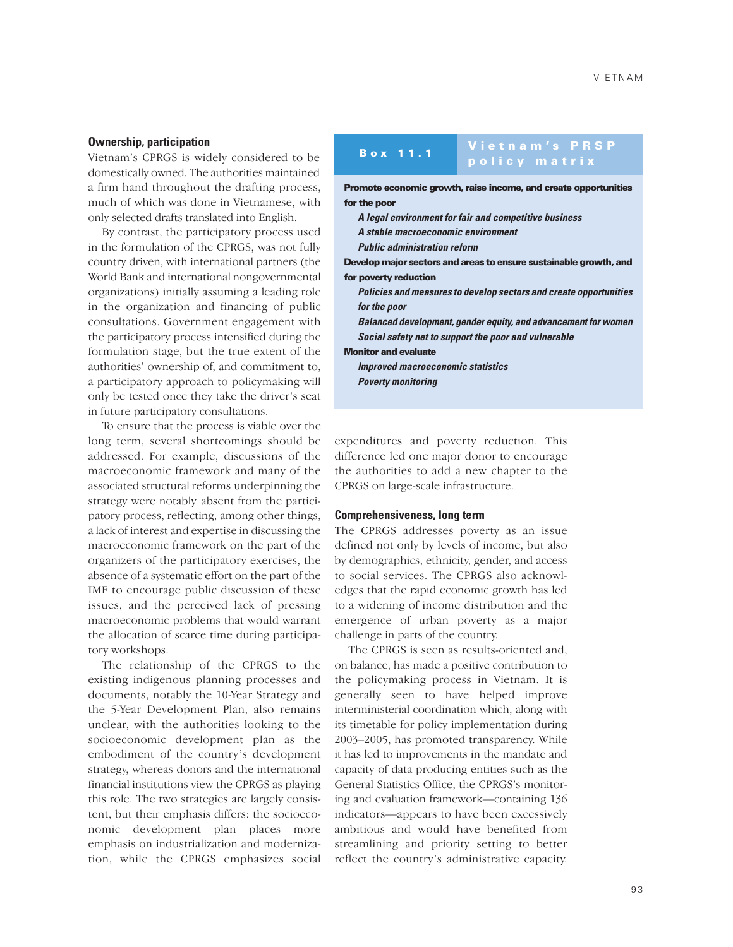#### **Ownership, participation**

Vietnam's CPRGS is widely considered to be domestically owned. The authorities maintained a firm hand throughout the drafting process, much of which was done in Vietnamese, with only selected drafts translated into English.

By contrast, the participatory process used in the formulation of the CPRGS, was not fully country driven, with international partners (the World Bank and international nongovernmental organizations) initially assuming a leading role in the organization and financing of public consultations. Government engagement with the participatory process intensified during the formulation stage, but the true extent of the authorities' ownership of, and commitment to, a participatory approach to policymaking will only be tested once they take the driver's seat in future participatory consultations.

To ensure that the process is viable over the long term, several shortcomings should be addressed. For example, discussions of the macroeconomic framework and many of the associated structural reforms underpinning the strategy were notably absent from the participatory process, reflecting, among other things, a lack of interest and expertise in discussing the macroeconomic framework on the part of the organizers of the participatory exercises, the absence of a systematic effort on the part of the IMF to encourage public discussion of these issues, and the perceived lack of pressing macroeconomic problems that would warrant the allocation of scarce time during participatory workshops.

The relationship of the CPRGS to the existing indigenous planning processes and documents, notably the 10-Year Strategy and the 5-Year Development Plan, also remains unclear, with the authorities looking to the socioeconomic development plan as the embodiment of the country's development strategy, whereas donors and the international financial institutions view the CPRGS as playing this role. The two strategies are largely consistent, but their emphasis differs: the socioeconomic development plan places more emphasis on industrialization and modernization, while the CPRGS emphasizes social

| Box 11.1                                        | Vietnam's PRSP<br>policy matrix                                   |
|-------------------------------------------------|-------------------------------------------------------------------|
|                                                 | Promote economic growth, raise income, and create opportunities   |
| for the poor                                    |                                                                   |
|                                                 | A legal environment for fair and competitive business             |
| A stable macroeconomic environment              |                                                                   |
| <b>Public administration reform</b>             |                                                                   |
|                                                 | Develop major sectors and areas to ensure sustainable growth, and |
| for poverty reduction                           |                                                                   |
|                                                 | Policies and measures to develop sectors and create opportunities |
| for the poor                                    |                                                                   |
|                                                 | Balanced development, gender equity, and advancement for women    |
|                                                 | Social safety net to support the poor and vulnerable              |
| <b>Monitor and evaluate</b>                     |                                                                   |
| <i><b>Improved macroeconomic statistics</b></i> |                                                                   |
| <b>Poverty monitoring</b>                       |                                                                   |
|                                                 |                                                                   |

expenditures and poverty reduction. This difference led one major donor to encourage the authorities to add a new chapter to the CPRGS on large-scale infrastructure.

#### **Comprehensiveness, long term**

The CPRGS addresses poverty as an issue defined not only by levels of income, but also by demographics, ethnicity, gender, and access to social services. The CPRGS also acknowledges that the rapid economic growth has led to a widening of income distribution and the emergence of urban poverty as a major challenge in parts of the country.

The CPRGS is seen as results-oriented and, on balance, has made a positive contribution to the policymaking process in Vietnam. It is generally seen to have helped improve interministerial coordination which, along with its timetable for policy implementation during 2003–2005, has promoted transparency. While it has led to improvements in the mandate and capacity of data producing entities such as the General Statistics Office, the CPRGS's monitoring and evaluation framework—containing 136 indicators—appears to have been excessively ambitious and would have benefited from streamlining and priority setting to better reflect the country's administrative capacity.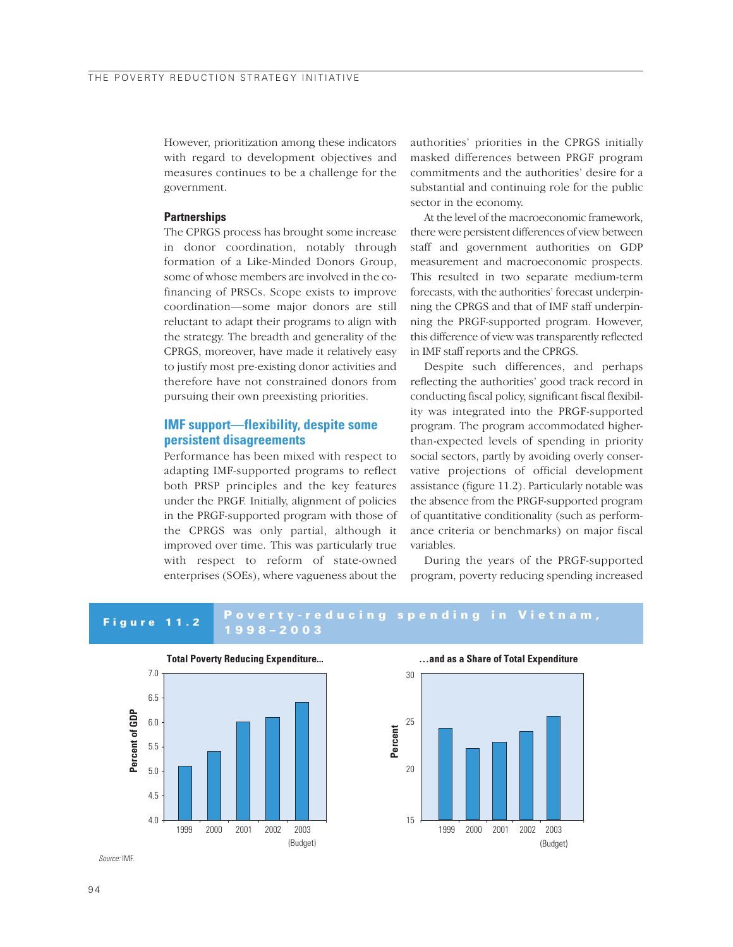However, prioritization among these indicators with regard to development objectives and measures continues to be a challenge for the government.

#### **Partnerships**

The CPRGS process has brought some increase in donor coordination, notably through formation of a Like-Minded Donors Group, some of whose members are involved in the cofinancing of PRSCs. Scope exists to improve coordination—some major donors are still reluctant to adapt their programs to align with the strategy. The breadth and generality of the CPRGS, moreover, have made it relatively easy to justify most pre-existing donor activities and therefore have not constrained donors from pursuing their own preexisting priorities.

#### **IMF support—flexibility, despite some persistent disagreements**

Performance has been mixed with respect to adapting IMF-supported programs to reflect both PRSP principles and the key features under the PRGF. Initially, alignment of policies in the PRGF-supported program with those of the CPRGS was only partial, although it improved over time. This was particularly true with respect to reform of state-owned enterprises (SOEs), where vagueness about the authorities' priorities in the CPRGS initially masked differences between PRGF program commitments and the authorities' desire for a substantial and continuing role for the public sector in the economy.

At the level of the macroeconomic framework, there were persistent differences of view between staff and government authorities on GDP measurement and macroeconomic prospects. This resulted in two separate medium-term forecasts, with the authorities' forecast underpinning the CPRGS and that of IMF staff underpinning the PRGF-supported program. However, this difference of view was transparently reflected in IMF staff reports and the CPRGS.

Despite such differences, and perhaps reflecting the authorities' good track record in conducting fiscal policy, significant fiscal flexibility was integrated into the PRGF-supported program. The program accommodated higherthan-expected levels of spending in priority social sectors, partly by avoiding overly conservative projections of official development assistance (figure 11.2). Particularly notable was the absence from the PRGF-supported program of quantitative conditionality (such as performance criteria or benchmarks) on major fiscal variables.

During the years of the PRGF-supported program, poverty reducing spending increased

#### **Poverty-reducing spending in Vietnam, 1998–2003 Figure 11.2**



**…and as a Share of Total Expenditure**



Source: IMF.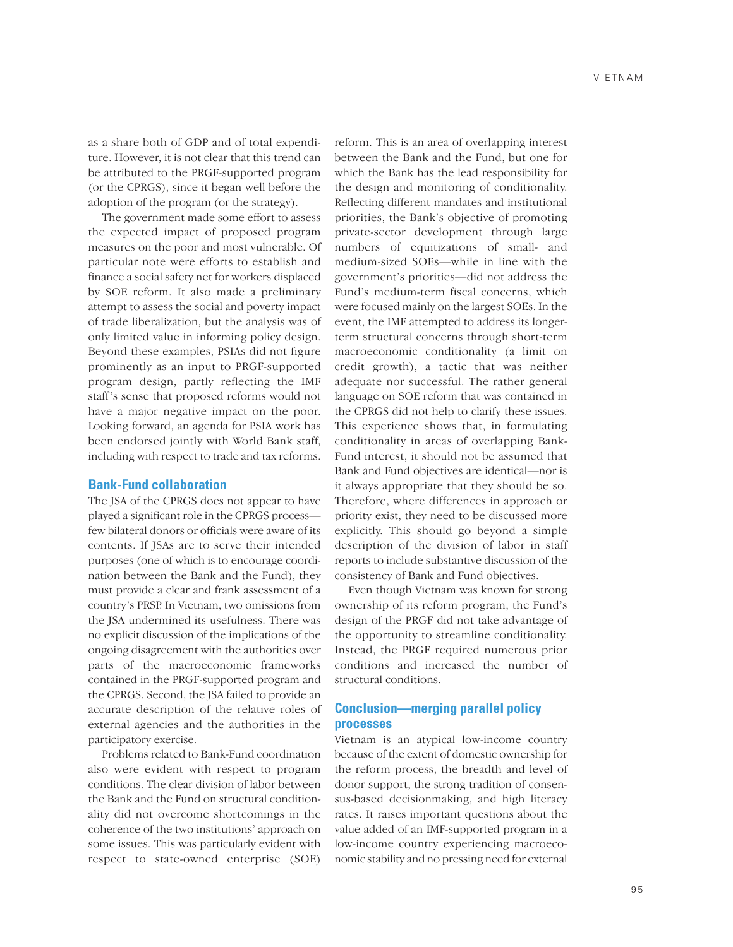as a share both of GDP and of total expenditure. However, it is not clear that this trend can be attributed to the PRGF-supported program (or the CPRGS), since it began well before the adoption of the program (or the strategy).

The government made some effort to assess the expected impact of proposed program measures on the poor and most vulnerable. Of particular note were efforts to establish and finance a social safety net for workers displaced by SOE reform. It also made a preliminary attempt to assess the social and poverty impact of trade liberalization, but the analysis was of only limited value in informing policy design. Beyond these examples, PSIAs did not figure prominently as an input to PRGF-supported program design, partly reflecting the IMF staff 's sense that proposed reforms would not have a major negative impact on the poor. Looking forward, an agenda for PSIA work has been endorsed jointly with World Bank staff, including with respect to trade and tax reforms.

#### **Bank-Fund collaboration**

The JSA of the CPRGS does not appear to have played a significant role in the CPRGS process few bilateral donors or officials were aware of its contents. If JSAs are to serve their intended purposes (one of which is to encourage coordination between the Bank and the Fund), they must provide a clear and frank assessment of a country's PRSP. In Vietnam, two omissions from the JSA undermined its usefulness. There was no explicit discussion of the implications of the ongoing disagreement with the authorities over parts of the macroeconomic frameworks contained in the PRGF-supported program and the CPRGS. Second, the JSA failed to provide an accurate description of the relative roles of external agencies and the authorities in the participatory exercise.

Problems related to Bank-Fund coordination also were evident with respect to program conditions. The clear division of labor between the Bank and the Fund on structural conditionality did not overcome shortcomings in the coherence of the two institutions' approach on some issues. This was particularly evident with respect to state-owned enterprise (SOE) reform. This is an area of overlapping interest between the Bank and the Fund, but one for which the Bank has the lead responsibility for the design and monitoring of conditionality. Reflecting different mandates and institutional priorities, the Bank's objective of promoting private-sector development through large numbers of equitizations of small- and medium-sized SOEs—while in line with the government's priorities—did not address the Fund's medium-term fiscal concerns, which were focused mainly on the largest SOEs. In the event, the IMF attempted to address its longerterm structural concerns through short-term macroeconomic conditionality (a limit on credit growth), a tactic that was neither adequate nor successful. The rather general language on SOE reform that was contained in the CPRGS did not help to clarify these issues. This experience shows that, in formulating conditionality in areas of overlapping Bank-Fund interest, it should not be assumed that Bank and Fund objectives are identical—nor is it always appropriate that they should be so. Therefore, where differences in approach or priority exist, they need to be discussed more explicitly. This should go beyond a simple description of the division of labor in staff reports to include substantive discussion of the consistency of Bank and Fund objectives.

Even though Vietnam was known for strong ownership of its reform program, the Fund's design of the PRGF did not take advantage of the opportunity to streamline conditionality. Instead, the PRGF required numerous prior conditions and increased the number of structural conditions.

#### **Conclusion—merging parallel policy processes**

Vietnam is an atypical low-income country because of the extent of domestic ownership for the reform process, the breadth and level of donor support, the strong tradition of consensus-based decisionmaking, and high literacy rates. It raises important questions about the value added of an IMF-supported program in a low-income country experiencing macroeconomic stability and no pressing need for external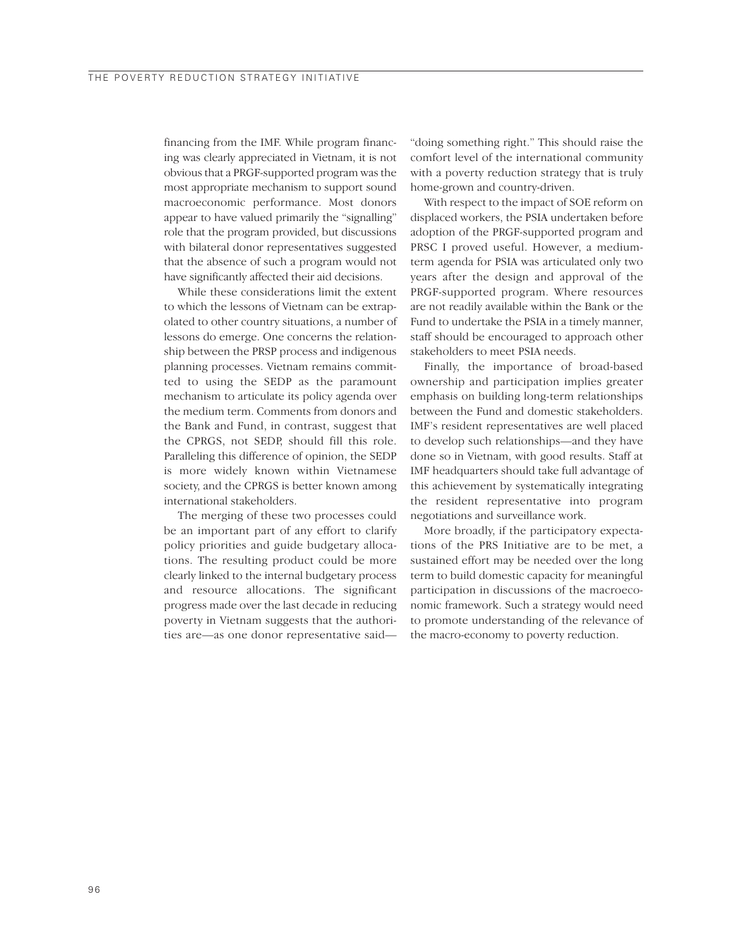financing from the IMF. While program financing was clearly appreciated in Vietnam, it is not obvious that a PRGF-supported program was the most appropriate mechanism to support sound macroeconomic performance. Most donors appear to have valued primarily the "signalling" role that the program provided, but discussions with bilateral donor representatives suggested that the absence of such a program would not have significantly affected their aid decisions.

While these considerations limit the extent to which the lessons of Vietnam can be extrapolated to other country situations, a number of lessons do emerge. One concerns the relationship between the PRSP process and indigenous planning processes. Vietnam remains committed to using the SEDP as the paramount mechanism to articulate its policy agenda over the medium term. Comments from donors and the Bank and Fund, in contrast, suggest that the CPRGS, not SEDP, should fill this role. Paralleling this difference of opinion, the SEDP is more widely known within Vietnamese society, and the CPRGS is better known among international stakeholders.

The merging of these two processes could be an important part of any effort to clarify policy priorities and guide budgetary allocations. The resulting product could be more clearly linked to the internal budgetary process and resource allocations. The significant progress made over the last decade in reducing poverty in Vietnam suggests that the authorities are—as one donor representative said"doing something right." This should raise the comfort level of the international community with a poverty reduction strategy that is truly home-grown and country-driven.

With respect to the impact of SOE reform on displaced workers, the PSIA undertaken before adoption of the PRGF-supported program and PRSC I proved useful. However, a mediumterm agenda for PSIA was articulated only two years after the design and approval of the PRGF-supported program. Where resources are not readily available within the Bank or the Fund to undertake the PSIA in a timely manner, staff should be encouraged to approach other stakeholders to meet PSIA needs.

Finally, the importance of broad-based ownership and participation implies greater emphasis on building long-term relationships between the Fund and domestic stakeholders. IMF's resident representatives are well placed to develop such relationships—and they have done so in Vietnam, with good results. Staff at IMF headquarters should take full advantage of this achievement by systematically integrating the resident representative into program negotiations and surveillance work.

More broadly, if the participatory expectations of the PRS Initiative are to be met, a sustained effort may be needed over the long term to build domestic capacity for meaningful participation in discussions of the macroeconomic framework. Such a strategy would need to promote understanding of the relevance of the macro-economy to poverty reduction.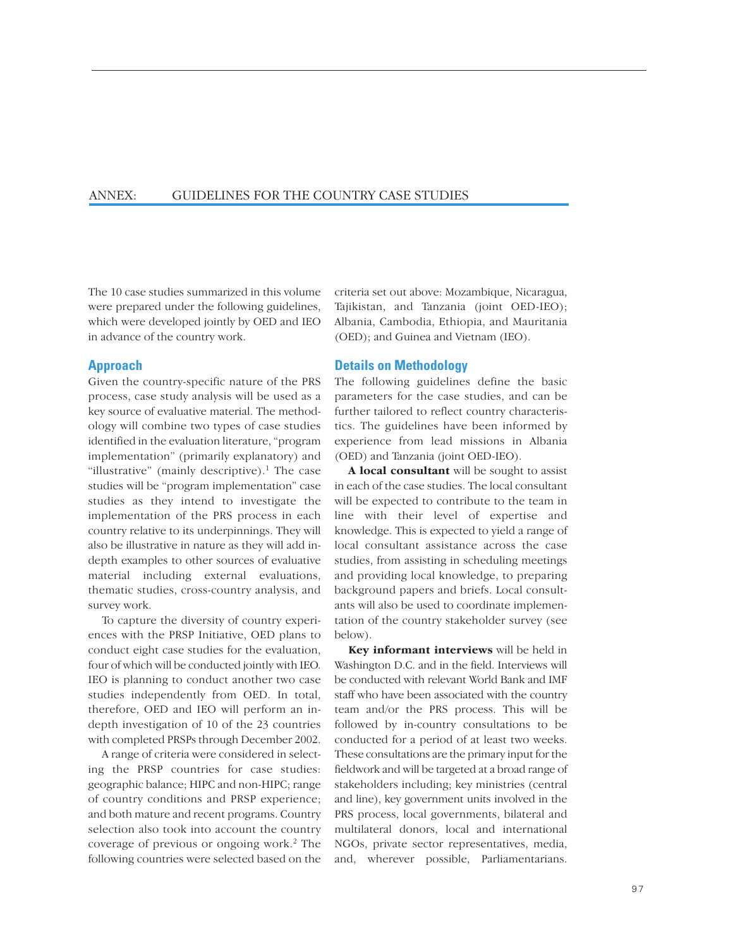#### ANNEX: GUIDELINES FOR THE COUNTRY CASE STUDIES

The 10 case studies summarized in this volume were prepared under the following guidelines, which were developed jointly by OED and IEO in advance of the country work.

#### **Approach**

Given the country-specific nature of the PRS process, case study analysis will be used as a key source of evaluative material. The methodology will combine two types of case studies identified in the evaluation literature, "program implementation" (primarily explanatory) and "illustrative" (mainly descriptive).<sup>1</sup> The case studies will be "program implementation" case studies as they intend to investigate the implementation of the PRS process in each country relative to its underpinnings. They will also be illustrative in nature as they will add indepth examples to other sources of evaluative material including external evaluations, thematic studies, cross-country analysis, and survey work.

To capture the diversity of country experiences with the PRSP Initiative, OED plans to conduct eight case studies for the evaluation, four of which will be conducted jointly with IEO. IEO is planning to conduct another two case studies independently from OED. In total, therefore, OED and IEO will perform an indepth investigation of 10 of the 23 countries with completed PRSPs through December 2002.

A range of criteria were considered in selecting the PRSP countries for case studies: geographic balance; HIPC and non-HIPC; range of country conditions and PRSP experience; and both mature and recent programs. Country selection also took into account the country coverage of previous or ongoing work.<sup>2</sup> The following countries were selected based on the criteria set out above: Mozambique, Nicaragua, Tajikistan, and Tanzania (joint OED-IEO); Albania, Cambodia, Ethiopia, and Mauritania (OED); and Guinea and Vietnam (IEO).

#### **Details on Methodology**

The following guidelines define the basic parameters for the case studies, and can be further tailored to reflect country characteristics. The guidelines have been informed by experience from lead missions in Albania (OED) and Tanzania (joint OED-IEO).

**A local consultant** will be sought to assist in each of the case studies. The local consultant will be expected to contribute to the team in line with their level of expertise and knowledge. This is expected to yield a range of local consultant assistance across the case studies, from assisting in scheduling meetings and providing local knowledge, to preparing background papers and briefs. Local consultants will also be used to coordinate implementation of the country stakeholder survey (see below).

**Key informant interviews** will be held in Washington D.C. and in the field. Interviews will be conducted with relevant World Bank and IMF staff who have been associated with the country team and/or the PRS process. This will be followed by in-country consultations to be conducted for a period of at least two weeks. These consultations are the primary input for the fieldwork and will be targeted at a broad range of stakeholders including; key ministries (central and line), key government units involved in the PRS process, local governments, bilateral and multilateral donors, local and international NGOs, private sector representatives, media, and, wherever possible, Parliamentarians.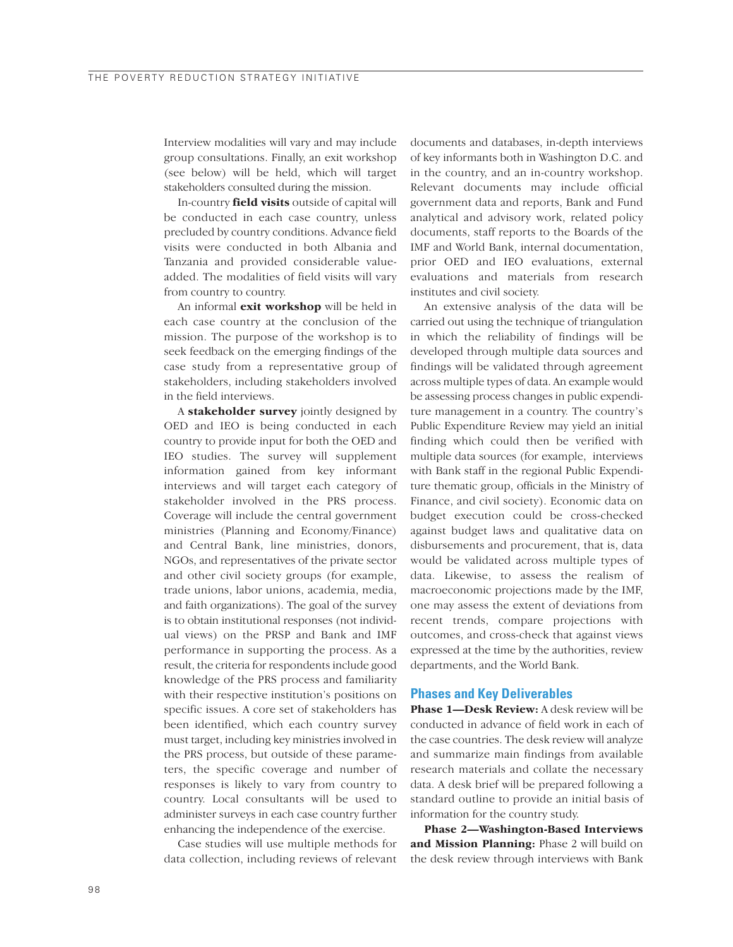Interview modalities will vary and may include group consultations. Finally, an exit workshop (see below) will be held, which will target stakeholders consulted during the mission.

In-country **field visits** outside of capital will be conducted in each case country, unless precluded by country conditions. Advance field visits were conducted in both Albania and Tanzania and provided considerable valueadded. The modalities of field visits will vary from country to country.

An informal **exit workshop** will be held in each case country at the conclusion of the mission. The purpose of the workshop is to seek feedback on the emerging findings of the case study from a representative group of stakeholders, including stakeholders involved in the field interviews.

A **stakeholder survey** jointly designed by OED and IEO is being conducted in each country to provide input for both the OED and IEO studies. The survey will supplement information gained from key informant interviews and will target each category of stakeholder involved in the PRS process. Coverage will include the central government ministries (Planning and Economy/Finance) and Central Bank, line ministries, donors, NGOs, and representatives of the private sector and other civil society groups (for example, trade unions, labor unions, academia, media, and faith organizations). The goal of the survey is to obtain institutional responses (not individual views) on the PRSP and Bank and IMF performance in supporting the process. As a result, the criteria for respondents include good knowledge of the PRS process and familiarity with their respective institution's positions on specific issues. A core set of stakeholders has been identified, which each country survey must target, including key ministries involved in the PRS process, but outside of these parameters, the specific coverage and number of responses is likely to vary from country to country. Local consultants will be used to administer surveys in each case country further enhancing the independence of the exercise.

Case studies will use multiple methods for data collection, including reviews of relevant

documents and databases, in-depth interviews of key informants both in Washington D.C. and in the country, and an in-country workshop. Relevant documents may include official government data and reports, Bank and Fund analytical and advisory work, related policy documents, staff reports to the Boards of the IMF and World Bank, internal documentation, prior OED and IEO evaluations, external evaluations and materials from research institutes and civil society.

An extensive analysis of the data will be carried out using the technique of triangulation in which the reliability of findings will be developed through multiple data sources and findings will be validated through agreement across multiple types of data. An example would be assessing process changes in public expenditure management in a country. The country's Public Expenditure Review may yield an initial finding which could then be verified with multiple data sources (for example, interviews with Bank staff in the regional Public Expenditure thematic group, officials in the Ministry of Finance, and civil society). Economic data on budget execution could be cross-checked against budget laws and qualitative data on disbursements and procurement, that is, data would be validated across multiple types of data. Likewise, to assess the realism of macroeconomic projections made by the IMF, one may assess the extent of deviations from recent trends, compare projections with outcomes, and cross-check that against views expressed at the time by the authorities, review departments, and the World Bank.

#### **Phases and Key Deliverables**

**Phase 1—Desk Review:** A desk review will be conducted in advance of field work in each of the case countries. The desk review will analyze and summarize main findings from available research materials and collate the necessary data. A desk brief will be prepared following a standard outline to provide an initial basis of information for the country study.

**Phase 2—Washington-Based Interviews and Mission Planning:** Phase 2 will build on the desk review through interviews with Bank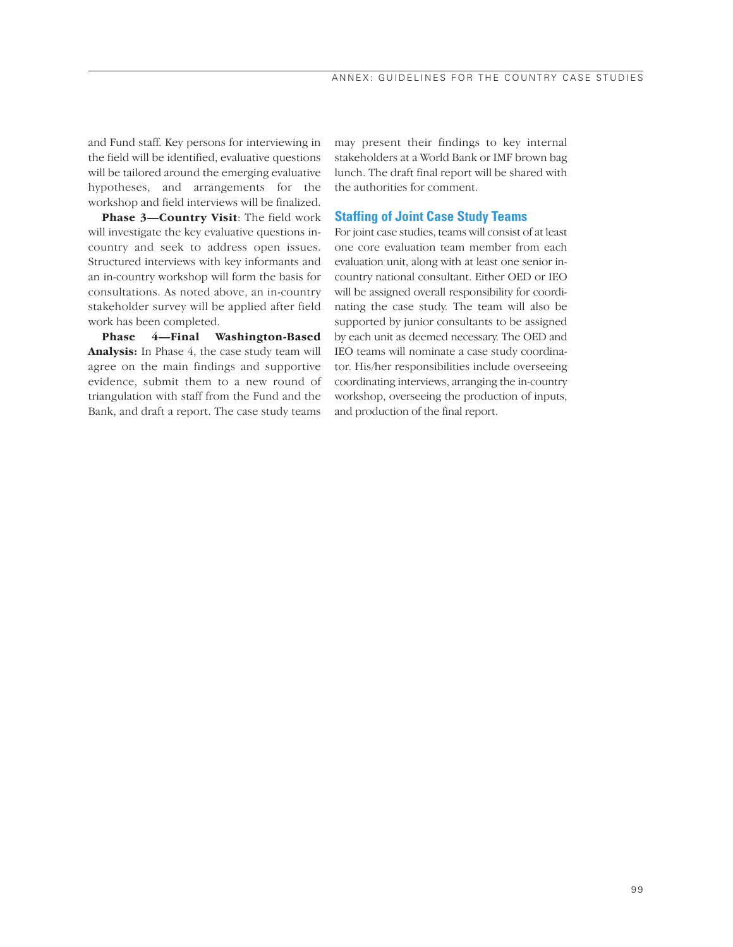and Fund staff. Key persons for interviewing in the field will be identified, evaluative questions will be tailored around the emerging evaluative hypotheses, and arrangements for the workshop and field interviews will be finalized.

**Phase 3—Country Visit**: The field work will investigate the key evaluative questions incountry and seek to address open issues. Structured interviews with key informants and an in-country workshop will form the basis for consultations. As noted above, an in-country stakeholder survey will be applied after field work has been completed.

**Phase 4—Final Washington-Based Analysis:** In Phase 4, the case study team will agree on the main findings and supportive evidence, submit them to a new round of triangulation with staff from the Fund and the Bank, and draft a report. The case study teams

may present their findings to key internal stakeholders at a World Bank or IMF brown bag lunch. The draft final report will be shared with the authorities for comment.

## **Staffing of Joint Case Study Teams**

For joint case studies, teams will consist of at least one core evaluation team member from each evaluation unit, along with at least one senior incountry national consultant. Either OED or IEO will be assigned overall responsibility for coordinating the case study. The team will also be supported by junior consultants to be assigned by each unit as deemed necessary. The OED and IEO teams will nominate a case study coordinator. His/her responsibilities include overseeing coordinating interviews, arranging the in-country workshop, overseeing the production of inputs, and production of the final report.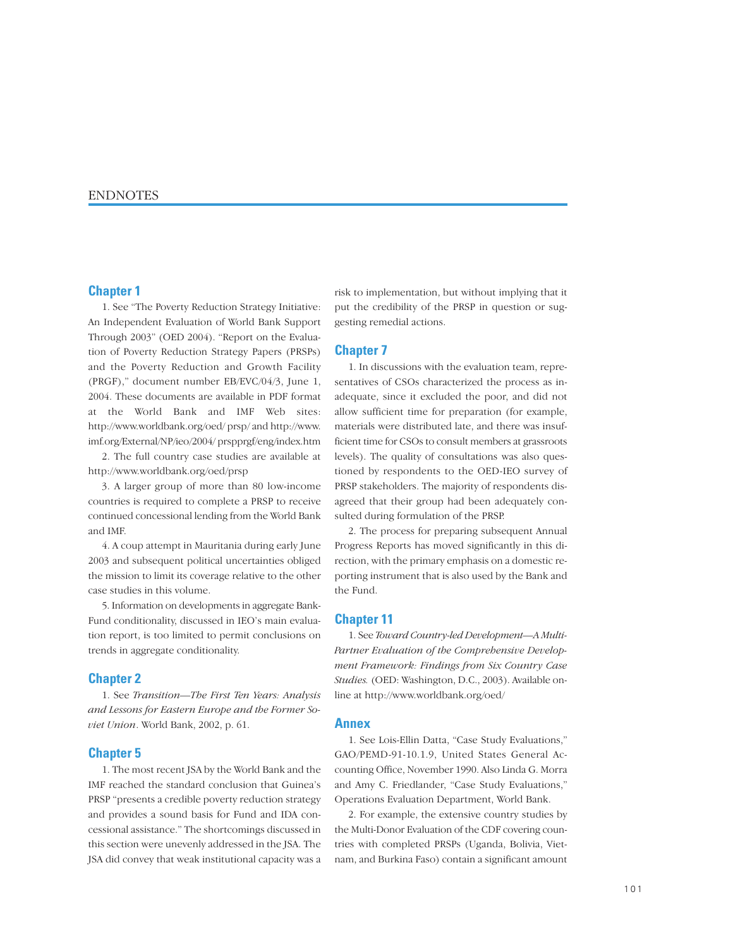### ENDNOTES

## **Chapter 1**

1. See "The Poverty Reduction Strategy Initiative: An Independent Evaluation of World Bank Support Through 2003" (OED 2004). "Report on the Evaluation of Poverty Reduction Strategy Papers (PRSPs) and the Poverty Reduction and Growth Facility (PRGF)," document number EB/EVC/04/3, June 1, 2004. These documents are available in PDF format at the World Bank and IMF Web sites: http://www.worldbank.org/oed/ prsp/ and http://www. imf.org/External/NP/ieo/2004/ prspprgf/eng/index.htm

2. The full country case studies are available at http://www.worldbank.org/oed/prsp

3. A larger group of more than 80 low-income countries is required to complete a PRSP to receive continued concessional lending from the World Bank and IMF.

4. A coup attempt in Mauritania during early June 2003 and subsequent political uncertainties obliged the mission to limit its coverage relative to the other case studies in this volume.

5. Information on developments in aggregate Bank-Fund conditionality, discussed in IEO's main evaluation report, is too limited to permit conclusions on trends in aggregate conditionality.

#### **Chapter 2**

1. See *Transition—The First Ten Years: Analysis and Lessons for Eastern Europe and the Former Soviet Union*. World Bank, 2002, p. 61.

#### **Chapter 5**

1. The most recent JSA by the World Bank and the IMF reached the standard conclusion that Guinea's PRSP "presents a credible poverty reduction strategy and provides a sound basis for Fund and IDA concessional assistance." The shortcomings discussed in this section were unevenly addressed in the JSA. The JSA did convey that weak institutional capacity was a risk to implementation, but without implying that it put the credibility of the PRSP in question or suggesting remedial actions.

#### **Chapter 7**

1. In discussions with the evaluation team, representatives of CSOs characterized the process as inadequate, since it excluded the poor, and did not allow sufficient time for preparation (for example, materials were distributed late, and there was insufficient time for CSOs to consult members at grassroots levels). The quality of consultations was also questioned by respondents to the OED-IEO survey of PRSP stakeholders. The majority of respondents disagreed that their group had been adequately consulted during formulation of the PRSP.

2. The process for preparing subsequent Annual Progress Reports has moved significantly in this direction, with the primary emphasis on a domestic reporting instrument that is also used by the Bank and the Fund.

#### **Chapter 11**

1. See *Toward Country-led Development—A Multi-Partner Evaluation of the Comprehensive Development Framework: Findings from Six Country Case Studies.* (OED: Washington, D.C., 2003). Available online at http://www.worldbank.org/oed/

#### **Annex**

1. See Lois-Ellin Datta, "Case Study Evaluations," GAO/PEMD-91-10.1.9, United States General Accounting Office, November 1990. Also Linda G. Morra and Amy C. Friedlander, "Case Study Evaluations," Operations Evaluation Department, World Bank.

2. For example, the extensive country studies by the Multi-Donor Evaluation of the CDF covering countries with completed PRSPs (Uganda, Bolivia, Vietnam, and Burkina Faso) contain a significant amount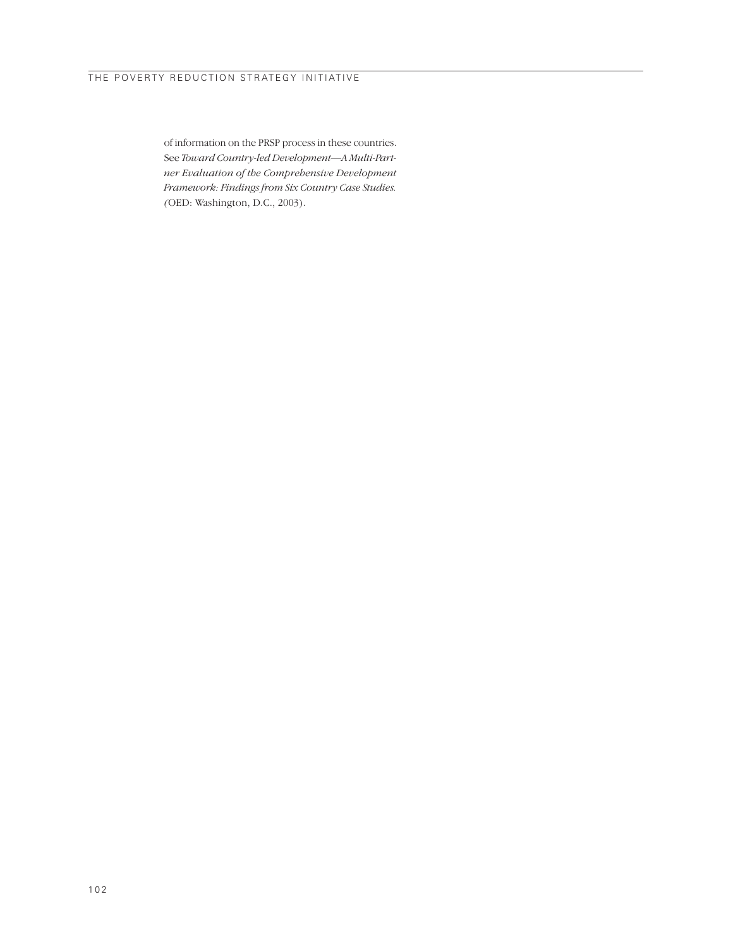# THE POVERTY REDUCTION STRATEGY INITIATIVE

of information on the PRSP process in these countries. See *Toward Country-led Development—A Multi-Partner Evaluation of the Comprehensive Development Framework: Findings from Six Country Case Studies. (*OED: Washington, D.C., 2003).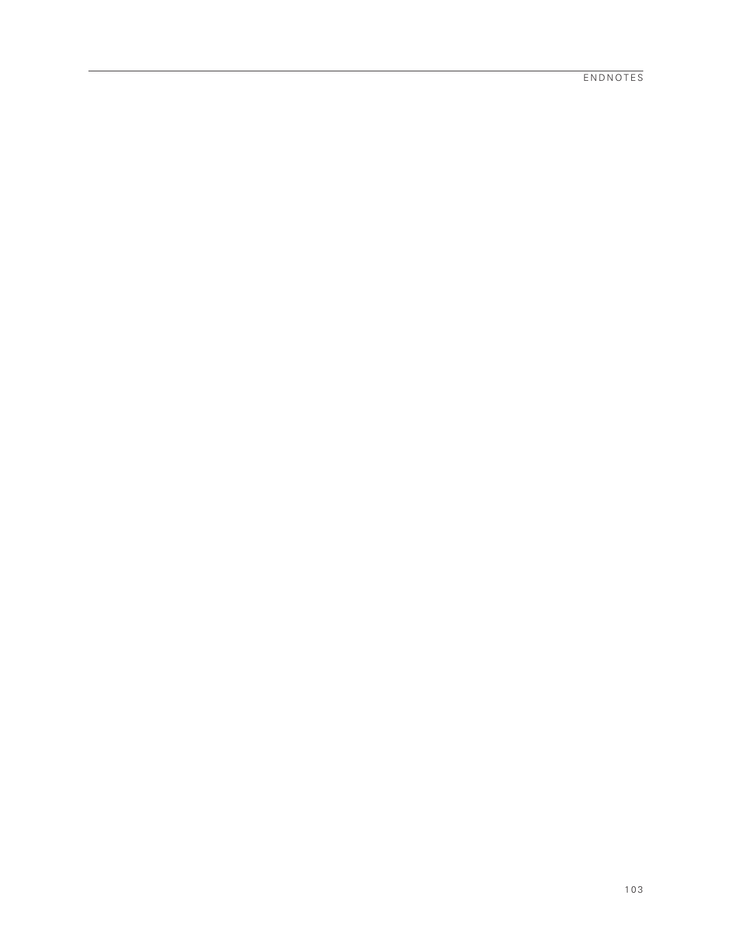ENDNOTES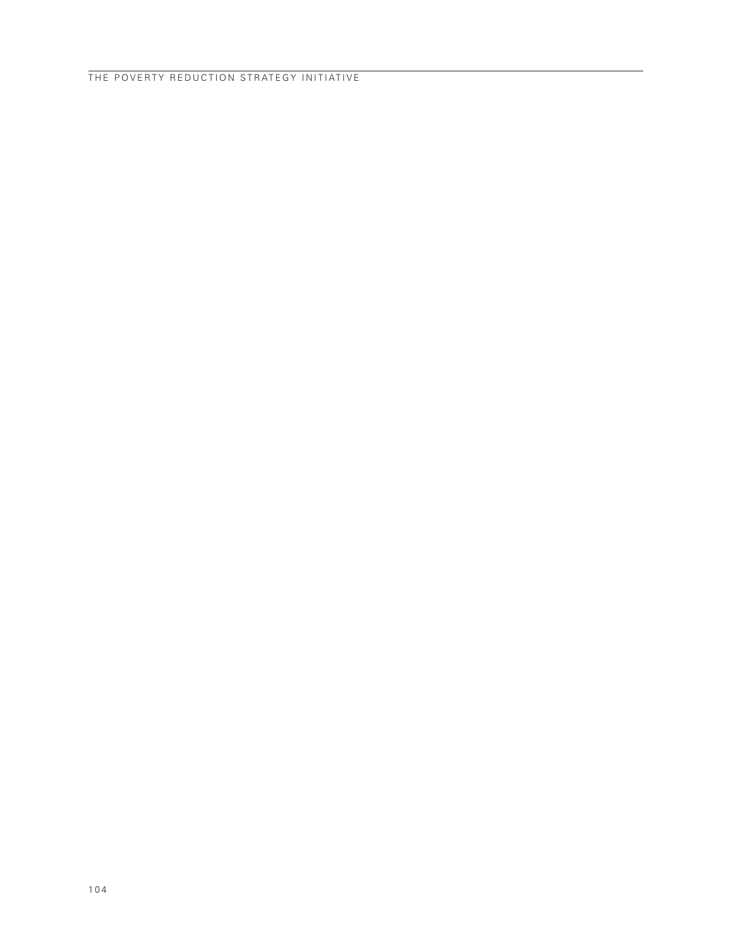THE POVERTY REDUCTION STRATEGY INITIATIVE